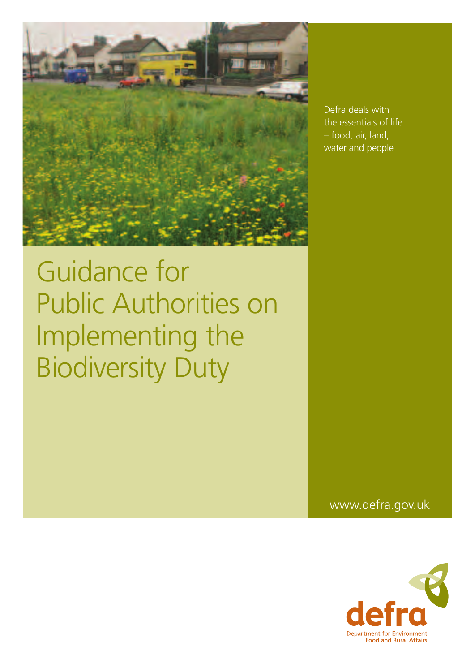

Defra deals with the essentials of life – food, air, land, water and people

www.defra.gov.uk

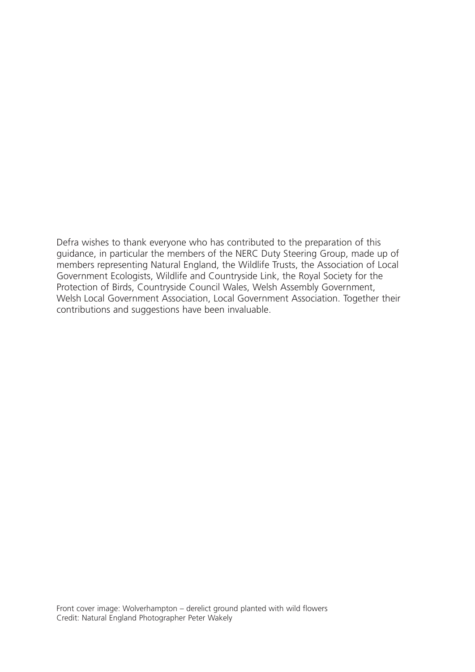Defra wishes to thank everyone who has contributed to the preparation of this guidance, in particular the members of the NERC Duty Steering Group, made up of members representing Natural England, the Wildlife Trusts, the Association of Local Government Ecologists, Wildlife and Countryside Link, the Royal Society for the Protection of Birds, Countryside Council Wales, Welsh Assembly Government, Welsh Local Government Association, Local Government Association. Together their contributions and suggestions have been invaluable.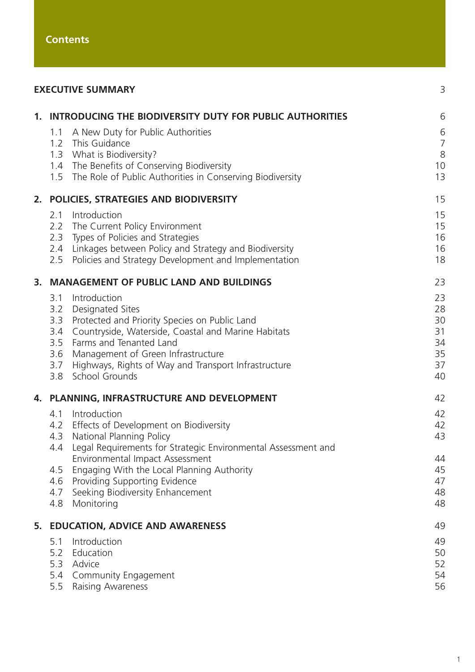| <b>EXECUTIVE SUMMARY</b>                    |                                                                                                                                                                                                                                                                                             |                                              |
|---------------------------------------------|---------------------------------------------------------------------------------------------------------------------------------------------------------------------------------------------------------------------------------------------------------------------------------------------|----------------------------------------------|
|                                             | 1. INTRODUCING THE BIODIVERSITY DUTY FOR PUBLIC AUTHORITIES                                                                                                                                                                                                                                 | 6                                            |
| 1.1                                         | A New Duty for Public Authorities<br>1.2 This Guidance<br>1.3 What is Biodiversity?<br>1.4 The Benefits of Conserving Biodiversity<br>1.5 The Role of Public Authorities in Conserving Biodiversity                                                                                         | 6<br>$\frac{7}{8}$<br>10<br>13               |
|                                             | 2. POLICIES, STRATEGIES AND BIODIVERSITY                                                                                                                                                                                                                                                    | 15                                           |
| 2.1<br>2.5                                  | Introduction<br>2.2 The Current Policy Environment<br>2.3 Types of Policies and Strategies<br>2.4 Linkages between Policy and Strategy and Biodiversity<br>Policies and Strategy Development and Implementation                                                                             | 15<br>15<br>16<br>16<br>18                   |
| 3. MANAGEMENT OF PUBLIC LAND AND BUILDINGS  |                                                                                                                                                                                                                                                                                             |                                              |
| 3.1<br>3.3<br>3.4<br>3.5<br>3.6<br>3.7      | Introduction<br>3.2 Designated Sites<br>Protected and Priority Species on Public Land<br>Countryside, Waterside, Coastal and Marine Habitats<br>Farms and Tenanted Land<br>Management of Green Infrastructure<br>Highways, Rights of Way and Transport Infrastructure<br>3.8 School Grounds | 23<br>28<br>30<br>31<br>34<br>35<br>37<br>40 |
| 4. PLANNING, INFRASTRUCTURE AND DEVELOPMENT |                                                                                                                                                                                                                                                                                             | 42                                           |
|                                             | 4.1 Introduction<br>4.2 Effects of Development on Biodiversity<br>4.3 National Planning Policy<br>4.4 Legal Requirements for Strategic Environmental Assessment and                                                                                                                         | 42<br>42<br>43                               |
| 4.5<br>4.6<br>4.7<br>4.8                    | Environmental Impact Assessment<br>Engaging With the Local Planning Authority<br>Providing Supporting Evidence<br>Seeking Biodiversity Enhancement<br>Monitoring                                                                                                                            | 44<br>45<br>47<br>48<br>48                   |
| 5. EDUCATION, ADVICE AND AWARENESS          |                                                                                                                                                                                                                                                                                             |                                              |
| 5.1<br>5.2<br>5.3<br>5.5                    | Introduction<br>Education<br>Advice<br>5.4 Community Engagement<br>Raising Awareness                                                                                                                                                                                                        | 49<br>50<br>52<br>54<br>56                   |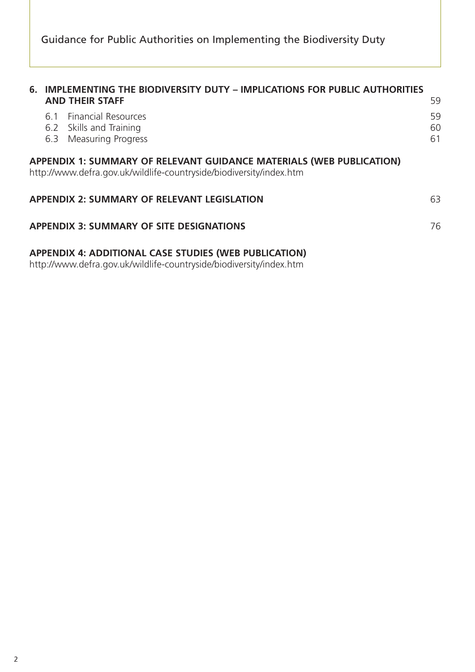|                                                                                                                                             | 6. IMPLEMENTING THE BIODIVERSITY DUTY - IMPLICATIONS FOR PUBLIC AUTHORITIES<br><b>AND THEIR STAFF</b>                               | 59             |  |  |
|---------------------------------------------------------------------------------------------------------------------------------------------|-------------------------------------------------------------------------------------------------------------------------------------|----------------|--|--|
|                                                                                                                                             | 6.1 Financial Resources<br>6.2 Skills and Training<br>6.3 Measuring Progress                                                        | 59<br>60<br>61 |  |  |
| APPENDIX 1: SUMMARY OF RELEVANT GUIDANCE MATERIALS (WEB PUBLICATION)<br>http://www.defra.gov.uk/wildlife-countryside/biodiversity/index.htm |                                                                                                                                     |                |  |  |
|                                                                                                                                             | <b>APPENDIX 2: SUMMARY OF RELEVANT LEGISLATION</b>                                                                                  | 63             |  |  |
|                                                                                                                                             | <b>APPENDIX 3: SUMMARY OF SITE DESIGNATIONS</b>                                                                                     | 76             |  |  |
|                                                                                                                                             | <b>APPENDIX 4: ADDITIONAL CASE STUDIES (WEB PUBLICATION)</b><br>http://www.defra.gov.uk/wildlife-countryside/biodiversity/index.htm |                |  |  |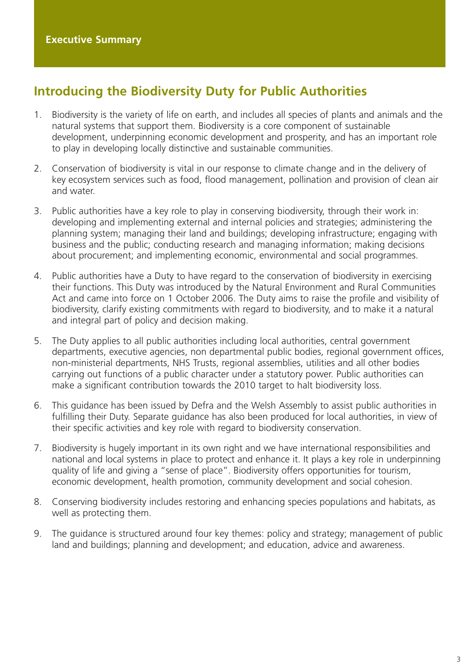# <span id="page-5-0"></span>**Introducing the Biodiversity Duty for Public Authorities**

- 1. Biodiversity is the variety of life on earth, and includes all species of plants and animals and the natural systems that support them. Biodiversity is a core component of sustainable development, underpinning economic development and prosperity, and has an important role to play in developing locally distinctive and sustainable communities.
- 2. Conservation of biodiversity is vital in our response to climate change and in the delivery of key ecosystem services such as food, flood management, pollination and provision of clean air and water.
- 3. Public authorities have a key role to play in conserving biodiversity, through their work in: developing and implementing external and internal policies and strategies; administering the planning system; managing their land and buildings; developing infrastructure; engaging with business and the public; conducting research and managing information; making decisions about procurement; and implementing economic, environmental and social programmes.
- 4. Public authorities have a Duty to have regard to the conservation of biodiversity in exercising their functions. This Duty was introduced by the Natural Environment and Rural Communities Act and came into force on 1 October 2006. The Duty aims to raise the profile and visibility of biodiversity, clarify existing commitments with regard to biodiversity, and to make it a natural and integral part of policy and decision making.
- 5. The Duty applies to all public authorities including local authorities, central government departments, executive agencies, non departmental public bodies, regional government offices, non-ministerial departments, NHS Trusts, regional assemblies, utilities and all other bodies carrying out functions of a public character under a statutory power. Public authorities can make a significant contribution towards the 2010 target to halt biodiversity loss.
- 6. This guidance has been issued by Defra and the Welsh Assembly to assist public authorities in fulfilling their Duty. Separate guidance has also been produced for local authorities, in view of their specific activities and key role with regard to biodiversity conservation.
- 7. Biodiversity is hugely important in its own right and we have international responsibilities and national and local systems in place to protect and enhance it. It plays a key role in underpinning quality of life and giving a "sense of place". Biodiversity offers opportunities for tourism, economic development, health promotion, community development and social cohesion.
- 8. Conserving biodiversity includes restoring and enhancing species populations and habitats, as well as protecting them.
- 9. The guidance is structured around four key themes: policy and strategy; management of public land and buildings; planning and development; and education, advice and awareness.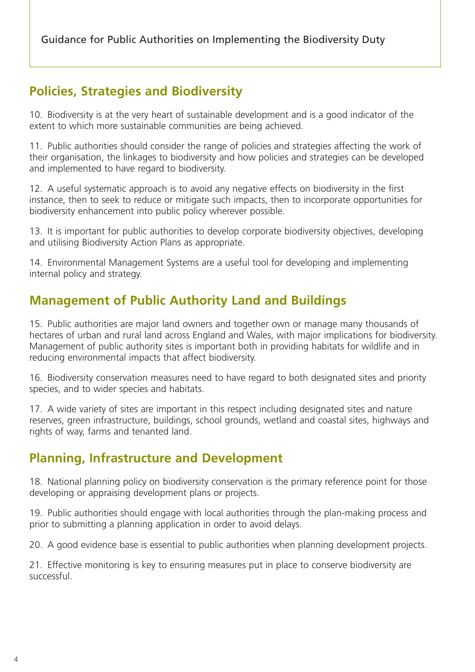# **Policies, Strategies and Biodiversity**

10. Biodiversity is at the very heart of sustainable development and is a good indicator of the extent to which more sustainable communities are being achieved.

11. Public authorities should consider the range of policies and strategies affecting the work of their organisation, the linkages to biodiversity and how policies and strategies can be developed and implemented to have regard to biodiversity.

12. A useful systematic approach is to avoid any negative effects on biodiversity in the first instance, then to seek to reduce or mitigate such impacts, then to incorporate opportunities for biodiversity enhancement into public policy wherever possible.

13. It is important for public authorities to develop corporate biodiversity objectives, developing and utilising Biodiversity Action Plans as appropriate.

14. Environmental Management Systems are a useful tool for developing and implementing internal policy and strategy.

# **Management of Public Authority Land and Buildings**

15. Public authorities are major land owners and together own or manage many thousands of hectares of urban and rural land across England and Wales, with major implications for biodiversity. Management of public authority sites is important both in providing habitats for wildlife and in reducing environmental impacts that affect biodiversity.

16. Biodiversity conservation measures need to have regard to both designated sites and priority species, and to wider species and habitats.

17. A wide variety of sites are important in this respect including designated sites and nature reserves, green infrastructure, buildings, school grounds, wetland and coastal sites, highways and rights of way, farms and tenanted land.

## **Planning, Infrastructure and Development**

18. National planning policy on biodiversity conservation is the primary reference point for those developing or appraising development plans or projects.

19. Public authorities should engage with local authorities through the plan-making process and prior to submitting a planning application in order to avoid delays.

20. A good evidence base is essential to public authorities when planning development projects.

21. Effective monitoring is key to ensuring measures put in place to conserve biodiversity are successful.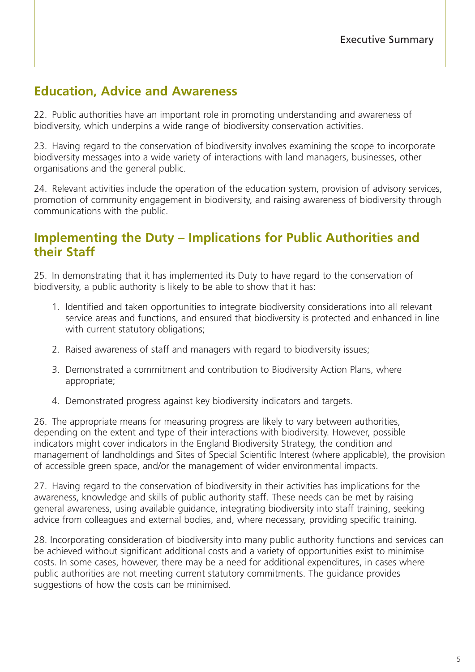# **Education, Advice and Awareness**

22. Public authorities have an important role in promoting understanding and awareness of biodiversity, which underpins a wide range of biodiversity conservation activities.

23. Having regard to the conservation of biodiversity involves examining the scope to incorporate biodiversity messages into a wide variety of interactions with land managers, businesses, other organisations and the general public.

24. Relevant activities include the operation of the education system, provision of advisory services, promotion of community engagement in biodiversity, and raising awareness of biodiversity through communications with the public.

## **Implementing the Duty – Implications for Public Authorities and their Staff**

25. In demonstrating that it has implemented its Duty to have regard to the conservation of biodiversity, a public authority is likely to be able to show that it has:

- 1. Identified and taken opportunities to integrate biodiversity considerations into all relevant service areas and functions, and ensured that biodiversity is protected and enhanced in line with current statutory obligations;
- 2. Raised awareness of staff and managers with regard to biodiversity issues;
- 3. Demonstrated a commitment and contribution to Biodiversity Action Plans, where appropriate;
- 4. Demonstrated progress against key biodiversity indicators and targets.

26. The appropriate means for measuring progress are likely to vary between authorities, depending on the extent and type of their interactions with biodiversity. However, possible indicators might cover indicators in the England Biodiversity Strategy, the condition and management of landholdings and Sites of Special Scientific Interest (where applicable), the provision of accessible green space, and/or the management of wider environmental impacts.

27. Having regard to the conservation of biodiversity in their activities has implications for the awareness, knowledge and skills of public authority staff. These needs can be met by raising general awareness, using available guidance, integrating biodiversity into staff training, seeking advice from colleagues and external bodies, and, where necessary, providing specific training.

28. Incorporating consideration of biodiversity into many public authority functions and services can be achieved without significant additional costs and a variety of opportunities exist to minimise costs. In some cases, however, there may be a need for additional expenditures, in cases where public authorities are not meeting current statutory commitments. The guidance provides suggestions of how the costs can be minimised.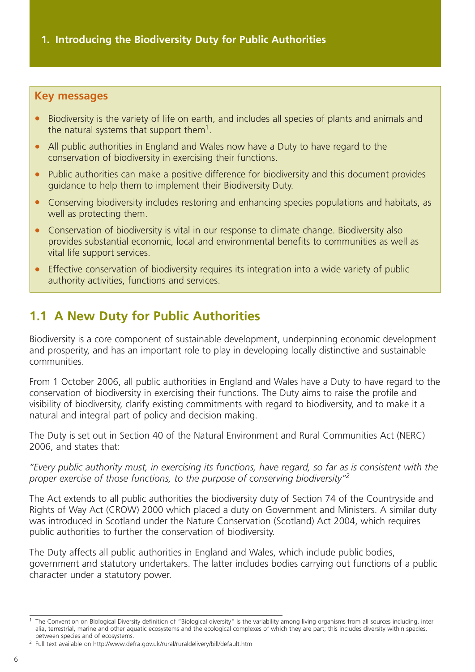#### <span id="page-8-0"></span>**Key messages**

- Biodiversity is the variety of life on earth, and includes all species of plants and animals and the natural systems that support them<sup>1</sup>.
- All public authorities in England and Wales now have a Duty to have regard to the conservation of biodiversity in exercising their functions.
- Public authorities can make a positive difference for biodiversity and this document provides guidance to help them to implement their Biodiversity Duty.
- Conserving biodiversity includes restoring and enhancing species populations and habitats, as well as protecting them.
- Conservation of biodiversity is vital in our response to climate change. Biodiversity also provides substantial economic, local and environmental benefits to communities as well as vital life support services.
- Effective conservation of biodiversity requires its integration into a wide variety of public authority activities, functions and services.

# **1.1 A New Duty for Public Authorities**

Biodiversity is a core component of sustainable development, underpinning economic development and prosperity, and has an important role to play in developing locally distinctive and sustainable communities.

From 1 October 2006, all public authorities in England and Wales have a Duty to have regard to the conservation of biodiversity in exercising their functions. The Duty aims to raise the profile and visibility of biodiversity, clarify existing commitments with regard to biodiversity, and to make it a natural and integral part of policy and decision making.

The Duty is set out in Section 40 of the Natural Environment and Rural Communities Act (NERC) 2006, and states that:

*"Every public authority must, in exercising its functions, have regard, so far as is consistent with the proper exercise of those functions, to the purpose of conserving biodiversity"2*

The Act extends to all public authorities the biodiversity duty of Section 74 of the Countryside and Rights of Way Act (CROW) 2000 which placed a duty on Government and Ministers. A similar duty was introduced in Scotland under the Nature Conservation (Scotland) Act 2004, which requires public authorities to further the conservation of biodiversity.

The Duty affects all public authorities in England and Wales, which include public bodies, government and statutory undertakers. The latter includes bodies carrying out functions of a public character under a statutory power.

<sup>&</sup>lt;sup>1</sup> The Convention on Biological Diversity definition of "Biological diversity" is the variability among living organisms from all sources including, inter alia, terrestrial, marine and other aquatic ecosystems and the ecological complexes of which they are part; this includes diversity within species, between species and of ecosystems.

<sup>2</sup> Full text available on http://www.defra.gov.uk/rural/ruraldelivery/bill/default.htm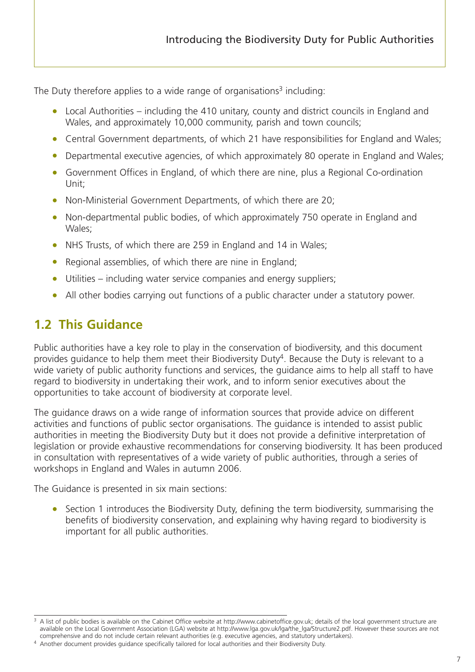<span id="page-9-0"></span>The Duty therefore applies to a wide range of organisations<sup>3</sup> including:

- Local Authorities including the 410 unitary, county and district councils in England and Wales, and approximately 10,000 community, parish and town councils;
- Central Government departments, of which 21 have responsibilities for England and Wales;
- Departmental executive agencies, of which approximately 80 operate in England and Wales;
- Government Offices in England, of which there are nine, plus a Regional Co-ordination Unit;
- Non-Ministerial Government Departments, of which there are 20;
- Non-departmental public bodies, of which approximately 750 operate in England and Wales;
- NHS Trusts, of which there are 259 in England and 14 in Wales;
- Regional assemblies, of which there are nine in England;
- Utilities including water service companies and energy suppliers;
- All other bodies carrying out functions of a public character under a statutory power.

# **1.2 This Guidance**

Public authorities have a key role to play in the conservation of biodiversity, and this document provides guidance to help them meet their Biodiversity Duty<sup>4</sup>. Because the Duty is relevant to a wide variety of public authority functions and services, the guidance aims to help all staff to have regard to biodiversity in undertaking their work, and to inform senior executives about the opportunities to take account of biodiversity at corporate level.

The guidance draws on a wide range of information sources that provide advice on different activities and functions of public sector organisations. The guidance is intended to assist public authorities in meeting the Biodiversity Duty but it does not provide a definitive interpretation of legislation or provide exhaustive recommendations for conserving biodiversity. It has been produced in consultation with representatives of a wide variety of public authorities, through a series of workshops in England and Wales in autumn 2006.

The Guidance is presented in six main sections:

• Section 1 introduces the Biodiversity Duty, defining the term biodiversity, summarising the benefits of biodiversity conservation, and explaining why having regard to biodiversity is important for all public authorities.

<sup>&</sup>lt;sup>3</sup> A list of public bodies is available on the Cabinet Office website at http://www.cabinetoffice.gov.uk; details of the local government structure are available on the Local Government Association (LGA) website at http://www.lga.gov.uk/lga/the\_lga/Structure2.pdf. However these sources are not comprehensive and do not include certain relevant authorities (e.g. executive agencies, and statutory undertakers).

<sup>4</sup> Another document provides guidance specifically tailored for local authorities and their Biodiversity Duty.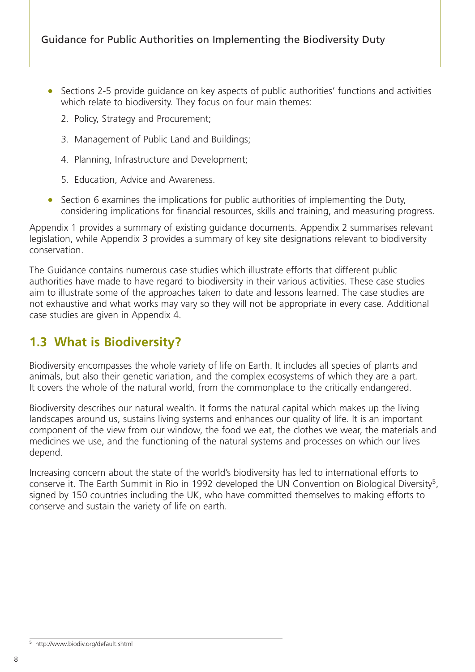- <span id="page-10-0"></span>• Sections 2-5 provide guidance on key aspects of public authorities' functions and activities which relate to biodiversity. They focus on four main themes:
	- 2. Policy, Strategy and Procurement;
	- 3. Management of Public Land and Buildings;
	- 4. Planning, Infrastructure and Development;
	- 5. Education, Advice and Awareness.
- Section 6 examines the implications for public authorities of implementing the Duty, considering implications for financial resources, skills and training, and measuring progress.

Appendix 1 provides a summary of existing guidance documents. Appendix 2 summarises relevant legislation, while Appendix 3 provides a summary of key site designations relevant to biodiversity conservation.

The Guidance contains numerous case studies which illustrate efforts that different public authorities have made to have regard to biodiversity in their various activities. These case studies aim to illustrate some of the approaches taken to date and lessons learned. The case studies are not exhaustive and what works may vary so they will not be appropriate in every case. Additional case studies are given in Appendix 4.

## **1.3 What is Biodiversity?**

Biodiversity encompasses the whole variety of life on Earth. It includes all species of plants and animals, but also their genetic variation, and the complex ecosystems of which they are a part. It covers the whole of the natural world, from the commonplace to the critically endangered.

Biodiversity describes our natural wealth. It forms the natural capital which makes up the living landscapes around us, sustains living systems and enhances our quality of life. It is an important component of the view from our window, the food we eat, the clothes we wear, the materials and medicines we use, and the functioning of the natural systems and processes on which our lives depend.

Increasing concern about the state of the world's biodiversity has led to international efforts to conserve it. The Earth Summit in Rio in 1992 developed the UN Convention on Biological Diversity<sup>5</sup>, signed by 150 countries including the UK, who have committed themselves to making efforts to conserve and sustain the variety of life on earth.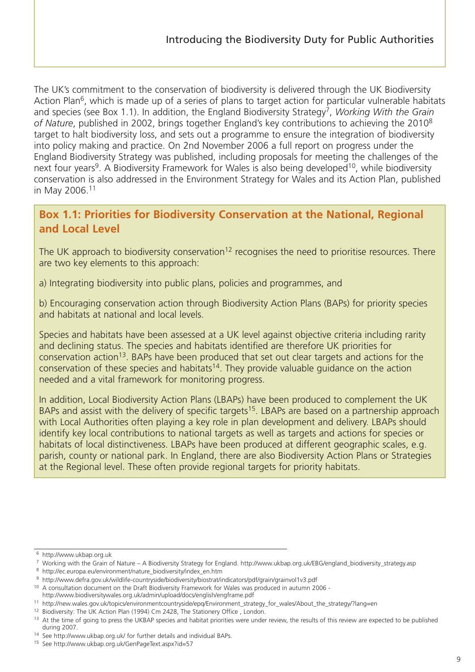The UK's commitment to the conservation of biodiversity is delivered through the UK Biodiversity Action Plan<sup>6</sup>, which is made up of a series of plans to target action for particular vulnerable habitats and species (see Box 1.1). In addition, the England Biodiversity Strategy<sup>7</sup>, *Working With the Grain of Nature*, published in 2002, brings together England's key contributions to achieving the 20108 target to halt biodiversity loss, and sets out a programme to ensure the integration of biodiversity into policy making and practice. On 2nd November 2006 a full report on progress under the England Biodiversity Strategy was published, including proposals for meeting the challenges of the next four years<sup>9</sup>. A Biodiversity Framework for Wales is also being developed<sup>10</sup>, while biodiversity conservation is also addressed in the Environment Strategy for Wales and its Action Plan, published in May 2006.11

## **Box 1.1: Priorities for Biodiversity Conservation at the National, Regional and Local Level**

The UK approach to biodiversity conservation<sup>12</sup> recognises the need to prioritise resources. There are two key elements to this approach:

a) Integrating biodiversity into public plans, policies and programmes, and

b) Encouraging conservation action through Biodiversity Action Plans (BAPs) for priority species and habitats at national and local levels.

Species and habitats have been assessed at a UK level against objective criteria including rarity and declining status. The species and habitats identified are therefore UK priorities for conservation action<sup>13</sup>. BAPs have been produced that set out clear targets and actions for the conservation of these species and habitats<sup>14</sup>. They provide valuable guidance on the action needed and a vital framework for monitoring progress.

In addition, Local Biodiversity Action Plans (LBAPs) have been produced to complement the UK BAPs and assist with the delivery of specific targets<sup>15</sup>. LBAPs are based on a partnership approach with Local Authorities often playing a key role in plan development and delivery. LBAPs should identify key local contributions to national targets as well as targets and actions for species or habitats of local distinctiveness. LBAPs have been produced at different geographic scales, e.g. parish, county or national park. In England, there are also Biodiversity Action Plans or Strategies at the Regional level. These often provide regional targets for priority habitats.

<sup>6</sup> http://www.ukbap.org.uk

<sup>7</sup> Working with the Grain of Nature – A Biodiversity Strategy for England. http://www.ukbap.org.uk/EBG/england\_biodiversity\_strategy.asp

<sup>8</sup> http://ec.europa.eu/environment/nature\_biodiversity/index\_en.htm

<sup>9</sup> http://www.defra.gov.uk/wildlife-countryside/biodiversity/biostrat/indicators/pdf/grain/grainvol1v3.pdf

<sup>10</sup> A consultation document on the Draft Biodiversity Framework for Wales was produced in autumn 2006 http://www.biodiversitywales.org.uk/admin/upload/docs/english/engframe.pdf

<sup>11</sup> http://new.wales.gov.uk/topics/environmentcountryside/epq/Environment\_strategy\_for\_wales/About\_the\_strategy/?lang=en

<sup>&</sup>lt;sup>12</sup> Biodiversity: The UK Action Plan (1994) Cm 2428, The Stationery Office, London.

<sup>&</sup>lt;sup>13</sup> At the time of going to press the UKBAP species and habitat priorities were under review, the results of this review are expected to be published during 2007.

<sup>14</sup> See http://www.ukbap.org.uk/ for further details and individual BAPs.

<sup>15</sup> See http://www.ukbap.org.uk/GenPageText.aspx?id=57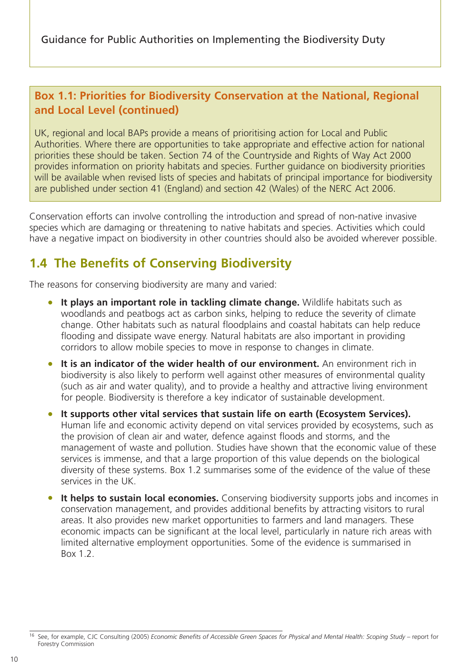## <span id="page-12-0"></span>**Box 1.1: Priorities for Biodiversity Conservation at the National, Regional and Local Level (continued)**

UK, regional and local BAPs provide a means of prioritising action for Local and Public Authorities. Where there are opportunities to take appropriate and effective action for national priorities these should be taken. Section 74 of the Countryside and Rights of Way Act 2000 provides information on priority habitats and species. Further guidance on biodiversity priorities will be available when revised lists of species and habitats of principal importance for biodiversity are published under section 41 (England) and section 42 (Wales) of the NERC Act 2006.

Conservation efforts can involve controlling the introduction and spread of non-native invasive species which are damaging or threatening to native habitats and species. Activities which could have a negative impact on biodiversity in other countries should also be avoided wherever possible.

# **1.4 The Benefits of Conserving Biodiversity**

The reasons for conserving biodiversity are many and varied:

- **It plays an important role in tackling climate change.** Wildlife habitats such as woodlands and peatbogs act as carbon sinks, helping to reduce the severity of climate change. Other habitats such as natural floodplains and coastal habitats can help reduce flooding and dissipate wave energy. Natural habitats are also important in providing corridors to allow mobile species to move in response to changes in climate.
- **It is an indicator of the wider health of our environment.** An environment rich in biodiversity is also likely to perform well against other measures of environmental quality (such as air and water quality), and to provide a healthy and attractive living environment for people. Biodiversity is therefore a key indicator of sustainable development.
- **It supports other vital services that sustain life on earth (Ecosystem Services).** Human life and economic activity depend on vital services provided by ecosystems, such as the provision of clean air and water, defence against floods and storms, and the management of waste and pollution. Studies have shown that the economic value of these services is immense, and that a large proportion of this value depends on the biological diversity of these systems. Box 1.2 summarises some of the evidence of the value of these services in the UK.
- **It helps to sustain local economies.** Conserving biodiversity supports jobs and incomes in conservation management, and provides additional benefits by attracting visitors to rural areas. It also provides new market opportunities to farmers and land managers. These economic impacts can be significant at the local level, particularly in nature rich areas with limited alternative employment opportunities. Some of the evidence is summarised in Box 1.2.

<sup>16</sup> See, for example, CJC Consulting (2005) *Economic Benefits of Accessible Green Spaces for Physical and Mental Health: Scoping Study* – report for Forestry Commission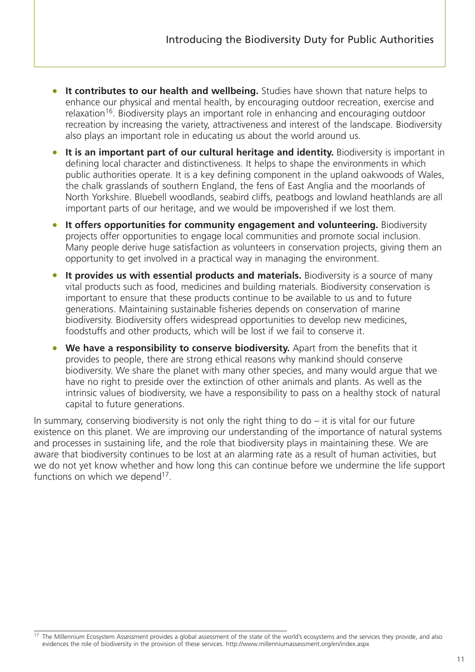- **It contributes to our health and wellbeing.** Studies have shown that nature helps to enhance our physical and mental health, by encouraging outdoor recreation, exercise and relaxation<sup>16</sup>. Biodiversity plays an important role in enhancing and encouraging outdoor recreation by increasing the variety, attractiveness and interest of the landscape. Biodiversity also plays an important role in educating us about the world around us.
- **It is an important part of our cultural heritage and identity.** Biodiversity is important in defining local character and distinctiveness. It helps to shape the environments in which public authorities operate. It is a key defining component in the upland oakwoods of Wales, the chalk grasslands of southern England, the fens of East Anglia and the moorlands of North Yorkshire. Bluebell woodlands, seabird cliffs, peatbogs and lowland heathlands are all important parts of our heritage, and we would be impoverished if we lost them.
- **It offers opportunities for community engagement and volunteering.** Biodiversity projects offer opportunities to engage local communities and promote social inclusion. Many people derive huge satisfaction as volunteers in conservation projects, giving them an opportunity to get involved in a practical way in managing the environment.
- **It provides us with essential products and materials.** Biodiversity is a source of many vital products such as food, medicines and building materials. Biodiversity conservation is important to ensure that these products continue to be available to us and to future generations. Maintaining sustainable fisheries depends on conservation of marine biodiversity. Biodiversity offers widespread opportunities to develop new medicines, foodstuffs and other products, which will be lost if we fail to conserve it.
- **We have a responsibility to conserve biodiversity.** Apart from the benefits that it provides to people, there are strong ethical reasons why mankind should conserve biodiversity. We share the planet with many other species, and many would argue that we have no right to preside over the extinction of other animals and plants. As well as the intrinsic values of biodiversity, we have a responsibility to pass on a healthy stock of natural capital to future generations.

In summary, conserving biodiversity is not only the right thing to  $d\sigma - i\tau$  is vital for our future existence on this planet. We are improving our understanding of the importance of natural systems and processes in sustaining life, and the role that biodiversity plays in maintaining these. We are aware that biodiversity continues to be lost at an alarming rate as a result of human activities, but we do not yet know whether and how long this can continue before we undermine the life support functions on which we depend<sup>17</sup>.

<sup>&</sup>lt;sup>17</sup> The Millennium Ecosystem Assessment provides a global assessment of the state of the world's ecosystems and the services they provide, and also evidences the role of biodiversity in the provision of these services. http://www.millenniumassessment.org/en/index.aspx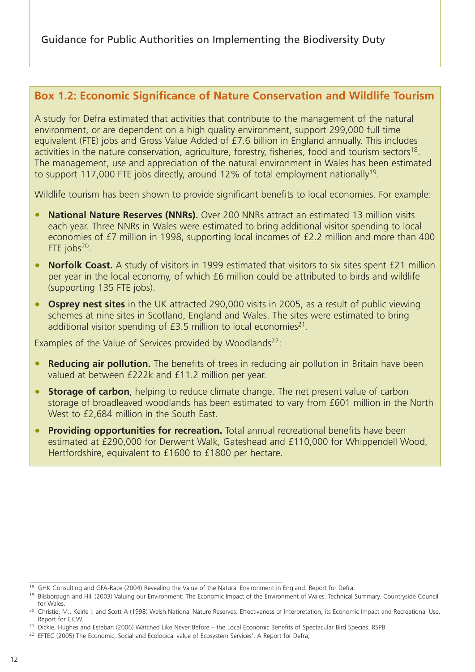### **Box 1.2: Economic Significance of Nature Conservation and Wildlife Tourism**

A study for Defra estimated that activities that contribute to the management of the natural environment, or are dependent on a high quality environment, support 299,000 full time equivalent (FTE) jobs and Gross Value Added of £7.6 billion in England annually. This includes activities in the nature conservation, agriculture, forestry, fisheries, food and tourism sectors<sup>18</sup>. The management, use and appreciation of the natural environment in Wales has been estimated to support 117,000 FTE jobs directly, around 12% of total employment nationally<sup>19</sup>.

Wildlife tourism has been shown to provide significant benefits to local economies. For example:

- **National Nature Reserves (NNRs).** Over 200 NNRs attract an estimated 13 million visits each year. Three NNRs in Wales were estimated to bring additional visitor spending to local economies of £7 million in 1998, supporting local incomes of £2.2 million and more than 400 FTE  $i$ obs<sup>20</sup>.
- **Norfolk Coast.** A study of visitors in 1999 estimated that visitors to six sites spent £21 million per year in the local economy, of which £6 million could be attributed to birds and wildlife (supporting 135 FTE jobs).
- **Osprey nest sites** in the UK attracted 290,000 visits in 2005, as a result of public viewing schemes at nine sites in Scotland, England and Wales. The sites were estimated to bring additional visitor spending of  $E3.5$  million to local economies<sup>21</sup>.

Examples of the Value of Services provided by Woodlands<sup>22</sup>:

- **Reducing air pollution.** The benefits of trees in reducing air pollution in Britain have been valued at between £222k and £11.2 million per year.
- **Storage of carbon**, helping to reduce climate change. The net present value of carbon storage of broadleaved woodlands has been estimated to vary from £601 million in the North West to £2,684 million in the South East.
- **Providing opportunities for recreation.** Total annual recreational benefits have been estimated at £290,000 for Derwent Walk, Gateshead and £110,000 for Whippendell Wood, Hertfordshire, equivalent to £1600 to £1800 per hectare.

<sup>&</sup>lt;sup>18</sup> GHK Consulting and GFA-Race (2004) Revealing the Value of the Natural Environment in England. Report for Defra.<br><sup>19</sup> Bilsborough and Hill (2003) Valuing our Environment: The Economic Impact of the Environment of Wales for Wales.

<sup>&</sup>lt;sup>20</sup> Christie, M., Keirle I. and Scott A (1998) Welsh National Nature Reserves: Effectiveness of Interpretation, its Economic Impact and Recreational Use. Report for CCW.<br><sup>21</sup> Dickie, Hughes and Esteban (2006) Watched Like Never Before – the Local Economic Benefits of Spectacular Bird Species. RSPB

<sup>&</sup>lt;sup>22</sup> EFTEC (2005) The Economic, Social and Ecological value of Ecosystem Services', A Report for Defra;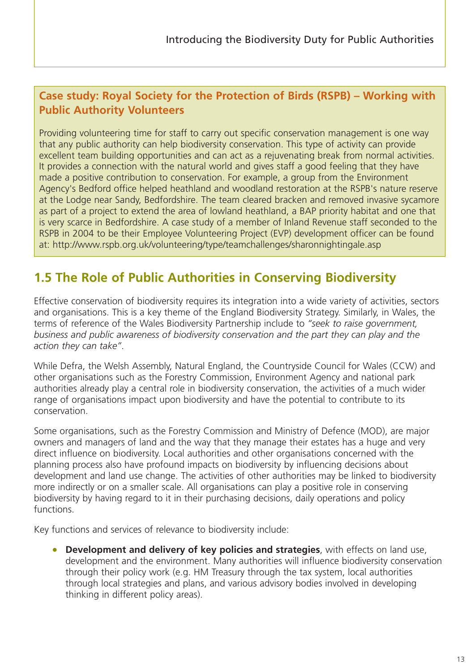## <span id="page-15-0"></span>**Case study: Royal Society for the Protection of Birds (RSPB) – Working with Public Authority Volunteers**

Providing volunteering time for staff to carry out specific conservation management is one way that any public authority can help biodiversity conservation. This type of activity can provide excellent team building opportunities and can act as a rejuvenating break from normal activities. It provides a connection with the natural world and gives staff a good feeling that they have made a positive contribution to conservation. For example, a group from the Environment Agency's Bedford office helped heathland and woodland restoration at the RSPB's nature reserve at the Lodge near Sandy, Bedfordshire. The team cleared bracken and removed invasive sycamore as part of a project to extend the area of lowland heathland, a BAP priority habitat and one that is very scarce in Bedfordshire. A case study of a member of Inland Revenue staff seconded to the RSPB in 2004 to be their Employee Volunteering Project (EVP) development officer can be found at: http://www.rspb.org.uk/volunteering/type/teamchallenges/sharonnightingale.asp

# **1.5 The Role of Public Authorities in Conserving Biodiversity**

Effective conservation of biodiversity requires its integration into a wide variety of activities, sectors and organisations. This is a key theme of the England Biodiversity Strategy. Similarly, in Wales, the terms of reference of the Wales Biodiversity Partnership include to *"seek to raise government, business and public awareness of biodiversity conservation and the part they can play and the action they can take"*.

While Defra, the Welsh Assembly, Natural England, the Countryside Council for Wales (CCW) and other organisations such as the Forestry Commission, Environment Agency and national park authorities already play a central role in biodiversity conservation, the activities of a much wider range of organisations impact upon biodiversity and have the potential to contribute to its conservation.

Some organisations, such as the Forestry Commission and Ministry of Defence (MOD), are major owners and managers of land and the way that they manage their estates has a huge and very direct influence on biodiversity. Local authorities and other organisations concerned with the planning process also have profound impacts on biodiversity by influencing decisions about development and land use change. The activities of other authorities may be linked to biodiversity more indirectly or on a smaller scale. All organisations can play a positive role in conserving biodiversity by having regard to it in their purchasing decisions, daily operations and policy functions.

Key functions and services of relevance to biodiversity include:

• **Development and delivery of key policies and strategies**, with effects on land use, development and the environment. Many authorities will influence biodiversity conservation through their policy work (e.g. HM Treasury through the tax system, local authorities through local strategies and plans, and various advisory bodies involved in developing thinking in different policy areas).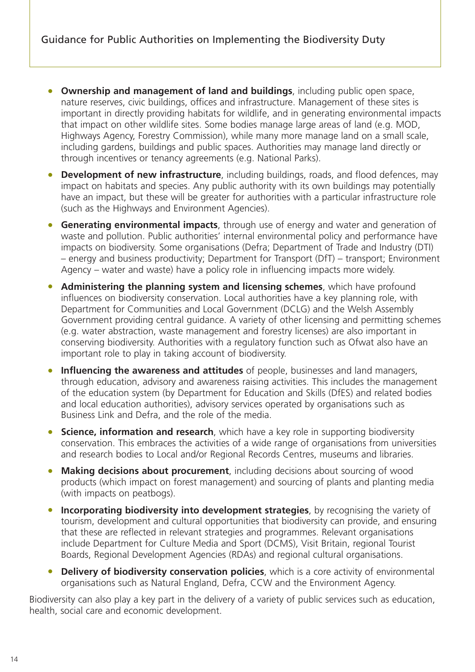- **Ownership and management of land and buildings**, including public open space, nature reserves, civic buildings, offices and infrastructure. Management of these sites is important in directly providing habitats for wildlife, and in generating environmental impacts that impact on other wildlife sites. Some bodies manage large areas of land (e.g. MOD, Highways Agency, Forestry Commission), while many more manage land on a small scale, including gardens, buildings and public spaces. Authorities may manage land directly or through incentives or tenancy agreements (e.g. National Parks).
- **Development of new infrastructure**, including buildings, roads, and flood defences, may impact on habitats and species. Any public authority with its own buildings may potentially have an impact, but these will be greater for authorities with a particular infrastructure role (such as the Highways and Environment Agencies).
- **Generating environmental impacts**, through use of energy and water and generation of waste and pollution. Public authorities' internal environmental policy and performance have impacts on biodiversity. Some organisations (Defra; Department of Trade and Industry (DTI) – energy and business productivity; Department for Transport (DfT) – transport; Environment Agency – water and waste) have a policy role in influencing impacts more widely.
- **Administering the planning system and licensing schemes**, which have profound influences on biodiversity conservation. Local authorities have a key planning role, with Department for Communities and Local Government (DCLG) and the Welsh Assembly Government providing central guidance. A variety of other licensing and permitting schemes (e.g. water abstraction, waste management and forestry licenses) are also important in conserving biodiversity. Authorities with a regulatory function such as Ofwat also have an important role to play in taking account of biodiversity.
- **Influencing the awareness and attitudes** of people, businesses and land managers, through education, advisory and awareness raising activities. This includes the management of the education system (by Department for Education and Skills (DfES) and related bodies and local education authorities), advisory services operated by organisations such as Business Link and Defra, and the role of the media.
- **Science, information and research**, which have a key role in supporting biodiversity conservation. This embraces the activities of a wide range of organisations from universities and research bodies to Local and/or Regional Records Centres, museums and libraries.
- **Making decisions about procurement**, including decisions about sourcing of wood products (which impact on forest management) and sourcing of plants and planting media (with impacts on peatbogs).
- **Incorporating biodiversity into development strategies**, by recognising the variety of tourism, development and cultural opportunities that biodiversity can provide, and ensuring that these are reflected in relevant strategies and programmes. Relevant organisations include Department for Culture Media and Sport (DCMS), Visit Britain, regional Tourist Boards, Regional Development Agencies (RDAs) and regional cultural organisations.
- **Delivery of biodiversity conservation policies**, which is a core activity of environmental organisations such as Natural England, Defra, CCW and the Environment Agency.

Biodiversity can also play a key part in the delivery of a variety of public services such as education, health, social care and economic development.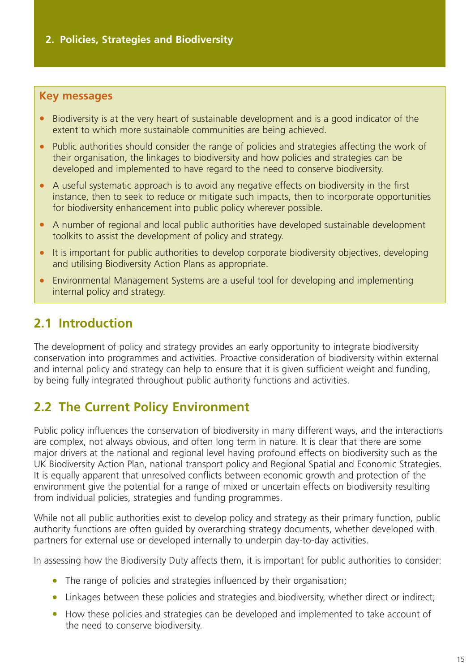#### <span id="page-17-0"></span>**Key messages**

- Biodiversity is at the very heart of sustainable development and is a good indicator of the extent to which more sustainable communities are being achieved.
- Public authorities should consider the range of policies and strategies affecting the work of their organisation, the linkages to biodiversity and how policies and strategies can be developed and implemented to have regard to the need to conserve biodiversity.
- A useful systematic approach is to avoid any negative effects on biodiversity in the first instance, then to seek to reduce or mitigate such impacts, then to incorporate opportunities for biodiversity enhancement into public policy wherever possible.
- A number of regional and local public authorities have developed sustainable development toolkits to assist the development of policy and strategy.
- It is important for public authorities to develop corporate biodiversity objectives, developing and utilising Biodiversity Action Plans as appropriate.
- Environmental Management Systems are a useful tool for developing and implementing internal policy and strategy.

## **2.1 Introduction**

The development of policy and strategy provides an early opportunity to integrate biodiversity conservation into programmes and activities. Proactive consideration of biodiversity within external and internal policy and strategy can help to ensure that it is given sufficient weight and funding, by being fully integrated throughout public authority functions and activities.

## **2.2 The Current Policy Environment**

Public policy influences the conservation of biodiversity in many different ways, and the interactions are complex, not always obvious, and often long term in nature. It is clear that there are some major drivers at the national and regional level having profound effects on biodiversity such as the UK Biodiversity Action Plan, national transport policy and Regional Spatial and Economic Strategies. It is equally apparent that unresolved conflicts between economic growth and protection of the environment give the potential for a range of mixed or uncertain effects on biodiversity resulting from individual policies, strategies and funding programmes.

While not all public authorities exist to develop policy and strategy as their primary function, public authority functions are often guided by overarching strategy documents, whether developed with partners for external use or developed internally to underpin day-to-day activities.

In assessing how the Biodiversity Duty affects them, it is important for public authorities to consider:

- The range of policies and strategies influenced by their organisation;
- Linkages between these policies and strategies and biodiversity, whether direct or indirect;
- How these policies and strategies can be developed and implemented to take account of the need to conserve biodiversity.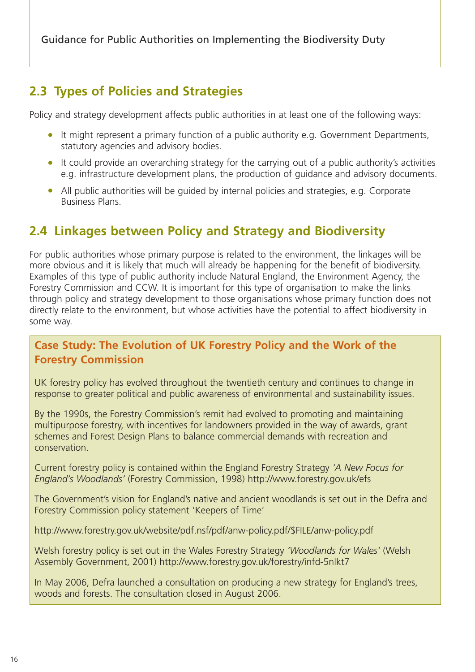# <span id="page-18-0"></span>**2.3 Types of Policies and Strategies**

Policy and strategy development affects public authorities in at least one of the following ways:

- It might represent a primary function of a public authority e.g. Government Departments, statutory agencies and advisory bodies.
- It could provide an overarching strategy for the carrying out of a public authority's activities e.g. infrastructure development plans, the production of guidance and advisory documents.
- All public authorities will be guided by internal policies and strategies, e.g. Corporate Business Plans.

# **2.4 Linkages between Policy and Strategy and Biodiversity**

For public authorities whose primary purpose is related to the environment, the linkages will be more obvious and it is likely that much will already be happening for the benefit of biodiversity. Examples of this type of public authority include Natural England, the Environment Agency, the Forestry Commission and CCW. It is important for this type of organisation to make the links through policy and strategy development to those organisations whose primary function does not directly relate to the environment, but whose activities have the potential to affect biodiversity in some way.

## **Case Study: The Evolution of UK Forestry Policy and the Work of the Forestry Commission**

UK forestry policy has evolved throughout the twentieth century and continues to change in response to greater political and public awareness of environmental and sustainability issues.

By the 1990s, the Forestry Commission's remit had evolved to promoting and maintaining multipurpose forestry, with incentives for landowners provided in the way of awards, grant schemes and Forest Design Plans to balance commercial demands with recreation and conservation.

Current forestry policy is contained within the England Forestry Strategy *'A New Focus for England's Woodlands'* (Forestry Commission, 1998) http://www.forestry.gov.uk/efs

The Government's vision for England's native and ancient woodlands is set out in the Defra and Forestry Commission policy statement 'Keepers of Time'

http://www.forestry.gov.uk/website/pdf.nsf/pdf/anw-policy.pdf/\$FILE/anw-policy.pdf

Welsh forestry policy is set out in the Wales Forestry Strategy *'Woodlands for Wales'* (Welsh Assembly Government, 2001) http://www.forestry.gov.uk/forestry/infd-5nlkt7

In May 2006, Defra launched a consultation on producing a new strategy for England's trees, woods and forests. The consultation closed in August 2006.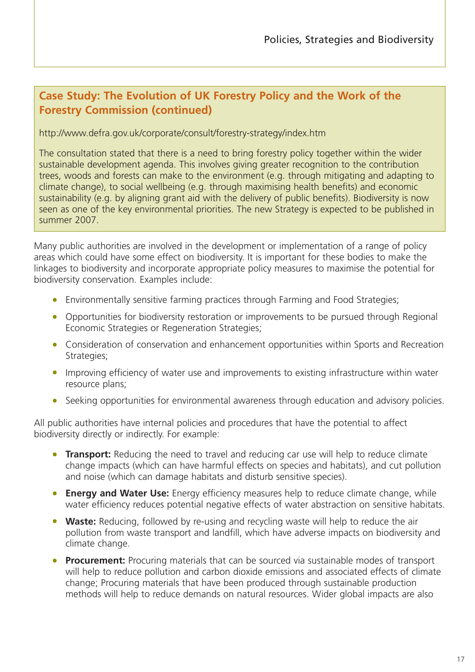## **Case Study: The Evolution of UK Forestry Policy and the Work of the Forestry Commission (continued)**

#### http://www.defra.gov.uk/corporate/consult/forestry-strategy/index.htm

The consultation stated that there is a need to bring forestry policy together within the wider sustainable development agenda. This involves giving greater recognition to the contribution trees, woods and forests can make to the environment (e.g. through mitigating and adapting to climate change), to social wellbeing (e.g. through maximising health benefits) and economic sustainability (e.g. by aligning grant aid with the delivery of public benefits). Biodiversity is now seen as one of the key environmental priorities. The new Strategy is expected to be published in summer 2007.

Many public authorities are involved in the development or implementation of a range of policy areas which could have some effect on biodiversity. It is important for these bodies to make the linkages to biodiversity and incorporate appropriate policy measures to maximise the potential for biodiversity conservation. Examples include:

- Environmentally sensitive farming practices through Farming and Food Strategies;
- Opportunities for biodiversity restoration or improvements to be pursued through Regional Economic Strategies or Regeneration Strategies;
- Consideration of conservation and enhancement opportunities within Sports and Recreation Strategies;
- Improving efficiency of water use and improvements to existing infrastructure within water resource plans;
- Seeking opportunities for environmental awareness through education and advisory policies.

All public authorities have internal policies and procedures that have the potential to affect biodiversity directly or indirectly. For example:

- **Transport:** Reducing the need to travel and reducing car use will help to reduce climate change impacts (which can have harmful effects on species and habitats), and cut pollution and noise (which can damage habitats and disturb sensitive species).
- **Energy and Water Use:** Energy efficiency measures help to reduce climate change, while water efficiency reduces potential negative effects of water abstraction on sensitive habitats.
- **Waste:** Reducing, followed by re-using and recycling waste will help to reduce the air pollution from waste transport and landfill, which have adverse impacts on biodiversity and climate change.
- **Procurement:** Procuring materials that can be sourced via sustainable modes of transport will help to reduce pollution and carbon dioxide emissions and associated effects of climate change; Procuring materials that have been produced through sustainable production methods will help to reduce demands on natural resources. Wider global impacts are also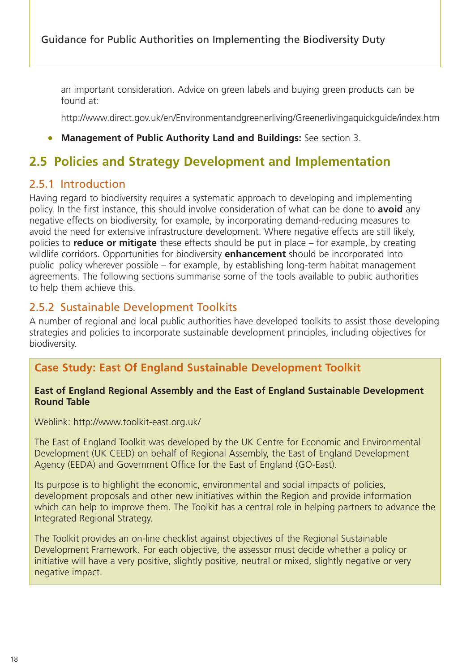<span id="page-20-0"></span>an important consideration. Advice on green labels and buying green products can be found at:

http://www.direct.gov.uk/en/Environmentandgreenerliving/Greenerlivingaquickguide/index.htm

#### • **Management of Public Authority Land and Buildings:** See section 3.

## **2.5 Policies and Strategy Development and Implementation**

#### 2.5.1 Introduction

Having regard to biodiversity requires a systematic approach to developing and implementing policy. In the first instance, this should involve consideration of what can be done to **avoid** any negative effects on biodiversity, for example, by incorporating demand-reducing measures to avoid the need for extensive infrastructure development. Where negative effects are still likely, policies to **reduce or mitigate** these effects should be put in place – for example, by creating wildlife corridors. Opportunities for biodiversity **enhancement** should be incorporated into public policy wherever possible – for example, by establishing long-term habitat management agreements. The following sections summarise some of the tools available to public authorities to help them achieve this.

#### 2.5.2 Sustainable Development Toolkits

A number of regional and local public authorities have developed toolkits to assist those developing strategies and policies to incorporate sustainable development principles, including objectives for biodiversity.

### **Case Study: East Of England Sustainable Development Toolkit**

#### **East of England Regional Assembly and the East of England Sustainable Development Round Table**

Weblink: http://www.toolkit-east.org.uk/

The East of England Toolkit was developed by the UK Centre for Economic and Environmental Development (UK CEED) on behalf of Regional Assembly, the East of England Development Agency (EEDA) and Government Office for the East of England (GO-East).

Its purpose is to highlight the economic, environmental and social impacts of policies, development proposals and other new initiatives within the Region and provide information which can help to improve them. The Toolkit has a central role in helping partners to advance the Integrated Regional Strategy.

The Toolkit provides an on-line checklist against objectives of the Regional Sustainable Development Framework. For each objective, the assessor must decide whether a policy or initiative will have a very positive, slightly positive, neutral or mixed, slightly negative or very negative impact.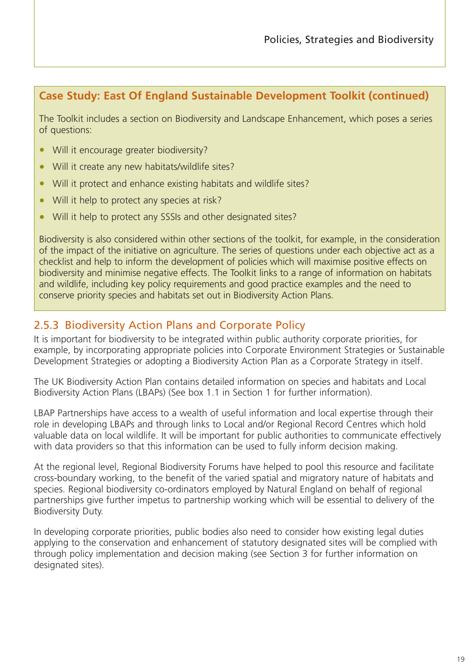## **Case Study: East Of England Sustainable Development Toolkit (continued)**

The Toolkit includes a section on Biodiversity and Landscape Enhancement, which poses a series of questions:

- Will it encourage greater biodiversity?
- Will it create any new habitats/wildlife sites?
- Will it protect and enhance existing habitats and wildlife sites?
- Will it help to protect any species at risk?
- Will it help to protect any SSSIs and other designated sites?

Biodiversity is also considered within other sections of the toolkit, for example, in the consideration of the impact of the initiative on agriculture. The series of questions under each objective act as a checklist and help to inform the development of policies which will maximise positive effects on biodiversity and minimise negative effects. The Toolkit links to a range of information on habitats and wildlife, including key policy requirements and good practice examples and the need to conserve priority species and habitats set out in Biodiversity Action Plans.

## 2.5.3 Biodiversity Action Plans and Corporate Policy

It is important for biodiversity to be integrated within public authority corporate priorities, for example, by incorporating appropriate policies into Corporate Environment Strategies or Sustainable Development Strategies or adopting a Biodiversity Action Plan as a Corporate Strategy in itself.

The UK Biodiversity Action Plan contains detailed information on species and habitats and Local Biodiversity Action Plans (LBAPs) (See box 1.1 in Section 1 for further information).

LBAP Partnerships have access to a wealth of useful information and local expertise through their role in developing LBAPs and through links to Local and/or Regional Record Centres which hold valuable data on local wildlife. It will be important for public authorities to communicate effectively with data providers so that this information can be used to fully inform decision making.

At the regional level, Regional Biodiversity Forums have helped to pool this resource and facilitate cross-boundary working, to the benefit of the varied spatial and migratory nature of habitats and species. Regional biodiversity co-ordinators employed by Natural England on behalf of regional partnerships give further impetus to partnership working which will be essential to delivery of the Biodiversity Duty.

In developing corporate priorities, public bodies also need to consider how existing legal duties applying to the conservation and enhancement of statutory designated sites will be complied with through policy implementation and decision making (see Section 3 for further information on designated sites).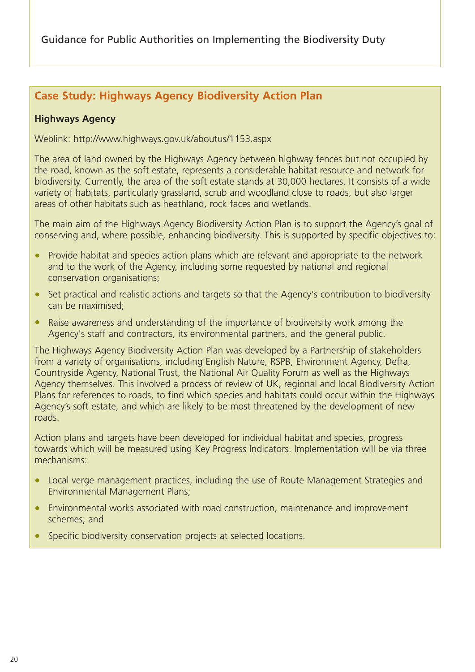## **Case Study: Highways Agency Biodiversity Action Plan**

#### **Highways Agency**

Weblink: http://www.highways.gov.uk/aboutus/1153.aspx

The area of land owned by the Highways Agency between highway fences but not occupied by the road, known as the soft estate, represents a considerable habitat resource and network for biodiversity. Currently, the area of the soft estate stands at 30,000 hectares. It consists of a wide variety of habitats, particularly grassland, scrub and woodland close to roads, but also larger areas of other habitats such as heathland, rock faces and wetlands.

The main aim of the Highways Agency Biodiversity Action Plan is to support the Agency's goal of conserving and, where possible, enhancing biodiversity. This is supported by specific objectives to:

- Provide habitat and species action plans which are relevant and appropriate to the network and to the work of the Agency, including some requested by national and regional conservation organisations;
- Set practical and realistic actions and targets so that the Agency's contribution to biodiversity can be maximised;
- Raise awareness and understanding of the importance of biodiversity work among the Agency's staff and contractors, its environmental partners, and the general public.

The Highways Agency Biodiversity Action Plan was developed by a Partnership of stakeholders from a variety of organisations, including English Nature, RSPB, Environment Agency, Defra, Countryside Agency, National Trust, the National Air Quality Forum as well as the Highways Agency themselves. This involved a process of review of UK, regional and local Biodiversity Action Plans for references to roads, to find which species and habitats could occur within the Highways Agency's soft estate, and which are likely to be most threatened by the development of new roads.

Action plans and targets have been developed for individual habitat and species, progress towards which will be measured using Key Progress Indicators. Implementation will be via three mechanisms:

- Local verge management practices, including the use of Route Management Strategies and Environmental Management Plans;
- Environmental works associated with road construction, maintenance and improvement schemes; and
- Specific biodiversity conservation projects at selected locations.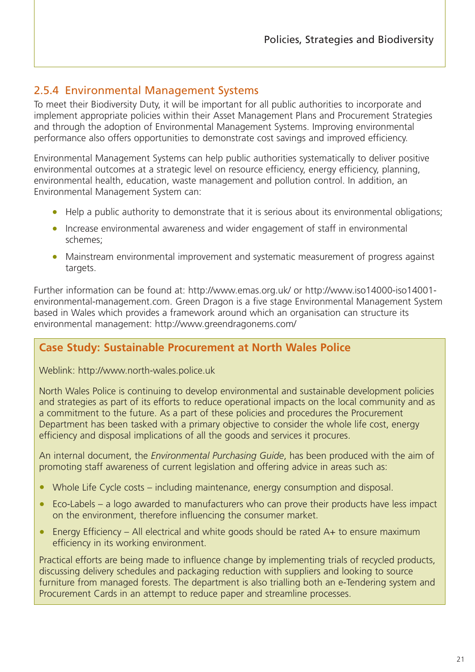## 2.5.4 Environmental Management Systems

To meet their Biodiversity Duty, it will be important for all public authorities to incorporate and implement appropriate policies within their Asset Management Plans and Procurement Strategies and through the adoption of Environmental Management Systems. Improving environmental performance also offers opportunities to demonstrate cost savings and improved efficiency.

Environmental Management Systems can help public authorities systematically to deliver positive environmental outcomes at a strategic level on resource efficiency, energy efficiency, planning, environmental health, education, waste management and pollution control. In addition, an Environmental Management System can:

- Help a public authority to demonstrate that it is serious about its environmental obligations;
- Increase environmental awareness and wider engagement of staff in environmental schemes;
- Mainstream environmental improvement and systematic measurement of progress against targets.

Further information can be found at: http://www.emas.org.uk/ or http://www.iso14000-iso14001 environmental-management.com. Green Dragon is a five stage Environmental Management System based in Wales which provides a framework around which an organisation can structure its environmental management: http://www.greendragonems.com/

### **Case Study: Sustainable Procurement at North Wales Police**

Weblink: http://www.north-wales.police.uk

North Wales Police is continuing to develop environmental and sustainable development policies and strategies as part of its efforts to reduce operational impacts on the local community and as a commitment to the future. As a part of these policies and procedures the Procurement Department has been tasked with a primary objective to consider the whole life cost, energy efficiency and disposal implications of all the goods and services it procures.

An internal document, the *Environmental Purchasing Guide*, has been produced with the aim of promoting staff awareness of current legislation and offering advice in areas such as:

- Whole Life Cycle costs including maintenance, energy consumption and disposal.
- Eco-Labels a logo awarded to manufacturers who can prove their products have less impact on the environment, therefore influencing the consumer market.
- Energy Efficiency All electrical and white goods should be rated A+ to ensure maximum efficiency in its working environment.

Practical efforts are being made to influence change by implementing trials of recycled products, discussing delivery schedules and packaging reduction with suppliers and looking to source furniture from managed forests. The department is also trialling both an e-Tendering system and Procurement Cards in an attempt to reduce paper and streamline processes.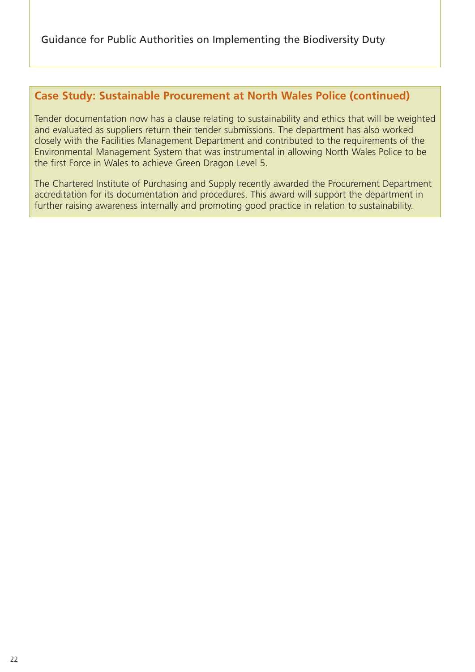## **Case Study: Sustainable Procurement at North Wales Police (continued)**

Tender documentation now has a clause relating to sustainability and ethics that will be weighted and evaluated as suppliers return their tender submissions. The department has also worked closely with the Facilities Management Department and contributed to the requirements of the Environmental Management System that was instrumental in allowing North Wales Police to be the first Force in Wales to achieve Green Dragon Level 5.

The Chartered Institute of Purchasing and Supply recently awarded the Procurement Department accreditation for its documentation and procedures. This award will support the department in further raising awareness internally and promoting good practice in relation to sustainability.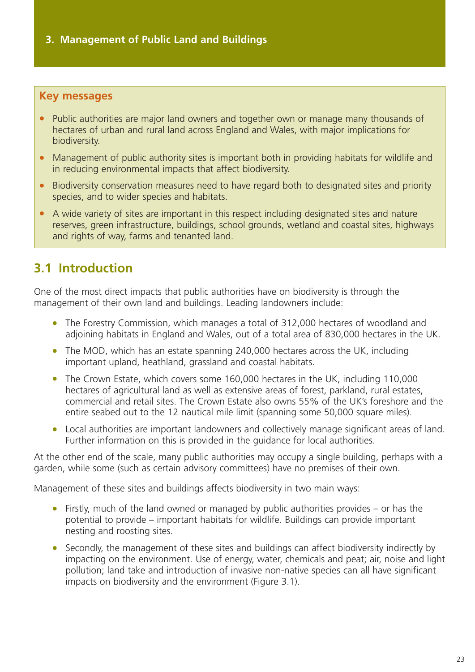#### <span id="page-25-0"></span>**Key messages**

- Public authorities are major land owners and together own or manage many thousands of hectares of urban and rural land across England and Wales, with major implications for biodiversity.
- Management of public authority sites is important both in providing habitats for wildlife and in reducing environmental impacts that affect biodiversity.
- Biodiversity conservation measures need to have regard both to designated sites and priority species, and to wider species and habitats.
- A wide variety of sites are important in this respect including designated sites and nature reserves, green infrastructure, buildings, school grounds, wetland and coastal sites, highways and rights of way, farms and tenanted land.

# **3.1 Introduction**

One of the most direct impacts that public authorities have on biodiversity is through the management of their own land and buildings. Leading landowners include:

- The Forestry Commission, which manages a total of 312,000 hectares of woodland and adjoining habitats in England and Wales, out of a total area of 830,000 hectares in the UK.
- The MOD, which has an estate spanning 240,000 hectares across the UK, including important upland, heathland, grassland and coastal habitats.
- The Crown Estate, which covers some 160,000 hectares in the UK, including 110,000 hectares of agricultural land as well as extensive areas of forest, parkland, rural estates, commercial and retail sites. The Crown Estate also owns 55% of the UK's foreshore and the entire seabed out to the 12 nautical mile limit (spanning some 50,000 square miles).
- Local authorities are important landowners and collectively manage significant areas of land. Further information on this is provided in the guidance for local authorities.

At the other end of the scale, many public authorities may occupy a single building, perhaps with a garden, while some (such as certain advisory committees) have no premises of their own.

Management of these sites and buildings affects biodiversity in two main ways:

- Firstly, much of the land owned or managed by public authorities provides or has the potential to provide – important habitats for wildlife. Buildings can provide important nesting and roosting sites.
- Secondly, the management of these sites and buildings can affect biodiversity indirectly by impacting on the environment. Use of energy, water, chemicals and peat; air, noise and light pollution; land take and introduction of invasive non-native species can all have significant impacts on biodiversity and the environment (Figure 3.1).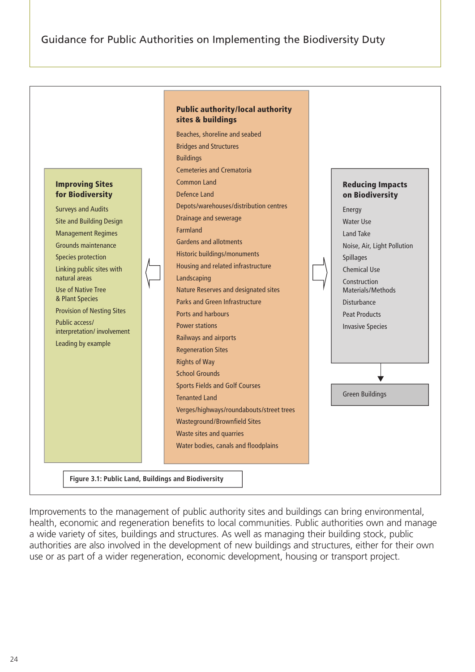

Improvements to the management of public authority sites and buildings can bring environmental, health, economic and regeneration benefits to local communities. Public authorities own and manage a wide variety of sites, buildings and structures. As well as managing their building stock, public authorities are also involved in the development of new buildings and structures, either for their own use or as part of a wider regeneration, economic development, housing or transport project.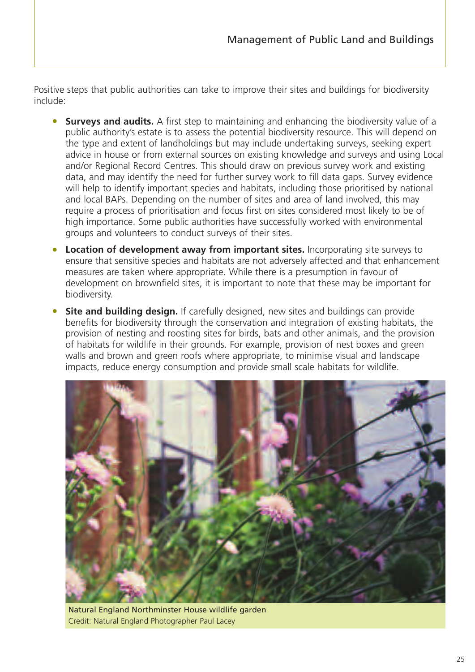Positive steps that public authorities can take to improve their sites and buildings for biodiversity include:

- **Surveys and audits.** A first step to maintaining and enhancing the biodiversity value of a public authority's estate is to assess the potential biodiversity resource. This will depend on the type and extent of landholdings but may include undertaking surveys, seeking expert advice in house or from external sources on existing knowledge and surveys and using Local and/or Regional Record Centres. This should draw on previous survey work and existing data, and may identify the need for further survey work to fill data gaps. Survey evidence will help to identify important species and habitats, including those prioritised by national and local BAPs. Depending on the number of sites and area of land involved, this may require a process of prioritisation and focus first on sites considered most likely to be of high importance. Some public authorities have successfully worked with environmental groups and volunteers to conduct surveys of their sites.
- **Location of development away from important sites.** Incorporating site surveys to ensure that sensitive species and habitats are not adversely affected and that enhancement measures are taken where appropriate. While there is a presumption in favour of development on brownfield sites, it is important to note that these may be important for biodiversity.
- **Site and building design.** If carefully designed, new sites and buildings can provide benefits for biodiversity through the conservation and integration of existing habitats, the provision of nesting and roosting sites for birds, bats and other animals, and the provision of habitats for wildlife in their grounds. For example, provision of nest boxes and green walls and brown and green roofs where appropriate, to minimise visual and landscape impacts, reduce energy consumption and provide small scale habitats for wildlife.



Natural England Northminster House wildlife garden Credit: Natural England Photographer Paul Lacey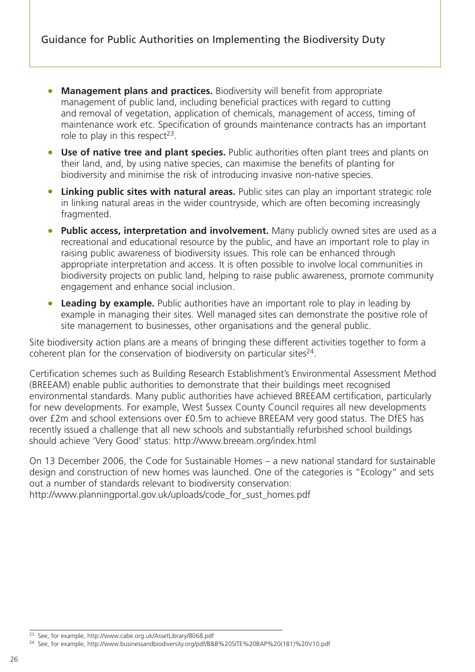- **Management plans and practices.** Biodiversity will benefit from appropriate management of public land, including beneficial practices with regard to cutting and removal of vegetation, application of chemicals, management of access, timing of maintenance work etc. Specification of grounds maintenance contracts has an important role to play in this respect<sup>23</sup>.
- **Use of native tree and plant species.** Public authorities often plant trees and plants on their land, and, by using native species, can maximise the benefits of planting for biodiversity and minimise the risk of introducing invasive non-native species.
- **Linking public sites with natural areas.** Public sites can play an important strategic role in linking natural areas in the wider countryside, which are often becoming increasingly fragmented.
- **Public access, interpretation and involvement.** Many publicly owned sites are used as a recreational and educational resource by the public, and have an important role to play in raising public awareness of biodiversity issues. This role can be enhanced through appropriate interpretation and access. It is often possible to involve local communities in biodiversity projects on public land, helping to raise public awareness, promote community engagement and enhance social inclusion.
- **Leading by example.** Public authorities have an important role to play in leading by example in managing their sites. Well managed sites can demonstrate the positive role of site management to businesses, other organisations and the general public.

Site biodiversity action plans are a means of bringing these different activities together to form a coherent plan for the conservation of biodiversity on particular sites<sup>24</sup>.

Certification schemes such as Building Research Establishment's Environmental Assessment Method (BREEAM) enable public authorities to demonstrate that their buildings meet recognised environmental standards. Many public authorities have achieved BREEAM certification, particularly for new developments. For example, West Sussex County Council requires all new developments over £2m and school extensions over £0.5m to achieve BREEAM very good status. The DfES has recently issued a challenge that all new schools and substantially refurbished school buildings should achieve 'Very Good' status: http://www.breeam.org/index.html

On 13 December 2006, the Code for Sustainable Homes – a new national standard for sustainable design and construction of new homes was launched. One of the categories is "Ecology" and sets out a number of standards relevant to biodiversity conservation: http://www.planningportal.gov.uk/uploads/code\_for\_sust\_homes.pdf

<sup>23</sup> See, for example, http://www.cabe.org.uk/AssetLibrary/8068.pdf

<sup>24</sup> See, for example, http://www.businessandbiodiversity.org/pdf/B&B%20SITE%20BAP%20(181)%20V10.pdf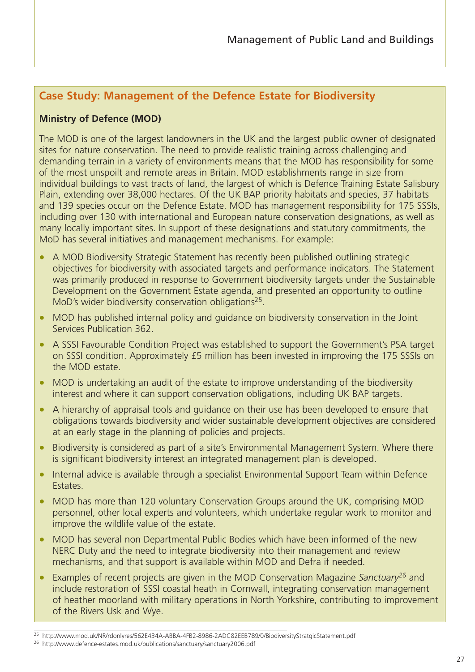## **Case Study: Management of the Defence Estate for Biodiversity**

#### **Ministry of Defence (MOD)**

The MOD is one of the largest landowners in the UK and the largest public owner of designated sites for nature conservation. The need to provide realistic training across challenging and demanding terrain in a variety of environments means that the MOD has responsibility for some of the most unspoilt and remote areas in Britain. MOD establishments range in size from individual buildings to vast tracts of land, the largest of which is Defence Training Estate Salisbury Plain, extending over 38,000 hectares. Of the UK BAP priority habitats and species, 37 habitats and 139 species occur on the Defence Estate. MOD has management responsibility for 175 SSSIs, including over 130 with international and European nature conservation designations, as well as many locally important sites. In support of these designations and statutory commitments, the MoD has several initiatives and management mechanisms. For example:

- A MOD Biodiversity Strategic Statement has recently been published outlining strategic objectives for biodiversity with associated targets and performance indicators. The Statement was primarily produced in response to Government biodiversity targets under the Sustainable Development on the Government Estate agenda, and presented an opportunity to outline MoD's wider biodiversity conservation obligations<sup>25</sup>.
- MOD has published internal policy and guidance on biodiversity conservation in the Joint Services Publication 362.
- A SSSI Favourable Condition Project was established to support the Government's PSA target on SSSI condition. Approximately £5 million has been invested in improving the 175 SSSIs on the MOD estate.
- MOD is undertaking an audit of the estate to improve understanding of the biodiversity interest and where it can support conservation obligations, including UK BAP targets.
- A hierarchy of appraisal tools and quidance on their use has been developed to ensure that obligations towards biodiversity and wider sustainable development objectives are considered at an early stage in the planning of policies and projects.
- Biodiversity is considered as part of a site's Environmental Management System. Where there is significant biodiversity interest an integrated management plan is developed.
- Internal advice is available through a specialist Environmental Support Team within Defence **Estates**
- MOD has more than 120 voluntary Conservation Groups around the UK, comprising MOD personnel, other local experts and volunteers, which undertake regular work to monitor and improve the wildlife value of the estate.
- MOD has several non Departmental Public Bodies which have been informed of the new NERC Duty and the need to integrate biodiversity into their management and review mechanisms, and that support is available within MOD and Defra if needed.
- Examples of recent projects are given in the MOD Conservation Magazine *Sanctuary26* and include restoration of SSSI coastal heath in Cornwall, integrating conservation management of heather moorland with military operations in North Yorkshire, contributing to improvement of the Rivers Usk and Wye.

<sup>25</sup> http://www.mod.uk/NR/rdonlyres/562E434A-ABBA-4FB2-8986-2ADC82EEB789/0/BiodiversityStratgicStatement.pdf

<sup>26</sup> http://www.defence-estates.mod.uk/publications/sanctuary/sanctuary2006.pdf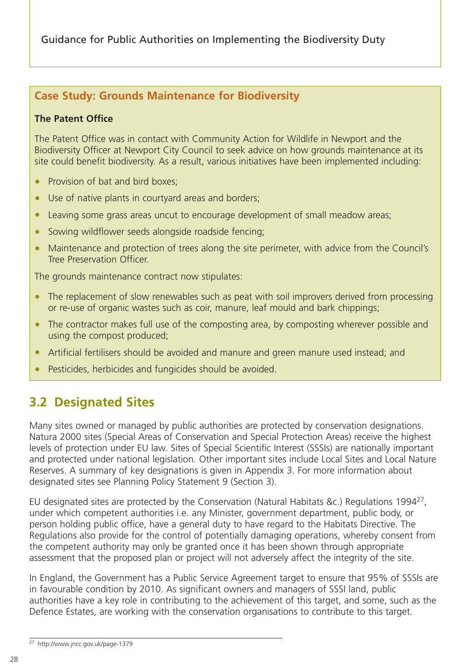## <span id="page-30-0"></span>**Case Study: Grounds Maintenance for Biodiversity**

#### **The Patent Office**

The Patent Office was in contact with Community Action for Wildlife in Newport and the Biodiversity Officer at Newport City Council to seek advice on how grounds maintenance at its site could benefit biodiversity. As a result, various initiatives have been implemented including:

- Provision of bat and bird boxes:
- Use of native plants in courtyard areas and borders;
- Leaving some grass areas uncut to encourage development of small meadow areas;
- Sowing wildflower seeds alongside roadside fencing;
- Maintenance and protection of trees along the site perimeter, with advice from the Council's Tree Preservation Officer.

The grounds maintenance contract now stipulates:

- The replacement of slow renewables such as peat with soil improvers derived from processing or re-use of organic wastes such as coir, manure, leaf mould and bark chippings;
- The contractor makes full use of the composting area, by composting wherever possible and using the compost produced;
- Artificial fertilisers should be avoided and manure and green manure used instead; and
- Pesticides, herbicides and fungicides should be avoided.

# **3.2 Designated Sites**

Many sites owned or managed by public authorities are protected by conservation designations. Natura 2000 sites (Special Areas of Conservation and Special Protection Areas) receive the highest levels of protection under EU law. Sites of Special Scientific Interest (SSSIs) are nationally important and protected under national legislation. Other important sites include Local Sites and Local Nature Reserves. A summary of key designations is given in Appendix 3. For more information about designated sites see Planning Policy Statement 9 (Section 3).

EU designated sites are protected by the Conservation (Natural Habitats &c.) Regulations 199427, under which competent authorities i.e. any Minister, government department, public body, or person holding public office, have a general duty to have regard to the Habitats Directive. The Regulations also provide for the control of potentially damaging operations, whereby consent from the competent authority may only be granted once it has been shown through appropriate assessment that the proposed plan or project will not adversely affect the integrity of the site.

In England, the Government has a Public Service Agreement target to ensure that 95% of SSSIs are in favourable condition by 2010. As significant owners and managers of SSSI land, public authorities have a key role in contributing to the achievement of this target, and some, such as the Defence Estates, are working with the conservation organisations to contribute to this target.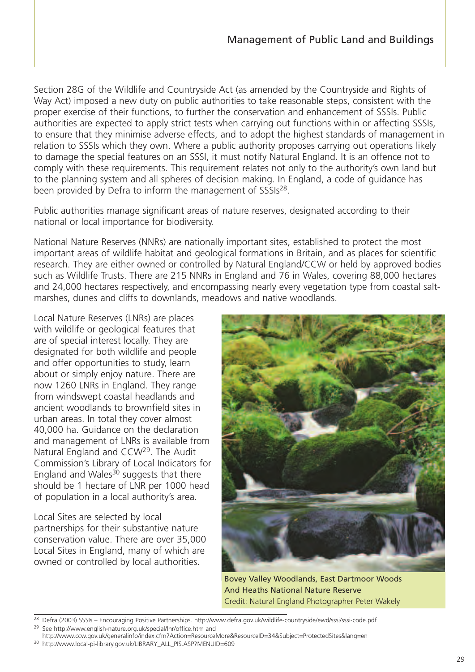Section 28G of the Wildlife and Countryside Act (as amended by the Countryside and Rights of Way Act) imposed a new duty on public authorities to take reasonable steps, consistent with the proper exercise of their functions, to further the conservation and enhancement of SSSIs. Public authorities are expected to apply strict tests when carrying out functions within or affecting SSSIs, to ensure that they minimise adverse effects, and to adopt the highest standards of management in relation to SSSIs which they own. Where a public authority proposes carrying out operations likely to damage the special features on an SSSI, it must notify Natural England. It is an offence not to comply with these requirements. This requirement relates not only to the authority's own land but to the planning system and all spheres of decision making. In England, a code of guidance has been provided by Defra to inform the management of SSSIs<sup>28</sup>.

Public authorities manage significant areas of nature reserves, designated according to their national or local importance for biodiversity.

National Nature Reserves (NNRs) are nationally important sites, established to protect the most important areas of wildlife habitat and geological formations in Britain, and as places for scientific research. They are either owned or controlled by Natural England/CCW or held by approved bodies such as Wildlife Trusts. There are 215 NNRs in England and 76 in Wales, covering 88,000 hectares and 24,000 hectares respectively, and encompassing nearly every vegetation type from coastal saltmarshes, dunes and cliffs to downlands, meadows and native woodlands.

Local Nature Reserves (LNRs) are places with wildlife or geological features that are of special interest locally. They are designated for both wildlife and people and offer opportunities to study, learn about or simply enjoy nature. There are now 1260 LNRs in England. They range from windswept coastal headlands and ancient woodlands to brownfield sites in urban areas. In total they cover almost 40,000 ha. Guidance on the declaration and management of LNRs is available from Natural England and CCW29. The Audit Commission's Library of Local Indicators for England and Wales<sup>30</sup> suggests that there should be 1 hectare of LNR per 1000 head of population in a local authority's area.

Local Sites are selected by local partnerships for their substantive nature conservation value. There are over 35,000 Local Sites in England, many of which are owned or controlled by local authorities.



Bovey Valley Woodlands, East Dartmoor Woods And Heaths National Nature Reserve Credit: Natural England Photographer Peter Wakely

<sup>29</sup> See http://www.english-nature.org.uk/special/lnr/office.htm and

<sup>28</sup> Defra (2003) SSSIs – Encouraging Positive Partnerships. http://www.defra.gov.uk/wildlife-countryside/ewd/sssi/sssi-code.pdf

http://www.ccw.gov.uk/generalinfo/index.cfm?Action=ResourceMore&ResourceID=34&Subject=ProtectedSites&lang=en <sup>30</sup> http://www.local-pi-library.gov.uk/LIBRARY\_ALL\_PIS.ASP?MENUID=609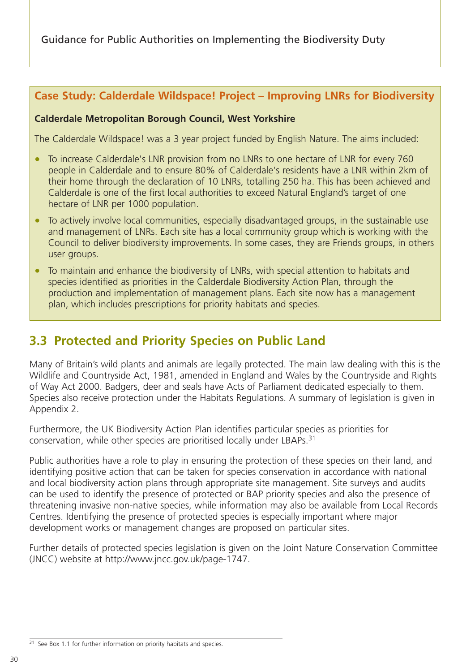## <span id="page-32-0"></span>**Case Study: Calderdale Wildspace! Project – Improving LNRs for Biodiversity**

#### **Calderdale Metropolitan Borough Council, West Yorkshire**

The Calderdale Wildspace! was a 3 year project funded by English Nature. The aims included:

- To increase Calderdale's LNR provision from no LNRs to one hectare of LNR for every 760 people in Calderdale and to ensure 80% of Calderdale's residents have a LNR within 2km of their home through the declaration of 10 LNRs, totalling 250 ha. This has been achieved and Calderdale is one of the first local authorities to exceed Natural England's target of one hectare of LNR per 1000 population.
- To actively involve local communities, especially disadvantaged groups, in the sustainable use and management of LNRs. Each site has a local community group which is working with the Council to deliver biodiversity improvements. In some cases, they are Friends groups, in others user groups.
- To maintain and enhance the biodiversity of LNRs, with special attention to habitats and species identified as priorities in the Calderdale Biodiversity Action Plan, through the production and implementation of management plans. Each site now has a management plan, which includes prescriptions for priority habitats and species.

# **3.3 Protected and Priority Species on Public Land**

Many of Britain's wild plants and animals are legally protected. The main law dealing with this is the Wildlife and Countryside Act, 1981, amended in England and Wales by the Countryside and Rights of Way Act 2000. Badgers, deer and seals have Acts of Parliament dedicated especially to them. Species also receive protection under the Habitats Regulations. A summary of legislation is given in Appendix 2.

Furthermore, the UK Biodiversity Action Plan identifies particular species as priorities for conservation, while other species are prioritised locally under LBAPs.31

Public authorities have a role to play in ensuring the protection of these species on their land, and identifying positive action that can be taken for species conservation in accordance with national and local biodiversity action plans through appropriate site management. Site surveys and audits can be used to identify the presence of protected or BAP priority species and also the presence of threatening invasive non-native species, while information may also be available from Local Records Centres. Identifying the presence of protected species is especially important where major development works or management changes are proposed on particular sites.

Further details of protected species legislation is given on the Joint Nature Conservation Committee (JNCC) website at http://www.jncc.gov.uk/page-1747.

<sup>31</sup> See Box 1.1 for further information on priority habitats and species.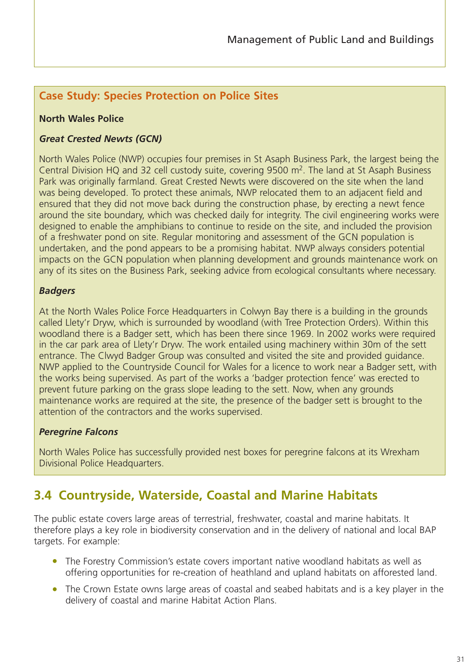### <span id="page-33-0"></span>**Case Study: Species Protection on Police Sites**

#### **North Wales Police**

#### *Great Crested Newts (GCN)*

North Wales Police (NWP) occupies four premises in St Asaph Business Park, the largest being the Central Division HQ and 32 cell custody suite, covering  $9500$  m<sup>2</sup>. The land at St Asaph Business Park was originally farmland. Great Crested Newts were discovered on the site when the land was being developed. To protect these animals, NWP relocated them to an adjacent field and ensured that they did not move back during the construction phase, by erecting a newt fence around the site boundary, which was checked daily for integrity. The civil engineering works were designed to enable the amphibians to continue to reside on the site, and included the provision of a freshwater pond on site. Regular monitoring and assessment of the GCN population is undertaken, and the pond appears to be a promising habitat. NWP always considers potential impacts on the GCN population when planning development and grounds maintenance work on any of its sites on the Business Park, seeking advice from ecological consultants where necessary.

#### *Badgers*

At the North Wales Police Force Headquarters in Colwyn Bay there is a building in the grounds called Llety'r Dryw, which is surrounded by woodland (with Tree Protection Orders). Within this woodland there is a Badger sett, which has been there since 1969. In 2002 works were required in the car park area of Llety'r Dryw. The work entailed using machinery within 30m of the sett entrance. The Clwyd Badger Group was consulted and visited the site and provided guidance. NWP applied to the Countryside Council for Wales for a licence to work near a Badger sett, with the works being supervised. As part of the works a 'badger protection fence' was erected to prevent future parking on the grass slope leading to the sett. Now, when any grounds maintenance works are required at the site, the presence of the badger sett is brought to the attention of the contractors and the works supervised.

#### *Peregrine Falcons*

North Wales Police has successfully provided nest boxes for peregrine falcons at its Wrexham Divisional Police Headquarters.

# **3.4 Countryside, Waterside, Coastal and Marine Habitats**

The public estate covers large areas of terrestrial, freshwater, coastal and marine habitats. It therefore plays a key role in biodiversity conservation and in the delivery of national and local BAP targets. For example:

- The Forestry Commission's estate covers important native woodland habitats as well as offering opportunities for re-creation of heathland and upland habitats on afforested land.
- The Crown Estate owns large areas of coastal and seabed habitats and is a key player in the delivery of coastal and marine Habitat Action Plans.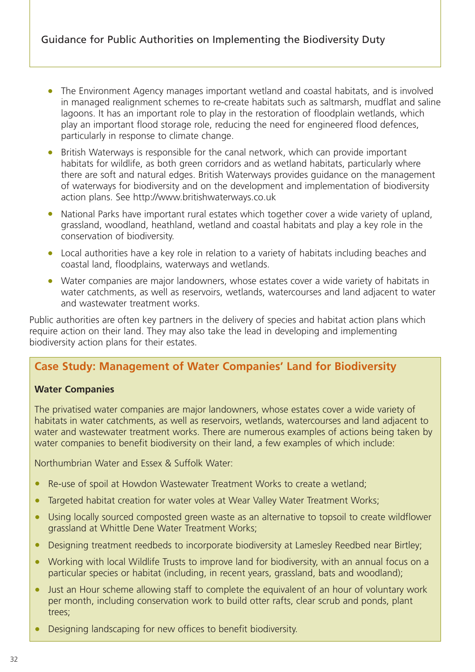- The Environment Agency manages important wetland and coastal habitats, and is involved in managed realignment schemes to re-create habitats such as saltmarsh, mudflat and saline lagoons. It has an important role to play in the restoration of floodplain wetlands, which play an important flood storage role, reducing the need for engineered flood defences, particularly in response to climate change.
- British Waterways is responsible for the canal network, which can provide important habitats for wildlife, as both green corridors and as wetland habitats, particularly where there are soft and natural edges. British Waterways provides guidance on the management of waterways for biodiversity and on the development and implementation of biodiversity action plans. See http://www.britishwaterways.co.uk
- National Parks have important rural estates which together cover a wide variety of upland, grassland, woodland, heathland, wetland and coastal habitats and play a key role in the conservation of biodiversity.
- Local authorities have a key role in relation to a variety of habitats including beaches and coastal land, floodplains, waterways and wetlands.
- Water companies are major landowners, whose estates cover a wide variety of habitats in water catchments, as well as reservoirs, wetlands, watercourses and land adjacent to water and wastewater treatment works.

Public authorities are often key partners in the delivery of species and habitat action plans which require action on their land. They may also take the lead in developing and implementing biodiversity action plans for their estates.

### **Case Study: Management of Water Companies' Land for Biodiversity**

#### **Water Companies**

The privatised water companies are major landowners, whose estates cover a wide variety of habitats in water catchments, as well as reservoirs, wetlands, watercourses and land adjacent to water and wastewater treatment works. There are numerous examples of actions being taken by water companies to benefit biodiversity on their land, a few examples of which include:

Northumbrian Water and Essex & Suffolk Water:

- Re-use of spoil at Howdon Wastewater Treatment Works to create a wetland;
- Targeted habitat creation for water voles at Wear Valley Water Treatment Works;
- Using locally sourced composted green waste as an alternative to topsoil to create wildflower grassland at Whittle Dene Water Treatment Works;
- Designing treatment reedbeds to incorporate biodiversity at Lamesley Reedbed near Birtley;
- Working with local Wildlife Trusts to improve land for biodiversity, with an annual focus on a particular species or habitat (including, in recent years, grassland, bats and woodland);
- Just an Hour scheme allowing staff to complete the equivalent of an hour of voluntary work per month, including conservation work to build otter rafts, clear scrub and ponds, plant trees;
- Designing landscaping for new offices to benefit biodiversity.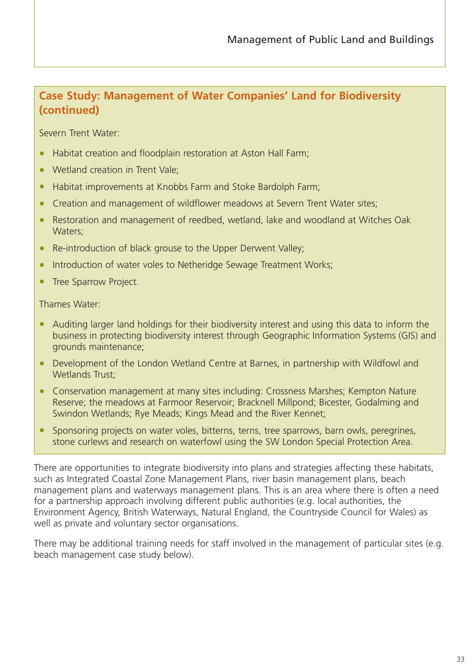## **Case Study: Management of Water Companies' Land for Biodiversity (continued)**

Severn Trent Water:

- Habitat creation and floodplain restoration at Aston Hall Farm;
- Wetland creation in Trent Vale;
- Habitat improvements at Knobbs Farm and Stoke Bardolph Farm;
- Creation and management of wildflower meadows at Severn Trent Water sites;
- Restoration and management of reedbed, wetland, lake and woodland at Witches Oak Waters;
- Re-introduction of black grouse to the Upper Derwent Valley;
- Introduction of water voles to Netheridge Sewage Treatment Works;
- Tree Sparrow Project.

Thames Water:

- Auditing larger land holdings for their biodiversity interest and using this data to inform the business in protecting biodiversity interest through Geographic Information Systems (GIS) and grounds maintenance;
- Development of the London Wetland Centre at Barnes, in partnership with Wildfowl and Wetlands Trust:
- Conservation management at many sites including: Crossness Marshes; Kempton Nature Reserve; the meadows at Farmoor Reservoir; Bracknell Millpond; Bicester, Godalming and Swindon Wetlands; Rye Meads; Kings Mead and the River Kennet;
- Sponsoring projects on water voles, bitterns, terns, tree sparrows, barn owls, peregrines, stone curlews and research on waterfowl using the SW London Special Protection Area.

There are opportunities to integrate biodiversity into plans and strategies affecting these habitats, such as Integrated Coastal Zone Management Plans, river basin management plans, beach management plans and waterways management plans. This is an area where there is often a need for a partnership approach involving different public authorities (e.g. local authorities, the Environment Agency, British Waterways, Natural England, the Countryside Council for Wales) as well as private and voluntary sector organisations.

There may be additional training needs for staff involved in the management of particular sites (e.g. beach management case study below).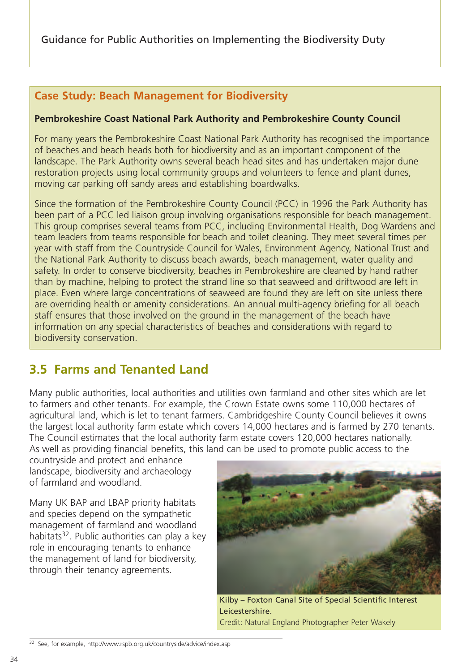# **Case Study: Beach Management for Biodiversity**

## **Pembrokeshire Coast National Park Authority and Pembrokeshire County Council**

For many years the Pembrokeshire Coast National Park Authority has recognised the importance of beaches and beach heads both for biodiversity and as an important component of the landscape. The Park Authority owns several beach head sites and has undertaken major dune restoration projects using local community groups and volunteers to fence and plant dunes, moving car parking off sandy areas and establishing boardwalks.

Since the formation of the Pembrokeshire County Council (PCC) in 1996 the Park Authority has been part of a PCC led liaison group involving organisations responsible for beach management. This group comprises several teams from PCC, including Environmental Health, Dog Wardens and team leaders from teams responsible for beach and toilet cleaning. They meet several times per year with staff from the Countryside Council for Wales, Environment Agency, National Trust and the National Park Authority to discuss beach awards, beach management, water quality and safety. In order to conserve biodiversity, beaches in Pembrokeshire are cleaned by hand rather than by machine, helping to protect the strand line so that seaweed and driftwood are left in place. Even where large concentrations of seaweed are found they are left on site unless there are overriding health or amenity considerations. An annual multi-agency briefing for all beach staff ensures that those involved on the ground in the management of the beach have information on any special characteristics of beaches and considerations with regard to biodiversity conservation.

# **3.5 Farms and Tenanted Land**

Many public authorities, local authorities and utilities own farmland and other sites which are let to farmers and other tenants. For example, the Crown Estate owns some 110,000 hectares of agricultural land, which is let to tenant farmers. Cambridgeshire County Council believes it owns the largest local authority farm estate which covers 14,000 hectares and is farmed by 270 tenants. The Council estimates that the local authority farm estate covers 120,000 hectares nationally. As well as providing financial benefits, this land can be used to promote public access to the

countryside and protect and enhance landscape, biodiversity and archaeology of farmland and woodland.

Many UK BAP and LBAP priority habitats and species depend on the sympathetic management of farmland and woodland habitats<sup>32</sup>. Public authorities can play a key role in encouraging tenants to enhance the management of land for biodiversity, through their tenancy agreements.



Kilby – Foxton Canal Site of Special Scientific Interest Leicestershire. Credit: Natural England Photographer Peter Wakely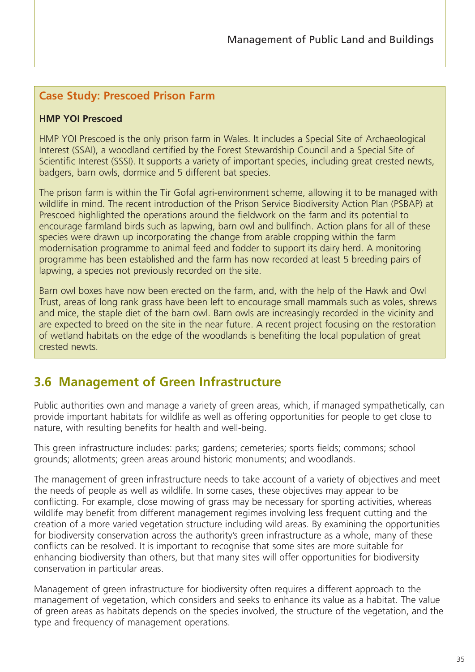# **Case Study: Prescoed Prison Farm**

#### **HMP YOI Prescoed**

HMP YOI Prescoed is the only prison farm in Wales. It includes a Special Site of Archaeological Interest (SSAI), a woodland certified by the Forest Stewardship Council and a Special Site of Scientific Interest (SSSI). It supports a variety of important species, including great crested newts, badgers, barn owls, dormice and 5 different bat species.

The prison farm is within the Tir Gofal agri-environment scheme, allowing it to be managed with wildlife in mind. The recent introduction of the Prison Service Biodiversity Action Plan (PSBAP) at Prescoed highlighted the operations around the fieldwork on the farm and its potential to encourage farmland birds such as lapwing, barn owl and bullfinch. Action plans for all of these species were drawn up incorporating the change from arable cropping within the farm modernisation programme to animal feed and fodder to support its dairy herd. A monitoring programme has been established and the farm has now recorded at least 5 breeding pairs of lapwing, a species not previously recorded on the site.

Barn owl boxes have now been erected on the farm, and, with the help of the Hawk and Owl Trust, areas of long rank grass have been left to encourage small mammals such as voles, shrews and mice, the staple diet of the barn owl. Barn owls are increasingly recorded in the vicinity and are expected to breed on the site in the near future. A recent project focusing on the restoration of wetland habitats on the edge of the woodlands is benefiting the local population of great crested newts.

# **3.6 Management of Green Infrastructure**

Public authorities own and manage a variety of green areas, which, if managed sympathetically, can provide important habitats for wildlife as well as offering opportunities for people to get close to nature, with resulting benefits for health and well-being.

This green infrastructure includes: parks; gardens; cemeteries; sports fields; commons; school grounds; allotments; green areas around historic monuments; and woodlands.

The management of green infrastructure needs to take account of a variety of objectives and meet the needs of people as well as wildlife. In some cases, these objectives may appear to be conflicting. For example, close mowing of grass may be necessary for sporting activities, whereas wildlife may benefit from different management regimes involving less frequent cutting and the creation of a more varied vegetation structure including wild areas. By examining the opportunities for biodiversity conservation across the authority's green infrastructure as a whole, many of these conflicts can be resolved. It is important to recognise that some sites are more suitable for enhancing biodiversity than others, but that many sites will offer opportunities for biodiversity conservation in particular areas.

Management of green infrastructure for biodiversity often requires a different approach to the management of vegetation, which considers and seeks to enhance its value as a habitat. The value of green areas as habitats depends on the species involved, the structure of the vegetation, and the type and frequency of management operations.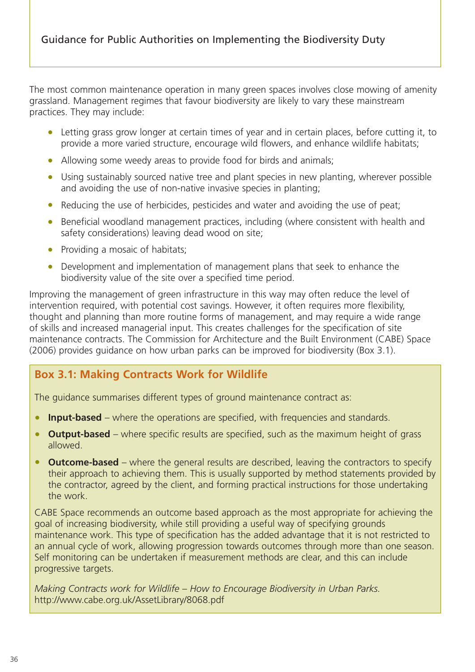The most common maintenance operation in many green spaces involves close mowing of amenity grassland. Management regimes that favour biodiversity are likely to vary these mainstream practices. They may include:

- Letting grass grow longer at certain times of year and in certain places, before cutting it, to provide a more varied structure, encourage wild flowers, and enhance wildlife habitats;
- Allowing some weedy areas to provide food for birds and animals;
- Using sustainably sourced native tree and plant species in new planting, wherever possible and avoiding the use of non-native invasive species in planting;
- Reducing the use of herbicides, pesticides and water and avoiding the use of peat;
- Beneficial woodland management practices, including (where consistent with health and safety considerations) leaving dead wood on site;
- Providing a mosaic of habitats;
- Development and implementation of management plans that seek to enhance the biodiversity value of the site over a specified time period.

Improving the management of green infrastructure in this way may often reduce the level of intervention required, with potential cost savings. However, it often requires more flexibility, thought and planning than more routine forms of management, and may require a wide range of skills and increased managerial input. This creates challenges for the specification of site maintenance contracts. The Commission for Architecture and the Built Environment (CABE) Space (2006) provides guidance on how urban parks can be improved for biodiversity (Box 3.1).

# **Box 3.1: Making Contracts Work for Wildlife**

The guidance summarises different types of ground maintenance contract as:

- **Input-based** where the operations are specified, with frequencies and standards.
- **Output-based** where specific results are specified, such as the maximum height of grass allowed.
- **Outcome-based** where the general results are described, leaving the contractors to specify their approach to achieving them. This is usually supported by method statements provided by the contractor, agreed by the client, and forming practical instructions for those undertaking the work.

CABE Space recommends an outcome based approach as the most appropriate for achieving the goal of increasing biodiversity, while still providing a useful way of specifying grounds maintenance work. This type of specification has the added advantage that it is not restricted to an annual cycle of work, allowing progression towards outcomes through more than one season. Self monitoring can be undertaken if measurement methods are clear, and this can include progressive targets.

*Making Contracts work for Wildlife – How to Encourage Biodiversity in Urban Parks.* http://www.cabe.org.uk/AssetLibrary/8068.pdf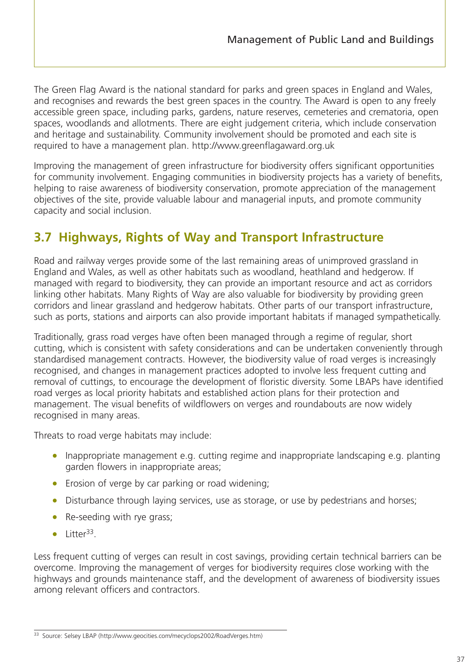The Green Flag Award is the national standard for parks and green spaces in England and Wales, and recognises and rewards the best green spaces in the country. The Award is open to any freely accessible green space, including parks, gardens, nature reserves, cemeteries and crematoria, open spaces, woodlands and allotments. There are eight judgement criteria, which include conservation and heritage and sustainability. Community involvement should be promoted and each site is required to have a management plan. http://www.greenflagaward.org.uk

Improving the management of green infrastructure for biodiversity offers significant opportunities for community involvement. Engaging communities in biodiversity projects has a variety of benefits, helping to raise awareness of biodiversity conservation, promote appreciation of the management objectives of the site, provide valuable labour and managerial inputs, and promote community capacity and social inclusion.

# **3.7 Highways, Rights of Way and Transport Infrastructure**

Road and railway verges provide some of the last remaining areas of unimproved grassland in England and Wales, as well as other habitats such as woodland, heathland and hedgerow. If managed with regard to biodiversity, they can provide an important resource and act as corridors linking other habitats. Many Rights of Way are also valuable for biodiversity by providing green corridors and linear grassland and hedgerow habitats. Other parts of our transport infrastructure, such as ports, stations and airports can also provide important habitats if managed sympathetically.

Traditionally, grass road verges have often been managed through a regime of regular, short cutting, which is consistent with safety considerations and can be undertaken conveniently through standardised management contracts. However, the biodiversity value of road verges is increasingly recognised, and changes in management practices adopted to involve less frequent cutting and removal of cuttings, to encourage the development of floristic diversity. Some LBAPs have identified road verges as local priority habitats and established action plans for their protection and management. The visual benefits of wildflowers on verges and roundabouts are now widely recognised in many areas.

Threats to road verge habitats may include:

- Inappropriate management e.g. cutting regime and inappropriate landscaping e.g. planting garden flowers in inappropriate areas;
- Erosion of verge by car parking or road widening;
- Disturbance through laying services, use as storage, or use by pedestrians and horses;
- Re-seeding with rye grass;
- $\bullet$  Litter<sup>33</sup>.

Less frequent cutting of verges can result in cost savings, providing certain technical barriers can be overcome. Improving the management of verges for biodiversity requires close working with the highways and grounds maintenance staff, and the development of awareness of biodiversity issues among relevant officers and contractors.

<sup>33</sup> Source: Selsey LBAP (http://www.geocities.com/mecyclops2002/RoadVerges.htm)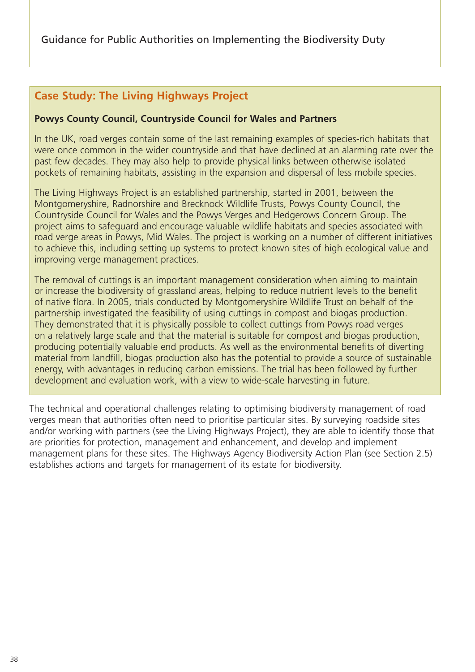# **Case Study: The Living Highways Project**

#### **Powys County Council, Countryside Council for Wales and Partners**

In the UK, road verges contain some of the last remaining examples of species-rich habitats that were once common in the wider countryside and that have declined at an alarming rate over the past few decades. They may also help to provide physical links between otherwise isolated pockets of remaining habitats, assisting in the expansion and dispersal of less mobile species.

The Living Highways Project is an established partnership, started in 2001, between the Montgomeryshire, Radnorshire and Brecknock Wildlife Trusts, Powys County Council, the Countryside Council for Wales and the Powys Verges and Hedgerows Concern Group. The project aims to safeguard and encourage valuable wildlife habitats and species associated with road verge areas in Powys, Mid Wales. The project is working on a number of different initiatives to achieve this, including setting up systems to protect known sites of high ecological value and improving verge management practices.

The removal of cuttings is an important management consideration when aiming to maintain or increase the biodiversity of grassland areas, helping to reduce nutrient levels to the benefit of native flora. In 2005, trials conducted by Montgomeryshire Wildlife Trust on behalf of the partnership investigated the feasibility of using cuttings in compost and biogas production. They demonstrated that it is physically possible to collect cuttings from Powys road verges on a relatively large scale and that the material is suitable for compost and biogas production, producing potentially valuable end products. As well as the environmental benefits of diverting material from landfill, biogas production also has the potential to provide a source of sustainable energy, with advantages in reducing carbon emissions. The trial has been followed by further development and evaluation work, with a view to wide-scale harvesting in future.

The technical and operational challenges relating to optimising biodiversity management of road verges mean that authorities often need to prioritise particular sites. By surveying roadside sites and/or working with partners (see the Living Highways Project), they are able to identify those that are priorities for protection, management and enhancement, and develop and implement management plans for these sites. The Highways Agency Biodiversity Action Plan (see Section 2.5) establishes actions and targets for management of its estate for biodiversity.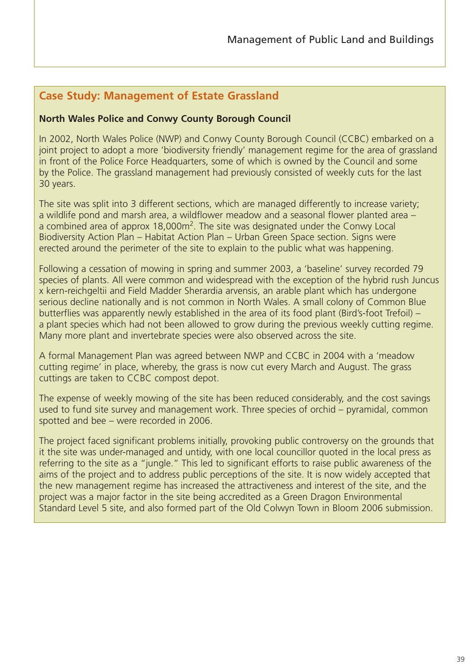# **Case Study: Management of Estate Grassland**

#### **North Wales Police and Conwy County Borough Council**

In 2002, North Wales Police (NWP) and Conwy County Borough Council (CCBC) embarked on a joint project to adopt a more 'biodiversity friendly' management regime for the area of grassland in front of the Police Force Headquarters, some of which is owned by the Council and some by the Police. The grassland management had previously consisted of weekly cuts for the last 30 years.

The site was split into 3 different sections, which are managed differently to increase variety; a wildlife pond and marsh area, a wildflower meadow and a seasonal flower planted area – a combined area of approx 18,000m<sup>2</sup>. The site was designated under the Conwy Local Biodiversity Action Plan – Habitat Action Plan – Urban Green Space section. Signs were erected around the perimeter of the site to explain to the public what was happening.

Following a cessation of mowing in spring and summer 2003, a 'baseline' survey recorded 79 species of plants. All were common and widespread with the exception of the hybrid rush Juncus x kern-reichgeltii and Field Madder Sherardia arvensis, an arable plant which has undergone serious decline nationally and is not common in North Wales. A small colony of Common Blue butterflies was apparently newly established in the area of its food plant (Bird's-foot Trefoil) – a plant species which had not been allowed to grow during the previous weekly cutting regime. Many more plant and invertebrate species were also observed across the site.

A formal Management Plan was agreed between NWP and CCBC in 2004 with a 'meadow cutting regime' in place, whereby, the grass is now cut every March and August. The grass cuttings are taken to CCBC compost depot.

The expense of weekly mowing of the site has been reduced considerably, and the cost savings used to fund site survey and management work. Three species of orchid – pyramidal, common spotted and bee – were recorded in 2006.

The project faced significant problems initially, provoking public controversy on the grounds that it the site was under-managed and untidy, with one local councillor quoted in the local press as referring to the site as a "jungle." This led to significant efforts to raise public awareness of the aims of the project and to address public perceptions of the site. It is now widely accepted that the new management regime has increased the attractiveness and interest of the site, and the project was a major factor in the site being accredited as a Green Dragon Environmental Standard Level 5 site, and also formed part of the Old Colwyn Town in Bloom 2006 submission.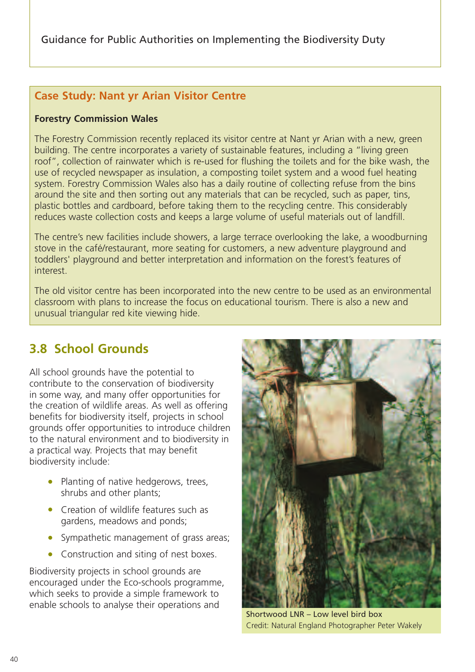# **Case Study: Nant yr Arian Visitor Centre**

## **Forestry Commission Wales**

The Forestry Commission recently replaced its visitor centre at Nant yr Arian with a new, green building. The centre incorporates a variety of sustainable features, including a "living green roof", collection of rainwater which is re-used for flushing the toilets and for the bike wash, the use of recycled newspaper as insulation, a composting toilet system and a wood fuel heating system. Forestry Commission Wales also has a daily routine of collecting refuse from the bins around the site and then sorting out any materials that can be recycled, such as paper, tins, plastic bottles and cardboard, before taking them to the recycling centre. This considerably reduces waste collection costs and keeps a large volume of useful materials out of landfill.

The centre's new facilities include showers, a large terrace overlooking the lake, a woodburning stove in the café/restaurant, more seating for customers, a new adventure playground and toddlers' playground and better interpretation and information on the forest's features of interest.

The old visitor centre has been incorporated into the new centre to be used as an environmental classroom with plans to increase the focus on educational tourism. There is also a new and unusual triangular red kite viewing hide.

# **3.8 School Grounds**

All school grounds have the potential to contribute to the conservation of biodiversity in some way, and many offer opportunities for the creation of wildlife areas. As well as offering benefits for biodiversity itself, projects in school grounds offer opportunities to introduce children to the natural environment and to biodiversity in a practical way. Projects that may benefit biodiversity include:

- Planting of native hedgerows, trees, shrubs and other plants;
- Creation of wildlife features such as gardens, meadows and ponds;
- Sympathetic management of grass areas;
- Construction and siting of nest boxes.

Biodiversity projects in school grounds are encouraged under the Eco-schools programme, which seeks to provide a simple framework to enable schools to analyse their operations and



Shortwood LNR – Low level bird box Credit: Natural England Photographer Peter Wakely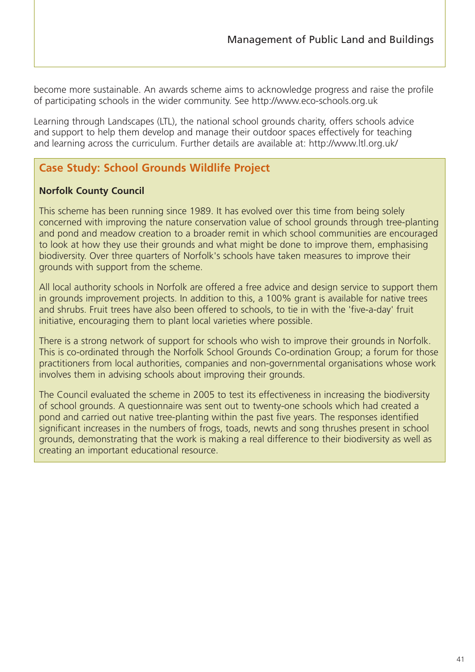become more sustainable. An awards scheme aims to acknowledge progress and raise the profile of participating schools in the wider community. See http://www.eco-schools.org.uk

Learning through Landscapes (LTL), the national school grounds charity, offers schools advice and support to help them develop and manage their outdoor spaces effectively for teaching and learning across the curriculum. Further details are available at: http://www.ltl.org.uk/

# **Case Study: School Grounds Wildlife Project**

## **Norfolk County Council**

This scheme has been running since 1989. It has evolved over this time from being solely concerned with improving the nature conservation value of school grounds through tree-planting and pond and meadow creation to a broader remit in which school communities are encouraged to look at how they use their grounds and what might be done to improve them, emphasising biodiversity. Over three quarters of Norfolk's schools have taken measures to improve their grounds with support from the scheme.

All local authority schools in Norfolk are offered a free advice and design service to support them in grounds improvement projects. In addition to this, a 100% grant is available for native trees and shrubs. Fruit trees have also been offered to schools, to tie in with the 'five-a-day' fruit initiative, encouraging them to plant local varieties where possible.

There is a strong network of support for schools who wish to improve their grounds in Norfolk. This is co-ordinated through the Norfolk School Grounds Co-ordination Group; a forum for those practitioners from local authorities, companies and non-governmental organisations whose work involves them in advising schools about improving their grounds.

The Council evaluated the scheme in 2005 to test its effectiveness in increasing the biodiversity of school grounds. A questionnaire was sent out to twenty-one schools which had created a pond and carried out native tree-planting within the past five years. The responses identified significant increases in the numbers of frogs, toads, newts and song thrushes present in school grounds, demonstrating that the work is making a real difference to their biodiversity as well as creating an important educational resource.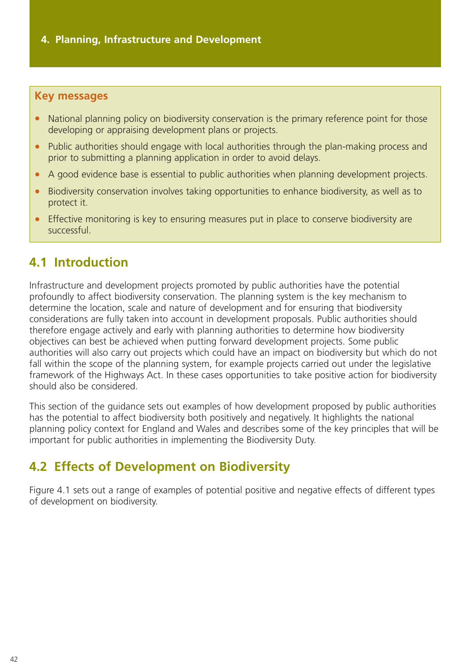## **Key messages**

- National planning policy on biodiversity conservation is the primary reference point for those developing or appraising development plans or projects.
- Public authorities should engage with local authorities through the plan-making process and prior to submitting a planning application in order to avoid delays.
- A good evidence base is essential to public authorities when planning development projects.
- Biodiversity conservation involves taking opportunities to enhance biodiversity, as well as to protect it.
- Effective monitoring is key to ensuring measures put in place to conserve biodiversity are successful.

# **4.1 Introduction**

Infrastructure and development projects promoted by public authorities have the potential profoundly to affect biodiversity conservation. The planning system is the key mechanism to determine the location, scale and nature of development and for ensuring that biodiversity considerations are fully taken into account in development proposals. Public authorities should therefore engage actively and early with planning authorities to determine how biodiversity objectives can best be achieved when putting forward development projects. Some public authorities will also carry out projects which could have an impact on biodiversity but which do not fall within the scope of the planning system, for example projects carried out under the legislative framework of the Highways Act. In these cases opportunities to take positive action for biodiversity should also be considered.

This section of the guidance sets out examples of how development proposed by public authorities has the potential to affect biodiversity both positively and negatively. It highlights the national planning policy context for England and Wales and describes some of the key principles that will be important for public authorities in implementing the Biodiversity Duty.

# **4.2 Effects of Development on Biodiversity**

Figure 4.1 sets out a range of examples of potential positive and negative effects of different types of development on biodiversity.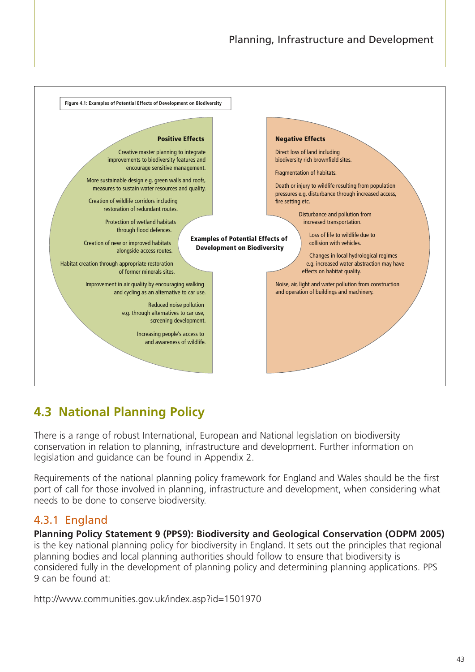

# **4.3 National Planning Policy**

There is a range of robust International, European and National legislation on biodiversity conservation in relation to planning, infrastructure and development. Further information on legislation and guidance can be found in Appendix 2.

Requirements of the national planning policy framework for England and Wales should be the first port of call for those involved in planning, infrastructure and development, when considering what needs to be done to conserve biodiversity.

# 4.3.1 England

**Planning Policy Statement 9 (PPS9): Biodiversity and Geological Conservation (ODPM 2005)** is the key national planning policy for biodiversity in England. It sets out the principles that regional planning bodies and local planning authorities should follow to ensure that biodiversity is considered fully in the development of planning policy and determining planning applications. PPS 9 can be found at:

http://www.communities.gov.uk/index.asp?id=1501970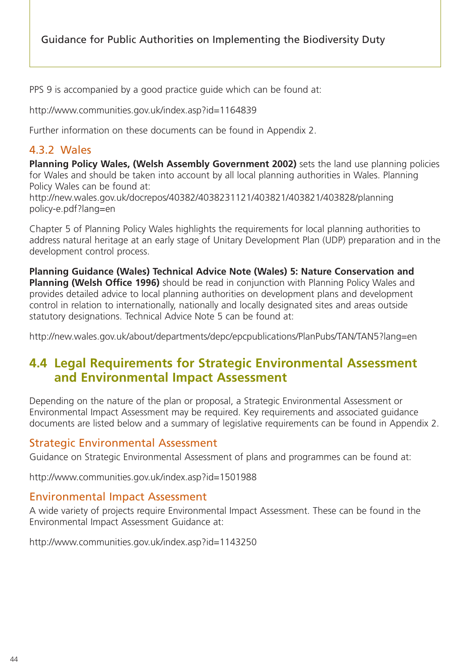PPS 9 is accompanied by a good practice guide which can be found at:

http://www.communities.gov.uk/index.asp?id=1164839

Further information on these documents can be found in Appendix 2.

# 4.3.2 Wales

**Planning Policy Wales, (Welsh Assembly Government 2002)** sets the land use planning policies for Wales and should be taken into account by all local planning authorities in Wales. Planning Policy Wales can be found at:

http://new.wales.gov.uk/docrepos/40382/4038231121/403821/403821/403828/planning policy-e.pdf?lang=en

Chapter 5 of Planning Policy Wales highlights the requirements for local planning authorities to address natural heritage at an early stage of Unitary Development Plan (UDP) preparation and in the development control process.

**Planning Guidance (Wales) Technical Advice Note (Wales) 5: Nature Conservation and Planning (Welsh Office 1996)** should be read in conjunction with Planning Policy Wales and provides detailed advice to local planning authorities on development plans and development control in relation to internationally, nationally and locally designated sites and areas outside statutory designations. Technical Advice Note 5 can be found at:

http://new.wales.gov.uk/about/departments/depc/epcpublications/PlanPubs/TAN/TAN5?lang=en

# **4.4 Legal Requirements for Strategic Environmental Assessment and Environmental Impact Assessment**

Depending on the nature of the plan or proposal, a Strategic Environmental Assessment or Environmental Impact Assessment may be required. Key requirements and associated guidance documents are listed below and a summary of legislative requirements can be found in Appendix 2.

# Strategic Environmental Assessment

Guidance on Strategic Environmental Assessment of plans and programmes can be found at:

http://www.communities.gov.uk/index.asp?id=1501988

## Environmental Impact Assessment

A wide variety of projects require Environmental Impact Assessment. These can be found in the Environmental Impact Assessment Guidance at:

http://www.communities.gov.uk/index.asp?id=1143250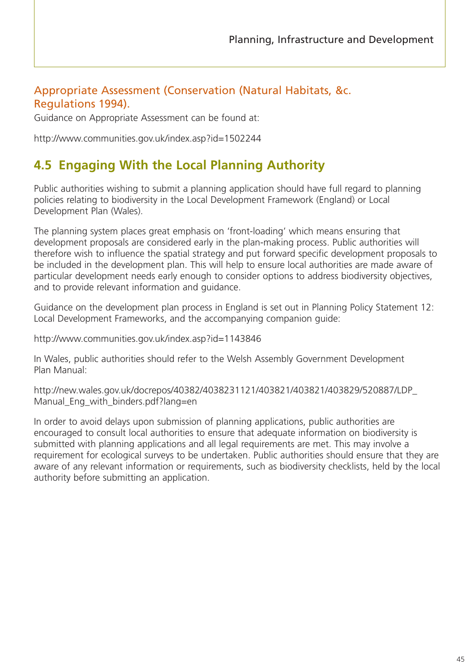# Appropriate Assessment (Conservation (Natural Habitats, &c. Regulations 1994).

Guidance on Appropriate Assessment can be found at:

http://www.communities.gov.uk/index.asp?id=1502244

# **4.5 Engaging With the Local Planning Authority**

Public authorities wishing to submit a planning application should have full regard to planning policies relating to biodiversity in the Local Development Framework (England) or Local Development Plan (Wales).

The planning system places great emphasis on 'front-loading' which means ensuring that development proposals are considered early in the plan-making process. Public authorities will therefore wish to influence the spatial strategy and put forward specific development proposals to be included in the development plan. This will help to ensure local authorities are made aware of particular development needs early enough to consider options to address biodiversity objectives, and to provide relevant information and guidance.

Guidance on the development plan process in England is set out in Planning Policy Statement 12: Local Development Frameworks, and the accompanying companion guide:

http://www.communities.gov.uk/index.asp?id=1143846

In Wales, public authorities should refer to the Welsh Assembly Government Development Plan Manual:

http://new.wales.gov.uk/docrepos/40382/4038231121/403821/403821/403829/520887/LDP\_ Manual Eng with binders.pdf?lang=en

In order to avoid delays upon submission of planning applications, public authorities are encouraged to consult local authorities to ensure that adequate information on biodiversity is submitted with planning applications and all legal requirements are met. This may involve a requirement for ecological surveys to be undertaken. Public authorities should ensure that they are aware of any relevant information or requirements, such as biodiversity checklists, held by the local authority before submitting an application.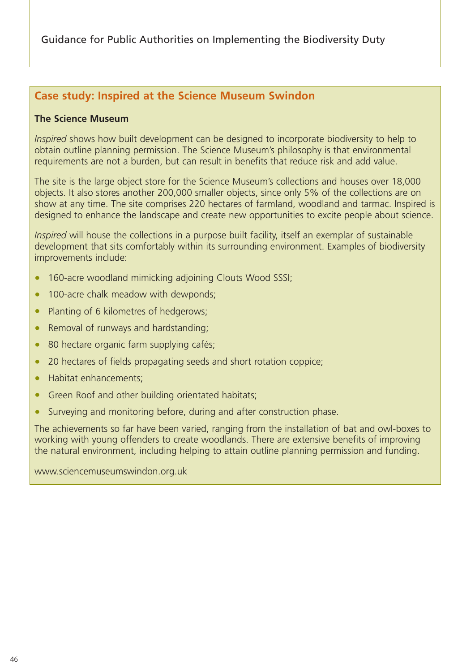# **Case study: Inspired at the Science Museum Swindon**

#### **The Science Museum**

*Inspired* shows how built development can be designed to incorporate biodiversity to help to obtain outline planning permission. The Science Museum's philosophy is that environmental requirements are not a burden, but can result in benefits that reduce risk and add value.

The site is the large object store for the Science Museum's collections and houses over 18,000 objects. It also stores another 200,000 smaller objects, since only 5% of the collections are on show at any time. The site comprises 220 hectares of farmland, woodland and tarmac. Inspired is designed to enhance the landscape and create new opportunities to excite people about science.

*Inspired* will house the collections in a purpose built facility, itself an exemplar of sustainable development that sits comfortably within its surrounding environment. Examples of biodiversity improvements include:

- 160-acre woodland mimicking adjoining Clouts Wood SSSI;
- 100-acre chalk meadow with dewponds;
- Planting of 6 kilometres of hedgerows;
- Removal of runways and hardstanding;
- 80 hectare organic farm supplying cafés;
- 20 hectares of fields propagating seeds and short rotation coppice;
- Habitat enhancements;
- Green Roof and other building orientated habitats;
- Surveying and monitoring before, during and after construction phase.

The achievements so far have been varied, ranging from the installation of bat and owl-boxes to working with young offenders to create woodlands. There are extensive benefits of improving the natural environment, including helping to attain outline planning permission and funding.

www.sciencemuseumswindon.org.uk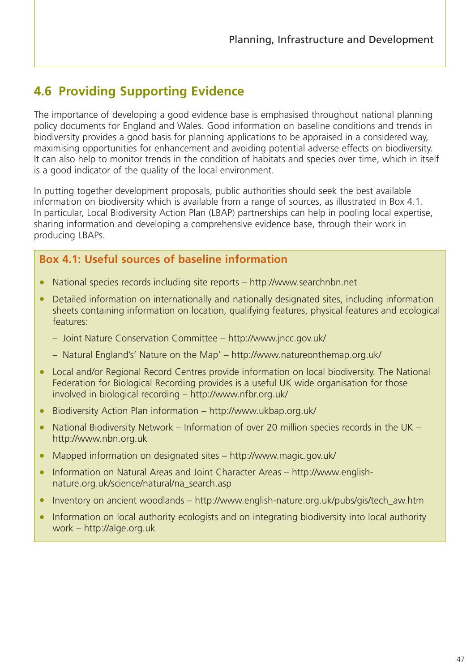# **4.6 Providing Supporting Evidence**

The importance of developing a good evidence base is emphasised throughout national planning policy documents for England and Wales. Good information on baseline conditions and trends in biodiversity provides a good basis for planning applications to be appraised in a considered way, maximising opportunities for enhancement and avoiding potential adverse effects on biodiversity. It can also help to monitor trends in the condition of habitats and species over time, which in itself is a good indicator of the quality of the local environment.

In putting together development proposals, public authorities should seek the best available information on biodiversity which is available from a range of sources, as illustrated in Box 4.1. In particular, Local Biodiversity Action Plan (LBAP) partnerships can help in pooling local expertise, sharing information and developing a comprehensive evidence base, through their work in producing LBAPs.

# **Box 4.1: Useful sources of baseline information**

- National species records including site reports http://www.searchnbn.net
- Detailed information on internationally and nationally designated sites, including information sheets containing information on location, qualifying features, physical features and ecological features:
	- Joint Nature Conservation Committee http://www.jncc.gov.uk/
	- Natural England's' Nature on the Map' http://www.natureonthemap.org.uk/
- Local and/or Regional Record Centres provide information on local biodiversity. The National Federation for Biological Recording provides is a useful UK wide organisation for those involved in biological recording – http://www.nfbr.org.uk/
- Biodiversity Action Plan information http://www.ukbap.org.uk/
- National Biodiversity Network Information of over 20 million species records in the UK http://www.nbn.org.uk
- Mapped information on designated sites http://www.magic.gov.uk/
- Information on Natural Areas and Joint Character Areas http://www.englishnature.org.uk/science/natural/na\_search.asp
- Inventory on ancient woodlands http://www.english-nature.org.uk/pubs/gis/tech\_aw.htm
- Information on local authority ecologists and on integrating biodiversity into local authority work – http://alge.org.uk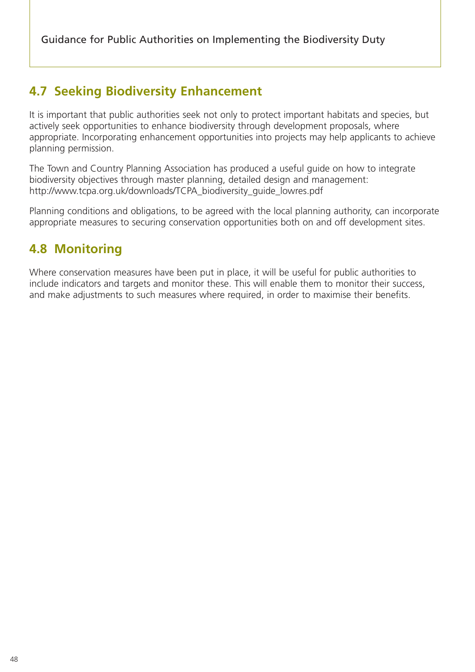# **4.7 Seeking Biodiversity Enhancement**

It is important that public authorities seek not only to protect important habitats and species, but actively seek opportunities to enhance biodiversity through development proposals, where appropriate. Incorporating enhancement opportunities into projects may help applicants to achieve planning permission.

The Town and Country Planning Association has produced a useful guide on how to integrate biodiversity objectives through master planning, detailed design and management: http://www.tcpa.org.uk/downloads/TCPA\_biodiversity\_guide\_lowres.pdf

Planning conditions and obligations, to be agreed with the local planning authority, can incorporate appropriate measures to securing conservation opportunities both on and off development sites.

# **4.8 Monitoring**

Where conservation measures have been put in place, it will be useful for public authorities to include indicators and targets and monitor these. This will enable them to monitor their success, and make adjustments to such measures where required, in order to maximise their benefits.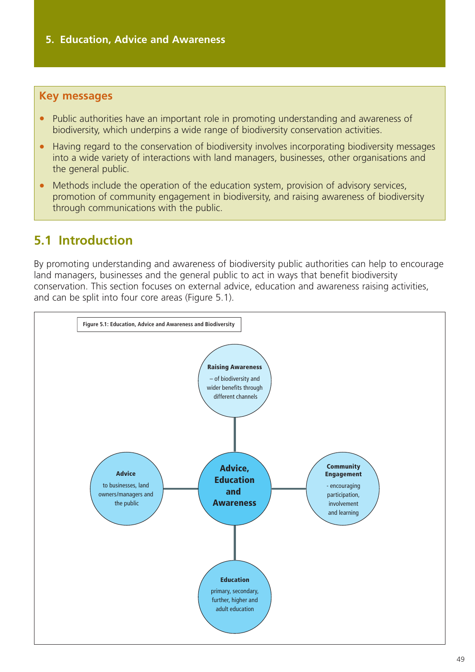## **Key messages**

- Public authorities have an important role in promoting understanding and awareness of biodiversity, which underpins a wide range of biodiversity conservation activities.
- Having regard to the conservation of biodiversity involves incorporating biodiversity messages into a wide variety of interactions with land managers, businesses, other organisations and the general public.
- Methods include the operation of the education system, provision of advisory services, promotion of community engagement in biodiversity, and raising awareness of biodiversity through communications with the public.

# **5.1 Introduction**

By promoting understanding and awareness of biodiversity public authorities can help to encourage land managers, businesses and the general public to act in ways that benefit biodiversity conservation. This section focuses on external advice, education and awareness raising activities, and can be split into four core areas (Figure 5.1).

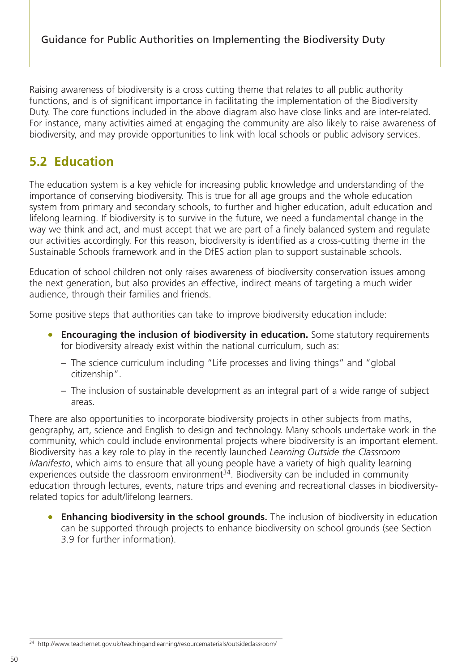Raising awareness of biodiversity is a cross cutting theme that relates to all public authority functions, and is of significant importance in facilitating the implementation of the Biodiversity Duty. The core functions included in the above diagram also have close links and are inter-related. For instance, many activities aimed at engaging the community are also likely to raise awareness of biodiversity, and may provide opportunities to link with local schools or public advisory services.

# **5.2 Education**

The education system is a key vehicle for increasing public knowledge and understanding of the importance of conserving biodiversity. This is true for all age groups and the whole education system from primary and secondary schools, to further and higher education, adult education and lifelong learning. If biodiversity is to survive in the future, we need a fundamental change in the way we think and act, and must accept that we are part of a finely balanced system and regulate our activities accordingly. For this reason, biodiversity is identified as a cross-cutting theme in the Sustainable Schools framework and in the DfES action plan to support sustainable schools.

Education of school children not only raises awareness of biodiversity conservation issues among the next generation, but also provides an effective, indirect means of targeting a much wider audience, through their families and friends.

Some positive steps that authorities can take to improve biodiversity education include:

- **Encouraging the inclusion of biodiversity in education.** Some statutory requirements for biodiversity already exist within the national curriculum, such as:
	- The science curriculum including "Life processes and living things" and "global citizenship".
	- The inclusion of sustainable development as an integral part of a wide range of subject areas.

There are also opportunities to incorporate biodiversity projects in other subjects from maths, geography, art, science and English to design and technology. Many schools undertake work in the community, which could include environmental projects where biodiversity is an important element. Biodiversity has a key role to play in the recently launched *Learning Outside the Classroom Manifesto*, which aims to ensure that all young people have a variety of high quality learning experiences outside the classroom environment $34$ . Biodiversity can be included in community education through lectures, events, nature trips and evening and recreational classes in biodiversityrelated topics for adult/lifelong learners.

**Enhancing biodiversity in the school grounds.** The inclusion of biodiversity in education can be supported through projects to enhance biodiversity on school grounds (see Section 3.9 for further information).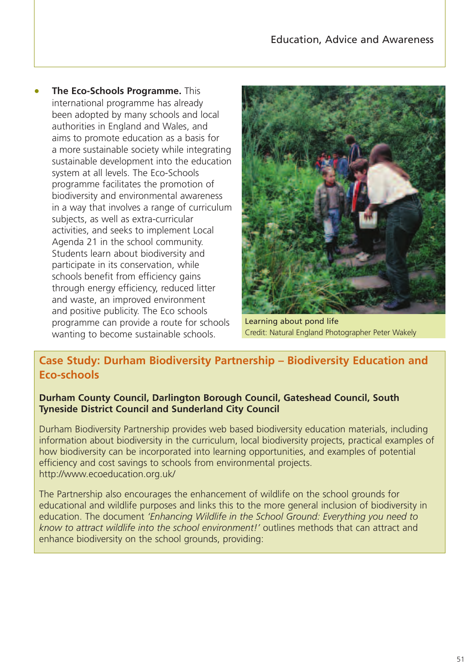• **The Eco-Schools Programme.** This international programme has already been adopted by many schools and local authorities in England and Wales, and aims to promote education as a basis for a more sustainable society while integrating sustainable development into the education system at all levels. The Eco-Schools programme facilitates the promotion of biodiversity and environmental awareness in a way that involves a range of curriculum subjects, as well as extra-curricular activities, and seeks to implement Local Agenda 21 in the school community. Students learn about biodiversity and participate in its conservation, while schools benefit from efficiency gains through energy efficiency, reduced litter and waste, an improved environment and positive publicity. The Eco schools programme can provide a route for schools wanting to become sustainable schools.



Learning about pond life Credit: Natural England Photographer Peter Wakely

# **Case Study: Durham Biodiversity Partnership – Biodiversity Education and Eco-schools**

#### **Durham County Council, Darlington Borough Council, Gateshead Council, South Tyneside District Council and Sunderland City Council**

Durham Biodiversity Partnership provides web based biodiversity education materials, including information about biodiversity in the curriculum, local biodiversity projects, practical examples of how biodiversity can be incorporated into learning opportunities, and examples of potential efficiency and cost savings to schools from environmental projects. http://www.ecoeducation.org.uk/

The Partnership also encourages the enhancement of wildlife on the school grounds for educational and wildlife purposes and links this to the more general inclusion of biodiversity in education. The document *'Enhancing Wildlife in the School Ground: Everything you need to know to attract wildlife into the school environment!'* outlines methods that can attract and enhance biodiversity on the school grounds, providing: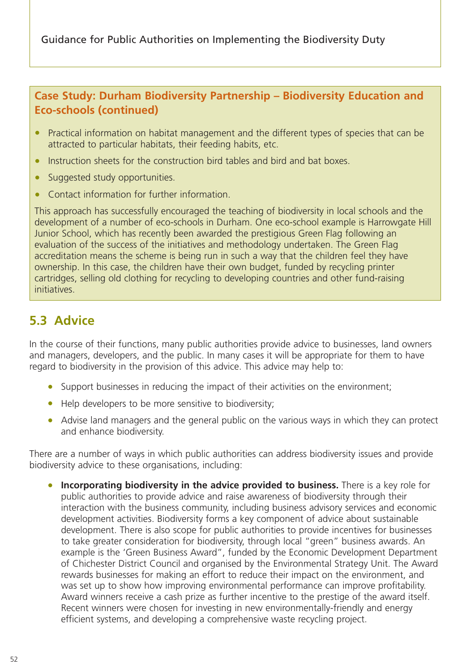# **Case Study: Durham Biodiversity Partnership – Biodiversity Education and Eco-schools (continued)**

- Practical information on habitat management and the different types of species that can be attracted to particular habitats, their feeding habits, etc.
- Instruction sheets for the construction bird tables and bird and bat boxes.
- Suggested study opportunities.
- Contact information for further information.

This approach has successfully encouraged the teaching of biodiversity in local schools and the development of a number of eco-schools in Durham. One eco-school example is Harrowgate Hill Junior School, which has recently been awarded the prestigious Green Flag following an evaluation of the success of the initiatives and methodology undertaken. The Green Flag accreditation means the scheme is being run in such a way that the children feel they have ownership. In this case, the children have their own budget, funded by recycling printer cartridges, selling old clothing for recycling to developing countries and other fund-raising initiatives.

# **5.3 Advice**

In the course of their functions, many public authorities provide advice to businesses, land owners and managers, developers, and the public. In many cases it will be appropriate for them to have regard to biodiversity in the provision of this advice. This advice may help to:

- Support businesses in reducing the impact of their activities on the environment;
- Help developers to be more sensitive to biodiversity;
- Advise land managers and the general public on the various ways in which they can protect and enhance biodiversity.

There are a number of ways in which public authorities can address biodiversity issues and provide biodiversity advice to these organisations, including:

**Incorporating biodiversity in the advice provided to business.** There is a key role for public authorities to provide advice and raise awareness of biodiversity through their interaction with the business community, including business advisory services and economic development activities. Biodiversity forms a key component of advice about sustainable development. There is also scope for public authorities to provide incentives for businesses to take greater consideration for biodiversity, through local "green" business awards. An example is the 'Green Business Award", funded by the Economic Development Department of Chichester District Council and organised by the Environmental Strategy Unit. The Award rewards businesses for making an effort to reduce their impact on the environment, and was set up to show how improving environmental performance can improve profitability. Award winners receive a cash prize as further incentive to the prestige of the award itself. Recent winners were chosen for investing in new environmentally-friendly and energy efficient systems, and developing a comprehensive waste recycling project.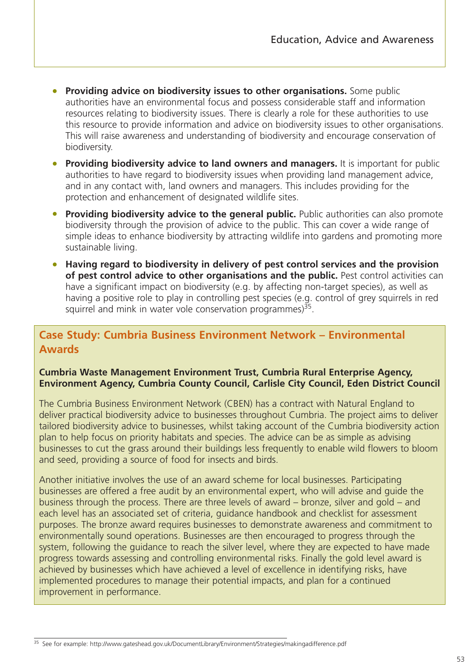- **Providing advice on biodiversity issues to other organisations.** Some public authorities have an environmental focus and possess considerable staff and information resources relating to biodiversity issues. There is clearly a role for these authorities to use this resource to provide information and advice on biodiversity issues to other organisations. This will raise awareness and understanding of biodiversity and encourage conservation of biodiversity.
- **Providing biodiversity advice to land owners and managers.** It is important for public authorities to have regard to biodiversity issues when providing land management advice, and in any contact with, land owners and managers. This includes providing for the protection and enhancement of designated wildlife sites.
- **Providing biodiversity advice to the general public.** Public authorities can also promote biodiversity through the provision of advice to the public. This can cover a wide range of simple ideas to enhance biodiversity by attracting wildlife into gardens and promoting more sustainable living.
- **Having regard to biodiversity in delivery of pest control services and the provision of pest control advice to other organisations and the public.** Pest control activities can have a significant impact on biodiversity (e.g. by affecting non-target species), as well as having a positive role to play in controlling pest species (e.g. control of grey squirrels in red squirrel and mink in water vole conservation programmes) $35$ .

# **Case Study: Cumbria Business Environment Network – Environmental Awards**

#### **Cumbria Waste Management Environment Trust, Cumbria Rural Enterprise Agency, Environment Agency, Cumbria County Council, Carlisle City Council, Eden District Council**

The Cumbria Business Environment Network (CBEN) has a contract with Natural England to deliver practical biodiversity advice to businesses throughout Cumbria. The project aims to deliver tailored biodiversity advice to businesses, whilst taking account of the Cumbria biodiversity action plan to help focus on priority habitats and species. The advice can be as simple as advising businesses to cut the grass around their buildings less frequently to enable wild flowers to bloom and seed, providing a source of food for insects and birds.

Another initiative involves the use of an award scheme for local businesses. Participating businesses are offered a free audit by an environmental expert, who will advise and guide the business through the process. There are three levels of award – bronze, silver and gold – and each level has an associated set of criteria, guidance handbook and checklist for assessment purposes. The bronze award requires businesses to demonstrate awareness and commitment to environmentally sound operations. Businesses are then encouraged to progress through the system, following the guidance to reach the silver level, where they are expected to have made progress towards assessing and controlling environmental risks. Finally the gold level award is achieved by businesses which have achieved a level of excellence in identifying risks, have implemented procedures to manage their potential impacts, and plan for a continued improvement in performance.

<sup>35</sup> See for example: http://www.gateshead.gov.uk/DocumentLibrary/Environment/Strategies/makingadifference.pdf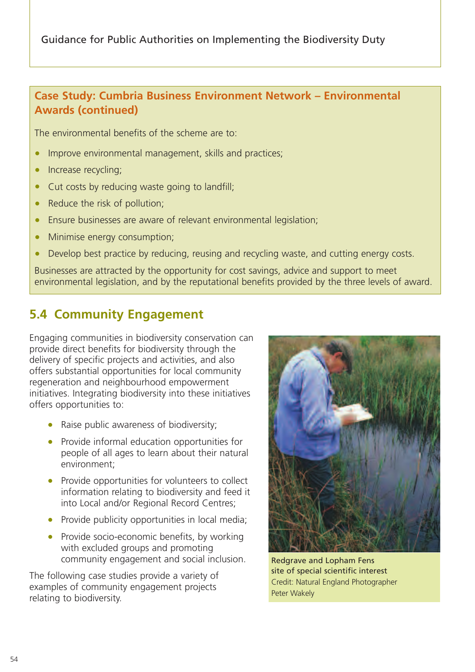# **Case Study: Cumbria Business Environment Network – Environmental Awards (continued)**

The environmental benefits of the scheme are to:

- Improve environmental management, skills and practices;
- Increase recycling;
- Cut costs by reducing waste going to landfill;
- Reduce the risk of pollution;
- Ensure businesses are aware of relevant environmental legislation;
- Minimise energy consumption;
- Develop best practice by reducing, reusing and recycling waste, and cutting energy costs.

Businesses are attracted by the opportunity for cost savings, advice and support to meet environmental legislation, and by the reputational benefits provided by the three levels of award.

# **5.4 Community Engagement**

Engaging communities in biodiversity conservation can provide direct benefits for biodiversity through the delivery of specific projects and activities, and also offers substantial opportunities for local community regeneration and neighbourhood empowerment initiatives. Integrating biodiversity into these initiatives offers opportunities to:

- Raise public awareness of biodiversity;
- Provide informal education opportunities for people of all ages to learn about their natural environment;
- Provide opportunities for volunteers to collect information relating to biodiversity and feed it into Local and/or Regional Record Centres;
- Provide publicity opportunities in local media:
- Provide socio-economic benefits, by working with excluded groups and promoting community engagement and social inclusion.

The following case studies provide a variety of examples of community engagement projects relating to biodiversity.



Redgrave and Lopham Fens site of special scientific interest Credit: Natural England Photographer Peter Wakely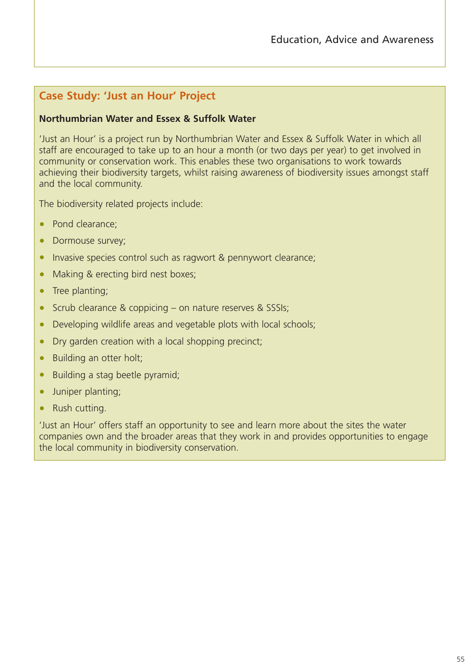# **Case Study: 'Just an Hour' Project**

#### **Northumbrian Water and Essex & Suffolk Water**

'Just an Hour' is a project run by Northumbrian Water and Essex & Suffolk Water in which all staff are encouraged to take up to an hour a month (or two days per year) to get involved in community or conservation work. This enables these two organisations to work towards achieving their biodiversity targets, whilst raising awareness of biodiversity issues amongst staff and the local community.

The biodiversity related projects include:

- Pond clearance:
- Dormouse survey;
- Invasive species control such as ragwort & pennywort clearance;
- Making & erecting bird nest boxes;
- Tree planting;
- Scrub clearance & coppicing on nature reserves & SSSIs;
- Developing wildlife areas and vegetable plots with local schools;
- Dry garden creation with a local shopping precinct;
- Building an otter holt;
- Building a stag beetle pyramid;
- Juniper planting;
- Rush cutting.

'Just an Hour' offers staff an opportunity to see and learn more about the sites the water companies own and the broader areas that they work in and provides opportunities to engage the local community in biodiversity conservation.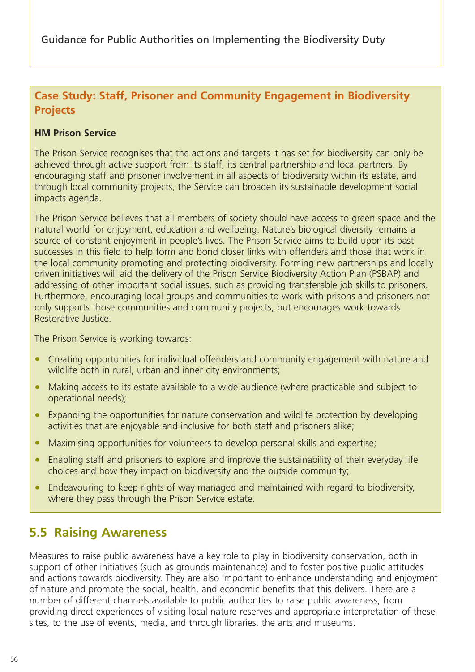# **Case Study: Staff, Prisoner and Community Engagement in Biodiversity Projects**

## **HM Prison Service**

The Prison Service recognises that the actions and targets it has set for biodiversity can only be achieved through active support from its staff, its central partnership and local partners. By encouraging staff and prisoner involvement in all aspects of biodiversity within its estate, and through local community projects, the Service can broaden its sustainable development social impacts agenda.

The Prison Service believes that all members of society should have access to green space and the natural world for enjoyment, education and wellbeing. Nature's biological diversity remains a source of constant enjoyment in people's lives. The Prison Service aims to build upon its past successes in this field to help form and bond closer links with offenders and those that work in the local community promoting and protecting biodiversity. Forming new partnerships and locally driven initiatives will aid the delivery of the Prison Service Biodiversity Action Plan (PSBAP) and addressing of other important social issues, such as providing transferable job skills to prisoners. Furthermore, encouraging local groups and communities to work with prisons and prisoners not only supports those communities and community projects, but encourages work towards Restorative Justice.

The Prison Service is working towards:

- Creating opportunities for individual offenders and community engagement with nature and wildlife both in rural, urban and inner city environments;
- Making access to its estate available to a wide audience (where practicable and subject to operational needs);
- Expanding the opportunities for nature conservation and wildlife protection by developing activities that are enjoyable and inclusive for both staff and prisoners alike;
- Maximising opportunities for volunteers to develop personal skills and expertise;
- Enabling staff and prisoners to explore and improve the sustainability of their everyday life choices and how they impact on biodiversity and the outside community;
- Endeavouring to keep rights of way managed and maintained with regard to biodiversity. where they pass through the Prison Service estate.

# **5.5 Raising Awareness**

Measures to raise public awareness have a key role to play in biodiversity conservation, both in support of other initiatives (such as grounds maintenance) and to foster positive public attitudes and actions towards biodiversity. They are also important to enhance understanding and enjoyment of nature and promote the social, health, and economic benefits that this delivers. There are a number of different channels available to public authorities to raise public awareness, from providing direct experiences of visiting local nature reserves and appropriate interpretation of these sites, to the use of events, media, and through libraries, the arts and museums.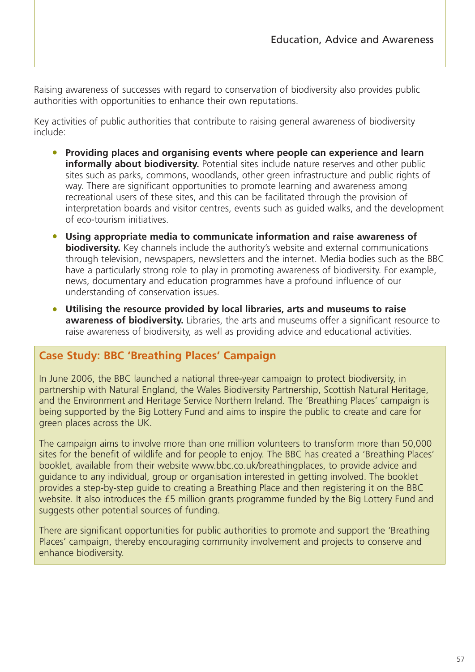Raising awareness of successes with regard to conservation of biodiversity also provides public authorities with opportunities to enhance their own reputations.

Key activities of public authorities that contribute to raising general awareness of biodiversity include:

- **Providing places and organising events where people can experience and learn informally about biodiversity.** Potential sites include nature reserves and other public sites such as parks, commons, woodlands, other green infrastructure and public rights of way. There are significant opportunities to promote learning and awareness among recreational users of these sites, and this can be facilitated through the provision of interpretation boards and visitor centres, events such as guided walks, and the development of eco-tourism initiatives.
- **Using appropriate media to communicate information and raise awareness of biodiversity.** Key channels include the authority's website and external communications through television, newspapers, newsletters and the internet. Media bodies such as the BBC have a particularly strong role to play in promoting awareness of biodiversity. For example, news, documentary and education programmes have a profound influence of our understanding of conservation issues.
- **Utilising the resource provided by local libraries, arts and museums to raise awareness of biodiversity.** Libraries, the arts and museums offer a significant resource to raise awareness of biodiversity, as well as providing advice and educational activities.

# **Case Study: BBC 'Breathing Places' Campaign**

In June 2006, the BBC launched a national three-year campaign to protect biodiversity, in partnership with Natural England, the Wales Biodiversity Partnership, Scottish Natural Heritage, and the Environment and Heritage Service Northern Ireland. The 'Breathing Places' campaign is being supported by the Big Lottery Fund and aims to inspire the public to create and care for green places across the UK.

The campaign aims to involve more than one million volunteers to transform more than 50,000 sites for the benefit of wildlife and for people to enjoy. The BBC has created a 'Breathing Places' booklet, available from their website www.bbc.co.uk/breathingplaces, to provide advice and guidance to any individual, group or organisation interested in getting involved. The booklet provides a step-by-step guide to creating a Breathing Place and then registering it on the BBC website. It also introduces the £5 million grants programme funded by the Big Lottery Fund and suggests other potential sources of funding.

There are significant opportunities for public authorities to promote and support the 'Breathing Places' campaign, thereby encouraging community involvement and projects to conserve and enhance biodiversity.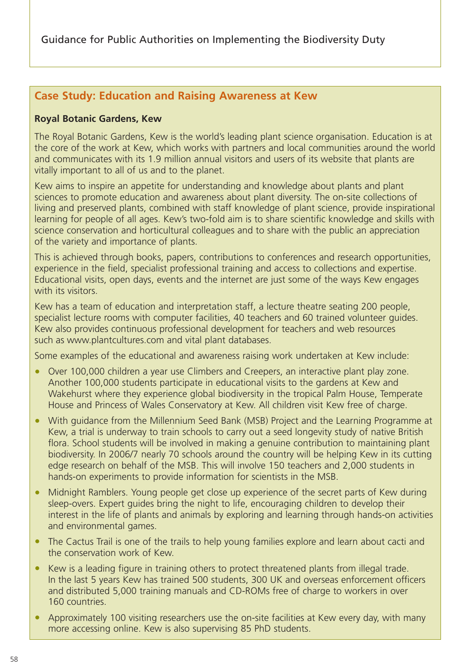# **Case Study: Education and Raising Awareness at Kew**

#### **Royal Botanic Gardens, Kew**

The Royal Botanic Gardens, Kew is the world's leading plant science organisation. Education is at the core of the work at Kew, which works with partners and local communities around the world and communicates with its 1.9 million annual visitors and users of its website that plants are vitally important to all of us and to the planet.

Kew aims to inspire an appetite for understanding and knowledge about plants and plant sciences to promote education and awareness about plant diversity. The on-site collections of living and preserved plants, combined with staff knowledge of plant science, provide inspirational learning for people of all ages. Kew's two-fold aim is to share scientific knowledge and skills with science conservation and horticultural colleagues and to share with the public an appreciation of the variety and importance of plants.

This is achieved through books, papers, contributions to conferences and research opportunities, experience in the field, specialist professional training and access to collections and expertise. Educational visits, open days, events and the internet are just some of the ways Kew engages with its visitors.

Kew has a team of education and interpretation staff, a lecture theatre seating 200 people, specialist lecture rooms with computer facilities, 40 teachers and 60 trained volunteer guides. Kew also provides continuous professional development for teachers and web resources such as www.plantcultures.com and vital plant databases.

Some examples of the educational and awareness raising work undertaken at Kew include:

- Over 100,000 children a year use Climbers and Creepers, an interactive plant play zone. Another 100,000 students participate in educational visits to the gardens at Kew and Wakehurst where they experience global biodiversity in the tropical Palm House, Temperate House and Princess of Wales Conservatory at Kew. All children visit Kew free of charge.
- With guidance from the Millennium Seed Bank (MSB) Project and the Learning Programme at Kew, a trial is underway to train schools to carry out a seed longevity study of native British flora. School students will be involved in making a genuine contribution to maintaining plant biodiversity. In 2006/7 nearly 70 schools around the country will be helping Kew in its cutting edge research on behalf of the MSB. This will involve 150 teachers and 2,000 students in hands-on experiments to provide information for scientists in the MSB.
- Midnight Ramblers. Young people get close up experience of the secret parts of Kew during sleep-overs. Expert guides bring the night to life, encouraging children to develop their interest in the life of plants and animals by exploring and learning through hands-on activities and environmental games.
- The Cactus Trail is one of the trails to help young families explore and learn about cacti and the conservation work of Kew.
- Kew is a leading figure in training others to protect threatened plants from illegal trade. In the last 5 years Kew has trained 500 students, 300 UK and overseas enforcement officers and distributed 5,000 training manuals and CD-ROMs free of charge to workers in over 160 countries.
- Approximately 100 visiting researchers use the on-site facilities at Kew every day, with many more accessing online. Kew is also supervising 85 PhD students.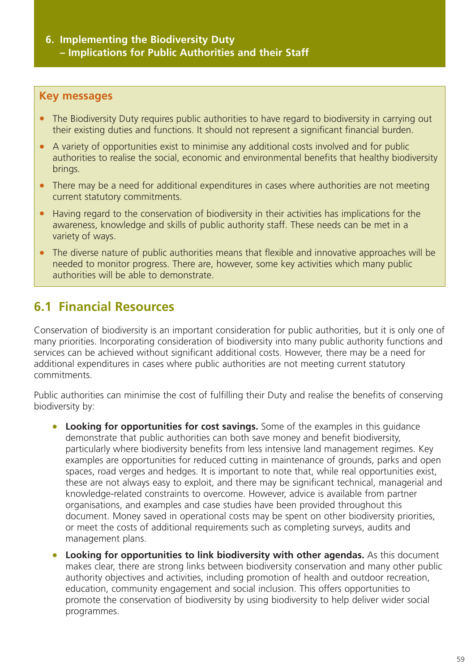## **6. Implementing the Biodiversity Duty – Implications for Public Authorities and their Staff**

## **Key messages**

- The Biodiversity Duty requires public authorities to have regard to biodiversity in carrying out their existing duties and functions. It should not represent a significant financial burden.
- A variety of opportunities exist to minimise any additional costs involved and for public authorities to realise the social, economic and environmental benefits that healthy biodiversity brings.
- There may be a need for additional expenditures in cases where authorities are not meeting current statutory commitments.
- Having regard to the conservation of biodiversity in their activities has implications for the awareness, knowledge and skills of public authority staff. These needs can be met in a variety of ways.
- The diverse nature of public authorities means that flexible and innovative approaches will be needed to monitor progress. There are, however, some key activities which many public authorities will be able to demonstrate.

# **6.1 Financial Resources**

Conservation of biodiversity is an important consideration for public authorities, but it is only one of many priorities. Incorporating consideration of biodiversity into many public authority functions and services can be achieved without significant additional costs. However, there may be a need for additional expenditures in cases where public authorities are not meeting current statutory commitments.

Public authorities can minimise the cost of fulfilling their Duty and realise the benefits of conserving biodiversity by:

- **Looking for opportunities for cost savings.** Some of the examples in this guidance demonstrate that public authorities can both save money and benefit biodiversity, particularly where biodiversity benefits from less intensive land management regimes. Key examples are opportunities for reduced cutting in maintenance of grounds, parks and open spaces, road verges and hedges. It is important to note that, while real opportunities exist, these are not always easy to exploit, and there may be significant technical, managerial and knowledge-related constraints to overcome. However, advice is available from partner organisations, and examples and case studies have been provided throughout this document. Money saved in operational costs may be spent on other biodiversity priorities, or meet the costs of additional requirements such as completing surveys, audits and management plans.
- **Looking for opportunities to link biodiversity with other agendas.** As this document makes clear, there are strong links between biodiversity conservation and many other public authority objectives and activities, including promotion of health and outdoor recreation, education, community engagement and social inclusion. This offers opportunities to promote the conservation of biodiversity by using biodiversity to help deliver wider social programmes.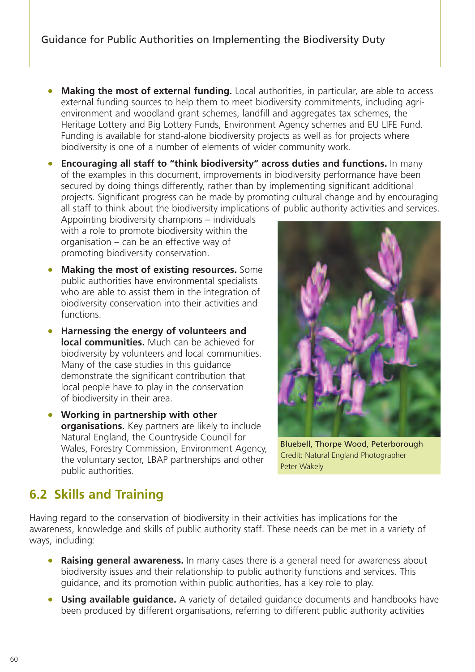- **Making the most of external funding.** Local authorities, in particular, are able to access external funding sources to help them to meet biodiversity commitments, including agrienvironment and woodland grant schemes, landfill and aggregates tax schemes, the Heritage Lottery and Big Lottery Funds, Environment Agency schemes and EU LIFE Fund. Funding is available for stand-alone biodiversity projects as well as for projects where biodiversity is one of a number of elements of wider community work.
- **Encouraging all staff to "think biodiversity" across duties and functions.** In many of the examples in this document, improvements in biodiversity performance have been secured by doing things differently, rather than by implementing significant additional projects. Significant progress can be made by promoting cultural change and by encouraging all staff to think about the biodiversity implications of public authority activities and services.

Appointing biodiversity champions – individuals with a role to promote biodiversity within the organisation – can be an effective way of promoting biodiversity conservation.

- **Making the most of existing resources.** Some public authorities have environmental specialists who are able to assist them in the integration of biodiversity conservation into their activities and functions.
- **Harnessing the energy of volunteers and local communities.** Much can be achieved for biodiversity by volunteers and local communities. Many of the case studies in this guidance demonstrate the significant contribution that local people have to play in the conservation of biodiversity in their area.
- **Working in partnership with other organisations.** Key partners are likely to include Natural England, the Countryside Council for Wales, Forestry Commission, Environment Agency, the voluntary sector, LBAP partnerships and other public authorities.



Bluebell, Thorpe Wood, Peterborough Credit: Natural England Photographer Peter Wakely

# **6.2 Skills and Training**

Having regard to the conservation of biodiversity in their activities has implications for the awareness, knowledge and skills of public authority staff. These needs can be met in a variety of ways, including:

- **Raising general awareness.** In many cases there is a general need for awareness about biodiversity issues and their relationship to public authority functions and services. This guidance, and its promotion within public authorities, has a key role to play.
- **Using available guidance.** A variety of detailed guidance documents and handbooks have been produced by different organisations, referring to different public authority activities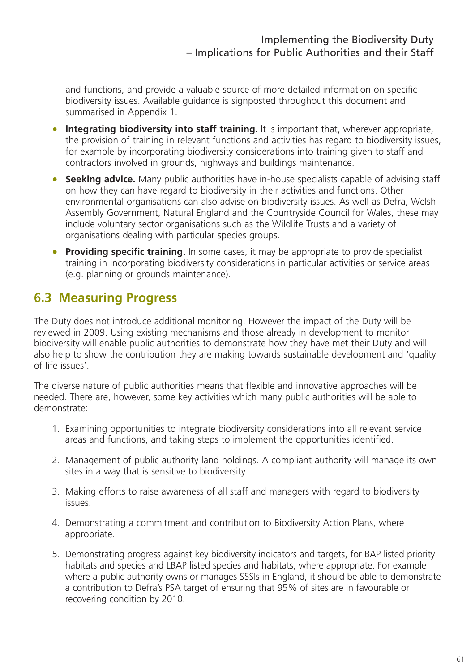and functions, and provide a valuable source of more detailed information on specific biodiversity issues. Available guidance is signposted throughout this document and summarised in Appendix 1.

- **Integrating biodiversity into staff training.** It is important that, wherever appropriate, the provision of training in relevant functions and activities has regard to biodiversity issues, for example by incorporating biodiversity considerations into training given to staff and contractors involved in grounds, highways and buildings maintenance.
- **Seeking advice.** Many public authorities have in-house specialists capable of advising staff on how they can have regard to biodiversity in their activities and functions. Other environmental organisations can also advise on biodiversity issues. As well as Defra, Welsh Assembly Government, Natural England and the Countryside Council for Wales, these may include voluntary sector organisations such as the Wildlife Trusts and a variety of organisations dealing with particular species groups.
- **Providing specific training.** In some cases, it may be appropriate to provide specialist training in incorporating biodiversity considerations in particular activities or service areas (e.g. planning or grounds maintenance).

# **6.3 Measuring Progress**

The Duty does not introduce additional monitoring. However the impact of the Duty will be reviewed in 2009. Using existing mechanisms and those already in development to monitor biodiversity will enable public authorities to demonstrate how they have met their Duty and will also help to show the contribution they are making towards sustainable development and 'quality of life issues'.

The diverse nature of public authorities means that flexible and innovative approaches will be needed. There are, however, some key activities which many public authorities will be able to demonstrate:

- 1. Examining opportunities to integrate biodiversity considerations into all relevant service areas and functions, and taking steps to implement the opportunities identified.
- 2. Management of public authority land holdings. A compliant authority will manage its own sites in a way that is sensitive to biodiversity.
- 3. Making efforts to raise awareness of all staff and managers with regard to biodiversity issues.
- 4. Demonstrating a commitment and contribution to Biodiversity Action Plans, where appropriate.
- 5. Demonstrating progress against key biodiversity indicators and targets, for BAP listed priority habitats and species and LBAP listed species and habitats, where appropriate. For example where a public authority owns or manages SSSIs in England, it should be able to demonstrate a contribution to Defra's PSA target of ensuring that 95% of sites are in favourable or recovering condition by 2010.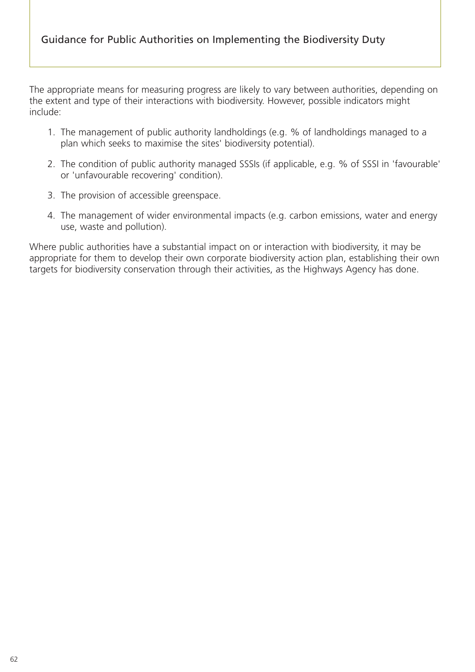The appropriate means for measuring progress are likely to vary between authorities, depending on the extent and type of their interactions with biodiversity. However, possible indicators might include:

- 1. The management of public authority landholdings (e.g. % of landholdings managed to a plan which seeks to maximise the sites' biodiversity potential).
- 2. The condition of public authority managed SSSIs (if applicable, e.g. % of SSSI in 'favourable' or 'unfavourable recovering' condition).
- 3. The provision of accessible greenspace.
- 4. The management of wider environmental impacts (e.g. carbon emissions, water and energy use, waste and pollution).

Where public authorities have a substantial impact on or interaction with biodiversity, it may be appropriate for them to develop their own corporate biodiversity action plan, establishing their own targets for biodiversity conservation through their activities, as the Highways Agency has done.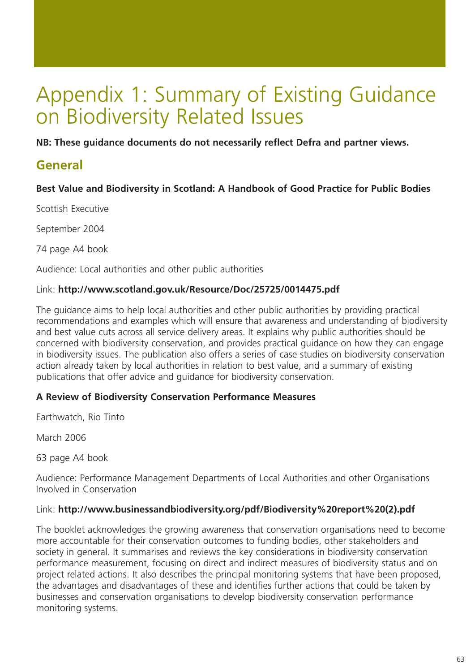# Appendix 1: Summary of Existing Guidance on Biodiversity Related Issues

**NB: These guidance documents do not necessarily reflect Defra and partner views.**

# **General**

## **Best Value and Biodiversity in Scotland: A Handbook of Good Practice for Public Bodies**

Scottish Executive

September 2004

74 page A4 book

Audience: Local authorities and other public authorities

#### Link: **http://www.scotland.gov.uk/Resource/Doc/25725/0014475.pdf**

The guidance aims to help local authorities and other public authorities by providing practical recommendations and examples which will ensure that awareness and understanding of biodiversity and best value cuts across all service delivery areas. It explains why public authorities should be concerned with biodiversity conservation, and provides practical guidance on how they can engage in biodiversity issues. The publication also offers a series of case studies on biodiversity conservation action already taken by local authorities in relation to best value, and a summary of existing publications that offer advice and guidance for biodiversity conservation.

#### **A Review of Biodiversity Conservation Performance Measures**

Earthwatch, Rio Tinto

March 2006

63 page A4 book

Audience: Performance Management Departments of Local Authorities and other Organisations Involved in Conservation

#### Link: **http://www.businessandbiodiversity.org/pdf/Biodiversity%20report%20(2).pdf**

The booklet acknowledges the growing awareness that conservation organisations need to become more accountable for their conservation outcomes to funding bodies, other stakeholders and society in general. It summarises and reviews the key considerations in biodiversity conservation performance measurement, focusing on direct and indirect measures of biodiversity status and on project related actions. It also describes the principal monitoring systems that have been proposed, the advantages and disadvantages of these and identifies further actions that could be taken by businesses and conservation organisations to develop biodiversity conservation performance monitoring systems.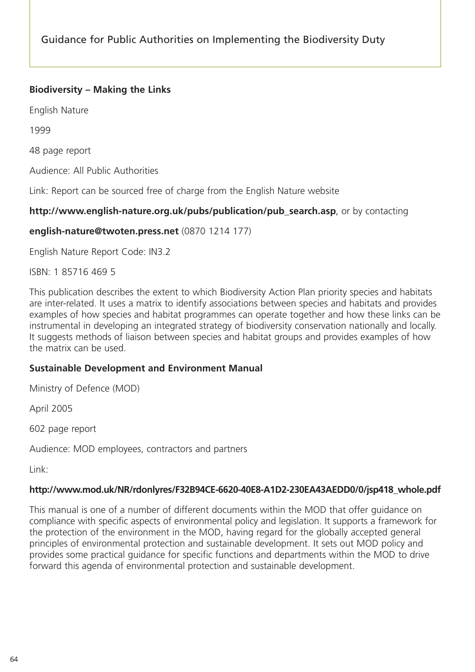## **Biodiversity – Making the Links**

English Nature

1999

48 page report

Audience: All Public Authorities

Link: Report can be sourced free of charge from the English Nature website

#### **http://www.english-nature.org.uk/pubs/publication/pub\_search.asp**, or by contacting

#### **english-nature@twoten.press.net** (0870 1214 177)

English Nature Report Code: IN3.2

ISBN: 1 85716 469 5

This publication describes the extent to which Biodiversity Action Plan priority species and habitats are inter-related. It uses a matrix to identify associations between species and habitats and provides examples of how species and habitat programmes can operate together and how these links can be instrumental in developing an integrated strategy of biodiversity conservation nationally and locally. It suggests methods of liaison between species and habitat groups and provides examples of how the matrix can be used.

#### **Sustainable Development and Environment Manual**

Ministry of Defence (MOD)

April 2005

602 page report

Audience: MOD employees, contractors and partners

Link:

#### **http://www.mod.uk/NR/rdonlyres/F32B94CE-6620-40E8-A1D2-230EA43AEDD0/0/jsp418\_whole.pdf**

This manual is one of a number of different documents within the MOD that offer guidance on compliance with specific aspects of environmental policy and legislation. It supports a framework for the protection of the environment in the MOD, having regard for the globally accepted general principles of environmental protection and sustainable development. It sets out MOD policy and provides some practical guidance for specific functions and departments within the MOD to drive forward this agenda of environmental protection and sustainable development.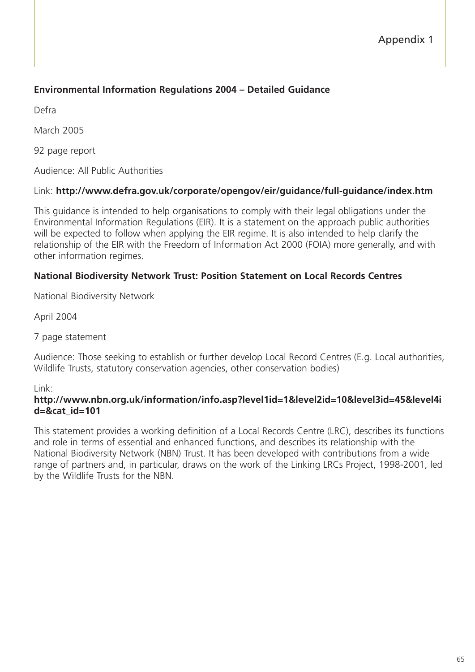## **Environmental Information Regulations 2004 – Detailed Guidance**

Defra

March 2005

92 page report

Audience: All Public Authorities

## Link: **http://www.defra.gov.uk/corporate/opengov/eir/guidance/full-guidance/index.htm**

This guidance is intended to help organisations to comply with their legal obligations under the Environmental Information Regulations (EIR). It is a statement on the approach public authorities will be expected to follow when applying the EIR regime. It is also intended to help clarify the relationship of the EIR with the Freedom of Information Act 2000 (FOIA) more generally, and with other information regimes.

## **National Biodiversity Network Trust: Position Statement on Local Records Centres**

National Biodiversity Network

April 2004

7 page statement

Audience: Those seeking to establish or further develop Local Record Centres (E.g. Local authorities, Wildlife Trusts, statutory conservation agencies, other conservation bodies)

#### Link:

#### **http://www.nbn.org.uk/information/info.asp?level1id=1&level2id=10&level3id=45&level4i d=&cat\_id=101**

This statement provides a working definition of a Local Records Centre (LRC), describes its functions and role in terms of essential and enhanced functions, and describes its relationship with the National Biodiversity Network (NBN) Trust. It has been developed with contributions from a wide range of partners and, in particular, draws on the work of the Linking LRCs Project, 1998-2001, led by the Wildlife Trusts for the NBN.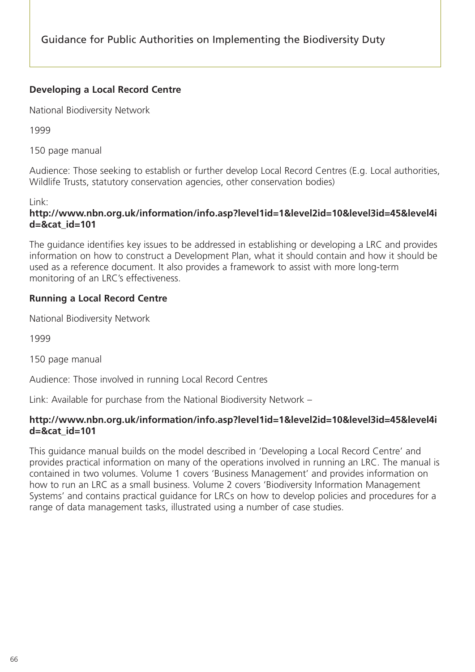## **Developing a Local Record Centre**

National Biodiversity Network

1999

150 page manual

Audience: Those seeking to establish or further develop Local Record Centres (E.g. Local authorities, Wildlife Trusts, statutory conservation agencies, other conservation bodies)

Link:

## **http://www.nbn.org.uk/information/info.asp?level1id=1&level2id=10&level3id=45&level4i d=&cat\_id=101**

The guidance identifies key issues to be addressed in establishing or developing a LRC and provides information on how to construct a Development Plan, what it should contain and how it should be used as a reference document. It also provides a framework to assist with more long-term monitoring of an LRC's effectiveness.

## **Running a Local Record Centre**

National Biodiversity Network

1999

150 page manual

Audience: Those involved in running Local Record Centres

Link: Available for purchase from the National Biodiversity Network –

## **http://www.nbn.org.uk/information/info.asp?level1id=1&level2id=10&level3id=45&level4i d=&cat\_id=101**

This guidance manual builds on the model described in 'Developing a Local Record Centre' and provides practical information on many of the operations involved in running an LRC. The manual is contained in two volumes. Volume 1 covers 'Business Management' and provides information on how to run an LRC as a small business. Volume 2 covers 'Biodiversity Information Management Systems' and contains practical guidance for LRCs on how to develop policies and procedures for a range of data management tasks, illustrated using a number of case studies.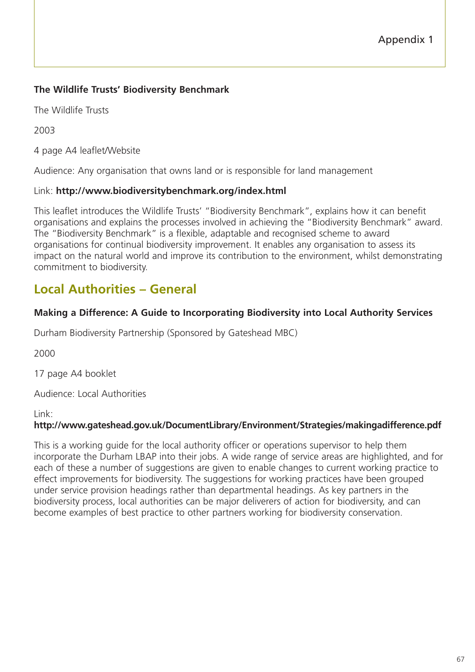## **The Wildlife Trusts' Biodiversity Benchmark**

The Wildlife Trusts

2003

4 page A4 leaflet/Website

Audience: Any organisation that owns land or is responsible for land management

#### Link: **http://www.biodiversitybenchmark.org/index.html**

This leaflet introduces the Wildlife Trusts' "Biodiversity Benchmark", explains how it can benefit organisations and explains the processes involved in achieving the "Biodiversity Benchmark" award. The "Biodiversity Benchmark" is a flexible, adaptable and recognised scheme to award organisations for continual biodiversity improvement. It enables any organisation to assess its impact on the natural world and improve its contribution to the environment, whilst demonstrating commitment to biodiversity.

# **Local Authorities – General**

## **Making a Difference: A Guide to Incorporating Biodiversity into Local Authority Services**

Durham Biodiversity Partnership (Sponsored by Gateshead MBC)

2000

17 page A4 booklet

Audience: Local Authorities

Link:

## **http://www.gateshead.gov.uk/DocumentLibrary/Environment/Strategies/makingadifference.pdf**

This is a working guide for the local authority officer or operations supervisor to help them incorporate the Durham LBAP into their jobs. A wide range of service areas are highlighted, and for each of these a number of suggestions are given to enable changes to current working practice to effect improvements for biodiversity. The suggestions for working practices have been grouped under service provision headings rather than departmental headings. As key partners in the biodiversity process, local authorities can be major deliverers of action for biodiversity, and can become examples of best practice to other partners working for biodiversity conservation.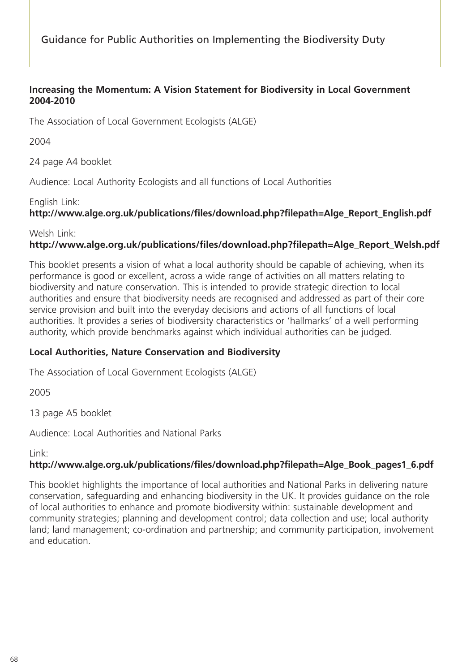#### **Increasing the Momentum: A Vision Statement for Biodiversity in Local Government 2004-2010**

The Association of Local Government Ecologists (ALGE)

2004

24 page A4 booklet

Audience: Local Authority Ecologists and all functions of Local Authorities

#### English Link:

# **http://www.alge.org.uk/publications/files/download.php?filepath=Alge\_Report\_English.pdf**

Welsh Link:

## **http://www.alge.org.uk/publications/files/download.php?filepath=Alge\_Report\_Welsh.pdf**

This booklet presents a vision of what a local authority should be capable of achieving, when its performance is good or excellent, across a wide range of activities on all matters relating to biodiversity and nature conservation. This is intended to provide strategic direction to local authorities and ensure that biodiversity needs are recognised and addressed as part of their core service provision and built into the everyday decisions and actions of all functions of local authorities. It provides a series of biodiversity characteristics or 'hallmarks' of a well performing authority, which provide benchmarks against which individual authorities can be judged.

## **Local Authorities, Nature Conservation and Biodiversity**

The Association of Local Government Ecologists (ALGE)

2005

13 page A5 booklet

Audience: Local Authorities and National Parks

Link:

## **http://www.alge.org.uk/publications/files/download.php?filepath=Alge\_Book\_pages1\_6.pdf**

This booklet highlights the importance of local authorities and National Parks in delivering nature conservation, safeguarding and enhancing biodiversity in the UK. It provides guidance on the role of local authorities to enhance and promote biodiversity within: sustainable development and community strategies; planning and development control; data collection and use; local authority land; land management; co-ordination and partnership; and community participation, involvement and education.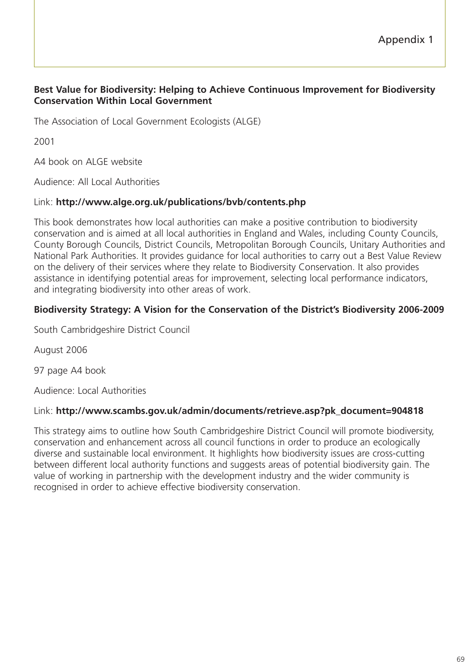#### **Best Value for Biodiversity: Helping to Achieve Continuous Improvement for Biodiversity Conservation Within Local Government**

The Association of Local Government Ecologists (ALGE)

2001

A4 book on ALGE website

Audience: All Local Authorities

#### Link: **http://www.alge.org.uk/publications/bvb/contents.php**

This book demonstrates how local authorities can make a positive contribution to biodiversity conservation and is aimed at all local authorities in England and Wales, including County Councils, County Borough Councils, District Councils, Metropolitan Borough Councils, Unitary Authorities and National Park Authorities. It provides guidance for local authorities to carry out a Best Value Review on the delivery of their services where they relate to Biodiversity Conservation. It also provides assistance in identifying potential areas for improvement, selecting local performance indicators, and integrating biodiversity into other areas of work.

#### **Biodiversity Strategy: A Vision for the Conservation of the District's Biodiversity 2006-2009**

South Cambridgeshire District Council

August 2006

97 page A4 book

Audience: Local Authorities

#### Link: **http://www.scambs.gov.uk/admin/documents/retrieve.asp?pk\_document=904818**

This strategy aims to outline how South Cambridgeshire District Council will promote biodiversity, conservation and enhancement across all council functions in order to produce an ecologically diverse and sustainable local environment. It highlights how biodiversity issues are cross-cutting between different local authority functions and suggests areas of potential biodiversity gain. The value of working in partnership with the development industry and the wider community is recognised in order to achieve effective biodiversity conservation.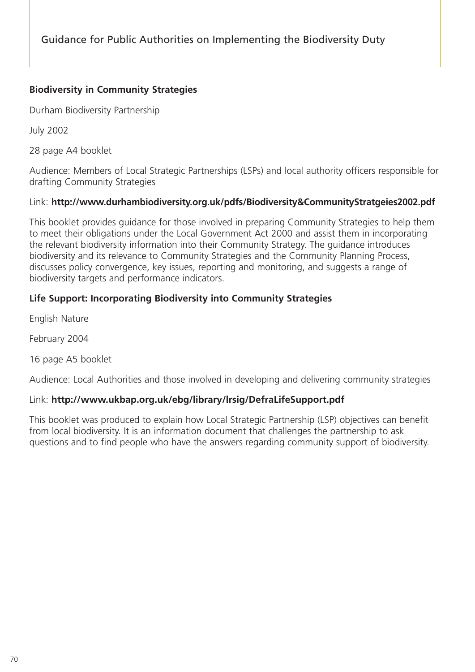## **Biodiversity in Community Strategies**

Durham Biodiversity Partnership

July 2002

28 page A4 booklet

Audience: Members of Local Strategic Partnerships (LSPs) and local authority officers responsible for drafting Community Strategies

### Link: **http://www.durhambiodiversity.org.uk/pdfs/Biodiversity&CommunityStratgeies2002.pdf**

This booklet provides guidance for those involved in preparing Community Strategies to help them to meet their obligations under the Local Government Act 2000 and assist them in incorporating the relevant biodiversity information into their Community Strategy. The guidance introduces biodiversity and its relevance to Community Strategies and the Community Planning Process, discusses policy convergence, key issues, reporting and monitoring, and suggests a range of biodiversity targets and performance indicators.

## **Life Support: Incorporating Biodiversity into Community Strategies**

English Nature

February 2004

16 page A5 booklet

Audience: Local Authorities and those involved in developing and delivering community strategies

### Link: **http://www.ukbap.org.uk/ebg/library/lrsig/DefraLifeSupport.pdf**

This booklet was produced to explain how Local Strategic Partnership (LSP) objectives can benefit from local biodiversity. It is an information document that challenges the partnership to ask questions and to find people who have the answers regarding community support of biodiversity.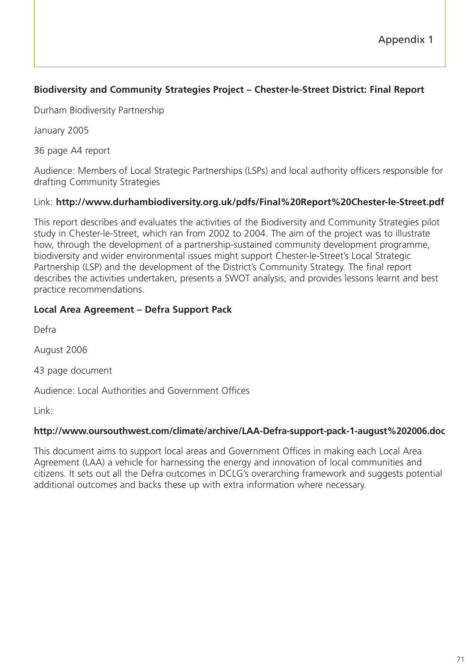# **Biodiversity and Community Strategies Project – Chester-le-Street District: Final Report**

Durham Biodiversity Partnership

January 2005

36 page A4 report

Audience: Members of Local Strategic Partnerships (LSPs) and local authority officers responsible for drafting Community Strategies

## Link: **http://www.durhambiodiversity.org.uk/pdfs/Final%20Report%20Chester-le-Street.pdf**

This report describes and evaluates the activities of the Biodiversity and Community Strategies pilot study in Chester-le-Street, which ran from 2002 to 2004. The aim of the project was to illustrate how, through the development of a partnership-sustained community development programme, biodiversity and wider environmental issues might support Chester-le-Street's Local Strategic Partnership (LSP) and the development of the District's Community Strategy. The final report describes the activities undertaken, presents a SWOT analysis, and provides lessons learnt and best practice recommendations.

## **Local Area Agreement – Defra Support Pack**

Defra

August 2006

43 page document

Audience: Local Authorities and Government Offices

Link:

### **http://www.oursouthwest.com/climate/archive/LAA-Defra-support-pack-1-august%202006.doc**

This document aims to support local areas and Government Offices in making each Local Area Agreement (LAA) a vehicle for harnessing the energy and innovation of local communities and citizens. It sets out all the Defra outcomes in DCLG's overarching framework and suggests potential additional outcomes and backs these up with extra information where necessary.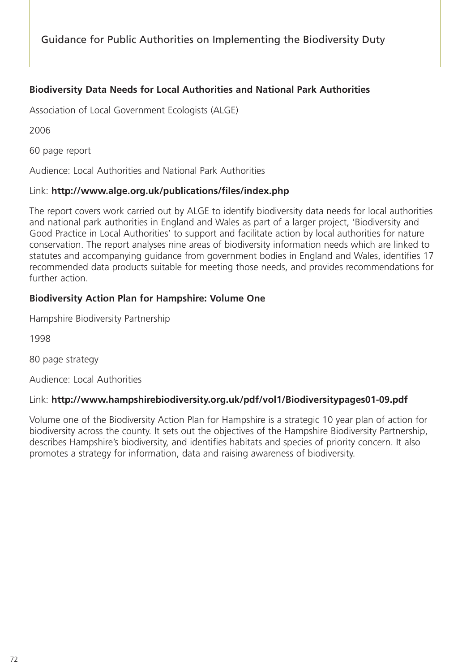## **Biodiversity Data Needs for Local Authorities and National Park Authorities**

Association of Local Government Ecologists (ALGE)

2006

60 page report

Audience: Local Authorities and National Park Authorities

#### Link: **http://www.alge.org.uk/publications/files/index.php**

The report covers work carried out by ALGE to identify biodiversity data needs for local authorities and national park authorities in England and Wales as part of a larger project, 'Biodiversity and Good Practice in Local Authorities' to support and facilitate action by local authorities for nature conservation. The report analyses nine areas of biodiversity information needs which are linked to statutes and accompanying guidance from government bodies in England and Wales, identifies 17 recommended data products suitable for meeting those needs, and provides recommendations for further action.

### **Biodiversity Action Plan for Hampshire: Volume One**

Hampshire Biodiversity Partnership

1998

80 page strategy

Audience: Local Authorities

### Link: **http://www.hampshirebiodiversity.org.uk/pdf/vol1/Biodiversitypages01-09.pdf**

Volume one of the Biodiversity Action Plan for Hampshire is a strategic 10 year plan of action for biodiversity across the county. It sets out the objectives of the Hampshire Biodiversity Partnership, describes Hampshire's biodiversity, and identifies habitats and species of priority concern. It also promotes a strategy for information, data and raising awareness of biodiversity.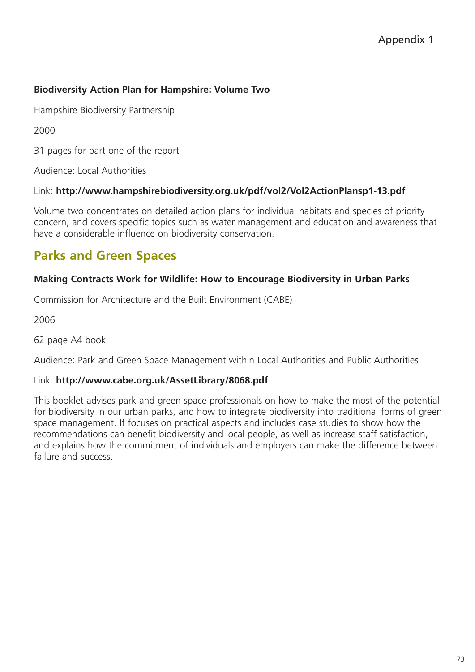# **Biodiversity Action Plan for Hampshire: Volume Two**

Hampshire Biodiversity Partnership

2000

31 pages for part one of the report

Audience: Local Authorities

### Link: **http://www.hampshirebiodiversity.org.uk/pdf/vol2/Vol2ActionPlansp1-13.pdf**

Volume two concentrates on detailed action plans for individual habitats and species of priority concern, and covers specific topics such as water management and education and awareness that have a considerable influence on biodiversity conservation.

# **Parks and Green Spaces**

# **Making Contracts Work for Wildlife: How to Encourage Biodiversity in Urban Parks**

Commission for Architecture and the Built Environment (CABE)

2006

62 page A4 book

Audience: Park and Green Space Management within Local Authorities and Public Authorities

### Link: **http://www.cabe.org.uk/AssetLibrary/8068.pdf**

This booklet advises park and green space professionals on how to make the most of the potential for biodiversity in our urban parks, and how to integrate biodiversity into traditional forms of green space management. If focuses on practical aspects and includes case studies to show how the recommendations can benefit biodiversity and local people, as well as increase staff satisfaction, and explains how the commitment of individuals and employers can make the difference between failure and success.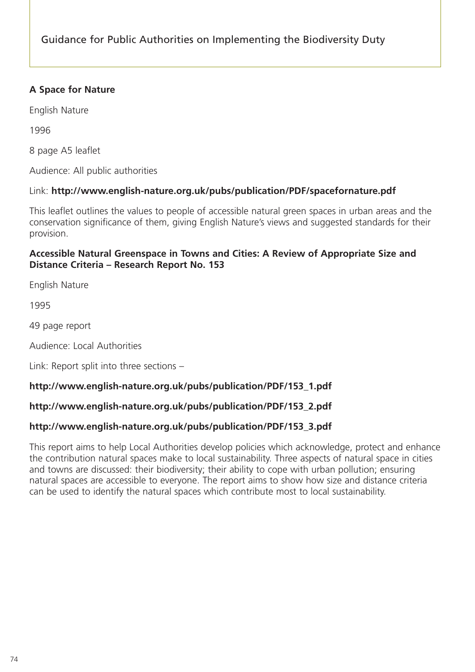# **A Space for Nature**

English Nature

1996

8 page A5 leaflet

Audience: All public authorities

### Link: **http://www.english-nature.org.uk/pubs/publication/PDF/spacefornature.pdf**

This leaflet outlines the values to people of accessible natural green spaces in urban areas and the conservation significance of them, giving English Nature's views and suggested standards for their provision.

#### **Accessible Natural Greenspace in Towns and Cities: A Review of Appropriate Size and Distance Criteria – Research Report No. 153**

English Nature

1995

49 page report

Audience: Local Authorities

Link: Report split into three sections –

### **http://www.english-nature.org.uk/pubs/publication/PDF/153\_1.pdf**

### **http://www.english-nature.org.uk/pubs/publication/PDF/153\_2.pdf**

### **http://www.english-nature.org.uk/pubs/publication/PDF/153\_3.pdf**

This report aims to help Local Authorities develop policies which acknowledge, protect and enhance the contribution natural spaces make to local sustainability. Three aspects of natural space in cities and towns are discussed: their biodiversity; their ability to cope with urban pollution; ensuring natural spaces are accessible to everyone. The report aims to show how size and distance criteria can be used to identify the natural spaces which contribute most to local sustainability.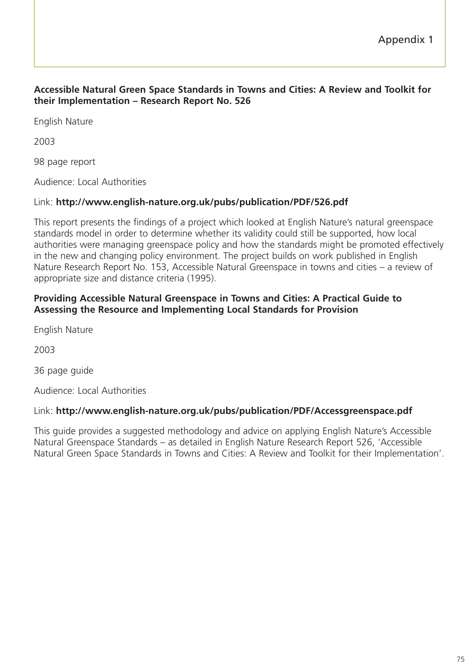#### **Accessible Natural Green Space Standards in Towns and Cities: A Review and Toolkit for their Implementation – Research Report No. 526**

English Nature

2003

98 page report

Audience: Local Authorities

### Link: **http://www.english-nature.org.uk/pubs/publication/PDF/526.pdf**

This report presents the findings of a project which looked at English Nature's natural greenspace standards model in order to determine whether its validity could still be supported, how local authorities were managing greenspace policy and how the standards might be promoted effectively in the new and changing policy environment. The project builds on work published in English Nature Research Report No. 153, Accessible Natural Greenspace in towns and cities – a review of appropriate size and distance criteria (1995).

#### **Providing Accessible Natural Greenspace in Towns and Cities: A Practical Guide to Assessing the Resource and Implementing Local Standards for Provision**

English Nature

2003

36 page guide

Audience: Local Authorities

### Link: **http://www.english-nature.org.uk/pubs/publication/PDF/Accessgreenspace.pdf**

This guide provides a suggested methodology and advice on applying English Nature's Accessible Natural Greenspace Standards – as detailed in English Nature Research Report 526, 'Accessible Natural Green Space Standards in Towns and Cities: A Review and Toolkit for their Implementation'.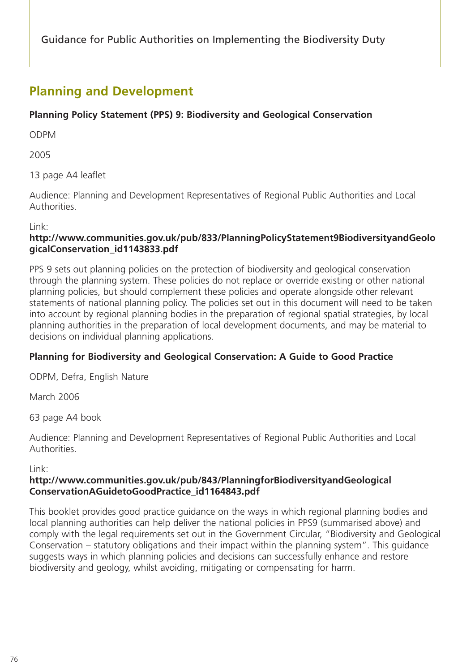# **Planning and Development**

# **Planning Policy Statement (PPS) 9: Biodiversity and Geological Conservation**

ODPM

2005

13 page A4 leaflet

Audience: Planning and Development Representatives of Regional Public Authorities and Local Authorities.

Link:

### **http://www.communities.gov.uk/pub/833/PlanningPolicyStatement9BiodiversityandGeolo gicalConservation\_id1143833.pdf**

PPS 9 sets out planning policies on the protection of biodiversity and geological conservation through the planning system. These policies do not replace or override existing or other national planning policies, but should complement these policies and operate alongside other relevant statements of national planning policy. The policies set out in this document will need to be taken into account by regional planning bodies in the preparation of regional spatial strategies, by local planning authorities in the preparation of local development documents, and may be material to decisions on individual planning applications.

# **Planning for Biodiversity and Geological Conservation: A Guide to Good Practice**

ODPM, Defra, English Nature

March 2006

63 page A4 book

Audience: Planning and Development Representatives of Regional Public Authorities and Local Authorities.

### Link:

## **http://www.communities.gov.uk/pub/843/PlanningforBiodiversityandGeological ConservationAGuidetoGoodPractice\_id1164843.pdf**

This booklet provides good practice guidance on the ways in which regional planning bodies and local planning authorities can help deliver the national policies in PPS9 (summarised above) and comply with the legal requirements set out in the Government Circular, "Biodiversity and Geological Conservation – statutory obligations and their impact within the planning system". This guidance suggests ways in which planning policies and decisions can successfully enhance and restore biodiversity and geology, whilst avoiding, mitigating or compensating for harm.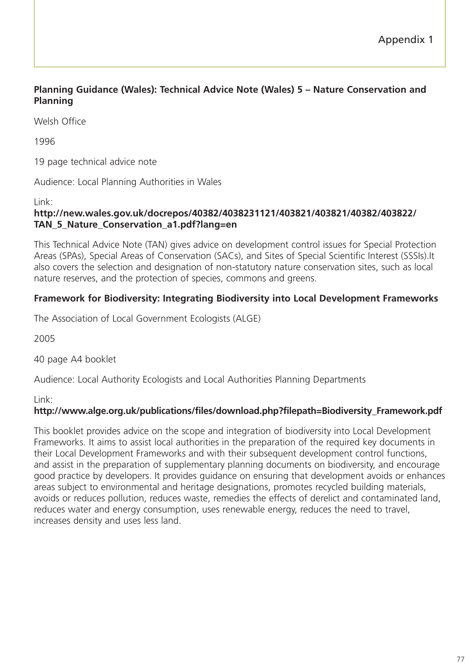## **Planning Guidance (Wales): Technical Advice Note (Wales) 5 – Nature Conservation and Planning**

Welsh Office

1996

19 page technical advice note

Audience: Local Planning Authorities in Wales

Link:

#### **http://new.wales.gov.uk/docrepos/40382/4038231121/403821/403821/40382/403822/ TAN\_5\_Nature\_Conservation\_a1.pdf?lang=en**

This Technical Advice Note (TAN) gives advice on development control issues for Special Protection Areas (SPAs), Special Areas of Conservation (SACs), and Sites of Special Scientific Interest (SSSIs).It also covers the selection and designation of non-statutory nature conservation sites, such as local nature reserves, and the protection of species, commons and greens.

### **Framework for Biodiversity: Integrating Biodiversity into Local Development Frameworks**

The Association of Local Government Ecologists (ALGE)

2005

40 page A4 booklet

Audience: Local Authority Ecologists and Local Authorities Planning Departments

Link:

#### **http://www.alge.org.uk/publications/files/download.php?filepath=Biodiversity\_Framework.pdf**

This booklet provides advice on the scope and integration of biodiversity into Local Development Frameworks. It aims to assist local authorities in the preparation of the required key documents in their Local Development Frameworks and with their subsequent development control functions, and assist in the preparation of supplementary planning documents on biodiversity, and encourage good practice by developers. It provides guidance on ensuring that development avoids or enhances areas subject to environmental and heritage designations, promotes recycled building materials, avoids or reduces pollution, reduces waste, remedies the effects of derelict and contaminated land, reduces water and energy consumption, uses renewable energy, reduces the need to travel, increases density and uses less land.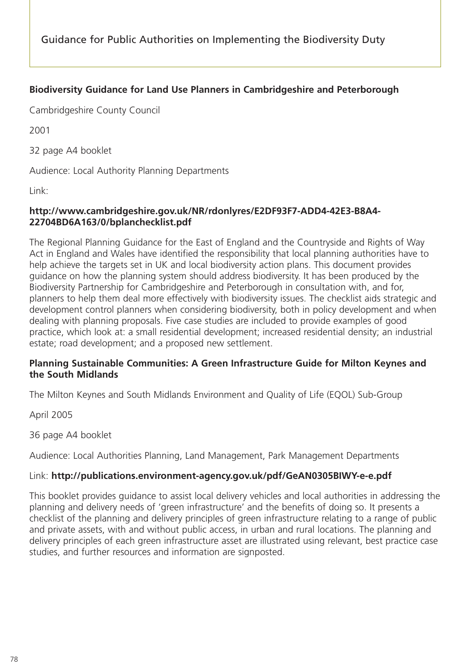# **Biodiversity Guidance for Land Use Planners in Cambridgeshire and Peterborough**

Cambridgeshire County Council

2001

32 page A4 booklet

Audience: Local Authority Planning Departments

Link:

### **http://www.cambridgeshire.gov.uk/NR/rdonlyres/E2DF93F7-ADD4-42E3-B8A4- 22704BD6A163/0/bplanchecklist.pdf**

The Regional Planning Guidance for the East of England and the Countryside and Rights of Way Act in England and Wales have identified the responsibility that local planning authorities have to help achieve the targets set in UK and local biodiversity action plans. This document provides guidance on how the planning system should address biodiversity. It has been produced by the Biodiversity Partnership for Cambridgeshire and Peterborough in consultation with, and for, planners to help them deal more effectively with biodiversity issues. The checklist aids strategic and development control planners when considering biodiversity, both in policy development and when dealing with planning proposals. Five case studies are included to provide examples of good practice, which look at: a small residential development; increased residential density; an industrial estate; road development; and a proposed new settlement.

### **Planning Sustainable Communities: A Green Infrastructure Guide for Milton Keynes and the South Midlands**

The Milton Keynes and South Midlands Environment and Quality of Life (EQOL) Sub-Group

April 2005

36 page A4 booklet

Audience: Local Authorities Planning, Land Management, Park Management Departments

### Link: **http://publications.environment-agency.gov.uk/pdf/GeAN0305BIWY-e-e.pdf**

This booklet provides guidance to assist local delivery vehicles and local authorities in addressing the planning and delivery needs of 'green infrastructure' and the benefits of doing so. It presents a checklist of the planning and delivery principles of green infrastructure relating to a range of public and private assets, with and without public access, in urban and rural locations. The planning and delivery principles of each green infrastructure asset are illustrated using relevant, best practice case studies, and further resources and information are signposted.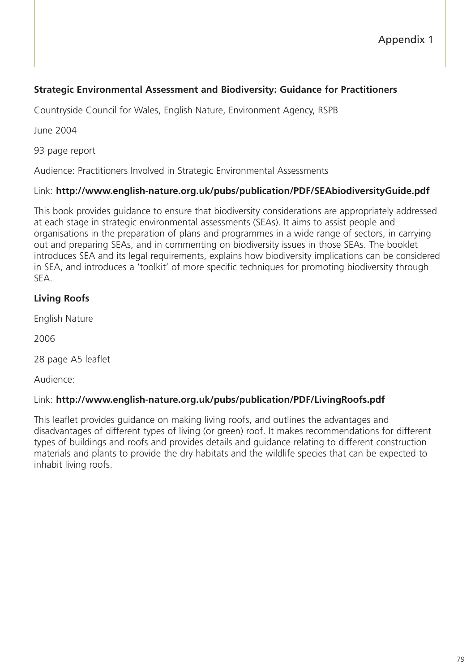# **Strategic Environmental Assessment and Biodiversity: Guidance for Practitioners**

Countryside Council for Wales, English Nature, Environment Agency, RSPB

June 2004

93 page report

Audience: Practitioners Involved in Strategic Environmental Assessments

# Link: **http://www.english-nature.org.uk/pubs/publication/PDF/SEAbiodiversityGuide.pdf**

This book provides guidance to ensure that biodiversity considerations are appropriately addressed at each stage in strategic environmental assessments (SEAs). It aims to assist people and organisations in the preparation of plans and programmes in a wide range of sectors, in carrying out and preparing SEAs, and in commenting on biodiversity issues in those SEAs. The booklet introduces SEA and its legal requirements, explains how biodiversity implications can be considered in SEA, and introduces a 'toolkit' of more specific techniques for promoting biodiversity through SEA.

# **Living Roofs**

English Nature

2006

28 page A5 leaflet

Audience:

### Link: **http://www.english-nature.org.uk/pubs/publication/PDF/LivingRoofs.pdf**

This leaflet provides guidance on making living roofs, and outlines the advantages and disadvantages of different types of living (or green) roof. It makes recommendations for different types of buildings and roofs and provides details and guidance relating to different construction materials and plants to provide the dry habitats and the wildlife species that can be expected to inhabit living roofs.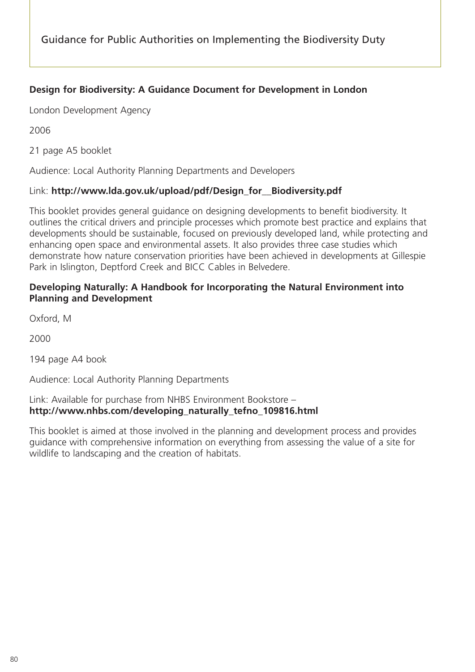# **Design for Biodiversity: A Guidance Document for Development in London**

London Development Agency

2006

21 page A5 booklet

Audience: Local Authority Planning Departments and Developers

#### Link: **http://www.lda.gov.uk/upload/pdf/Design\_for\_\_Biodiversity.pdf**

This booklet provides general guidance on designing developments to benefit biodiversity. It outlines the critical drivers and principle processes which promote best practice and explains that developments should be sustainable, focused on previously developed land, while protecting and enhancing open space and environmental assets. It also provides three case studies which demonstrate how nature conservation priorities have been achieved in developments at Gillespie Park in Islington, Deptford Creek and BICC Cables in Belvedere.

#### **Developing Naturally: A Handbook for Incorporating the Natural Environment into Planning and Development**

Oxford, M

2000

194 page A4 book

Audience: Local Authority Planning Departments

#### Link: Available for purchase from NHBS Environment Bookstore – **http://www.nhbs.com/developing\_naturally\_tefno\_109816.html**

This booklet is aimed at those involved in the planning and development process and provides guidance with comprehensive information on everything from assessing the value of a site for wildlife to landscaping and the creation of habitats.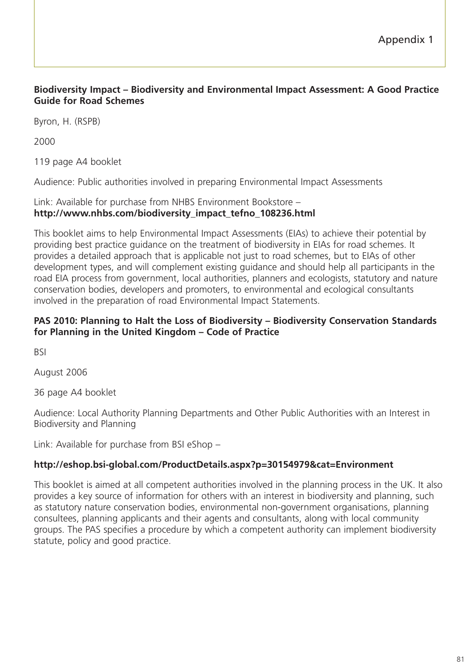### **Biodiversity Impact – Biodiversity and Environmental Impact Assessment: A Good Practice Guide for Road Schemes**

Byron, H. (RSPB)

2000

119 page A4 booklet

Audience: Public authorities involved in preparing Environmental Impact Assessments

### Link: Available for purchase from NHBS Environment Bookstore – **http://www.nhbs.com/biodiversity\_impact\_tefno\_108236.html**

This booklet aims to help Environmental Impact Assessments (EIAs) to achieve their potential by providing best practice guidance on the treatment of biodiversity in EIAs for road schemes. It provides a detailed approach that is applicable not just to road schemes, but to EIAs of other development types, and will complement existing guidance and should help all participants in the road EIA process from government, local authorities, planners and ecologists, statutory and nature conservation bodies, developers and promoters, to environmental and ecological consultants involved in the preparation of road Environmental Impact Statements.

#### **PAS 2010: Planning to Halt the Loss of Biodiversity – Biodiversity Conservation Standards for Planning in the United Kingdom – Code of Practice**

BSI

August 2006

36 page A4 booklet

Audience: Local Authority Planning Departments and Other Public Authorities with an Interest in Biodiversity and Planning

Link: Available for purchase from BSI eShop –

### **http://eshop.bsi-global.com/ProductDetails.aspx?p=30154979&cat=Environment**

This booklet is aimed at all competent authorities involved in the planning process in the UK. It also provides a key source of information for others with an interest in biodiversity and planning, such as statutory nature conservation bodies, environmental non-government organisations, planning consultees, planning applicants and their agents and consultants, along with local community groups. The PAS specifies a procedure by which a competent authority can implement biodiversity statute, policy and good practice.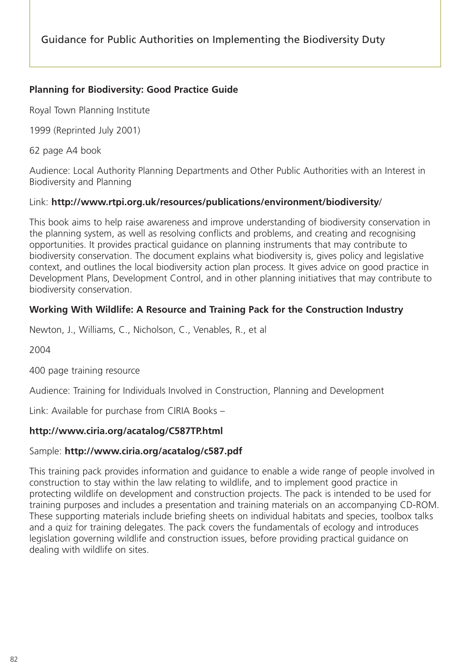### **Planning for Biodiversity: Good Practice Guide**

Royal Town Planning Institute

1999 (Reprinted July 2001)

62 page A4 book

Audience: Local Authority Planning Departments and Other Public Authorities with an Interest in Biodiversity and Planning

### Link: **http://www.rtpi.org.uk/resources/publications/environment/biodiversity**/

This book aims to help raise awareness and improve understanding of biodiversity conservation in the planning system, as well as resolving conflicts and problems, and creating and recognising opportunities. It provides practical guidance on planning instruments that may contribute to biodiversity conservation. The document explains what biodiversity is, gives policy and legislative context, and outlines the local biodiversity action plan process. It gives advice on good practice in Development Plans, Development Control, and in other planning initiatives that may contribute to biodiversity conservation.

## **Working With Wildlife: A Resource and Training Pack for the Construction Industry**

Newton, J., Williams, C., Nicholson, C., Venables, R., et al

2004

400 page training resource

Audience: Training for Individuals Involved in Construction, Planning and Development

Link: Available for purchase from CIRIA Books –

### **http://www.ciria.org/acatalog/C587TP.html**

### Sample: **http://www.ciria.org/acatalog/c587.pdf**

This training pack provides information and guidance to enable a wide range of people involved in construction to stay within the law relating to wildlife, and to implement good practice in protecting wildlife on development and construction projects. The pack is intended to be used for training purposes and includes a presentation and training materials on an accompanying CD-ROM. These supporting materials include briefing sheets on individual habitats and species, toolbox talks and a quiz for training delegates. The pack covers the fundamentals of ecology and introduces legislation governing wildlife and construction issues, before providing practical guidance on dealing with wildlife on sites.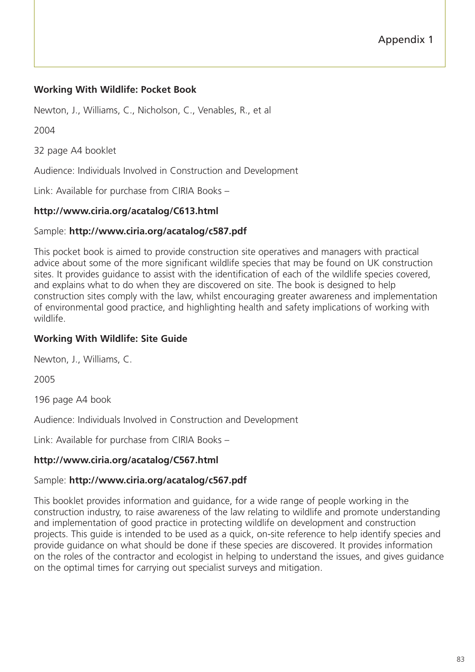## **Working With Wildlife: Pocket Book**

Newton, J., Williams, C., Nicholson, C., Venables, R., et al

2004

32 page A4 booklet

Audience: Individuals Involved in Construction and Development

Link: Available for purchase from CIRIA Books –

## **http://www.ciria.org/acatalog/C613.html**

### Sample: **http://www.ciria.org/acatalog/c587.pdf**

This pocket book is aimed to provide construction site operatives and managers with practical advice about some of the more significant wildlife species that may be found on UK construction sites. It provides guidance to assist with the identification of each of the wildlife species covered, and explains what to do when they are discovered on site. The book is designed to help construction sites comply with the law, whilst encouraging greater awareness and implementation of environmental good practice, and highlighting health and safety implications of working with wildlife.

### **Working With Wildlife: Site Guide**

Newton, J., Williams, C.

2005

196 page A4 book

Audience: Individuals Involved in Construction and Development

Link: Available for purchase from CIRIA Books –

### **http://www.ciria.org/acatalog/C567.html**

### Sample: **http://www.ciria.org/acatalog/c567.pdf**

This booklet provides information and guidance, for a wide range of people working in the construction industry, to raise awareness of the law relating to wildlife and promote understanding and implementation of good practice in protecting wildlife on development and construction projects. This guide is intended to be used as a quick, on-site reference to help identify species and provide guidance on what should be done if these species are discovered. It provides information on the roles of the contractor and ecologist in helping to understand the issues, and gives guidance on the optimal times for carrying out specialist surveys and mitigation.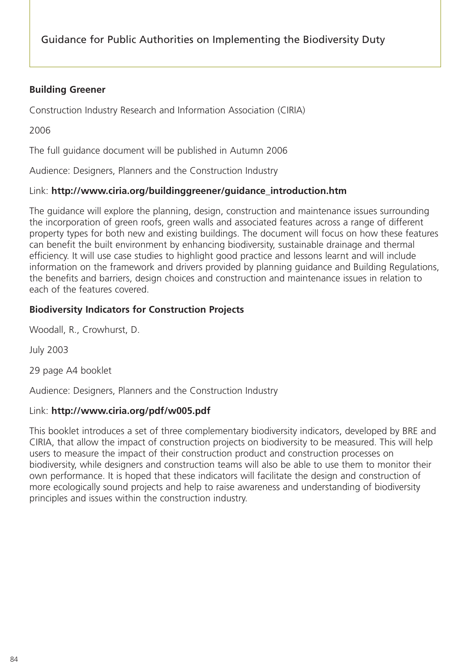# **Building Greener**

Construction Industry Research and Information Association (CIRIA)

2006

The full guidance document will be published in Autumn 2006

Audience: Designers, Planners and the Construction Industry

# Link: **http://www.ciria.org/buildinggreener/guidance\_introduction.htm**

The guidance will explore the planning, design, construction and maintenance issues surrounding the incorporation of green roofs, green walls and associated features across a range of different property types for both new and existing buildings. The document will focus on how these features can benefit the built environment by enhancing biodiversity, sustainable drainage and thermal efficiency. It will use case studies to highlight good practice and lessons learnt and will include information on the framework and drivers provided by planning guidance and Building Regulations, the benefits and barriers, design choices and construction and maintenance issues in relation to each of the features covered.

# **Biodiversity Indicators for Construction Projects**

Woodall, R., Crowhurst, D.

July 2003

29 page A4 booklet

Audience: Designers, Planners and the Construction Industry

### Link: **http://www.ciria.org/pdf/w005.pdf**

This booklet introduces a set of three complementary biodiversity indicators, developed by BRE and CIRIA, that allow the impact of construction projects on biodiversity to be measured. This will help users to measure the impact of their construction product and construction processes on biodiversity, while designers and construction teams will also be able to use them to monitor their own performance. It is hoped that these indicators will facilitate the design and construction of more ecologically sound projects and help to raise awareness and understanding of biodiversity principles and issues within the construction industry.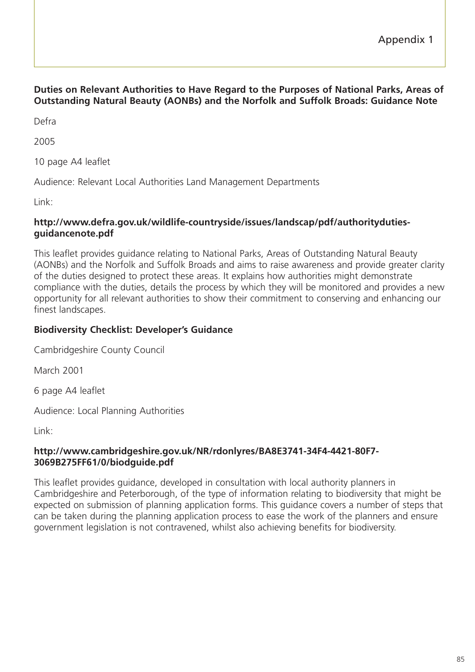### **Duties on Relevant Authorities to Have Regard to the Purposes of National Parks, Areas of Outstanding Natural Beauty (AONBs) and the Norfolk and Suffolk Broads: Guidance Note**

Defra

2005

10 page A4 leaflet

Audience: Relevant Local Authorities Land Management Departments

Link:

#### **http://www.defra.gov.uk/wildlife-countryside/issues/landscap/pdf/authoritydutiesguidancenote.pdf**

This leaflet provides guidance relating to National Parks, Areas of Outstanding Natural Beauty (AONBs) and the Norfolk and Suffolk Broads and aims to raise awareness and provide greater clarity of the duties designed to protect these areas. It explains how authorities might demonstrate compliance with the duties, details the process by which they will be monitored and provides a new opportunity for all relevant authorities to show their commitment to conserving and enhancing our finest landscapes.

## **Biodiversity Checklist: Developer's Guidance**

Cambridgeshire County Council

March 2001

6 page A4 leaflet

Audience: Local Planning Authorities

Link:

#### **http://www.cambridgeshire.gov.uk/NR/rdonlyres/BA8E3741-34F4-4421-80F7- 3069B275FF61/0/biodguide.pdf**

This leaflet provides guidance, developed in consultation with local authority planners in Cambridgeshire and Peterborough, of the type of information relating to biodiversity that might be expected on submission of planning application forms. This guidance covers a number of steps that can be taken during the planning application process to ease the work of the planners and ensure government legislation is not contravened, whilst also achieving benefits for biodiversity.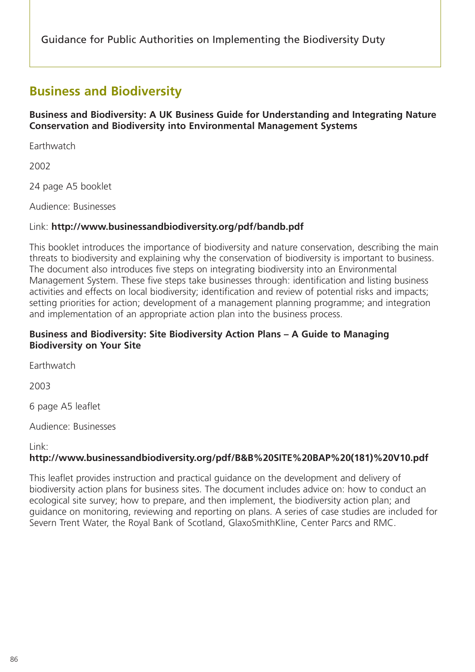# **Business and Biodiversity**

**Business and Biodiversity: A UK Business Guide for Understanding and Integrating Nature Conservation and Biodiversity into Environmental Management Systems**

**Farthwatch** 

2002

24 page A5 booklet

Audience: Businesses

# Link: **http://www.businessandbiodiversity.org/pdf/bandb.pdf**

This booklet introduces the importance of biodiversity and nature conservation, describing the main threats to biodiversity and explaining why the conservation of biodiversity is important to business. The document also introduces five steps on integrating biodiversity into an Environmental Management System. These five steps take businesses through: identification and listing business activities and effects on local biodiversity; identification and review of potential risks and impacts; setting priorities for action; development of a management planning programme; and integration and implementation of an appropriate action plan into the business process.

## **Business and Biodiversity: Site Biodiversity Action Plans – A Guide to Managing Biodiversity on Your Site**

**Earthwatch** 

2003

6 page A5 leaflet

Audience: Businesses

Link:

# **http://www.businessandbiodiversity.org/pdf/B&B%20SITE%20BAP%20(181)%20V10.pdf**

This leaflet provides instruction and practical guidance on the development and delivery of biodiversity action plans for business sites. The document includes advice on: how to conduct an ecological site survey; how to prepare, and then implement, the biodiversity action plan; and guidance on monitoring, reviewing and reporting on plans. A series of case studies are included for Severn Trent Water, the Royal Bank of Scotland, GlaxoSmithKline, Center Parcs and RMC.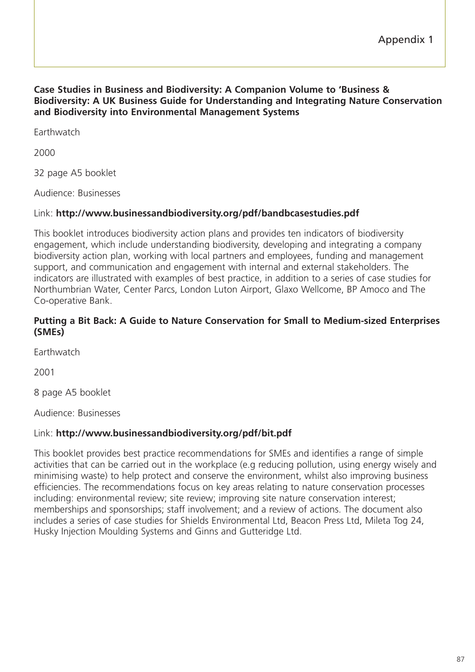#### **Case Studies in Business and Biodiversity: A Companion Volume to 'Business & Biodiversity: A UK Business Guide for Understanding and Integrating Nature Conservation and Biodiversity into Environmental Management Systems**

**Earthwatch** 

2000

32 page A5 booklet

Audience: Businesses

### Link: **http://www.businessandbiodiversity.org/pdf/bandbcasestudies.pdf**

This booklet introduces biodiversity action plans and provides ten indicators of biodiversity engagement, which include understanding biodiversity, developing and integrating a company biodiversity action plan, working with local partners and employees, funding and management support, and communication and engagement with internal and external stakeholders. The indicators are illustrated with examples of best practice, in addition to a series of case studies for Northumbrian Water, Center Parcs, London Luton Airport, Glaxo Wellcome, BP Amoco and The Co-operative Bank.

#### **Putting a Bit Back: A Guide to Nature Conservation for Small to Medium-sized Enterprises (SMEs)**

**Earthwatch** 

2001

8 page A5 booklet

Audience: Businesses

### Link: **http://www.businessandbiodiversity.org/pdf/bit.pdf**

This booklet provides best practice recommendations for SMEs and identifies a range of simple activities that can be carried out in the workplace (e.g reducing pollution, using energy wisely and minimising waste) to help protect and conserve the environment, whilst also improving business efficiencies. The recommendations focus on key areas relating to nature conservation processes including: environmental review; site review; improving site nature conservation interest; memberships and sponsorships; staff involvement; and a review of actions. The document also includes a series of case studies for Shields Environmental Ltd, Beacon Press Ltd, Mileta Tog 24, Husky Injection Moulding Systems and Ginns and Gutteridge Ltd.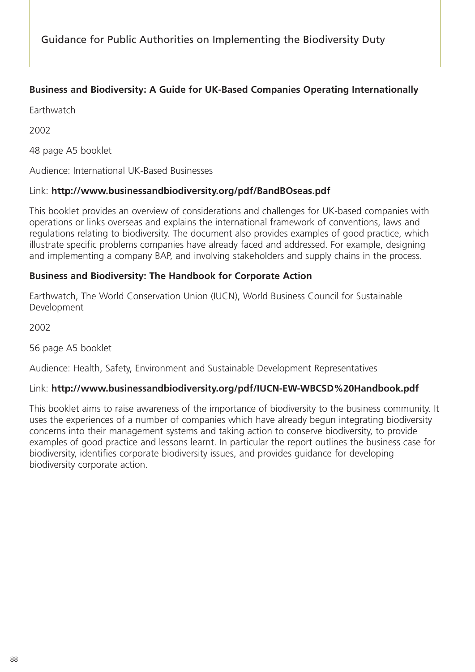# **Business and Biodiversity: A Guide for UK-Based Companies Operating Internationally**

**Earthwatch** 

2002

48 page A5 booklet

Audience: International UK-Based Businesses

# Link: **http://www.businessandbiodiversity.org/pdf/BandBOseas.pdf**

This booklet provides an overview of considerations and challenges for UK-based companies with operations or links overseas and explains the international framework of conventions, laws and regulations relating to biodiversity. The document also provides examples of good practice, which illustrate specific problems companies have already faced and addressed. For example, designing and implementing a company BAP, and involving stakeholders and supply chains in the process.

## **Business and Biodiversity: The Handbook for Corporate Action**

Earthwatch, The World Conservation Union (IUCN), World Business Council for Sustainable Development

2002

56 page A5 booklet

Audience: Health, Safety, Environment and Sustainable Development Representatives

# Link: **http://www.businessandbiodiversity.org/pdf/IUCN-EW-WBCSD%20Handbook.pdf**

This booklet aims to raise awareness of the importance of biodiversity to the business community. It uses the experiences of a number of companies which have already begun integrating biodiversity concerns into their management systems and taking action to conserve biodiversity, to provide examples of good practice and lessons learnt. In particular the report outlines the business case for biodiversity, identifies corporate biodiversity issues, and provides guidance for developing biodiversity corporate action.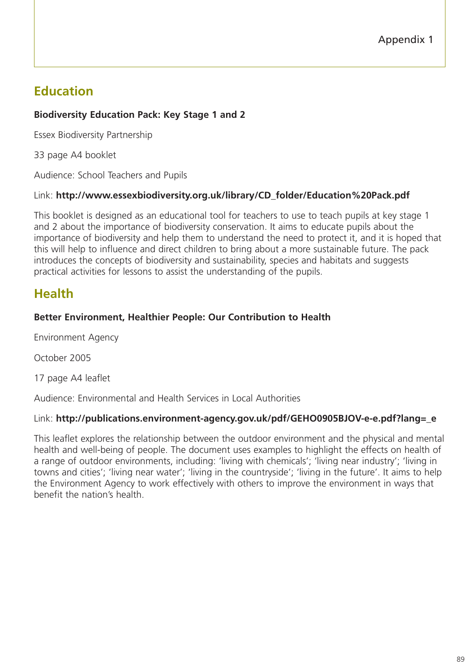# **Education**

# **Biodiversity Education Pack: Key Stage 1 and 2**

Essex Biodiversity Partnership

33 page A4 booklet

Audience: School Teachers and Pupils

## Link: **http://www.essexbiodiversity.org.uk/library/CD\_folder/Education%20Pack.pdf**

This booklet is designed as an educational tool for teachers to use to teach pupils at key stage 1 and 2 about the importance of biodiversity conservation. It aims to educate pupils about the importance of biodiversity and help them to understand the need to protect it, and it is hoped that this will help to influence and direct children to bring about a more sustainable future. The pack introduces the concepts of biodiversity and sustainability, species and habitats and suggests practical activities for lessons to assist the understanding of the pupils.

# **Health**

# **Better Environment, Healthier People: Our Contribution to Health**

Environment Agency

October 2005

17 page A4 leaflet

Audience: Environmental and Health Services in Local Authorities

# Link: **http://publications.environment-agency.gov.uk/pdf/GEHO0905BJOV-e-e.pdf?lang=\_e**

This leaflet explores the relationship between the outdoor environment and the physical and mental health and well-being of people. The document uses examples to highlight the effects on health of a range of outdoor environments, including: 'living with chemicals'; 'living near industry'; 'living in towns and cities'; 'living near water'; 'living in the countryside'; 'living in the future'. It aims to help the Environment Agency to work effectively with others to improve the environment in ways that benefit the nation's health.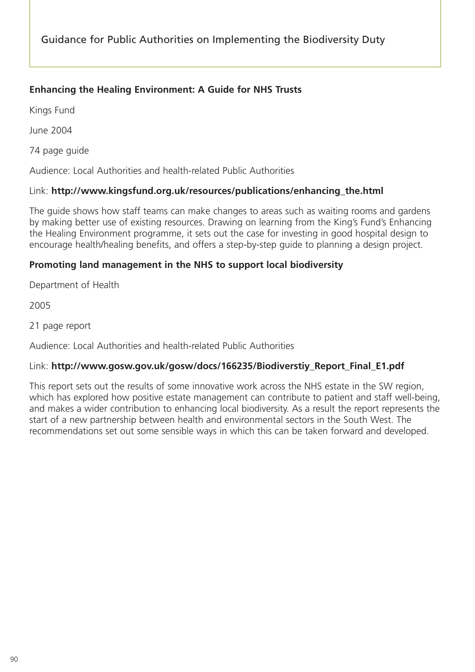## **Enhancing the Healing Environment: A Guide for NHS Trusts**

Kings Fund

June 2004

74 page guide

Audience: Local Authorities and health-related Public Authorities

#### Link: **http://www.kingsfund.org.uk/resources/publications/enhancing\_the.html**

The guide shows how staff teams can make changes to areas such as waiting rooms and gardens by making better use of existing resources. Drawing on learning from the King's Fund's Enhancing the Healing Environment programme, it sets out the case for investing in good hospital design to encourage health/healing benefits, and offers a step-by-step guide to planning a design project.

### **Promoting land management in the NHS to support local biodiversity**

Department of Health

2005

21 page report

Audience: Local Authorities and health-related Public Authorities

### Link: **http://www.gosw.gov.uk/gosw/docs/166235/Biodiverstiy\_Report\_Final\_E1.pdf**

This report sets out the results of some innovative work across the NHS estate in the SW region, which has explored how positive estate management can contribute to patient and staff well-being, and makes a wider contribution to enhancing local biodiversity. As a result the report represents the start of a new partnership between health and environmental sectors in the South West. The recommendations set out some sensible ways in which this can be taken forward and developed.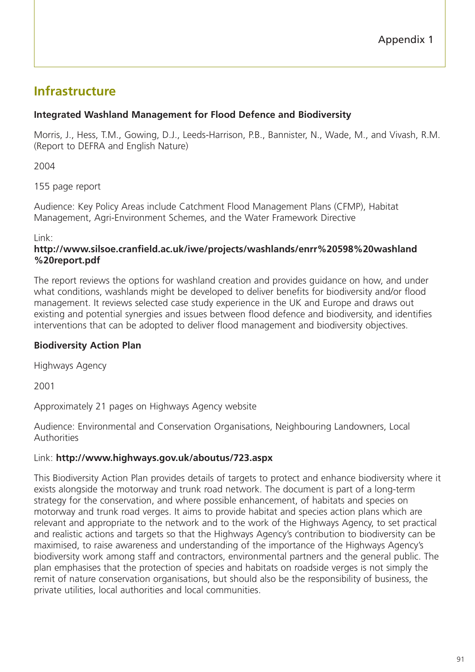# **Infrastructure**

# **Integrated Washland Management for Flood Defence and Biodiversity**

Morris, J., Hess, T.M., Gowing, D.J., Leeds-Harrison, P.B., Bannister, N., Wade, M., and Vivash, R.M. (Report to DEFRA and English Nature)

2004

155 page report

Audience: Key Policy Areas include Catchment Flood Management Plans (CFMP), Habitat Management, Agri-Environment Schemes, and the Water Framework Directive

Link:

### **http://www.silsoe.cranfield.ac.uk/iwe/projects/washlands/enrr%20598%20washland %20report.pdf**

The report reviews the options for washland creation and provides guidance on how, and under what conditions, washlands might be developed to deliver benefits for biodiversity and/or flood management. It reviews selected case study experience in the UK and Europe and draws out existing and potential synergies and issues between flood defence and biodiversity, and identifies interventions that can be adopted to deliver flood management and biodiversity objectives.

# **Biodiversity Action Plan**

Highways Agency

2001

Approximately 21 pages on Highways Agency website

Audience: Environmental and Conservation Organisations, Neighbouring Landowners, Local Authorities

# Link: **http://www.highways.gov.uk/aboutus/723.aspx**

This Biodiversity Action Plan provides details of targets to protect and enhance biodiversity where it exists alongside the motorway and trunk road network. The document is part of a long-term strategy for the conservation, and where possible enhancement, of habitats and species on motorway and trunk road verges. It aims to provide habitat and species action plans which are relevant and appropriate to the network and to the work of the Highways Agency, to set practical and realistic actions and targets so that the Highways Agency's contribution to biodiversity can be maximised, to raise awareness and understanding of the importance of the Highways Agency's biodiversity work among staff and contractors, environmental partners and the general public. The plan emphasises that the protection of species and habitats on roadside verges is not simply the remit of nature conservation organisations, but should also be the responsibility of business, the private utilities, local authorities and local communities.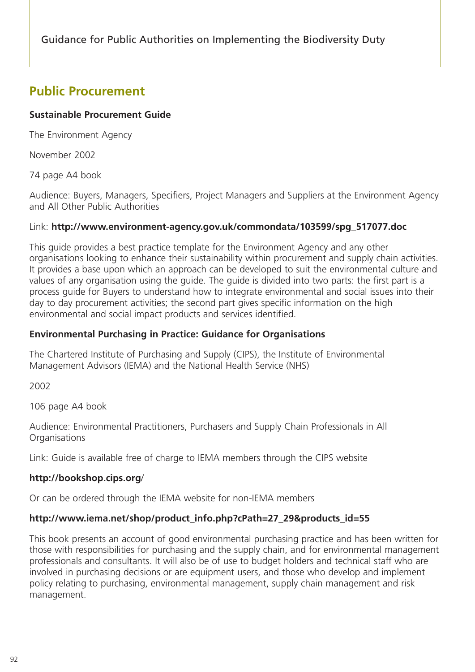# **Public Procurement**

# **Sustainable Procurement Guide**

The Environment Agency

November 2002

74 page A4 book

Audience: Buyers, Managers, Specifiers, Project Managers and Suppliers at the Environment Agency and All Other Public Authorities

## Link: **http://www.environment-agency.gov.uk/commondata/103599/spg\_517077.doc**

This guide provides a best practice template for the Environment Agency and any other organisations looking to enhance their sustainability within procurement and supply chain activities. It provides a base upon which an approach can be developed to suit the environmental culture and values of any organisation using the guide. The guide is divided into two parts: the first part is a process guide for Buyers to understand how to integrate environmental and social issues into their day to day procurement activities; the second part gives specific information on the high environmental and social impact products and services identified.

## **Environmental Purchasing in Practice: Guidance for Organisations**

The Chartered Institute of Purchasing and Supply (CIPS), the Institute of Environmental Management Advisors (IEMA) and the National Health Service (NHS)

2002

106 page A4 book

Audience: Environmental Practitioners, Purchasers and Supply Chain Professionals in All **Organisations** 

Link: Guide is available free of charge to IEMA members through the CIPS website

# **http://bookshop.cips.org**/

Or can be ordered through the IEMA website for non-IEMA members

# **http://www.iema.net/shop/product\_info.php?cPath=27\_29&products\_id=55**

This book presents an account of good environmental purchasing practice and has been written for those with responsibilities for purchasing and the supply chain, and for environmental management professionals and consultants. It will also be of use to budget holders and technical staff who are involved in purchasing decisions or are equipment users, and those who develop and implement policy relating to purchasing, environmental management, supply chain management and risk management.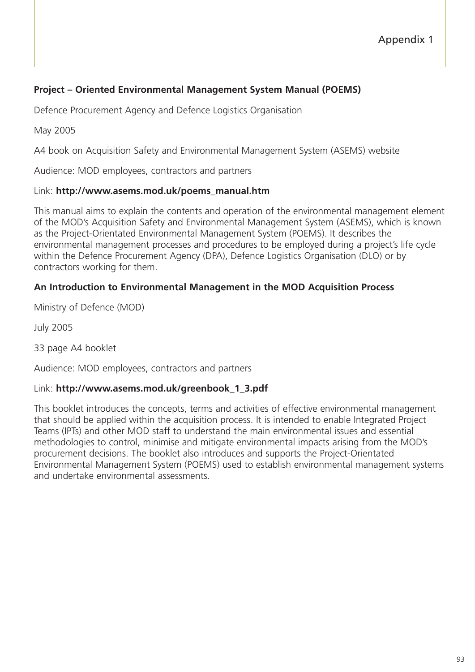## **Project – Oriented Environmental Management System Manual (POEMS)**

Defence Procurement Agency and Defence Logistics Organisation

May 2005

A4 book on Acquisition Safety and Environmental Management System (ASEMS) website

Audience: MOD employees, contractors and partners

#### Link: **http://www.asems.mod.uk/poems\_manual.htm**

This manual aims to explain the contents and operation of the environmental management element of the MOD's Acquisition Safety and Environmental Management System (ASEMS), which is known as the Project-Orientated Environmental Management System (POEMS). It describes the environmental management processes and procedures to be employed during a project's life cycle within the Defence Procurement Agency (DPA), Defence Logistics Organisation (DLO) or by contractors working for them.

#### **An Introduction to Environmental Management in the MOD Acquisition Process**

Ministry of Defence (MOD)

July 2005

33 page A4 booklet

Audience: MOD employees, contractors and partners

#### Link: **http://www.asems.mod.uk/greenbook\_1\_3.pdf**

This booklet introduces the concepts, terms and activities of effective environmental management that should be applied within the acquisition process. It is intended to enable Integrated Project Teams (IPTs) and other MOD staff to understand the main environmental issues and essential methodologies to control, minimise and mitigate environmental impacts arising from the MOD's procurement decisions. The booklet also introduces and supports the Project-Orientated Environmental Management System (POEMS) used to establish environmental management systems and undertake environmental assessments.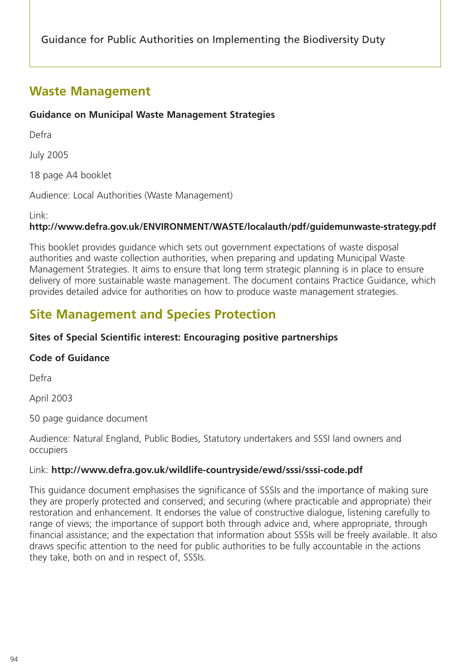# **Waste Management**

# **Guidance on Municipal Waste Management Strategies**

Defra

July 2005

18 page A4 booklet

Audience: Local Authorities (Waste Management)

Link:

# **http://www.defra.gov.uk/ENVIRONMENT/WASTE/localauth/pdf/guidemunwaste-strategy.pdf**

This booklet provides guidance which sets out government expectations of waste disposal authorities and waste collection authorities, when preparing and updating Municipal Waste Management Strategies. It aims to ensure that long term strategic planning is in place to ensure delivery of more sustainable waste management. The document contains Practice Guidance, which provides detailed advice for authorities on how to produce waste management strategies.

# **Site Management and Species Protection**

# **Sites of Special Scientific interest: Encouraging positive partnerships**

# **Code of Guidance**

Defra

April 2003

50 page guidance document

Audience: Natural England, Public Bodies, Statutory undertakers and SSSI land owners and occupiers

### Link: **http://www.defra.gov.uk/wildlife-countryside/ewd/sssi/sssi-code.pdf**

This guidance document emphasises the significance of SSSIs and the importance of making sure they are properly protected and conserved; and securing (where practicable and appropriate) their restoration and enhancement. It endorses the value of constructive dialogue, listening carefully to range of views; the importance of support both through advice and, where appropriate, through financial assistance; and the expectation that information about SSSIs will be freely available. It also draws specific attention to the need for public authorities to be fully accountable in the actions they take, both on and in respect of, SSSIs.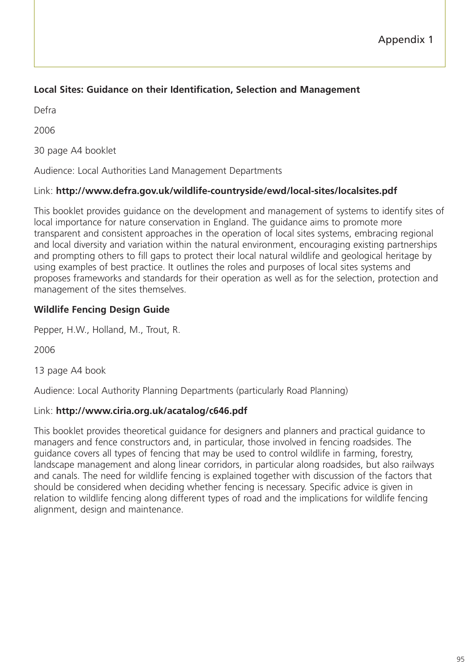# **Local Sites: Guidance on their Identification, Selection and Management**

Defra

2006

30 page A4 booklet

Audience: Local Authorities Land Management Departments

# Link: **http://www.defra.gov.uk/wildlife-countryside/ewd/local-sites/localsites.pdf**

This booklet provides guidance on the development and management of systems to identify sites of local importance for nature conservation in England. The guidance aims to promote more transparent and consistent approaches in the operation of local sites systems, embracing regional and local diversity and variation within the natural environment, encouraging existing partnerships and prompting others to fill gaps to protect their local natural wildlife and geological heritage by using examples of best practice. It outlines the roles and purposes of local sites systems and proposes frameworks and standards for their operation as well as for the selection, protection and management of the sites themselves.

# **Wildlife Fencing Design Guide**

Pepper, H.W., Holland, M., Trout, R.

2006

13 page A4 book

Audience: Local Authority Planning Departments (particularly Road Planning)

# Link: **http://www.ciria.org.uk/acatalog/c646.pdf**

This booklet provides theoretical guidance for designers and planners and practical guidance to managers and fence constructors and, in particular, those involved in fencing roadsides. The guidance covers all types of fencing that may be used to control wildlife in farming, forestry, landscape management and along linear corridors, in particular along roadsides, but also railways and canals. The need for wildlife fencing is explained together with discussion of the factors that should be considered when deciding whether fencing is necessary. Specific advice is given in relation to wildlife fencing along different types of road and the implications for wildlife fencing alignment, design and maintenance.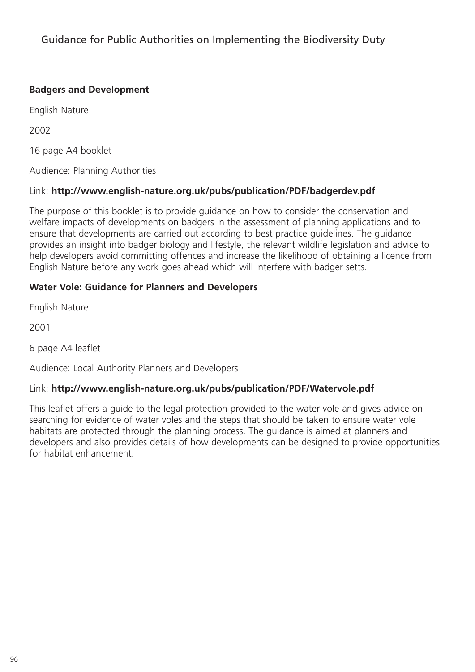# **Badgers and Development**

English Nature

2002

16 page A4 booklet

Audience: Planning Authorities

### Link: **http://www.english-nature.org.uk/pubs/publication/PDF/badgerdev.pdf**

The purpose of this booklet is to provide guidance on how to consider the conservation and welfare impacts of developments on badgers in the assessment of planning applications and to ensure that developments are carried out according to best practice guidelines. The guidance provides an insight into badger biology and lifestyle, the relevant wildlife legislation and advice to help developers avoid committing offences and increase the likelihood of obtaining a licence from English Nature before any work goes ahead which will interfere with badger setts.

### **Water Vole: Guidance for Planners and Developers**

English Nature

2001

6 page A4 leaflet

Audience: Local Authority Planners and Developers

### Link: **http://www.english-nature.org.uk/pubs/publication/PDF/Watervole.pdf**

This leaflet offers a guide to the legal protection provided to the water vole and gives advice on searching for evidence of water voles and the steps that should be taken to ensure water vole habitats are protected through the planning process. The guidance is aimed at planners and developers and also provides details of how developments can be designed to provide opportunities for habitat enhancement.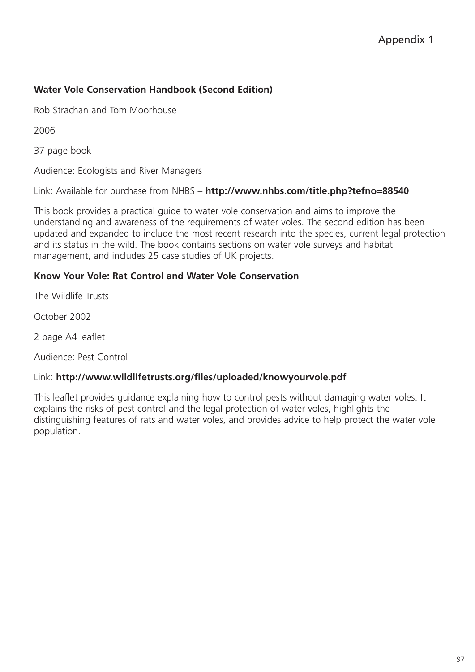# **Water Vole Conservation Handbook (Second Edition)**

Rob Strachan and Tom Moorhouse

2006

37 page book

Audience: Ecologists and River Managers

Link: Available for purchase from NHBS – **http://www.nhbs.com/title.php?tefno=88540**

This book provides a practical guide to water vole conservation and aims to improve the understanding and awareness of the requirements of water voles. The second edition has been updated and expanded to include the most recent research into the species, current legal protection and its status in the wild. The book contains sections on water vole surveys and habitat management, and includes 25 case studies of UK projects.

### **Know Your Vole: Rat Control and Water Vole Conservation**

The Wildlife Trusts

October 2002

2 page A4 leaflet

Audience: Pest Control

#### Link: **http://www.wildlifetrusts.org/files/uploaded/knowyourvole.pdf**

This leaflet provides guidance explaining how to control pests without damaging water voles. It explains the risks of pest control and the legal protection of water voles, highlights the distinguishing features of rats and water voles, and provides advice to help protect the water vole population.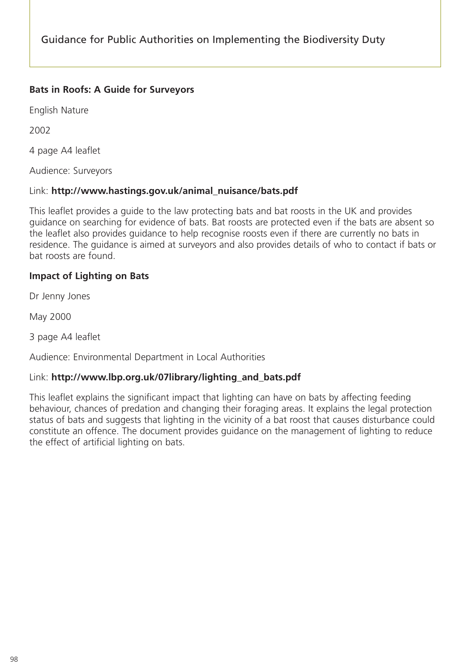## **Bats in Roofs: A Guide for Surveyors**

English Nature

2002

4 page A4 leaflet

Audience: Surveyors

### Link: **http://www.hastings.gov.uk/animal\_nuisance/bats.pdf**

This leaflet provides a guide to the law protecting bats and bat roosts in the UK and provides guidance on searching for evidence of bats. Bat roosts are protected even if the bats are absent so the leaflet also provides guidance to help recognise roosts even if there are currently no bats in residence. The guidance is aimed at surveyors and also provides details of who to contact if bats or bat roosts are found.

## **Impact of Lighting on Bats**

Dr Jenny Jones

May 2000

3 page A4 leaflet

Audience: Environmental Department in Local Authorities

### Link: **http://www.lbp.org.uk/07library/lighting\_and\_bats.pdf**

This leaflet explains the significant impact that lighting can have on bats by affecting feeding behaviour, chances of predation and changing their foraging areas. It explains the legal protection status of bats and suggests that lighting in the vicinity of a bat roost that causes disturbance could constitute an offence. The document provides guidance on the management of lighting to reduce the effect of artificial lighting on bats.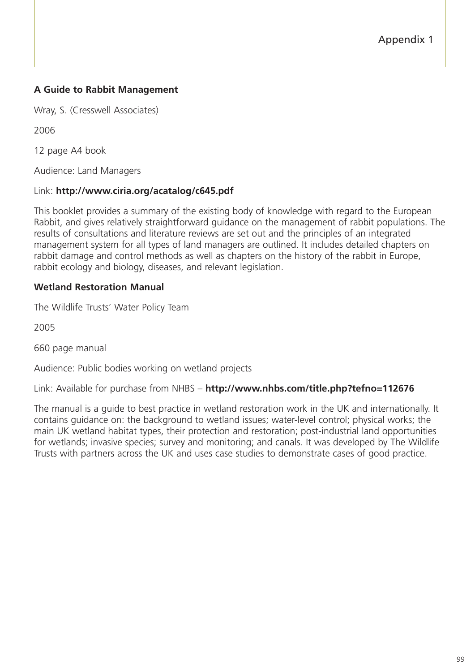# **A Guide to Rabbit Management**

Wray, S. (Cresswell Associates)

2006

12 page A4 book

Audience: Land Managers

#### Link: **http://www.ciria.org/acatalog/c645.pdf**

This booklet provides a summary of the existing body of knowledge with regard to the European Rabbit, and gives relatively straightforward guidance on the management of rabbit populations. The results of consultations and literature reviews are set out and the principles of an integrated management system for all types of land managers are outlined. It includes detailed chapters on rabbit damage and control methods as well as chapters on the history of the rabbit in Europe, rabbit ecology and biology, diseases, and relevant legislation.

### **Wetland Restoration Manual**

The Wildlife Trusts' Water Policy Team

2005

660 page manual

Audience: Public bodies working on wetland projects

Link: Available for purchase from NHBS – **http://www.nhbs.com/title.php?tefno=112676**

The manual is a guide to best practice in wetland restoration work in the UK and internationally. It contains guidance on: the background to wetland issues; water-level control; physical works; the main UK wetland habitat types, their protection and restoration; post-industrial land opportunities for wetlands; invasive species; survey and monitoring; and canals. It was developed by The Wildlife Trusts with partners across the UK and uses case studies to demonstrate cases of good practice.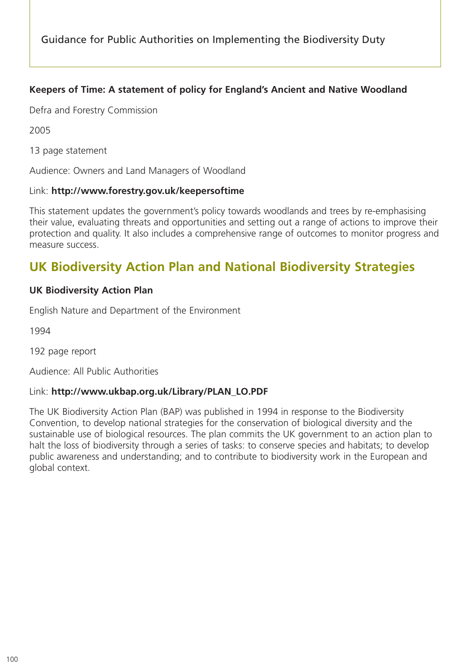# **Keepers of Time: A statement of policy for England's Ancient and Native Woodland**

Defra and Forestry Commission

2005

13 page statement

Audience: Owners and Land Managers of Woodland

#### Link: **http://www.forestry.gov.uk/keepersoftime**

This statement updates the government's policy towards woodlands and trees by re-emphasising their value, evaluating threats and opportunities and setting out a range of actions to improve their protection and quality. It also includes a comprehensive range of outcomes to monitor progress and measure success.

# **UK Biodiversity Action Plan and National Biodiversity Strategies**

### **UK Biodiversity Action Plan**

English Nature and Department of the Environment

1994

192 page report

Audience: All Public Authorities

#### Link: **http://www.ukbap.org.uk/Library/PLAN\_LO.PDF**

The UK Biodiversity Action Plan (BAP) was published in 1994 in response to the Biodiversity Convention, to develop national strategies for the conservation of biological diversity and the sustainable use of biological resources. The plan commits the UK government to an action plan to halt the loss of biodiversity through a series of tasks: to conserve species and habitats; to develop public awareness and understanding; and to contribute to biodiversity work in the European and global context.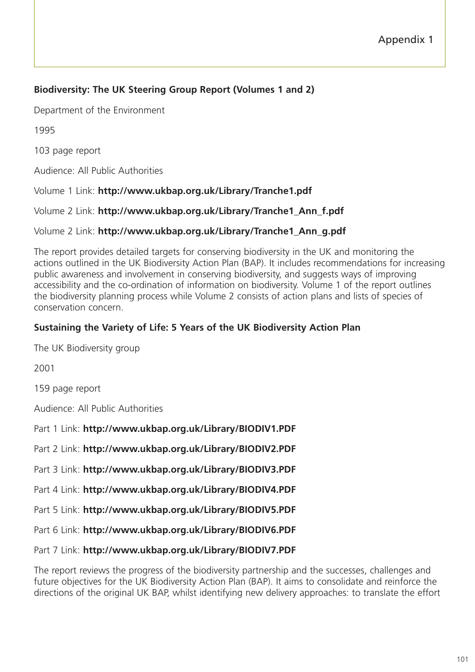# **Biodiversity: The UK Steering Group Report (Volumes 1 and 2)**

Department of the Environment

1995

103 page report

Audience: All Public Authorities

Volume 1 Link: **http://www.ukbap.org.uk/Library/Tranche1.pdf**

Volume 2 Link: **http://www.ukbap.org.uk/Library/Tranche1\_Ann\_f.pdf**

## Volume 2 Link: **http://www.ukbap.org.uk/Library/Tranche1\_Ann\_g.pdf**

The report provides detailed targets for conserving biodiversity in the UK and monitoring the actions outlined in the UK Biodiversity Action Plan (BAP). It includes recommendations for increasing public awareness and involvement in conserving biodiversity, and suggests ways of improving accessibility and the co-ordination of information on biodiversity. Volume 1 of the report outlines the biodiversity planning process while Volume 2 consists of action plans and lists of species of conservation concern.

# **Sustaining the Variety of Life: 5 Years of the UK Biodiversity Action Plan**

The UK Biodiversity group

2001

159 page report

Audience: All Public Authorities

Part 1 Link: **http://www.ukbap.org.uk/Library/BIODIV1.PDF**

Part 2 Link: **http://www.ukbap.org.uk/Library/BIODIV2.PDF**

Part 3 Link: **http://www.ukbap.org.uk/Library/BIODIV3.PDF**

Part 4 Link: **http://www.ukbap.org.uk/Library/BIODIV4.PDF**

Part 5 Link: **http://www.ukbap.org.uk/Library/BIODIV5.PDF**

Part 6 Link: **http://www.ukbap.org.uk/Library/BIODIV6.PDF**

Part 7 Link: **http://www.ukbap.org.uk/Library/BIODIV7.PDF**

The report reviews the progress of the biodiversity partnership and the successes, challenges and future objectives for the UK Biodiversity Action Plan (BAP). It aims to consolidate and reinforce the directions of the original UK BAP, whilst identifying new delivery approaches: to translate the effort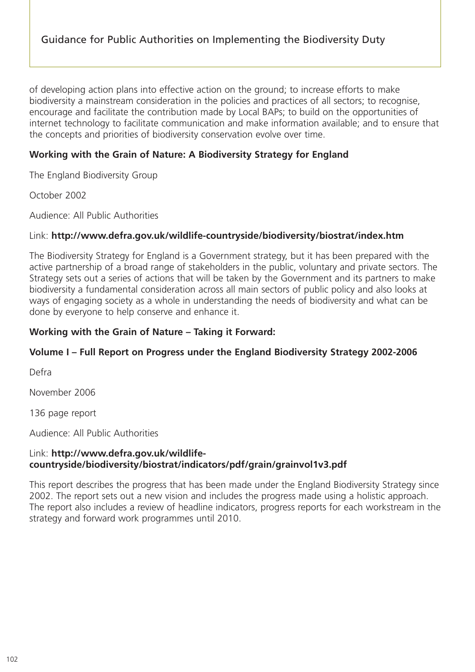of developing action plans into effective action on the ground; to increase efforts to make biodiversity a mainstream consideration in the policies and practices of all sectors; to recognise, encourage and facilitate the contribution made by Local BAPs; to build on the opportunities of internet technology to facilitate communication and make information available; and to ensure that the concepts and priorities of biodiversity conservation evolve over time.

# **Working with the Grain of Nature: A Biodiversity Strategy for England**

The England Biodiversity Group

October 2002

Audience: All Public Authorities

### Link: **http://www.defra.gov.uk/wildlife-countryside/biodiversity/biostrat/index.htm**

The Biodiversity Strategy for England is a Government strategy, but it has been prepared with the active partnership of a broad range of stakeholders in the public, voluntary and private sectors. The Strategy sets out a series of actions that will be taken by the Government and its partners to make biodiversity a fundamental consideration across all main sectors of public policy and also looks at ways of engaging society as a whole in understanding the needs of biodiversity and what can be done by everyone to help conserve and enhance it.

## **Working with the Grain of Nature – Taking it Forward:**

# **Volume I – Full Report on Progress under the England Biodiversity Strategy 2002-2006**

Defra

November 2006

136 page report

Audience: All Public Authorities

### Link: **http://www.defra.gov.uk/wildlifecountryside/biodiversity/biostrat/indicators/pdf/grain/grainvol1v3.pdf**

This report describes the progress that has been made under the England Biodiversity Strategy since 2002. The report sets out a new vision and includes the progress made using a holistic approach. The report also includes a review of headline indicators, progress reports for each workstream in the strategy and forward work programmes until 2010.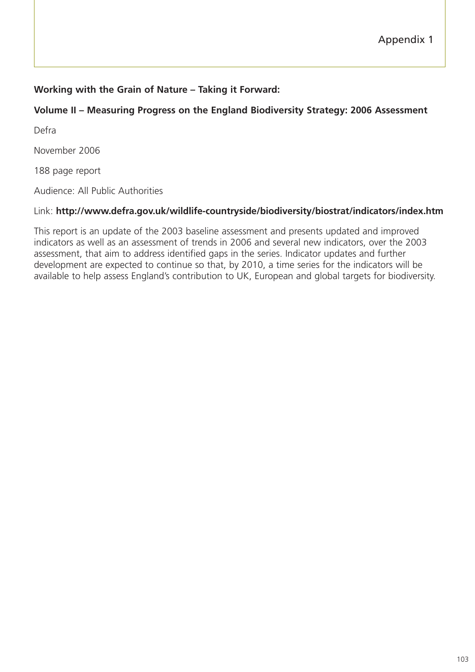## **Working with the Grain of Nature – Taking it Forward:**

### **Volume II – Measuring Progress on the England Biodiversity Strategy: 2006 Assessment**

Defra

November 2006

188 page report

Audience: All Public Authorities

#### Link: **http://www.defra.gov.uk/wildlife-countryside/biodiversity/biostrat/indicators/index.htm**

This report is an update of the 2003 baseline assessment and presents updated and improved indicators as well as an assessment of trends in 2006 and several new indicators, over the 2003 assessment, that aim to address identified gaps in the series. Indicator updates and further development are expected to continue so that, by 2010, a time series for the indicators will be available to help assess England's contribution to UK, European and global targets for biodiversity.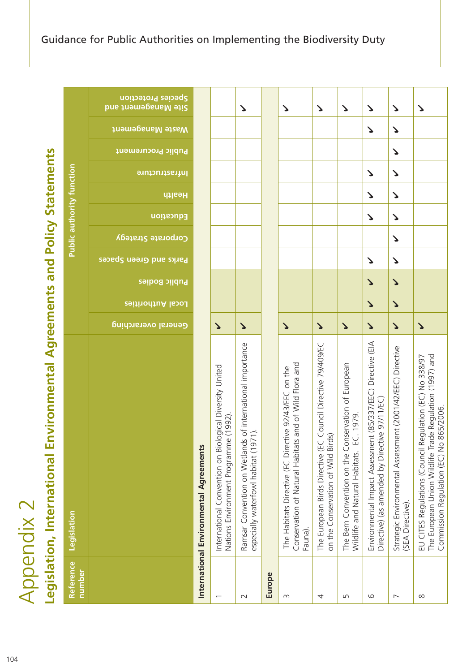| ֧֦֧֦֧֦֧֦֧֦֧֦֧֦֧֦֧֧֦֧֞֜֓֓                   |
|--------------------------------------------|
| ١                                          |
| ı                                          |
|                                            |
| $\frac{4}{3}$                              |
|                                            |
| Í<br>١                                     |
| $\frac{1}{10}$                             |
|                                            |
|                                            |
|                                            |
|                                            |
| ı                                          |
|                                            |
| ֧֧֧֧֧֧֧֚֚֚֚֚֚֚֚֚֚֚֚֚֚֚֚֚֚֚֚֚֚֚֚֚֚֝֡֓֓֡֡֓֡֓ |
| ĺ<br>ï<br>l<br>J                           |
| J<br>J<br>ij<br>Ó<br>i<br>I<br>and a       |
| ı<br>Ś<br>j,<br>ē                          |
| I<br>ï<br>ť                                |
| I                                          |
| i<br> <br> <br> <br>١                      |

|                          | Legislation, International Environmental                                                                                                                         | <b>Agreements and Policy Statements</b> |                       |                       |                        |                           |                                  |                       |                    |                  |                                                  |
|--------------------------|------------------------------------------------------------------------------------------------------------------------------------------------------------------|-----------------------------------------|-----------------------|-----------------------|------------------------|---------------------------|----------------------------------|-----------------------|--------------------|------------------|--------------------------------------------------|
| Reference<br>number      | Legislation                                                                                                                                                      |                                         |                       |                       |                        |                           | <b>Public authority function</b> |                       |                    |                  |                                                  |
|                          |                                                                                                                                                                  | General overarching                     | Local Authorities     | <b>Public Bodies</b>  | Parks and Green Spaces | <b>Corporate Strategy</b> | Health<br>Education              | <u>Infrastructure</u> | Public Procurement | Vaste Management | <b>Species Protection</b><br>Site Management and |
|                          | International Environmental Agreements                                                                                                                           |                                         |                       |                       |                        |                           |                                  |                       |                    |                  |                                                  |
| $\overline{\phantom{0}}$ | International Convention on Biological Diversity United<br>e(1992)<br>Nations Environment Programm                                                               | $\blacktriangleright$                   |                       |                       |                        |                           |                                  |                       |                    |                  |                                                  |
| $\sim$                   | Ramsar Convention on Wetlands of international importance<br>especially waterfowl habitat (1971).                                                                | $\blacktriangleright$                   |                       |                       |                        |                           |                                  |                       |                    |                  | Δ                                                |
| Europe                   |                                                                                                                                                                  |                                         |                       |                       |                        |                           |                                  |                       |                    |                  |                                                  |
| S                        | Conservation of Natural Habitats and of Wild Flora and<br>The Habitats Directive (EC Directive 92/43/EEC on the<br>Fauna).                                       | $\blacktriangleright$                   |                       |                       |                        |                           |                                  |                       |                    |                  | ζ                                                |
| 4                        | Council Directive 79/409/EC<br>on the Conservation of Wild Birds)<br>The European Birds Directive (EC                                                            | $\blacktriangleright$                   |                       |                       |                        |                           |                                  |                       |                    |                  | $\mathbf{r}$                                     |
| S                        | The Bern Convention on the Conservation of European<br>Wildlife and Natural Habitats. EC. 1979                                                                   | $\blacktriangleright$                   |                       |                       |                        |                           |                                  |                       |                    |                  | Δ                                                |
| 6                        | Environmental Impact Assessment (85/337/EEC) Directive (EIA<br>Directive) (as amended by Directive 97/11/EC)                                                     | $\blacktriangleright$                   | $\blacktriangleright$ | $\blacktriangleright$ | Δ                      |                           | $\blacktriangleright$<br>Δ       | Δ                     |                    | Δ                | ゝ                                                |
| $\overline{\phantom{0}}$ | Strategic Environmental Assessment (2001/42/EEC) Directive<br>(SEA Directive).                                                                                   | $\blacktriangleright$                   | $\blacktriangleright$ | $\blacktriangleright$ | $\blacktriangleright$  | Δ                         | $\mathbf{r}$<br>Δ                | Δ                     | Δ                  | Δ                | $\blacktriangleright$                            |
| $\infty$                 | The European Union Wildlife Trade Regulation (1997) and<br>EU CITES Regulations (Council Regulation (EC) No 338/97<br>865/2006.<br>Commission Regulation (EC) No | $\blacktriangleright$                   |                       |                       |                        |                           |                                  |                       |                    |                  | $\blacktriangleright$                            |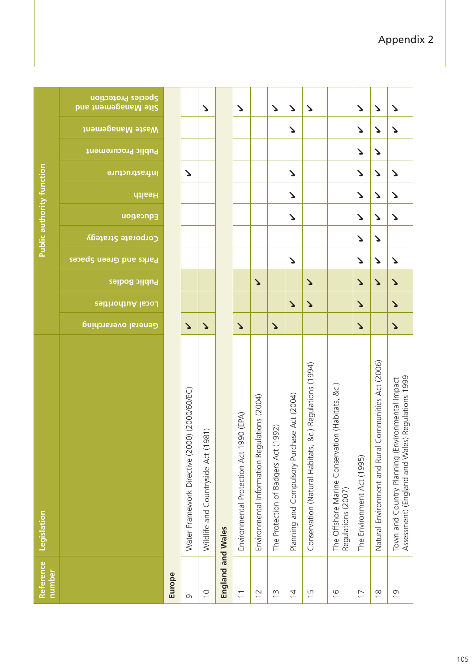| Reference<br>number      | Legislation                                                                                              |                       |                       |                       |                        |                    | <b>Public authority function</b> |                       |                |                                                       |                                                  |
|--------------------------|----------------------------------------------------------------------------------------------------------|-----------------------|-----------------------|-----------------------|------------------------|--------------------|----------------------------------|-----------------------|----------------|-------------------------------------------------------|--------------------------------------------------|
|                          |                                                                                                          | General overarching   | Local Authorities     | Public Bodies         | Parks and Green Spaces | Corporate Strategy | Education                        | Health                | lnfrastructure | <b>Viaste Management</b><br><b>Public Procurement</b> | Species Protection<br><b>Site Management and</b> |
| Europe                   |                                                                                                          |                       |                       |                       |                        |                    |                                  |                       |                |                                                       |                                                  |
| G                        | Water Framework Directive (2000) (2000/60/EC)                                                            | $\blacktriangleright$ |                       |                       |                        |                    |                                  |                       | ゝ              |                                                       |                                                  |
| $\supseteq$              | Wildlife and Countryside Act (1981)                                                                      | $\blacktriangleright$ |                       |                       |                        |                    |                                  |                       |                |                                                       | Δ                                                |
| England and Wales        |                                                                                                          |                       |                       |                       |                        |                    |                                  |                       |                |                                                       |                                                  |
| $\overline{\phantom{0}}$ | 990 (EPA)<br>Environmental Protection Act 1                                                              | $\blacktriangleright$ |                       |                       |                        |                    |                                  |                       |                |                                                       | $\blacktriangleright$                            |
| $\overline{1}$           | ulations (2004)<br>Environmental Information Reg                                                         |                       |                       | $\Delta$              |                        |                    |                                  |                       |                |                                                       |                                                  |
| $\frac{1}{2}$            | (1992)<br>The Protection of Badgers Act                                                                  | $\blacktriangleright$ |                       |                       |                        |                    |                                  |                       |                |                                                       | $\mathbf{r}$                                     |
| $\overline{4}$           | Planning and Compulsory Purchase Act (2004)                                                              |                       | $\blacktriangleright$ |                       | Δ                      |                    | Δ                                | $\blacktriangleright$ | Δ              | Δ                                                     | $\blacktriangleright$                            |
| $\overline{1}$           | &c.) Regulations (1994)<br>Conservation (Natural Habitats,                                               |                       | $\blacktriangleright$ | $\blacktriangleright$ |                        |                    |                                  |                       |                |                                                       | Δ                                                |
| $\frac{0}{1}$            | The Offshore Marine Conservation (Habitats, &c.)<br>Regulations (2007)                                   |                       |                       |                       |                        |                    |                                  |                       |                |                                                       |                                                  |
| $\overline{1}$           | The Environment Act (1995)                                                                               | $\blacktriangleright$ | $\blacktriangleright$ | $\blacktriangleright$ | Δ                      | ζ                  | Δ                                | $\blacktriangleright$ | ζ              | Δ<br>Δ                                                | Δ                                                |
| $\frac{8}{1}$            | Communities Act (2006)<br>Natural Environment and Rural                                                  |                       |                       | $\blacktriangleright$ | ゝ                      | Δ                  | ゝ                                | Δ                     | ゝ              | ゝ<br>Δ                                                | ζ                                                |
| $\overline{0}$           | Assessment) (England and Wales) Regulations 1999<br>ivironmental Impact<br>Town and Country Planning (En | $\blacktriangleright$ | $\blacktriangleright$ | $\mathbf{v}$          | Δ                      |                    | Δ                                | ↘<br>Δ                |                | $\blacktriangleright$                                 | ζ                                                |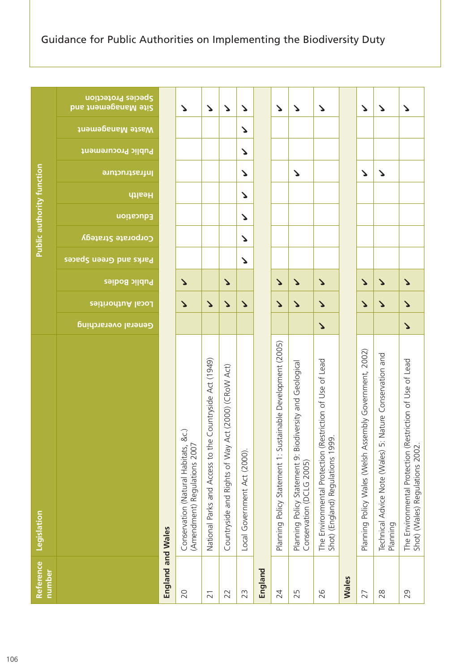|                                  | Species Protection<br>Site Management and |                   | ζ                                                                       | $\blacktriangleright$                                      | $\Delta$                                               | ゝ                            |         | $\Delta$                                                    | $\blacktriangleright$                                                                | $\Delta$                                                                                                           |              | ゝ                                                       | $\mathbf{r}$                                                         | $\blacktriangleright$                                                                           |
|----------------------------------|-------------------------------------------|-------------------|-------------------------------------------------------------------------|------------------------------------------------------------|--------------------------------------------------------|------------------------------|---------|-------------------------------------------------------------|--------------------------------------------------------------------------------------|--------------------------------------------------------------------------------------------------------------------|--------------|---------------------------------------------------------|----------------------------------------------------------------------|-------------------------------------------------------------------------------------------------|
| <b>Public authority function</b> | Viaste Management                         |                   |                                                                         |                                                            |                                                        | ζ                            |         |                                                             |                                                                                      |                                                                                                                    |              |                                                         |                                                                      |                                                                                                 |
|                                  | Public Procurement                        |                   |                                                                         |                                                            |                                                        | ζ                            |         |                                                             |                                                                                      |                                                                                                                    |              |                                                         |                                                                      |                                                                                                 |
|                                  | lnfrastructure                            |                   |                                                                         |                                                            |                                                        | ζ                            |         |                                                             | ζ                                                                                    |                                                                                                                    |              | Δ                                                       | $\mathbf{r}$                                                         |                                                                                                 |
|                                  | Health                                    |                   |                                                                         |                                                            |                                                        | Δ                            |         |                                                             |                                                                                      |                                                                                                                    |              |                                                         |                                                                      |                                                                                                 |
|                                  | Education                                 |                   |                                                                         |                                                            |                                                        | ζ                            |         |                                                             |                                                                                      |                                                                                                                    |              |                                                         |                                                                      |                                                                                                 |
|                                  | Corporate Strategy                        |                   |                                                                         |                                                            |                                                        | ζ                            |         |                                                             |                                                                                      |                                                                                                                    |              |                                                         |                                                                      |                                                                                                 |
|                                  | Parks and Green Spaces                    |                   |                                                                         |                                                            |                                                        | ζ                            |         |                                                             |                                                                                      |                                                                                                                    |              |                                                         |                                                                      |                                                                                                 |
|                                  | Public Bodies                             |                   | Δ                                                                       |                                                            | $\Delta$                                               |                              |         | $\mathbf{v}$                                                | $\blacktriangleright$                                                                | $\Delta$                                                                                                           |              | $\blacktriangleright$                                   | $\mathbf{r}$                                                         | $\blacktriangleright$                                                                           |
|                                  | Local Authorities                         |                   | $\blacktriangleright$                                                   | $\mathbf{v}$                                               | $\blacktriangleright$                                  | ゝ                            |         | $\blacktriangleright$                                       | $\blacktriangleright$                                                                | $\blacktriangleright$                                                                                              |              | $\blacktriangleright$                                   | $\blacktriangleright$                                                | $\blacktriangleright$                                                                           |
|                                  | General overarching                       |                   |                                                                         |                                                            |                                                        |                              |         |                                                             |                                                                                      | $\blacktriangleright$                                                                                              |              |                                                         |                                                                      | $\blacktriangleright$                                                                           |
| Legislation                      |                                           |                   | &c.)<br>(Amendment) Regulations 2007<br>Conservation (Natural Habitats, | Countryside Act (1949)<br>National Parks and Access to the | Act (2000) (CRoW Act)<br>Countryside and Rights of Way | Local Government Act (2000). |         | Planning Policy Statement 1: Sustainable Development (2005) | Planning Policy Statement 9: Biodiversity and Geological<br>Conservation (DCLG 2005) | lestriction of Use of Lead<br>$\overline{Q}$<br>The Environmental Protection (R<br>Shot) (England) Regulations 199 |              | Planning Policy Wales (Welsh Assembly Government, 2002) | Technical Advice Note (Wales) 5: Nature Conservation and<br>Planning | estriction of Use of Lead<br>The Environmental Protection (R<br>Shot) (Wales) Regulations 2002. |
| Reference<br>number              |                                           | England and Wales | 20                                                                      | $\overline{21}$                                            | 22                                                     | 23                           | England | 24                                                          | 25                                                                                   | 26                                                                                                                 | <b>Wales</b> | 27                                                      | 28                                                                   | 29                                                                                              |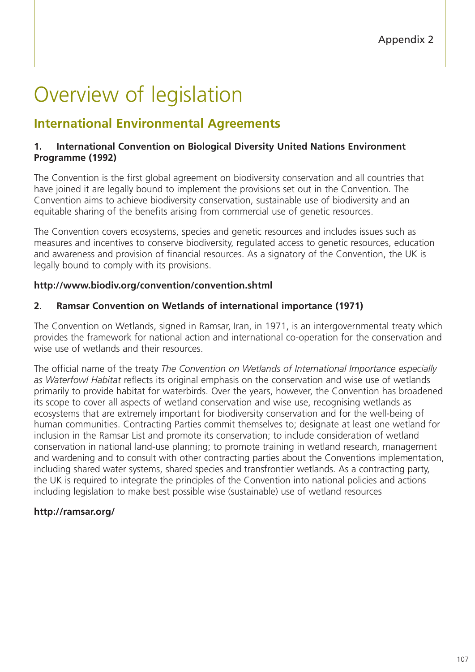# Overview of legislation

# **International Environmental Agreements**

#### **1. International Convention on Biological Diversity United Nations Environment Programme (1992)**

The Convention is the first global agreement on biodiversity conservation and all countries that have joined it are legally bound to implement the provisions set out in the Convention. The Convention aims to achieve biodiversity conservation, sustainable use of biodiversity and an equitable sharing of the benefits arising from commercial use of genetic resources.

The Convention covers ecosystems, species and genetic resources and includes issues such as measures and incentives to conserve biodiversity, regulated access to genetic resources, education and awareness and provision of financial resources. As a signatory of the Convention, the UK is legally bound to comply with its provisions.

## **http://www.biodiv.org/convention/convention.shtml**

#### **2. Ramsar Convention on Wetlands of international importance (1971)**

The Convention on Wetlands, signed in Ramsar, Iran, in 1971, is an intergovernmental treaty which provides the framework for national action and international co-operation for the conservation and wise use of wetlands and their resources.

The official name of the treaty *The Convention on Wetlands of International Importance especially as Waterfowl Habitat* reflects its original emphasis on the conservation and wise use of wetlands primarily to provide habitat for waterbirds. Over the years, however, the Convention has broadened its scope to cover all aspects of wetland conservation and wise use, recognising wetlands as ecosystems that are extremely important for biodiversity conservation and for the well-being of human communities. Contracting Parties commit themselves to; designate at least one wetland for inclusion in the Ramsar List and promote its conservation; to include consideration of wetland conservation in national land-use planning; to promote training in wetland research, management and wardening and to consult with other contracting parties about the Conventions implementation, including shared water systems, shared species and transfrontier wetlands. As a contracting party, the UK is required to integrate the principles of the Convention into national policies and actions including legislation to make best possible wise (sustainable) use of wetland resources

## **http://ramsar.org/**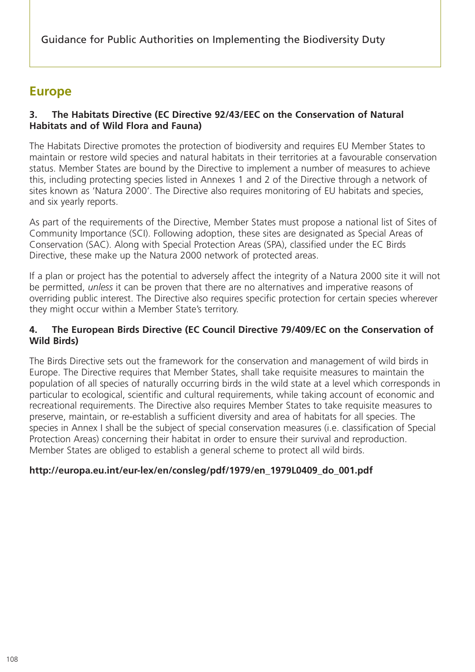Guidance for Public Authorities on Implementing the Biodiversity Duty

# **Europe**

#### **3. The Habitats Directive (EC Directive 92/43/EEC on the Conservation of Natural Habitats and of Wild Flora and Fauna)**

The Habitats Directive promotes the protection of biodiversity and requires EU Member States to maintain or restore wild species and natural habitats in their territories at a favourable conservation status. Member States are bound by the Directive to implement a number of measures to achieve this, including protecting species listed in Annexes 1 and 2 of the Directive through a network of sites known as 'Natura 2000'. The Directive also requires monitoring of EU habitats and species, and six yearly reports.

As part of the requirements of the Directive, Member States must propose a national list of Sites of Community Importance (SCI). Following adoption, these sites are designated as Special Areas of Conservation (SAC). Along with Special Protection Areas (SPA), classified under the EC Birds Directive, these make up the Natura 2000 network of protected areas.

If a plan or project has the potential to adversely affect the integrity of a Natura 2000 site it will not be permitted, *unless* it can be proven that there are no alternatives and imperative reasons of overriding public interest. The Directive also requires specific protection for certain species wherever they might occur within a Member State's territory.

#### **4. The European Birds Directive (EC Council Directive 79/409/EC on the Conservation of Wild Birds)**

The Birds Directive sets out the framework for the conservation and management of wild birds in Europe. The Directive requires that Member States, shall take requisite measures to maintain the population of all species of naturally occurring birds in the wild state at a level which corresponds in particular to ecological, scientific and cultural requirements, while taking account of economic and recreational requirements. The Directive also requires Member States to take requisite measures to preserve, maintain, or re-establish a sufficient diversity and area of habitats for all species. The species in Annex I shall be the subject of special conservation measures (i.e. classification of Special Protection Areas) concerning their habitat in order to ensure their survival and reproduction. Member States are obliged to establish a general scheme to protect all wild birds.

#### **http://europa.eu.int/eur-lex/en/consleg/pdf/1979/en\_1979L0409\_do\_001.pdf**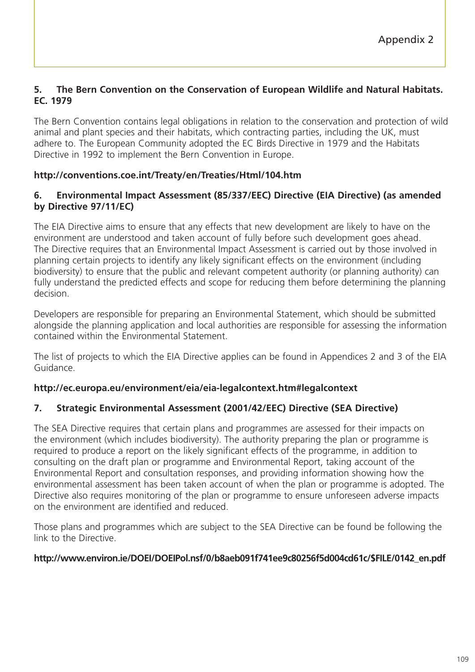#### **5. The Bern Convention on the Conservation of European Wildlife and Natural Habitats. EC. 1979**

The Bern Convention contains legal obligations in relation to the conservation and protection of wild animal and plant species and their habitats, which contracting parties, including the UK, must adhere to. The European Community adopted the EC Birds Directive in 1979 and the Habitats Directive in 1992 to implement the Bern Convention in Europe.

## **http://conventions.coe.int/Treaty/en/Treaties/Html/104.htm**

#### **6. Environmental Impact Assessment (85/337/EEC) Directive (EIA Directive) (as amended by Directive 97/11/EC)**

The EIA Directive aims to ensure that any effects that new development are likely to have on the environment are understood and taken account of fully before such development goes ahead. The Directive requires that an Environmental Impact Assessment is carried out by those involved in planning certain projects to identify any likely significant effects on the environment (including biodiversity) to ensure that the public and relevant competent authority (or planning authority) can fully understand the predicted effects and scope for reducing them before determining the planning decision.

Developers are responsible for preparing an Environmental Statement, which should be submitted alongside the planning application and local authorities are responsible for assessing the information contained within the Environmental Statement.

The list of projects to which the EIA Directive applies can be found in Appendices 2 and 3 of the EIA Guidance.

#### **http://ec.europa.eu/environment/eia/eia-legalcontext.htm#legalcontext**

#### **7. Strategic Environmental Assessment (2001/42/EEC) Directive (SEA Directive)**

The SEA Directive requires that certain plans and programmes are assessed for their impacts on the environment (which includes biodiversity). The authority preparing the plan or programme is required to produce a report on the likely significant effects of the programme, in addition to consulting on the draft plan or programme and Environmental Report, taking account of the Environmental Report and consultation responses, and providing information showing how the environmental assessment has been taken account of when the plan or programme is adopted. The Directive also requires monitoring of the plan or programme to ensure unforeseen adverse impacts on the environment are identified and reduced.

Those plans and programmes which are subject to the SEA Directive can be found be following the link to the Directive.

#### **http://www.environ.ie/DOEI/DOEIPol.nsf/0/b8aeb091f741ee9c80256f5d004cd61c/\$FILE/0142\_en.pdf**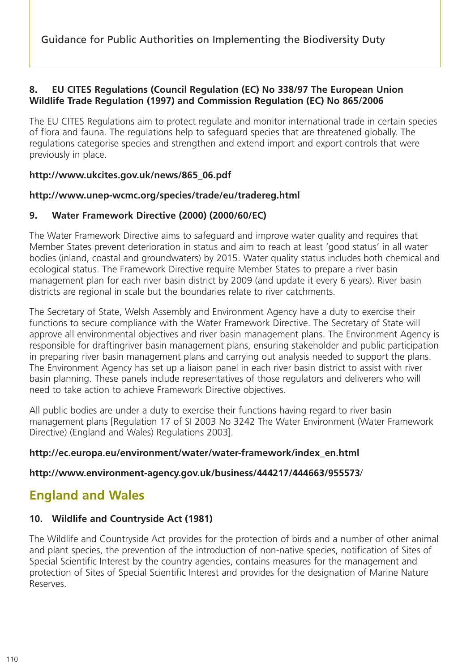Guidance for Public Authorities on Implementing the Biodiversity Duty

#### **8. EU CITES Regulations (Council Regulation (EC) No 338/97 The European Union Wildlife Trade Regulation (1997) and Commission Regulation (EC) No 865/2006**

The EU CITES Regulations aim to protect regulate and monitor international trade in certain species of flora and fauna. The regulations help to safeguard species that are threatened globally. The regulations categorise species and strengthen and extend import and export controls that were previously in place.

#### **http://www.ukcites.gov.uk/news/865\_06.pdf**

#### **http://www.unep-wcmc.org/species/trade/eu/tradereg.html**

#### **9. Water Framework Directive (2000) (2000/60/EC)**

The Water Framework Directive aims to safeguard and improve water quality and requires that Member States prevent deterioration in status and aim to reach at least 'good status' in all water bodies (inland, coastal and groundwaters) by 2015. Water quality status includes both chemical and ecological status. The Framework Directive require Member States to prepare a river basin management plan for each river basin district by 2009 (and update it every 6 years). River basin districts are regional in scale but the boundaries relate to river catchments.

The Secretary of State, Welsh Assembly and Environment Agency have a duty to exercise their functions to secure compliance with the Water Framework Directive. The Secretary of State will approve all environmental objectives and river basin management plans. The Environment Agency is responsible for draftingriver basin management plans, ensuring stakeholder and public participation in preparing river basin management plans and carrying out analysis needed to support the plans. The Environment Agency has set up a liaison panel in each river basin district to assist with river basin planning. These panels include representatives of those regulators and deliverers who will need to take action to achieve Framework Directive objectives.

All public bodies are under a duty to exercise their functions having regard to river basin management plans [Regulation 17 of SI 2003 No 3242 The Water Environment (Water Framework Directive) (England and Wales) Regulations 2003].

#### **http://ec.europa.eu/environment/water/water-framework/index\_en.html**

#### **http://www.environment-agency.gov.uk/business/444217/444663/955573**/

# **England and Wales**

## **10. Wildlife and Countryside Act (1981)**

The Wildlife and Countryside Act provides for the protection of birds and a number of other animal and plant species, the prevention of the introduction of non-native species, notification of Sites of Special Scientific Interest by the country agencies, contains measures for the management and protection of Sites of Special Scientific Interest and provides for the designation of Marine Nature Reserves.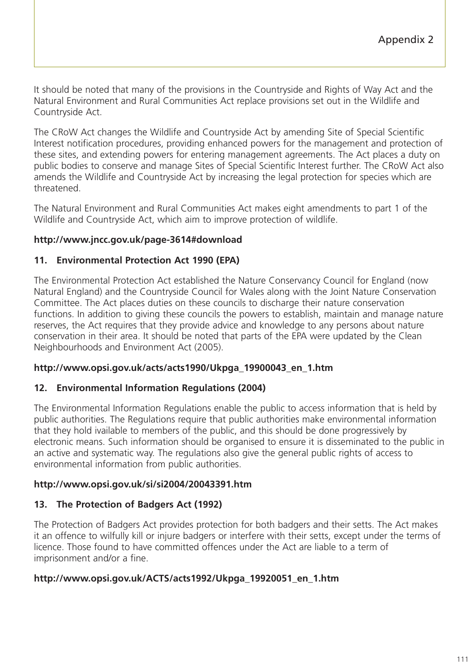It should be noted that many of the provisions in the Countryside and Rights of Way Act and the Natural Environment and Rural Communities Act replace provisions set out in the Wildlife and Countryside Act.

The CRoW Act changes the Wildlife and Countryside Act by amending Site of Special Scientific Interest notification procedures, providing enhanced powers for the management and protection of these sites, and extending powers for entering management agreements. The Act places a duty on public bodies to conserve and manage Sites of Special Scientific Interest further. The CRoW Act also amends the Wildlife and Countryside Act by increasing the legal protection for species which are threatened.

The Natural Environment and Rural Communities Act makes eight amendments to part 1 of the Wildlife and Countryside Act, which aim to improve protection of wildlife.

#### **http://www.jncc.gov.uk/page-3614#download**

#### **11. Environmental Protection Act 1990 (EPA)**

The Environmental Protection Act established the Nature Conservancy Council for England (now Natural England) and the Countryside Council for Wales along with the Joint Nature Conservation Committee. The Act places duties on these councils to discharge their nature conservation functions. In addition to giving these councils the powers to establish, maintain and manage nature reserves, the Act requires that they provide advice and knowledge to any persons about nature conservation in their area. It should be noted that parts of the EPA were updated by the Clean Neighbourhoods and Environment Act (2005).

#### **http://www.opsi.gov.uk/acts/acts1990/Ukpga\_19900043\_en\_1.htm**

#### **12. Environmental Information Regulations (2004)**

The Environmental Information Regulations enable the public to access information that is held by public authorities. The Regulations require that public authorities make environmental information that they hold ivailable to members of the public, and this should be done progressively by electronic means. Such information should be organised to ensure it is disseminated to the public in an active and systematic way. The regulations also give the general public rights of access to environmental information from public authorities.

#### **http://www.opsi.gov.uk/si/si2004/20043391.htm**

## **13. The Protection of Badgers Act (1992)**

The Protection of Badgers Act provides protection for both badgers and their setts. The Act makes it an offence to wilfully kill or injure badgers or interfere with their setts, except under the terms of licence. Those found to have committed offences under the Act are liable to a term of imprisonment and/or a fine.

#### **http://www.opsi.gov.uk/ACTS/acts1992/Ukpga\_19920051\_en\_1.htm**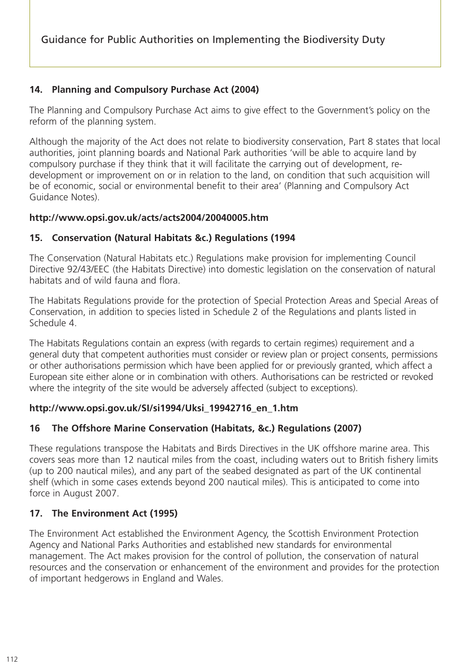## **14. Planning and Compulsory Purchase Act (2004)**

The Planning and Compulsory Purchase Act aims to give effect to the Government's policy on the reform of the planning system.

Although the majority of the Act does not relate to biodiversity conservation, Part 8 states that local authorities, joint planning boards and National Park authorities 'will be able to acquire land by compulsory purchase if they think that it will facilitate the carrying out of development, redevelopment or improvement on or in relation to the land, on condition that such acquisition will be of economic, social or environmental benefit to their area' (Planning and Compulsory Act Guidance Notes).

#### **http://www.opsi.gov.uk/acts/acts2004/20040005.htm**

#### **15. Conservation (Natural Habitats &c.) Regulations (1994**

The Conservation (Natural Habitats etc.) Regulations make provision for implementing Council Directive 92/43/EEC (the Habitats Directive) into domestic legislation on the conservation of natural habitats and of wild fauna and flora.

The Habitats Regulations provide for the protection of Special Protection Areas and Special Areas of Conservation, in addition to species listed in Schedule 2 of the Regulations and plants listed in Schedule 4.

The Habitats Regulations contain an express (with regards to certain regimes) requirement and a general duty that competent authorities must consider or review plan or project consents, permissions or other authorisations permission which have been applied for or previously granted, which affect a European site either alone or in combination with others. Authorisations can be restricted or revoked where the integrity of the site would be adversely affected (subject to exceptions).

#### **http://www.opsi.gov.uk/SI/si1994/Uksi\_19942716\_en\_1.htm**

#### **16 The Offshore Marine Conservation (Habitats, &c.) Regulations (2007)**

These regulations transpose the Habitats and Birds Directives in the UK offshore marine area. This covers seas more than 12 nautical miles from the coast, including waters out to British fishery limits (up to 200 nautical miles), and any part of the seabed designated as part of the UK continental shelf (which in some cases extends beyond 200 nautical miles). This is anticipated to come into force in August 2007.

#### **17. The Environment Act (1995)**

The Environment Act established the Environment Agency, the Scottish Environment Protection Agency and National Parks Authorities and established new standards for environmental management. The Act makes provision for the control of pollution, the conservation of natural resources and the conservation or enhancement of the environment and provides for the protection of important hedgerows in England and Wales.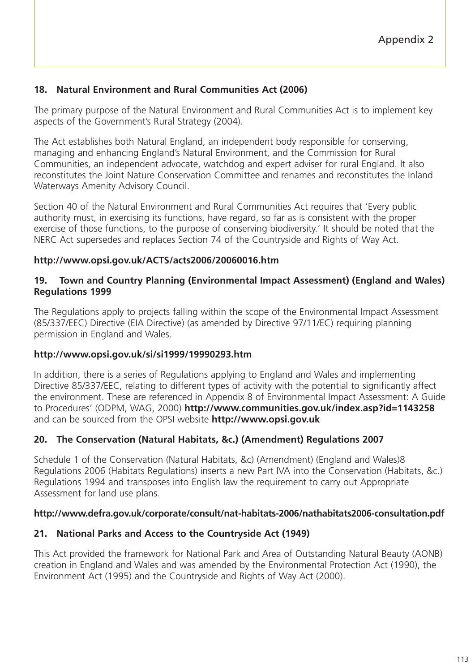### **18. Natural Environment and Rural Communities Act (2006)**

The primary purpose of the Natural Environment and Rural Communities Act is to implement key aspects of the Government's Rural Strategy (2004).

The Act establishes both Natural England, an independent body responsible for conserving, managing and enhancing England's Natural Environment, and the Commission for Rural Communities, an independent advocate, watchdog and expert adviser for rural England. It also reconstitutes the Joint Nature Conservation Committee and renames and reconstitutes the Inland Waterways Amenity Advisory Council.

Section 40 of the Natural Environment and Rural Communities Act requires that 'Every public authority must, in exercising its functions, have regard, so far as is consistent with the proper exercise of those functions, to the purpose of conserving biodiversity.' It should be noted that the NERC Act supersedes and replaces Section 74 of the Countryside and Rights of Way Act.

#### **http://www.opsi.gov.uk/ACTS/acts2006/20060016.htm**

#### **19. Town and Country Planning (Environmental Impact Assessment) (England and Wales) Regulations 1999**

The Regulations apply to projects falling within the scope of the Environmental Impact Assessment (85/337/EEC) Directive (EIA Directive) (as amended by Directive 97/11/EC) requiring planning permission in England and Wales.

#### **http://www.opsi.gov.uk/si/si1999/19990293.htm**

In addition, there is a series of Regulations applying to England and Wales and implementing Directive 85/337/EEC, relating to different types of activity with the potential to significantly affect the environment. These are referenced in Appendix 8 of Environmental Impact Assessment: A Guide to Procedures' (ODPM, WAG, 2000) **http://www.communities.gov.uk/index.asp?id=1143258** and can be sourced from the OPSI website **http://www.opsi.gov.uk**

#### **20. The Conservation (Natural Habitats, &c.) (Amendment) Regulations 2007**

Schedule 1 of the Conservation (Natural Habitats, &c) (Amendment) (England and Wales)8 Regulations 2006 (Habitats Regulations) inserts a new Part IVA into the Conservation (Habitats, &c.) Regulations 1994 and transposes into English law the requirement to carry out Appropriate Assessment for land use plans.

#### **http://www.defra.gov.uk/corporate/consult/nat-habitats-2006/nathabitats2006-consultation.pdf**

#### **21. National Parks and Access to the Countryside Act (1949)**

This Act provided the framework for National Park and Area of Outstanding Natural Beauty (AONB) creation in England and Wales and was amended by the Environmental Protection Act (1990), the Environment Act (1995) and the Countryside and Rights of Way Act (2000).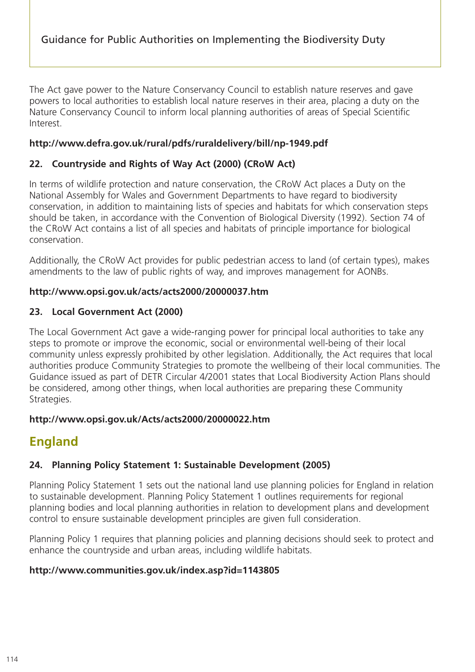The Act gave power to the Nature Conservancy Council to establish nature reserves and gave powers to local authorities to establish local nature reserves in their area, placing a duty on the Nature Conservancy Council to inform local planning authorities of areas of Special Scientific Interest.

#### **http://www.defra.gov.uk/rural/pdfs/ruraldelivery/bill/np-1949.pdf**

## **22. Countryside and Rights of Way Act (2000) (CRoW Act)**

In terms of wildlife protection and nature conservation, the CRoW Act places a Duty on the National Assembly for Wales and Government Departments to have regard to biodiversity conservation, in addition to maintaining lists of species and habitats for which conservation steps should be taken, in accordance with the Convention of Biological Diversity (1992). Section 74 of the CRoW Act contains a list of all species and habitats of principle importance for biological conservation.

Additionally, the CRoW Act provides for public pedestrian access to land (of certain types), makes amendments to the law of public rights of way, and improves management for AONBs.

#### **http://www.opsi.gov.uk/acts/acts2000/20000037.htm**

#### **23. Local Government Act (2000)**

The Local Government Act gave a wide-ranging power for principal local authorities to take any steps to promote or improve the economic, social or environmental well-being of their local community unless expressly prohibited by other legislation. Additionally, the Act requires that local authorities produce Community Strategies to promote the wellbeing of their local communities. The Guidance issued as part of DETR Circular 4/2001 states that Local Biodiversity Action Plans should be considered, among other things, when local authorities are preparing these Community Strategies.

#### **http://www.opsi.gov.uk/Acts/acts2000/20000022.htm**

# **England**

## **24. Planning Policy Statement 1: Sustainable Development (2005)**

Planning Policy Statement 1 sets out the national land use planning policies for England in relation to sustainable development. Planning Policy Statement 1 outlines requirements for regional planning bodies and local planning authorities in relation to development plans and development control to ensure sustainable development principles are given full consideration.

Planning Policy 1 requires that planning policies and planning decisions should seek to protect and enhance the countryside and urban areas, including wildlife habitats.

## **http://www.communities.gov.uk/index.asp?id=1143805**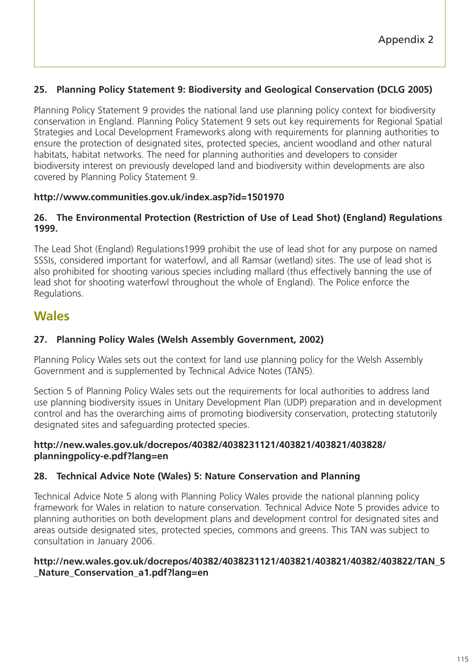## **25. Planning Policy Statement 9: Biodiversity and Geological Conservation (DCLG 2005)**

Planning Policy Statement 9 provides the national land use planning policy context for biodiversity conservation in England. Planning Policy Statement 9 sets out key requirements for Regional Spatial Strategies and Local Development Frameworks along with requirements for planning authorities to ensure the protection of designated sites, protected species, ancient woodland and other natural habitats, habitat networks. The need for planning authorities and developers to consider biodiversity interest on previously developed land and biodiversity within developments are also covered by Planning Policy Statement 9.

#### **http://www.communities.gov.uk/index.asp?id=1501970**

#### **26. The Environmental Protection (Restriction of Use of Lead Shot) (England) Regulations 1999.**

The Lead Shot (England) Regulations1999 prohibit the use of lead shot for any purpose on named SSSIs, considered important for waterfowl, and all Ramsar (wetland) sites. The use of lead shot is also prohibited for shooting various species including mallard (thus effectively banning the use of lead shot for shooting waterfowl throughout the whole of England). The Police enforce the Regulations.

# **Wales**

## **27. Planning Policy Wales (Welsh Assembly Government, 2002)**

Planning Policy Wales sets out the context for land use planning policy for the Welsh Assembly Government and is supplemented by Technical Advice Notes (TAN5).

Section 5 of Planning Policy Wales sets out the requirements for local authorities to address land use planning biodiversity issues in Unitary Development Plan (UDP) preparation and in development control and has the overarching aims of promoting biodiversity conservation, protecting statutorily designated sites and safeguarding protected species.

#### **http://new.wales.gov.uk/docrepos/40382/4038231121/403821/403821/403828/ planningpolicy-e.pdf?lang=en**

## **28. Technical Advice Note (Wales) 5: Nature Conservation and Planning**

Technical Advice Note 5 along with Planning Policy Wales provide the national planning policy framework for Wales in relation to nature conservation. Technical Advice Note 5 provides advice to planning authorities on both development plans and development control for designated sites and areas outside designated sites, protected species, commons and greens. This TAN was subject to consultation in January 2006.

#### **http://new.wales.gov.uk/docrepos/40382/4038231121/403821/403821/40382/403822/TAN\_5 \_Nature\_Conservation\_a1.pdf?lang=en**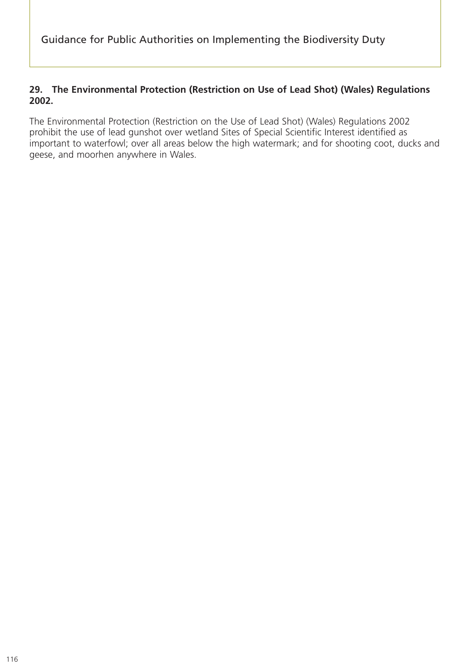#### **29. The Environmental Protection (Restriction on Use of Lead Shot) (Wales) Regulations 2002.**

The Environmental Protection (Restriction on the Use of Lead Shot) (Wales) Regulations 2002 prohibit the use of lead gunshot over wetland Sites of Special Scientific Interest identified as important to waterfowl; over all areas below the high watermark; and for shooting coot, ducks and geese, and moorhen anywhere in Wales.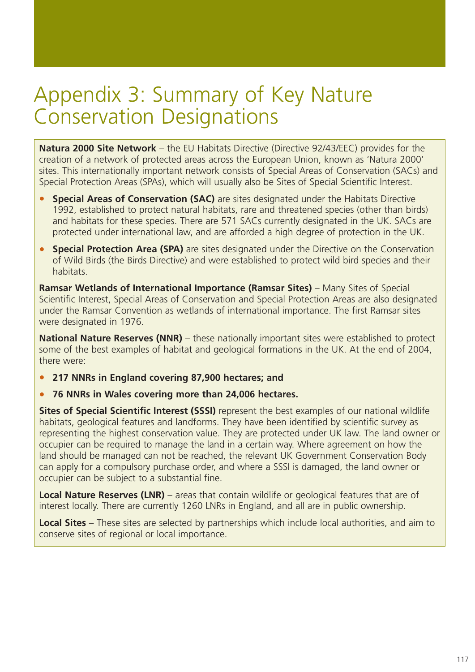# Appendix 3: Summary of Key Nature Conservation Designations

**Natura 2000 Site Network** – the EU Habitats Directive (Directive 92/43/EEC) provides for the creation of a network of protected areas across the European Union, known as 'Natura 2000' sites. This internationally important network consists of Special Areas of Conservation (SACs) and Special Protection Areas (SPAs), which will usually also be Sites of Special Scientific Interest.

- **Special Areas of Conservation (SAC)** are sites designated under the Habitats Directive 1992, established to protect natural habitats, rare and threatened species (other than birds) and habitats for these species. There are 571 SACs currently designated in the UK. SACs are protected under international law, and are afforded a high degree of protection in the UK.
- **Special Protection Area (SPA)** are sites designated under the Directive on the Conservation of Wild Birds (the Birds Directive) and were established to protect wild bird species and their habitats.

**Ramsar Wetlands of International Importance (Ramsar Sites)** – Many Sites of Special Scientific Interest, Special Areas of Conservation and Special Protection Areas are also designated under the Ramsar Convention as wetlands of international importance. The first Ramsar sites were designated in 1976.

**National Nature Reserves (NNR)** – these nationally important sites were established to protect some of the best examples of habitat and geological formations in the UK. At the end of 2004, there were:

- **217 NNRs in England covering 87,900 hectares; and**
- **76 NNRs in Wales covering more than 24,006 hectares.**

**Sites of Special Scientific Interest (SSSI)** represent the best examples of our national wildlife habitats, geological features and landforms. They have been identified by scientific survey as representing the highest conservation value. They are protected under UK law. The land owner or occupier can be required to manage the land in a certain way. Where agreement on how the land should be managed can not be reached, the relevant UK Government Conservation Body can apply for a compulsory purchase order, and where a SSSI is damaged, the land owner or occupier can be subject to a substantial fine.

**Local Nature Reserves (LNR)** – areas that contain wildlife or geological features that are of interest locally. There are currently 1260 LNRs in England, and all are in public ownership.

**Local Sites** – These sites are selected by partnerships which include local authorities, and aim to conserve sites of regional or local importance.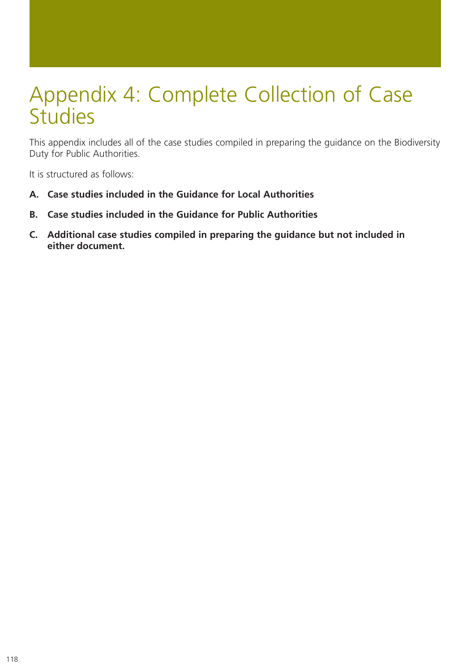# Appendix 4: Complete Collection of Case **Studies**

This appendix includes all of the case studies compiled in preparing the guidance on the Biodiversity Duty for Public Authorities.

It is structured as follows:

- **A. Case studies included in the Guidance for Local Authorities**
- **B. Case studies included in the Guidance for Public Authorities**
- **C. Additional case studies compiled in preparing the guidance but not included in either document.**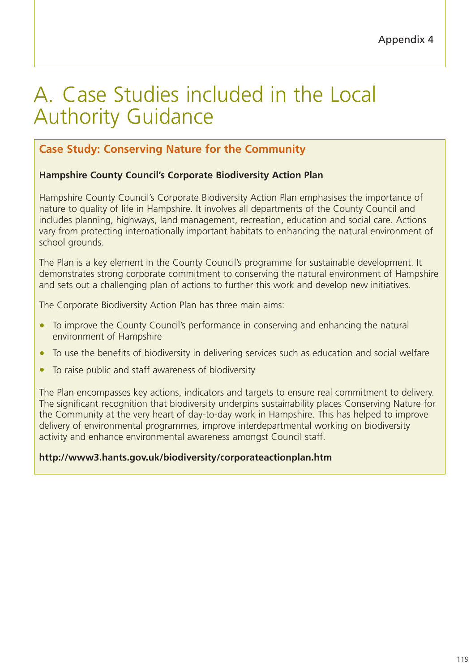# A. Case Studies included in the Local Authority Guidance

# **Case Study: Conserving Nature for the Community**

## **Hampshire County Council's Corporate Biodiversity Action Plan**

Hampshire County Council's Corporate Biodiversity Action Plan emphasises the importance of nature to quality of life in Hampshire. It involves all departments of the County Council and includes planning, highways, land management, recreation, education and social care. Actions vary from protecting internationally important habitats to enhancing the natural environment of school grounds.

The Plan is a key element in the County Council's programme for sustainable development. It demonstrates strong corporate commitment to conserving the natural environment of Hampshire and sets out a challenging plan of actions to further this work and develop new initiatives.

The Corporate Biodiversity Action Plan has three main aims:

- To improve the County Council's performance in conserving and enhancing the natural environment of Hampshire
- To use the benefits of biodiversity in delivering services such as education and social welfare
- To raise public and staff awareness of biodiversity

The Plan encompasses key actions, indicators and targets to ensure real commitment to delivery. The significant recognition that biodiversity underpins sustainability places Conserving Nature for the Community at the very heart of day-to-day work in Hampshire. This has helped to improve delivery of environmental programmes, improve interdepartmental working on biodiversity activity and enhance environmental awareness amongst Council staff.

#### **http://www3.hants.gov.uk/biodiversity/corporateactionplan.htm**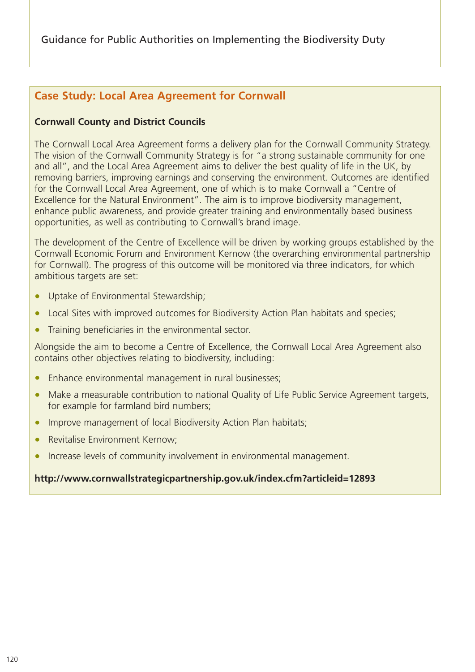# **Case Study: Local Area Agreement for Cornwall**

## **Cornwall County and District Councils**

The Cornwall Local Area Agreement forms a delivery plan for the Cornwall Community Strategy. The vision of the Cornwall Community Strategy is for "a strong sustainable community for one and all", and the Local Area Agreement aims to deliver the best quality of life in the UK, by removing barriers, improving earnings and conserving the environment. Outcomes are identified for the Cornwall Local Area Agreement, one of which is to make Cornwall a "Centre of Excellence for the Natural Environment". The aim is to improve biodiversity management, enhance public awareness, and provide greater training and environmentally based business opportunities, as well as contributing to Cornwall's brand image.

The development of the Centre of Excellence will be driven by working groups established by the Cornwall Economic Forum and Environment Kernow (the overarching environmental partnership for Cornwall). The progress of this outcome will be monitored via three indicators, for which ambitious targets are set:

- Uptake of Environmental Stewardship;
- Local Sites with improved outcomes for Biodiversity Action Plan habitats and species;
- Training beneficiaries in the environmental sector.

Alongside the aim to become a Centre of Excellence, the Cornwall Local Area Agreement also contains other objectives relating to biodiversity, including:

- Enhance environmental management in rural businesses;
- Make a measurable contribution to national Quality of Life Public Service Agreement targets, for example for farmland bird numbers;
- Improve management of local Biodiversity Action Plan habitats;
- Revitalise Environment Kernow;
- Increase levels of community involvement in environmental management.

#### **http://www.cornwallstrategicpartnership.gov.uk/index.cfm?articleid=12893**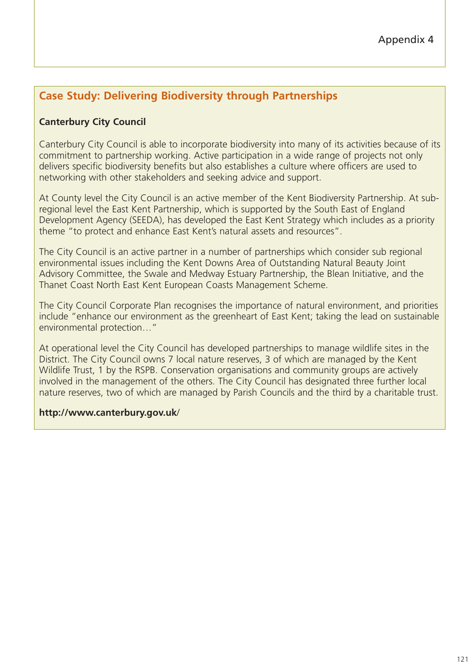# **Case Study: Delivering Biodiversity through Partnerships**

## **Canterbury City Council**

Canterbury City Council is able to incorporate biodiversity into many of its activities because of its commitment to partnership working. Active participation in a wide range of projects not only delivers specific biodiversity benefits but also establishes a culture where officers are used to networking with other stakeholders and seeking advice and support.

At County level the City Council is an active member of the Kent Biodiversity Partnership. At subregional level the East Kent Partnership, which is supported by the South East of England Development Agency (SEEDA), has developed the East Kent Strategy which includes as a priority theme "to protect and enhance East Kent's natural assets and resources".

The City Council is an active partner in a number of partnerships which consider sub regional environmental issues including the Kent Downs Area of Outstanding Natural Beauty Joint Advisory Committee, the Swale and Medway Estuary Partnership, the Blean Initiative, and the Thanet Coast North East Kent European Coasts Management Scheme.

The City Council Corporate Plan recognises the importance of natural environment, and priorities include "enhance our environment as the greenheart of East Kent; taking the lead on sustainable environmental protection…"

At operational level the City Council has developed partnerships to manage wildlife sites in the District. The City Council owns 7 local nature reserves, 3 of which are managed by the Kent Wildlife Trust, 1 by the RSPB. Conservation organisations and community groups are actively involved in the management of the others. The City Council has designated three further local nature reserves, two of which are managed by Parish Councils and the third by a charitable trust.

#### **http://www.canterbury.gov.uk**/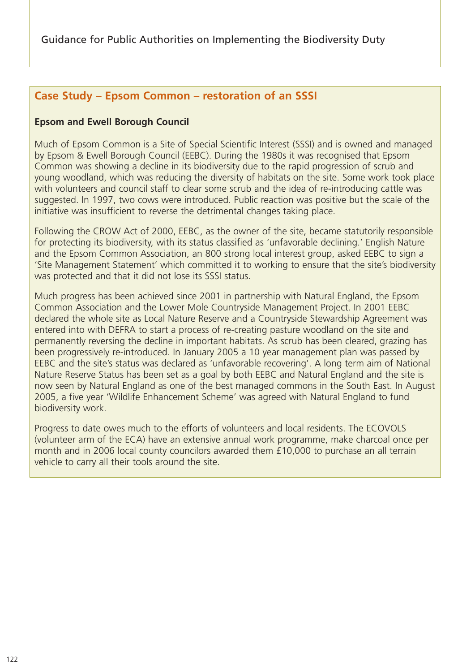## **Case Study – Epsom Common – restoration of an SSSI**

#### **Epsom and Ewell Borough Council**

Much of Epsom Common is a Site of Special Scientific Interest (SSSI) and is owned and managed by Epsom & Ewell Borough Council (EEBC). During the 1980s it was recognised that Epsom Common was showing a decline in its biodiversity due to the rapid progression of scrub and young woodland, which was reducing the diversity of habitats on the site. Some work took place with volunteers and council staff to clear some scrub and the idea of re-introducing cattle was suggested. In 1997, two cows were introduced. Public reaction was positive but the scale of the initiative was insufficient to reverse the detrimental changes taking place.

Following the CROW Act of 2000, EEBC, as the owner of the site, became statutorily responsible for protecting its biodiversity, with its status classified as 'unfavorable declining.' English Nature and the Epsom Common Association, an 800 strong local interest group, asked EEBC to sign a 'Site Management Statement' which committed it to working to ensure that the site's biodiversity was protected and that it did not lose its SSSI status.

Much progress has been achieved since 2001 in partnership with Natural England, the Epsom Common Association and the Lower Mole Countryside Management Project. In 2001 EEBC declared the whole site as Local Nature Reserve and a Countryside Stewardship Agreement was entered into with DEFRA to start a process of re-creating pasture woodland on the site and permanently reversing the decline in important habitats. As scrub has been cleared, grazing has been progressively re-introduced. In January 2005 a 10 year management plan was passed by EEBC and the site's status was declared as 'unfavorable recovering'. A long term aim of National Nature Reserve Status has been set as a goal by both EEBC and Natural England and the site is now seen by Natural England as one of the best managed commons in the South East. In August 2005, a five year 'Wildlife Enhancement Scheme' was agreed with Natural England to fund biodiversity work.

Progress to date owes much to the efforts of volunteers and local residents. The ECOVOLS (volunteer arm of the ECA) have an extensive annual work programme, make charcoal once per month and in 2006 local county councilors awarded them £10,000 to purchase an all terrain vehicle to carry all their tools around the site.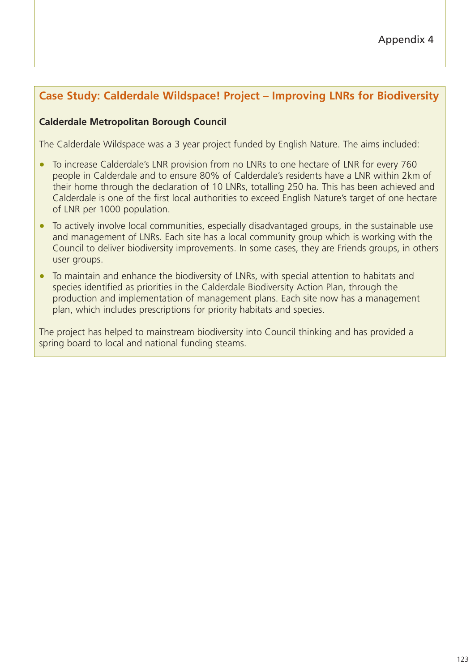# **Case Study: Calderdale Wildspace! Project – Improving LNRs for Biodiversity**

#### **Calderdale Metropolitan Borough Council**

The Calderdale Wildspace was a 3 year project funded by English Nature. The aims included:

- To increase Calderdale's LNR provision from no LNRs to one hectare of LNR for every 760 people in Calderdale and to ensure 80% of Calderdale's residents have a LNR within 2km of their home through the declaration of 10 LNRs, totalling 250 ha. This has been achieved and Calderdale is one of the first local authorities to exceed English Nature's target of one hectare of LNR per 1000 population.
- To actively involve local communities, especially disadvantaged groups, in the sustainable use and management of LNRs. Each site has a local community group which is working with the Council to deliver biodiversity improvements. In some cases, they are Friends groups, in others user groups.
- To maintain and enhance the biodiversity of LNRs, with special attention to habitats and species identified as priorities in the Calderdale Biodiversity Action Plan, through the production and implementation of management plans. Each site now has a management plan, which includes prescriptions for priority habitats and species.

The project has helped to mainstream biodiversity into Council thinking and has provided a spring board to local and national funding steams.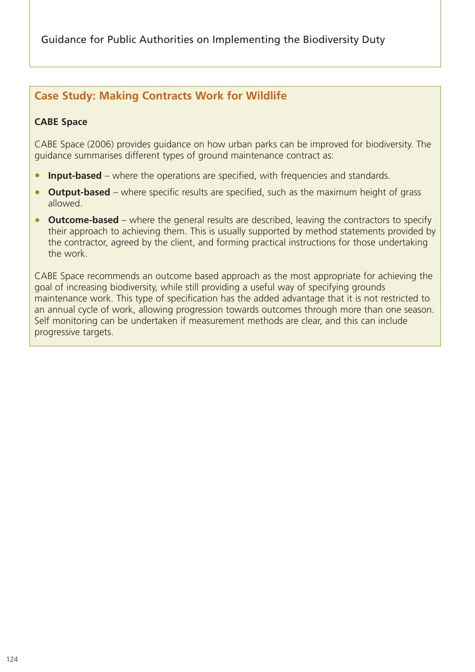Guidance for Public Authorities on Implementing the Biodiversity Duty

# **Case Study: Making Contracts Work for Wildlife**

#### **CABE Space**

CABE Space (2006) provides guidance on how urban parks can be improved for biodiversity. The guidance summarises different types of ground maintenance contract as:

- **Input-based** where the operations are specified, with frequencies and standards.
- **Output-based** where specific results are specified, such as the maximum height of grass allowed.
- **Outcome-based** where the general results are described, leaving the contractors to specify their approach to achieving them. This is usually supported by method statements provided by the contractor, agreed by the client, and forming practical instructions for those undertaking the work.

CABE Space recommends an outcome based approach as the most appropriate for achieving the goal of increasing biodiversity, while still providing a useful way of specifying grounds maintenance work. This type of specification has the added advantage that it is not restricted to an annual cycle of work, allowing progression towards outcomes through more than one season. Self monitoring can be undertaken if measurement methods are clear, and this can include progressive targets.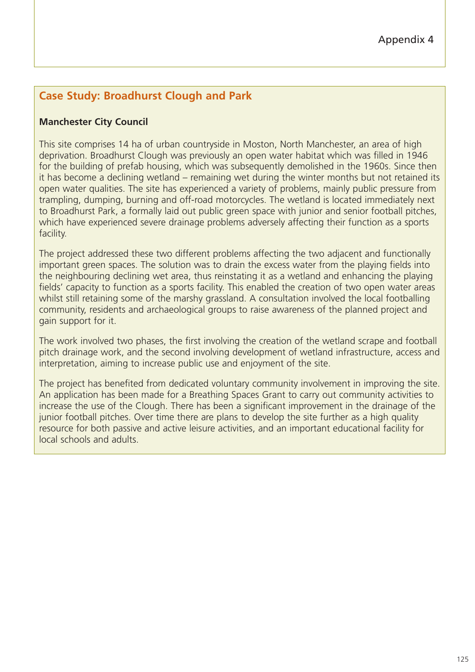# **Case Study: Broadhurst Clough and Park**

## **Manchester City Council**

This site comprises 14 ha of urban countryside in Moston, North Manchester, an area of high deprivation. Broadhurst Clough was previously an open water habitat which was filled in 1946 for the building of prefab housing, which was subsequently demolished in the 1960s. Since then it has become a declining wetland – remaining wet during the winter months but not retained its open water qualities. The site has experienced a variety of problems, mainly public pressure from trampling, dumping, burning and off-road motorcycles. The wetland is located immediately next to Broadhurst Park, a formally laid out public green space with junior and senior football pitches, which have experienced severe drainage problems adversely affecting their function as a sports facility.

The project addressed these two different problems affecting the two adjacent and functionally important green spaces. The solution was to drain the excess water from the playing fields into the neighbouring declining wet area, thus reinstating it as a wetland and enhancing the playing fields' capacity to function as a sports facility. This enabled the creation of two open water areas whilst still retaining some of the marshy grassland. A consultation involved the local footballing community, residents and archaeological groups to raise awareness of the planned project and gain support for it.

The work involved two phases, the first involving the creation of the wetland scrape and football pitch drainage work, and the second involving development of wetland infrastructure, access and interpretation, aiming to increase public use and enjoyment of the site.

The project has benefited from dedicated voluntary community involvement in improving the site. An application has been made for a Breathing Spaces Grant to carry out community activities to increase the use of the Clough. There has been a significant improvement in the drainage of the junior football pitches. Over time there are plans to develop the site further as a high quality resource for both passive and active leisure activities, and an important educational facility for local schools and adults.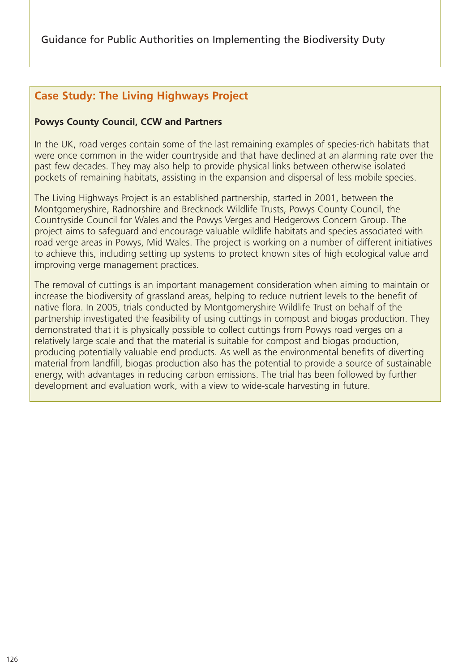# **Case Study: The Living Highways Project**

### **Powys County Council, CCW and Partners**

In the UK, road verges contain some of the last remaining examples of species-rich habitats that were once common in the wider countryside and that have declined at an alarming rate over the past few decades. They may also help to provide physical links between otherwise isolated pockets of remaining habitats, assisting in the expansion and dispersal of less mobile species.

The Living Highways Project is an established partnership, started in 2001, between the Montgomeryshire, Radnorshire and Brecknock Wildlife Trusts, Powys County Council, the Countryside Council for Wales and the Powys Verges and Hedgerows Concern Group. The project aims to safeguard and encourage valuable wildlife habitats and species associated with road verge areas in Powys, Mid Wales. The project is working on a number of different initiatives to achieve this, including setting up systems to protect known sites of high ecological value and improving verge management practices.

The removal of cuttings is an important management consideration when aiming to maintain or increase the biodiversity of grassland areas, helping to reduce nutrient levels to the benefit of native flora. In 2005, trials conducted by Montgomeryshire Wildlife Trust on behalf of the partnership investigated the feasibility of using cuttings in compost and biogas production. They demonstrated that it is physically possible to collect cuttings from Powys road verges on a relatively large scale and that the material is suitable for compost and biogas production, producing potentially valuable end products. As well as the environmental benefits of diverting material from landfill, biogas production also has the potential to provide a source of sustainable energy, with advantages in reducing carbon emissions. The trial has been followed by further development and evaluation work, with a view to wide-scale harvesting in future.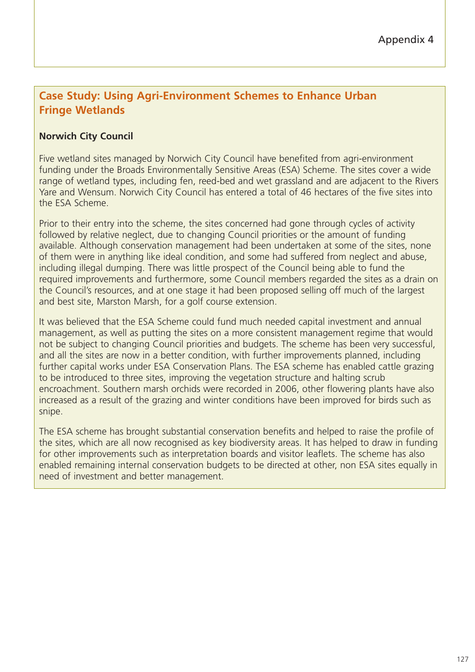# **Case Study: Using Agri-Environment Schemes to Enhance Urban Fringe Wetlands**

## **Norwich City Council**

Five wetland sites managed by Norwich City Council have benefited from agri-environment funding under the Broads Environmentally Sensitive Areas (ESA) Scheme. The sites cover a wide range of wetland types, including fen, reed-bed and wet grassland and are adjacent to the Rivers Yare and Wensum. Norwich City Council has entered a total of 46 hectares of the five sites into the ESA Scheme.

Prior to their entry into the scheme, the sites concerned had gone through cycles of activity followed by relative neglect, due to changing Council priorities or the amount of funding available. Although conservation management had been undertaken at some of the sites, none of them were in anything like ideal condition, and some had suffered from neglect and abuse, including illegal dumping. There was little prospect of the Council being able to fund the required improvements and furthermore, some Council members regarded the sites as a drain on the Council's resources, and at one stage it had been proposed selling off much of the largest and best site, Marston Marsh, for a golf course extension.

It was believed that the ESA Scheme could fund much needed capital investment and annual management, as well as putting the sites on a more consistent management regime that would not be subject to changing Council priorities and budgets. The scheme has been very successful, and all the sites are now in a better condition, with further improvements planned, including further capital works under ESA Conservation Plans. The ESA scheme has enabled cattle grazing to be introduced to three sites, improving the vegetation structure and halting scrub encroachment. Southern marsh orchids were recorded in 2006, other flowering plants have also increased as a result of the grazing and winter conditions have been improved for birds such as snipe.

The ESA scheme has brought substantial conservation benefits and helped to raise the profile of the sites, which are all now recognised as key biodiversity areas. It has helped to draw in funding for other improvements such as interpretation boards and visitor leaflets. The scheme has also enabled remaining internal conservation budgets to be directed at other, non ESA sites equally in need of investment and better management.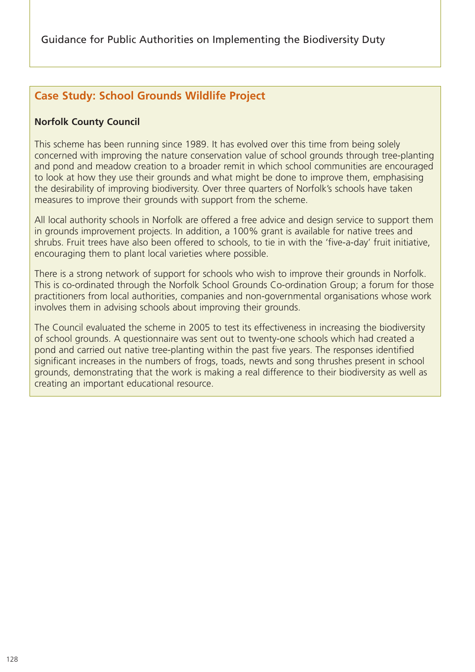# **Case Study: School Grounds Wildlife Project**

## **Norfolk County Council**

This scheme has been running since 1989. It has evolved over this time from being solely concerned with improving the nature conservation value of school grounds through tree-planting and pond and meadow creation to a broader remit in which school communities are encouraged to look at how they use their grounds and what might be done to improve them, emphasising the desirability of improving biodiversity. Over three quarters of Norfolk's schools have taken measures to improve their grounds with support from the scheme.

All local authority schools in Norfolk are offered a free advice and design service to support them in grounds improvement projects. In addition, a 100% grant is available for native trees and shrubs. Fruit trees have also been offered to schools, to tie in with the 'five-a-day' fruit initiative, encouraging them to plant local varieties where possible.

There is a strong network of support for schools who wish to improve their grounds in Norfolk. This is co-ordinated through the Norfolk School Grounds Co-ordination Group; a forum for those practitioners from local authorities, companies and non-governmental organisations whose work involves them in advising schools about improving their grounds.

The Council evaluated the scheme in 2005 to test its effectiveness in increasing the biodiversity of school grounds. A questionnaire was sent out to twenty-one schools which had created a pond and carried out native tree-planting within the past five years. The responses identified significant increases in the numbers of frogs, toads, newts and song thrushes present in school grounds, demonstrating that the work is making a real difference to their biodiversity as well as creating an important educational resource.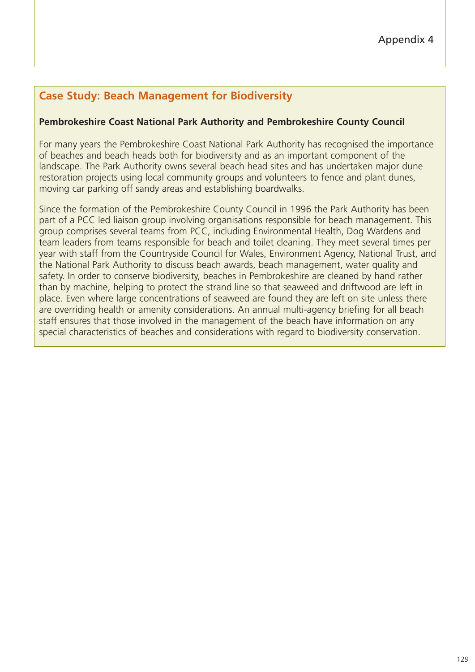# **Case Study: Beach Management for Biodiversity**

#### **Pembrokeshire Coast National Park Authority and Pembrokeshire County Council**

For many years the Pembrokeshire Coast National Park Authority has recognised the importance of beaches and beach heads both for biodiversity and as an important component of the landscape. The Park Authority owns several beach head sites and has undertaken major dune restoration projects using local community groups and volunteers to fence and plant dunes, moving car parking off sandy areas and establishing boardwalks.

Since the formation of the Pembrokeshire County Council in 1996 the Park Authority has been part of a PCC led liaison group involving organisations responsible for beach management. This group comprises several teams from PCC, including Environmental Health, Dog Wardens and team leaders from teams responsible for beach and toilet cleaning. They meet several times per year with staff from the Countryside Council for Wales, Environment Agency, National Trust, and the National Park Authority to discuss beach awards, beach management, water quality and safety. In order to conserve biodiversity, beaches in Pembrokeshire are cleaned by hand rather than by machine, helping to protect the strand line so that seaweed and driftwood are left in place. Even where large concentrations of seaweed are found they are left on site unless there are overriding health or amenity considerations. An annual multi-agency briefing for all beach staff ensures that those involved in the management of the beach have information on any special characteristics of beaches and considerations with regard to biodiversity conservation.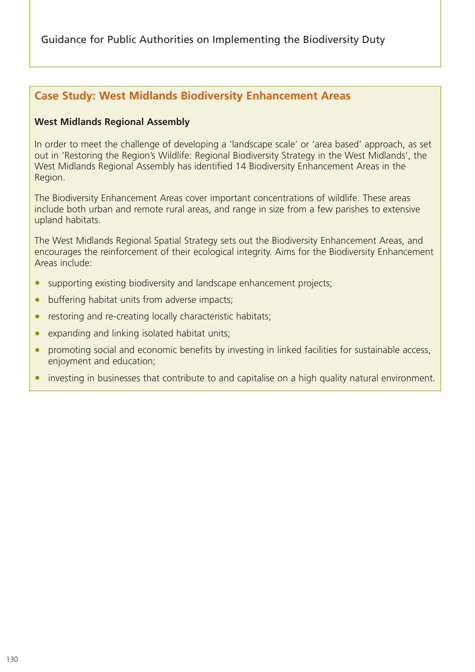Guidance for Public Authorities on Implementing the Biodiversity Duty

## **Case Study: West Midlands Biodiversity Enhancement Areas**

#### **West Midlands Regional Assembly**

In order to meet the challenge of developing a 'landscape scale' or 'area based' approach, as set out in 'Restoring the Region's Wildlife: Regional Biodiversity Strategy in the West Midlands', the West Midlands Regional Assembly has identified 14 Biodiversity Enhancement Areas in the Region.

The Biodiversity Enhancement Areas cover important concentrations of wildlife. These areas include both urban and remote rural areas, and range in size from a few parishes to extensive upland habitats.

The West Midlands Regional Spatial Strategy sets out the Biodiversity Enhancement Areas, and encourages the reinforcement of their ecological integrity. Aims for the Biodiversity Enhancement Areas include:

- supporting existing biodiversity and landscape enhancement projects;
- buffering habitat units from adverse impacts;
- restoring and re-creating locally characteristic habitats;
- expanding and linking isolated habitat units;
- promoting social and economic benefits by investing in linked facilities for sustainable access, enjoyment and education;
- investing in businesses that contribute to and capitalise on a high quality natural environment.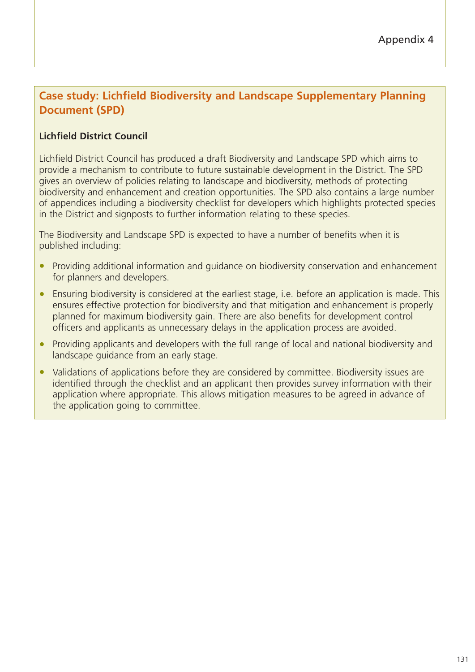# **Case study: Lichfield Biodiversity and Landscape Supplementary Planning Document (SPD)**

## **Lichfield District Council**

Lichfield District Council has produced a draft Biodiversity and Landscape SPD which aims to provide a mechanism to contribute to future sustainable development in the District. The SPD gives an overview of policies relating to landscape and biodiversity, methods of protecting biodiversity and enhancement and creation opportunities. The SPD also contains a large number of appendices including a biodiversity checklist for developers which highlights protected species in the District and signposts to further information relating to these species.

The Biodiversity and Landscape SPD is expected to have a number of benefits when it is published including:

- Providing additional information and quidance on biodiversity conservation and enhancement for planners and developers.
- Ensuring biodiversity is considered at the earliest stage, i.e. before an application is made. This ensures effective protection for biodiversity and that mitigation and enhancement is properly planned for maximum biodiversity gain. There are also benefits for development control officers and applicants as unnecessary delays in the application process are avoided.
- Providing applicants and developers with the full range of local and national biodiversity and landscape guidance from an early stage.
- Validations of applications before they are considered by committee. Biodiversity issues are identified through the checklist and an applicant then provides survey information with their application where appropriate. This allows mitigation measures to be agreed in advance of the application going to committee.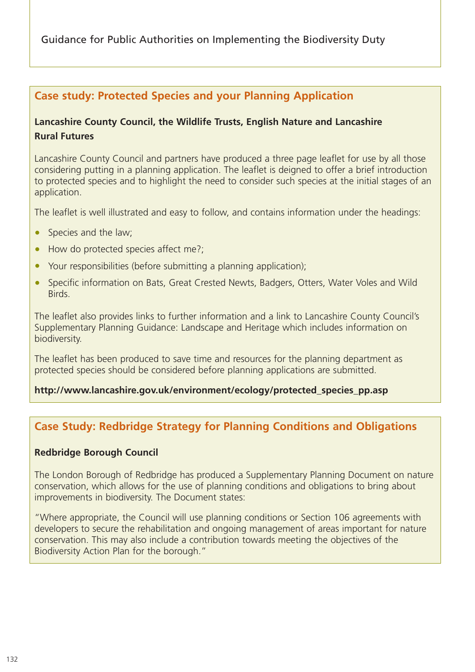Guidance for Public Authorities on Implementing the Biodiversity Duty

## **Case study: Protected Species and your Planning Application**

## **Lancashire County Council, the Wildlife Trusts, English Nature and Lancashire Rural Futures**

Lancashire County Council and partners have produced a three page leaflet for use by all those considering putting in a planning application. The leaflet is deigned to offer a brief introduction to protected species and to highlight the need to consider such species at the initial stages of an application.

The leaflet is well illustrated and easy to follow, and contains information under the headings:

- Species and the law;
- How do protected species affect me?;
- Your responsibilities (before submitting a planning application);
- Specific information on Bats, Great Crested Newts, Badgers, Otters, Water Voles and Wild Birds.

The leaflet also provides links to further information and a link to Lancashire County Council's Supplementary Planning Guidance: Landscape and Heritage which includes information on biodiversity.

The leaflet has been produced to save time and resources for the planning department as protected species should be considered before planning applications are submitted.

#### **http://www.lancashire.gov.uk/environment/ecology/protected\_species\_pp.asp**

# **Case Study: Redbridge Strategy for Planning Conditions and Obligations**

#### **Redbridge Borough Council**

The London Borough of Redbridge has produced a Supplementary Planning Document on nature conservation, which allows for the use of planning conditions and obligations to bring about improvements in biodiversity. The Document states:

"Where appropriate, the Council will use planning conditions or Section 106 agreements with developers to secure the rehabilitation and ongoing management of areas important for nature conservation. This may also include a contribution towards meeting the objectives of the Biodiversity Action Plan for the borough."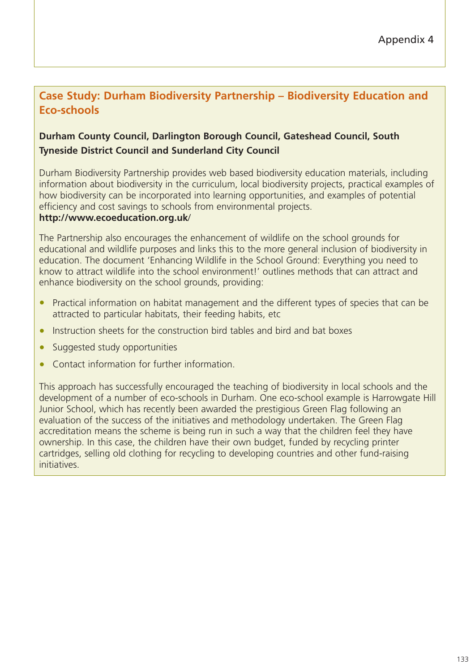# **Case Study: Durham Biodiversity Partnership – Biodiversity Education and Eco-schools**

## **Durham County Council, Darlington Borough Council, Gateshead Council, South Tyneside District Council and Sunderland City Council**

Durham Biodiversity Partnership provides web based biodiversity education materials, including information about biodiversity in the curriculum, local biodiversity projects, practical examples of how biodiversity can be incorporated into learning opportunities, and examples of potential efficiency and cost savings to schools from environmental projects.

#### **http://www.ecoeducation.org.uk**/

The Partnership also encourages the enhancement of wildlife on the school grounds for educational and wildlife purposes and links this to the more general inclusion of biodiversity in education. The document 'Enhancing Wildlife in the School Ground: Everything you need to know to attract wildlife into the school environment!' outlines methods that can attract and enhance biodiversity on the school grounds, providing:

- Practical information on habitat management and the different types of species that can be attracted to particular habitats, their feeding habits, etc
- Instruction sheets for the construction bird tables and bird and bat boxes
- Suggested study opportunities
- Contact information for further information.

This approach has successfully encouraged the teaching of biodiversity in local schools and the development of a number of eco-schools in Durham. One eco-school example is Harrowgate Hill Junior School, which has recently been awarded the prestigious Green Flag following an evaluation of the success of the initiatives and methodology undertaken. The Green Flag accreditation means the scheme is being run in such a way that the children feel they have ownership. In this case, the children have their own budget, funded by recycling printer cartridges, selling old clothing for recycling to developing countries and other fund-raising initiatives.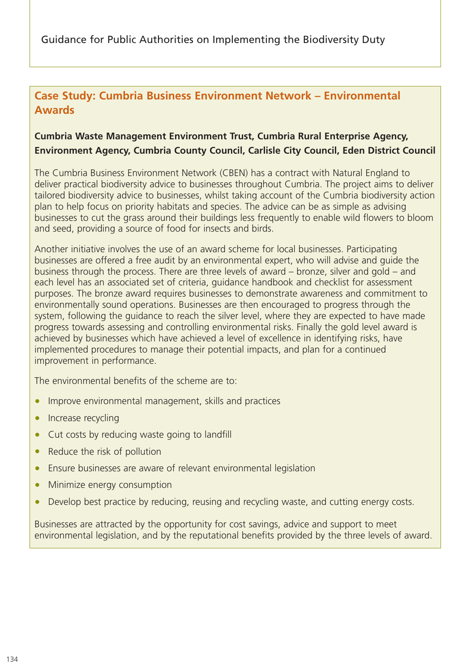# **Case Study: Cumbria Business Environment Network – Environmental Awards**

## **Cumbria Waste Management Environment Trust, Cumbria Rural Enterprise Agency, Environment Agency, Cumbria County Council, Carlisle City Council, Eden District Council**

The Cumbria Business Environment Network (CBEN) has a contract with Natural England to deliver practical biodiversity advice to businesses throughout Cumbria. The project aims to deliver tailored biodiversity advice to businesses, whilst taking account of the Cumbria biodiversity action plan to help focus on priority habitats and species. The advice can be as simple as advising businesses to cut the grass around their buildings less frequently to enable wild flowers to bloom and seed, providing a source of food for insects and birds.

Another initiative involves the use of an award scheme for local businesses. Participating businesses are offered a free audit by an environmental expert, who will advise and guide the business through the process. There are three levels of award – bronze, silver and gold – and each level has an associated set of criteria, guidance handbook and checklist for assessment purposes. The bronze award requires businesses to demonstrate awareness and commitment to environmentally sound operations. Businesses are then encouraged to progress through the system, following the guidance to reach the silver level, where they are expected to have made progress towards assessing and controlling environmental risks. Finally the gold level award is achieved by businesses which have achieved a level of excellence in identifying risks, have implemented procedures to manage their potential impacts, and plan for a continued improvement in performance.

The environmental benefits of the scheme are to:

- Improve environmental management, skills and practices
- Increase recycling
- Cut costs by reducing waste going to landfill
- Reduce the risk of pollution
- Ensure businesses are aware of relevant environmental legislation
- Minimize energy consumption
- Develop best practice by reducing, reusing and recycling waste, and cutting energy costs.

Businesses are attracted by the opportunity for cost savings, advice and support to meet environmental legislation, and by the reputational benefits provided by the three levels of award.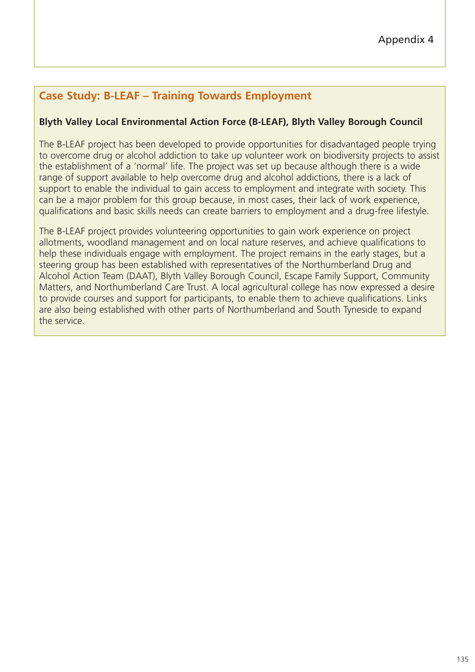# **Case Study: B-LEAF – Training Towards Employment**

## **Blyth Valley Local Environmental Action Force (B-LEAF), Blyth Valley Borough Council**

The B-LEAF project has been developed to provide opportunities for disadvantaged people trying to overcome drug or alcohol addiction to take up volunteer work on biodiversity projects to assist the establishment of a 'normal' life. The project was set up because although there is a wide range of support available to help overcome drug and alcohol addictions, there is a lack of support to enable the individual to gain access to employment and integrate with society. This can be a major problem for this group because, in most cases, their lack of work experience, qualifications and basic skills needs can create barriers to employment and a drug-free lifestyle.

The B-LEAF project provides volunteering opportunities to gain work experience on project allotments, woodland management and on local nature reserves, and achieve qualifications to help these individuals engage with employment. The project remains in the early stages, but a steering group has been established with representatives of the Northumberland Drug and Alcohol Action Team (DAAT), Blyth Valley Borough Council, Escape Family Support, Community Matters, and Northumberland Care Trust. A local agricultural college has now expressed a desire to provide courses and support for participants, to enable them to achieve qualifications. Links are also being established with other parts of Northumberland and South Tyneside to expand the service.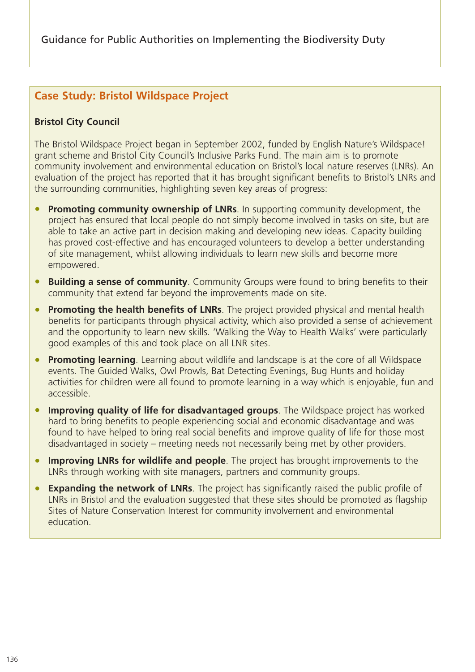# **Case Study: Bristol Wildspace Project**

## **Bristol City Council**

The Bristol Wildspace Project began in September 2002, funded by English Nature's Wildspace! grant scheme and Bristol City Council's Inclusive Parks Fund. The main aim is to promote community involvement and environmental education on Bristol's local nature reserves (LNRs). An evaluation of the project has reported that it has brought significant benefits to Bristol's LNRs and the surrounding communities, highlighting seven key areas of progress:

- **Promoting community ownership of LNRs**. In supporting community development, the project has ensured that local people do not simply become involved in tasks on site, but are able to take an active part in decision making and developing new ideas. Capacity building has proved cost-effective and has encouraged volunteers to develop a better understanding of site management, whilst allowing individuals to learn new skills and become more empowered.
- **Building a sense of community**. Community Groups were found to bring benefits to their community that extend far beyond the improvements made on site.
- **Promoting the health benefits of LNRs**. The project provided physical and mental health benefits for participants through physical activity, which also provided a sense of achievement and the opportunity to learn new skills. 'Walking the Way to Health Walks' were particularly good examples of this and took place on all LNR sites.
- **Promoting learning**. Learning about wildlife and landscape is at the core of all Wildspace events. The Guided Walks, Owl Prowls, Bat Detecting Evenings, Bug Hunts and holiday activities for children were all found to promote learning in a way which is enjoyable, fun and accessible.
- **Improving quality of life for disadvantaged groups**. The Wildspace project has worked hard to bring benefits to people experiencing social and economic disadvantage and was found to have helped to bring real social benefits and improve quality of life for those most disadvantaged in society – meeting needs not necessarily being met by other providers.
- **Improving LNRs for wildlife and people**. The project has brought improvements to the LNRs through working with site managers, partners and community groups.
- **Expanding the network of LNRs**. The project has significantly raised the public profile of LNRs in Bristol and the evaluation suggested that these sites should be promoted as flagship Sites of Nature Conservation Interest for community involvement and environmental education.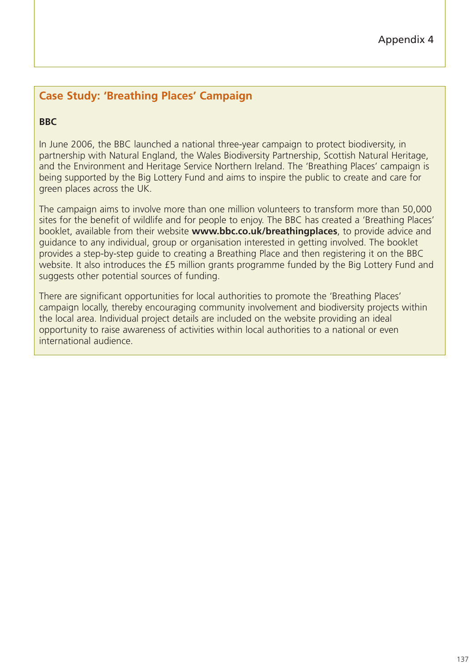# **Case Study: 'Breathing Places' Campaign**

## **BBC**

In June 2006, the BBC launched a national three-year campaign to protect biodiversity, in partnership with Natural England, the Wales Biodiversity Partnership, Scottish Natural Heritage, and the Environment and Heritage Service Northern Ireland. The 'Breathing Places' campaign is being supported by the Big Lottery Fund and aims to inspire the public to create and care for green places across the UK.

The campaign aims to involve more than one million volunteers to transform more than 50,000 sites for the benefit of wildlife and for people to enjoy. The BBC has created a 'Breathing Places' booklet, available from their website **www.bbc.co.uk/breathingplaces**, to provide advice and guidance to any individual, group or organisation interested in getting involved. The booklet provides a step-by-step guide to creating a Breathing Place and then registering it on the BBC website. It also introduces the £5 million grants programme funded by the Big Lottery Fund and suggests other potential sources of funding.

There are significant opportunities for local authorities to promote the 'Breathing Places' campaign locally, thereby encouraging community involvement and biodiversity projects within the local area. Individual project details are included on the website providing an ideal opportunity to raise awareness of activities within local authorities to a national or even international audience.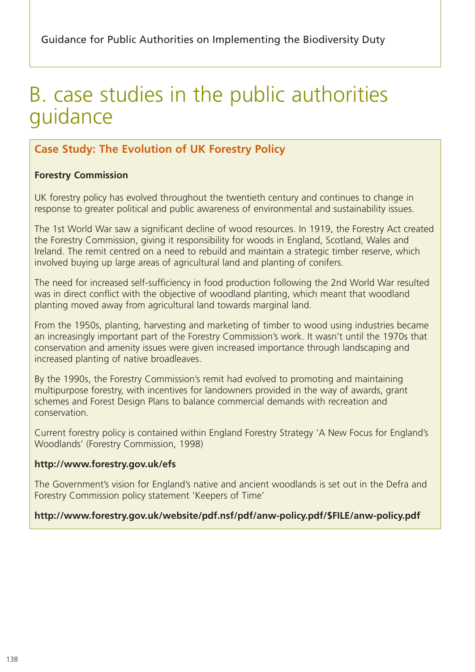# B. case studies in the public authorities guidance

# **Case Study: The Evolution of UK Forestry Policy**

#### **Forestry Commission**

UK forestry policy has evolved throughout the twentieth century and continues to change in response to greater political and public awareness of environmental and sustainability issues.

The 1st World War saw a significant decline of wood resources. In 1919, the Forestry Act created the Forestry Commission, giving it responsibility for woods in England, Scotland, Wales and Ireland. The remit centred on a need to rebuild and maintain a strategic timber reserve, which involved buying up large areas of agricultural land and planting of conifers.

The need for increased self-sufficiency in food production following the 2nd World War resulted was in direct conflict with the objective of woodland planting, which meant that woodland planting moved away from agricultural land towards marginal land.

From the 1950s, planting, harvesting and marketing of timber to wood using industries became an increasingly important part of the Forestry Commission's work. It wasn't until the 1970s that conservation and amenity issues were given increased importance through landscaping and increased planting of native broadleaves.

By the 1990s, the Forestry Commission's remit had evolved to promoting and maintaining multipurpose forestry, with incentives for landowners provided in the way of awards, grant schemes and Forest Design Plans to balance commercial demands with recreation and conservation.

Current forestry policy is contained within England Forestry Strategy 'A New Focus for England's Woodlands' (Forestry Commission, 1998)

#### **http://www.forestry.gov.uk/efs**

The Government's vision for England's native and ancient woodlands is set out in the Defra and Forestry Commission policy statement 'Keepers of Time'

#### **http://www.forestry.gov.uk/website/pdf.nsf/pdf/anw-policy.pdf/\$FILE/anw-policy.pdf**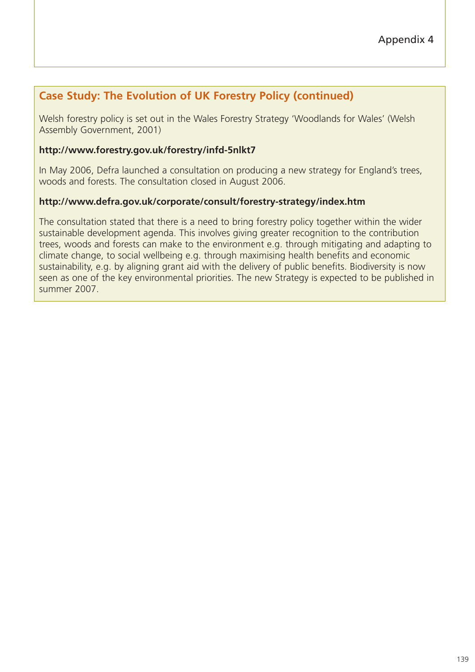# **Case Study: The Evolution of UK Forestry Policy (continued)**

Welsh forestry policy is set out in the Wales Forestry Strategy 'Woodlands for Wales' (Welsh Assembly Government, 2001)

#### **http://www.forestry.gov.uk/forestry/infd-5nlkt7**

In May 2006, Defra launched a consultation on producing a new strategy for England's trees, woods and forests. The consultation closed in August 2006.

#### **http://www.defra.gov.uk/corporate/consult/forestry-strategy/index.htm**

The consultation stated that there is a need to bring forestry policy together within the wider sustainable development agenda. This involves giving greater recognition to the contribution trees, woods and forests can make to the environment e.g. through mitigating and adapting to climate change, to social wellbeing e.g. through maximising health benefits and economic sustainability, e.g. by aligning grant aid with the delivery of public benefits. Biodiversity is now seen as one of the key environmental priorities. The new Strategy is expected to be published in summer 2007.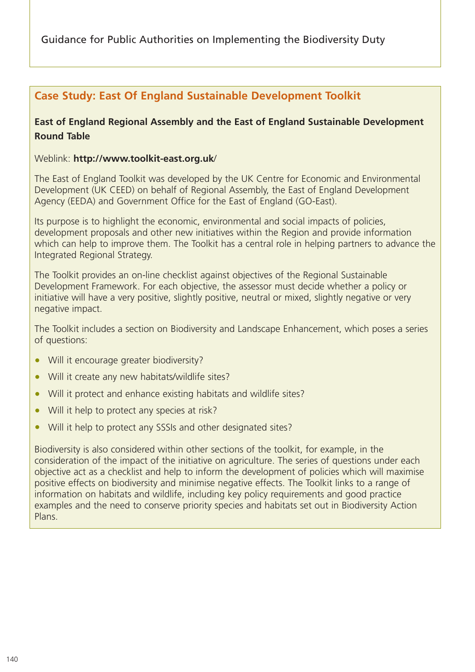Guidance for Public Authorities on Implementing the Biodiversity Duty

# **Case Study: East Of England Sustainable Development Toolkit**

## **East of England Regional Assembly and the East of England Sustainable Development Round Table**

Weblink: **http://www.toolkit-east.org.uk**/

The East of England Toolkit was developed by the UK Centre for Economic and Environmental Development (UK CEED) on behalf of Regional Assembly, the East of England Development Agency (EEDA) and Government Office for the East of England (GO-East).

Its purpose is to highlight the economic, environmental and social impacts of policies, development proposals and other new initiatives within the Region and provide information which can help to improve them. The Toolkit has a central role in helping partners to advance the Integrated Regional Strategy.

The Toolkit provides an on-line checklist against objectives of the Regional Sustainable Development Framework. For each objective, the assessor must decide whether a policy or initiative will have a very positive, slightly positive, neutral or mixed, slightly negative or very negative impact.

The Toolkit includes a section on Biodiversity and Landscape Enhancement, which poses a series of questions:

- Will it encourage greater biodiversity?
- Will it create any new habitats/wildlife sites?
- Will it protect and enhance existing habitats and wildlife sites?
- Will it help to protect any species at risk?
- Will it help to protect any SSSIs and other designated sites?

Biodiversity is also considered within other sections of the toolkit, for example, in the consideration of the impact of the initiative on agriculture. The series of questions under each objective act as a checklist and help to inform the development of policies which will maximise positive effects on biodiversity and minimise negative effects. The Toolkit links to a range of information on habitats and wildlife, including key policy requirements and good practice examples and the need to conserve priority species and habitats set out in Biodiversity Action Plans.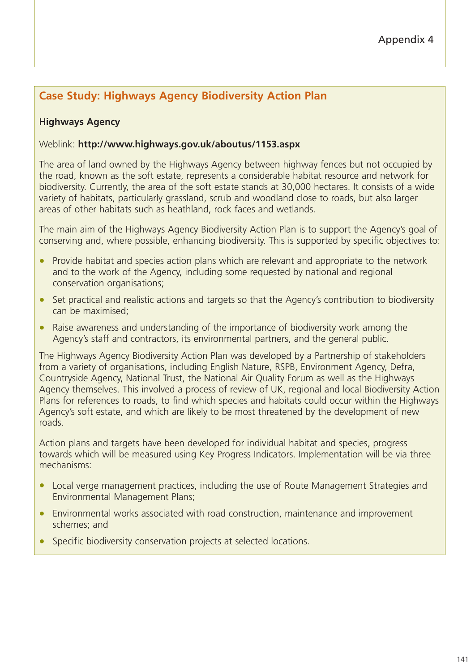# **Case Study: Highways Agency Biodiversity Action Plan**

## **Highways Agency**

#### Weblink: **http://www.highways.gov.uk/aboutus/1153.aspx**

The area of land owned by the Highways Agency between highway fences but not occupied by the road, known as the soft estate, represents a considerable habitat resource and network for biodiversity. Currently, the area of the soft estate stands at 30,000 hectares. It consists of a wide variety of habitats, particularly grassland, scrub and woodland close to roads, but also larger areas of other habitats such as heathland, rock faces and wetlands.

The main aim of the Highways Agency Biodiversity Action Plan is to support the Agency's goal of conserving and, where possible, enhancing biodiversity. This is supported by specific objectives to:

- Provide habitat and species action plans which are relevant and appropriate to the network and to the work of the Agency, including some requested by national and regional conservation organisations;
- Set practical and realistic actions and targets so that the Agency's contribution to biodiversity can be maximised;
- Raise awareness and understanding of the importance of biodiversity work among the Agency's staff and contractors, its environmental partners, and the general public.

The Highways Agency Biodiversity Action Plan was developed by a Partnership of stakeholders from a variety of organisations, including English Nature, RSPB, Environment Agency, Defra, Countryside Agency, National Trust, the National Air Quality Forum as well as the Highways Agency themselves. This involved a process of review of UK, regional and local Biodiversity Action Plans for references to roads, to find which species and habitats could occur within the Highways Agency's soft estate, and which are likely to be most threatened by the development of new roads.

Action plans and targets have been developed for individual habitat and species, progress towards which will be measured using Key Progress Indicators. Implementation will be via three mechanisms:

- Local verge management practices, including the use of Route Management Strategies and Environmental Management Plans;
- Environmental works associated with road construction, maintenance and improvement schemes; and
- Specific biodiversity conservation projects at selected locations.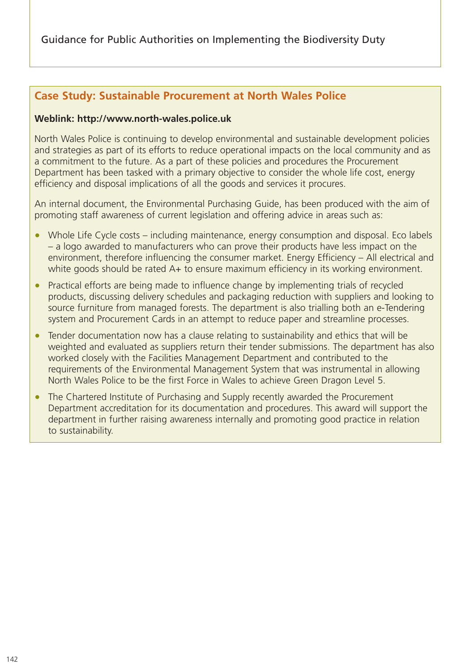## **Case Study: Sustainable Procurement at North Wales Police**

#### **Weblink: http://www.north-wales.police.uk**

North Wales Police is continuing to develop environmental and sustainable development policies and strategies as part of its efforts to reduce operational impacts on the local community and as a commitment to the future. As a part of these policies and procedures the Procurement Department has been tasked with a primary objective to consider the whole life cost, energy efficiency and disposal implications of all the goods and services it procures.

An internal document, the Environmental Purchasing Guide, has been produced with the aim of promoting staff awareness of current legislation and offering advice in areas such as:

- Whole Life Cycle costs including maintenance, energy consumption and disposal. Eco labels – a logo awarded to manufacturers who can prove their products have less impact on the environment, therefore influencing the consumer market. Energy Efficiency – All electrical and white goods should be rated A+ to ensure maximum efficiency in its working environment.
- Practical efforts are being made to influence change by implementing trials of recycled products, discussing delivery schedules and packaging reduction with suppliers and looking to source furniture from managed forests. The department is also trialling both an e-Tendering system and Procurement Cards in an attempt to reduce paper and streamline processes.
- Tender documentation now has a clause relating to sustainability and ethics that will be weighted and evaluated as suppliers return their tender submissions. The department has also worked closely with the Facilities Management Department and contributed to the requirements of the Environmental Management System that was instrumental in allowing North Wales Police to be the first Force in Wales to achieve Green Dragon Level 5.
- The Chartered Institute of Purchasing and Supply recently awarded the Procurement Department accreditation for its documentation and procedures. This award will support the department in further raising awareness internally and promoting good practice in relation to sustainability.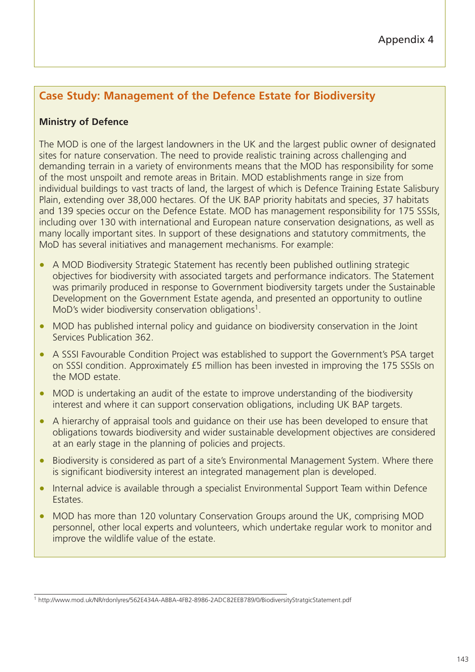# **Case Study: Management of the Defence Estate for Biodiversity**

## **Ministry of Defence**

The MOD is one of the largest landowners in the UK and the largest public owner of designated sites for nature conservation. The need to provide realistic training across challenging and demanding terrain in a variety of environments means that the MOD has responsibility for some of the most unspoilt and remote areas in Britain. MOD establishments range in size from individual buildings to vast tracts of land, the largest of which is Defence Training Estate Salisbury Plain, extending over 38,000 hectares. Of the UK BAP priority habitats and species, 37 habitats and 139 species occur on the Defence Estate. MOD has management responsibility for 175 SSSIs, including over 130 with international and European nature conservation designations, as well as many locally important sites. In support of these designations and statutory commitments, the MoD has several initiatives and management mechanisms. For example:

- A MOD Biodiversity Strategic Statement has recently been published outlining strategic objectives for biodiversity with associated targets and performance indicators. The Statement was primarily produced in response to Government biodiversity targets under the Sustainable Development on the Government Estate agenda, and presented an opportunity to outline MoD's wider biodiversity conservation obligations<sup>1</sup>.
- MOD has published internal policy and guidance on biodiversity conservation in the Joint Services Publication 362.
- A SSSI Favourable Condition Project was established to support the Government's PSA target on SSSI condition. Approximately £5 million has been invested in improving the 175 SSSIs on the MOD estate.
- MOD is undertaking an audit of the estate to improve understanding of the biodiversity interest and where it can support conservation obligations, including UK BAP targets.
- A hierarchy of appraisal tools and guidance on their use has been developed to ensure that obligations towards biodiversity and wider sustainable development objectives are considered at an early stage in the planning of policies and projects.
- Biodiversity is considered as part of a site's Environmental Management System. Where there is significant biodiversity interest an integrated management plan is developed.
- Internal advice is available through a specialist Environmental Support Team within Defence Estates.
- MOD has more than 120 voluntary Conservation Groups around the UK, comprising MOD personnel, other local experts and volunteers, which undertake regular work to monitor and improve the wildlife value of the estate.

<sup>1</sup> http://www.mod.uk/NR/rdonlyres/562E434A-ABBA-4FB2-8986-2ADC82EEB789/0/BiodiversityStratgicStatement.pdf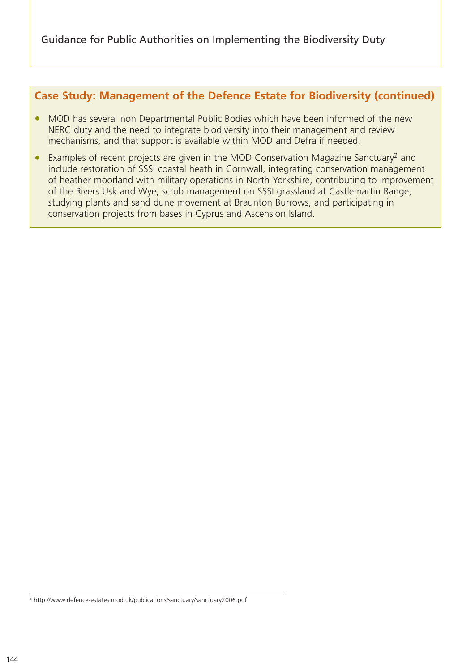## **Case Study: Management of the Defence Estate for Biodiversity (continued)**

- MOD has several non Departmental Public Bodies which have been informed of the new NERC duty and the need to integrate biodiversity into their management and review mechanisms, and that support is available within MOD and Defra if needed.
- Examples of recent projects are given in the MOD Conservation Magazine Sanctuary<sup>2</sup> and include restoration of SSSI coastal heath in Cornwall, integrating conservation management of heather moorland with military operations in North Yorkshire, contributing to improvement of the Rivers Usk and Wye, scrub management on SSSI grassland at Castlemartin Range, studying plants and sand dune movement at Braunton Burrows, and participating in conservation projects from bases in Cyprus and Ascension Island.

<sup>2</sup> http://www.defence-estates.mod.uk/publications/sanctuary/sanctuary2006.pdf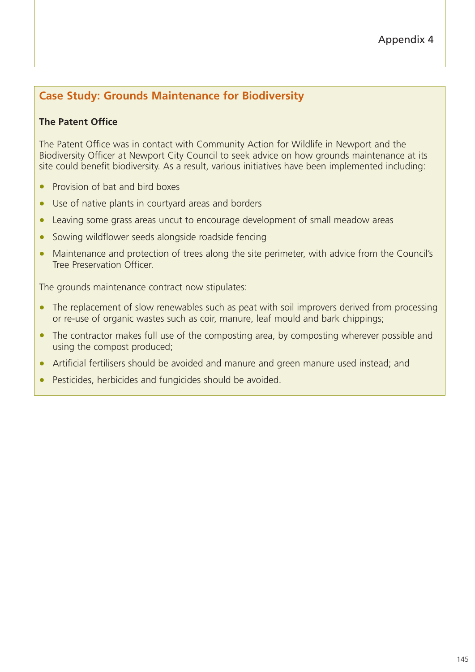# **Case Study: Grounds Maintenance for Biodiversity**

## **The Patent Office**

The Patent Office was in contact with Community Action for Wildlife in Newport and the Biodiversity Officer at Newport City Council to seek advice on how grounds maintenance at its site could benefit biodiversity. As a result, various initiatives have been implemented including:

- Provision of bat and bird boxes
- Use of native plants in courtyard areas and borders
- Leaving some grass areas uncut to encourage development of small meadow areas
- Sowing wildflower seeds alongside roadside fencing
- Maintenance and protection of trees along the site perimeter, with advice from the Council's Tree Preservation Officer.

The grounds maintenance contract now stipulates:

- The replacement of slow renewables such as peat with soil improvers derived from processing or re-use of organic wastes such as coir, manure, leaf mould and bark chippings;
- The contractor makes full use of the composting area, by composting wherever possible and using the compost produced;
- Artificial fertilisers should be avoided and manure and green manure used instead; and
- Pesticides, herbicides and fungicides should be avoided.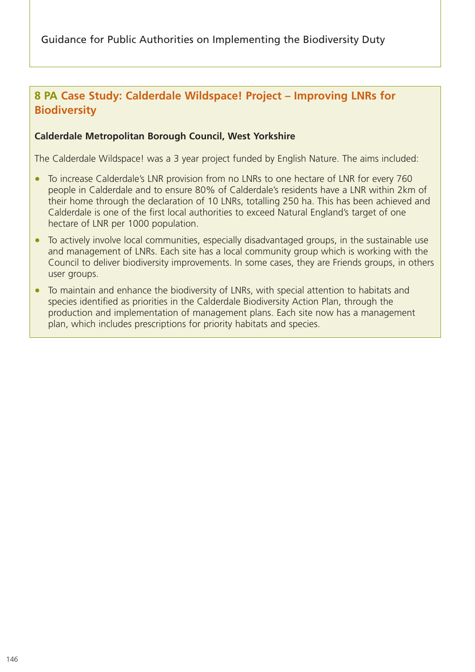# **8 PA Case Study: Calderdale Wildspace! Project – Improving LNRs for Biodiversity**

#### **Calderdale Metropolitan Borough Council, West Yorkshire**

The Calderdale Wildspace! was a 3 year project funded by English Nature. The aims included:

- To increase Calderdale's LNR provision from no LNRs to one hectare of LNR for every 760 people in Calderdale and to ensure 80% of Calderdale's residents have a LNR within 2km of their home through the declaration of 10 LNRs, totalling 250 ha. This has been achieved and Calderdale is one of the first local authorities to exceed Natural England's target of one hectare of LNR per 1000 population.
- To actively involve local communities, especially disadvantaged groups, in the sustainable use and management of LNRs. Each site has a local community group which is working with the Council to deliver biodiversity improvements. In some cases, they are Friends groups, in others user groups.
- To maintain and enhance the biodiversity of LNRs, with special attention to habitats and species identified as priorities in the Calderdale Biodiversity Action Plan, through the production and implementation of management plans. Each site now has a management plan, which includes prescriptions for priority habitats and species.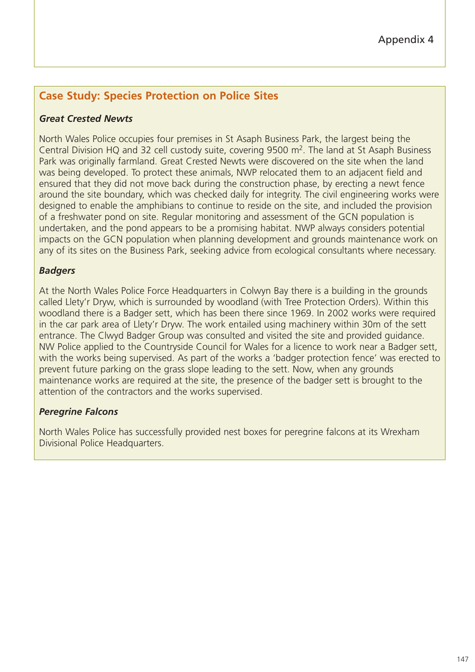# **Case Study: Species Protection on Police Sites**

#### *Great Crested Newts*

North Wales Police occupies four premises in St Asaph Business Park, the largest being the Central Division HQ and 32 cell custody suite, covering  $9500$  m<sup>2</sup>. The land at St Asaph Business Park was originally farmland. Great Crested Newts were discovered on the site when the land was being developed. To protect these animals, NWP relocated them to an adjacent field and ensured that they did not move back during the construction phase, by erecting a newt fence around the site boundary, which was checked daily for integrity. The civil engineering works were designed to enable the amphibians to continue to reside on the site, and included the provision of a freshwater pond on site. Regular monitoring and assessment of the GCN population is undertaken, and the pond appears to be a promising habitat. NWP always considers potential impacts on the GCN population when planning development and grounds maintenance work on any of its sites on the Business Park, seeking advice from ecological consultants where necessary.

#### *Badgers*

At the North Wales Police Force Headquarters in Colwyn Bay there is a building in the grounds called Llety'r Dryw, which is surrounded by woodland (with Tree Protection Orders). Within this woodland there is a Badger sett, which has been there since 1969. In 2002 works were required in the car park area of Llety'r Dryw. The work entailed using machinery within 30m of the sett entrance. The Clwyd Badger Group was consulted and visited the site and provided guidance. NW Police applied to the Countryside Council for Wales for a licence to work near a Badger sett, with the works being supervised. As part of the works a 'badger protection fence' was erected to prevent future parking on the grass slope leading to the sett. Now, when any grounds maintenance works are required at the site, the presence of the badger sett is brought to the attention of the contractors and the works supervised.

#### *Peregrine Falcons*

North Wales Police has successfully provided nest boxes for peregrine falcons at its Wrexham Divisional Police Headquarters.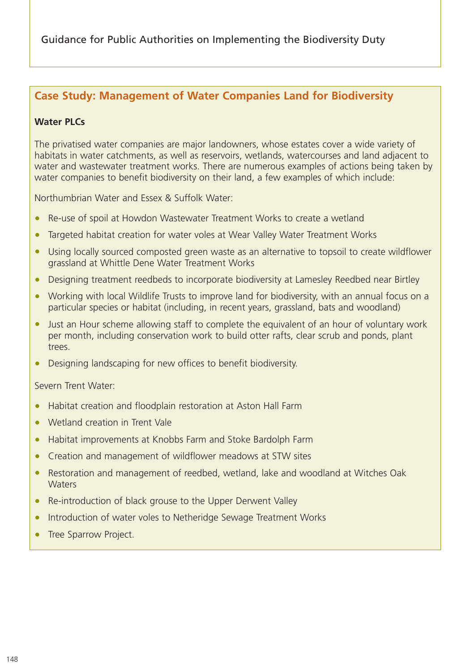## **Case Study: Management of Water Companies Land for Biodiversity**

#### **Water PLCs**

The privatised water companies are major landowners, whose estates cover a wide variety of habitats in water catchments, as well as reservoirs, wetlands, watercourses and land adjacent to water and wastewater treatment works. There are numerous examples of actions being taken by water companies to benefit biodiversity on their land, a few examples of which include:

Northumbrian Water and Essex & Suffolk Water:

- Re-use of spoil at Howdon Wastewater Treatment Works to create a wetland
- Targeted habitat creation for water voles at Wear Valley Water Treatment Works
- Using locally sourced composted green waste as an alternative to topsoil to create wildflower grassland at Whittle Dene Water Treatment Works
- Designing treatment reedbeds to incorporate biodiversity at Lamesley Reedbed near Birtley
- Working with local Wildlife Trusts to improve land for biodiversity, with an annual focus on a particular species or habitat (including, in recent years, grassland, bats and woodland)
- Just an Hour scheme allowing staff to complete the equivalent of an hour of voluntary work per month, including conservation work to build otter rafts, clear scrub and ponds, plant trees.
- Designing landscaping for new offices to benefit biodiversity.

Severn Trent Water:

- Habitat creation and floodplain restoration at Aston Hall Farm
- Wetland creation in Trent Vale
- Habitat improvements at Knobbs Farm and Stoke Bardolph Farm
- Creation and management of wildflower meadows at STW sites
- Restoration and management of reedbed, wetland, lake and woodland at Witches Oak **Waters**
- Re-introduction of black grouse to the Upper Derwent Valley
- Introduction of water voles to Netheridge Sewage Treatment Works
- Tree Sparrow Project.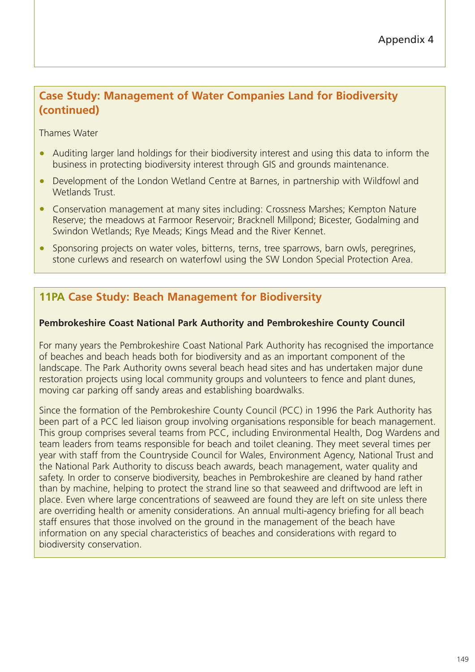# **Case Study: Management of Water Companies Land for Biodiversity (continued)**

Thames Water

- Auditing larger land holdings for their biodiversity interest and using this data to inform the business in protecting biodiversity interest through GIS and grounds maintenance.
- Development of the London Wetland Centre at Barnes, in partnership with Wildfowl and Wetlands Trust.
- Conservation management at many sites including: Crossness Marshes; Kempton Nature Reserve; the meadows at Farmoor Reservoir; Bracknell Millpond; Bicester, Godalming and Swindon Wetlands; Rye Meads; Kings Mead and the River Kennet.
- Sponsoring projects on water voles, bitterns, terns, tree sparrows, barn owls, peregrines, stone curlews and research on waterfowl using the SW London Special Protection Area.

## **11PA Case Study: Beach Management for Biodiversity**

#### **Pembrokeshire Coast National Park Authority and Pembrokeshire County Council**

For many years the Pembrokeshire Coast National Park Authority has recognised the importance of beaches and beach heads both for biodiversity and as an important component of the landscape. The Park Authority owns several beach head sites and has undertaken major dune restoration projects using local community groups and volunteers to fence and plant dunes, moving car parking off sandy areas and establishing boardwalks.

Since the formation of the Pembrokeshire County Council (PCC) in 1996 the Park Authority has been part of a PCC led liaison group involving organisations responsible for beach management. This group comprises several teams from PCC, including Environmental Health, Dog Wardens and team leaders from teams responsible for beach and toilet cleaning. They meet several times per year with staff from the Countryside Council for Wales, Environment Agency, National Trust and the National Park Authority to discuss beach awards, beach management, water quality and safety. In order to conserve biodiversity, beaches in Pembrokeshire are cleaned by hand rather than by machine, helping to protect the strand line so that seaweed and driftwood are left in place. Even where large concentrations of seaweed are found they are left on site unless there are overriding health or amenity considerations. An annual multi-agency briefing for all beach staff ensures that those involved on the ground in the management of the beach have information on any special characteristics of beaches and considerations with regard to biodiversity conservation.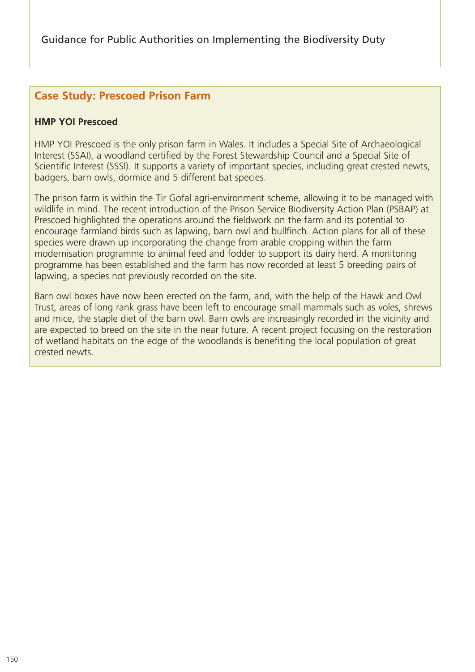## **Case Study: Prescoed Prison Farm**

#### **HMP YOI Prescoed**

HMP YOI Prescoed is the only prison farm in Wales. It includes a Special Site of Archaeological Interest (SSAI), a woodland certified by the Forest Stewardship Council and a Special Site of Scientific Interest (SSSI). It supports a variety of important species, including great crested newts, badgers, barn owls, dormice and 5 different bat species.

The prison farm is within the Tir Gofal agri-environment scheme, allowing it to be managed with wildlife in mind. The recent introduction of the Prison Service Biodiversity Action Plan (PSBAP) at Prescoed highlighted the operations around the fieldwork on the farm and its potential to encourage farmland birds such as lapwing, barn owl and bullfinch. Action plans for all of these species were drawn up incorporating the change from arable cropping within the farm modernisation programme to animal feed and fodder to support its dairy herd. A monitoring programme has been established and the farm has now recorded at least 5 breeding pairs of lapwing, a species not previously recorded on the site.

Barn owl boxes have now been erected on the farm, and, with the help of the Hawk and Owl Trust, areas of long rank grass have been left to encourage small mammals such as voles, shrews and mice, the staple diet of the barn owl. Barn owls are increasingly recorded in the vicinity and are expected to breed on the site in the near future. A recent project focusing on the restoration of wetland habitats on the edge of the woodlands is benefiting the local population of great crested newts.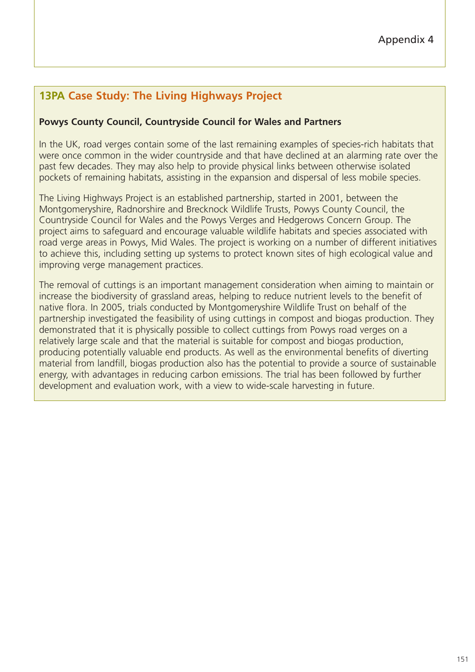# **13PA Case Study: The Living Highways Project**

#### **Powys County Council, Countryside Council for Wales and Partners**

In the UK, road verges contain some of the last remaining examples of species-rich habitats that were once common in the wider countryside and that have declined at an alarming rate over the past few decades. They may also help to provide physical links between otherwise isolated pockets of remaining habitats, assisting in the expansion and dispersal of less mobile species.

The Living Highways Project is an established partnership, started in 2001, between the Montgomeryshire, Radnorshire and Brecknock Wildlife Trusts, Powys County Council, the Countryside Council for Wales and the Powys Verges and Hedgerows Concern Group. The project aims to safeguard and encourage valuable wildlife habitats and species associated with road verge areas in Powys, Mid Wales. The project is working on a number of different initiatives to achieve this, including setting up systems to protect known sites of high ecological value and improving verge management practices.

The removal of cuttings is an important management consideration when aiming to maintain or increase the biodiversity of grassland areas, helping to reduce nutrient levels to the benefit of native flora. In 2005, trials conducted by Montgomeryshire Wildlife Trust on behalf of the partnership investigated the feasibility of using cuttings in compost and biogas production. They demonstrated that it is physically possible to collect cuttings from Powys road verges on a relatively large scale and that the material is suitable for compost and biogas production, producing potentially valuable end products. As well as the environmental benefits of diverting material from landfill, biogas production also has the potential to provide a source of sustainable energy, with advantages in reducing carbon emissions. The trial has been followed by further development and evaluation work, with a view to wide-scale harvesting in future.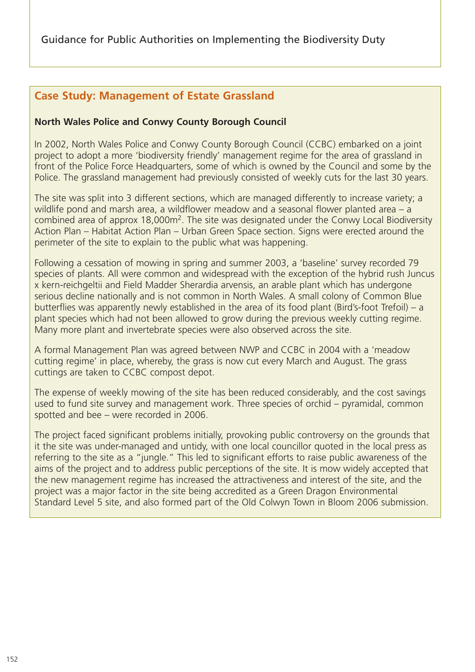# **Case Study: Management of Estate Grassland**

#### **North Wales Police and Conwy County Borough Council**

In 2002, North Wales Police and Conwy County Borough Council (CCBC) embarked on a joint project to adopt a more 'biodiversity friendly' management regime for the area of grassland in front of the Police Force Headquarters, some of which is owned by the Council and some by the Police. The grassland management had previously consisted of weekly cuts for the last 30 years.

The site was split into 3 different sections, which are managed differently to increase variety; a wildlife pond and marsh area, a wildflower meadow and a seasonal flower planted area – a combined area of approx 18,000m2. The site was designated under the Conwy Local Biodiversity Action Plan – Habitat Action Plan – Urban Green Space section. Signs were erected around the perimeter of the site to explain to the public what was happening.

Following a cessation of mowing in spring and summer 2003, a 'baseline' survey recorded 79 species of plants. All were common and widespread with the exception of the hybrid rush Juncus x kern-reichgeltii and Field Madder Sherardia arvensis, an arable plant which has undergone serious decline nationally and is not common in North Wales. A small colony of Common Blue butterflies was apparently newly established in the area of its food plant (Bird's-foot Trefoil) – a plant species which had not been allowed to grow during the previous weekly cutting regime. Many more plant and invertebrate species were also observed across the site.

A formal Management Plan was agreed between NWP and CCBC in 2004 with a 'meadow cutting regime' in place, whereby, the grass is now cut every March and August. The grass cuttings are taken to CCBC compost depot.

The expense of weekly mowing of the site has been reduced considerably, and the cost savings used to fund site survey and management work. Three species of orchid – pyramidal, common spotted and bee – were recorded in 2006.

The project faced significant problems initially, provoking public controversy on the grounds that it the site was under-managed and untidy, with one local councillor quoted in the local press as referring to the site as a "jungle." This led to significant efforts to raise public awareness of the aims of the project and to address public perceptions of the site. It is mow widely accepted that the new management regime has increased the attractiveness and interest of the site, and the project was a major factor in the site being accredited as a Green Dragon Environmental Standard Level 5 site, and also formed part of the Old Colwyn Town in Bloom 2006 submission.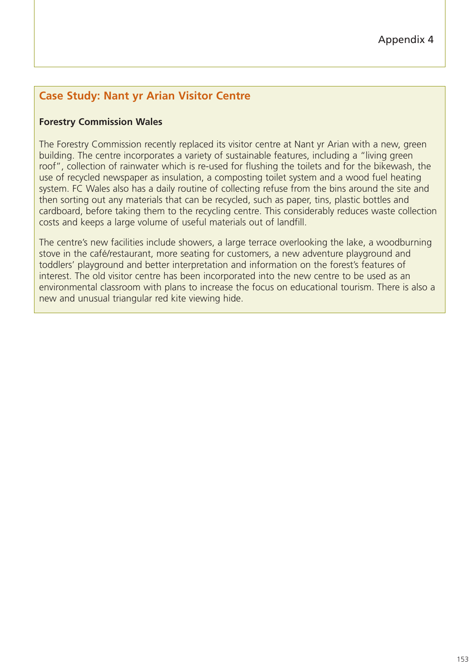# **Case Study: Nant yr Arian Visitor Centre**

#### **Forestry Commission Wales**

The Forestry Commission recently replaced its visitor centre at Nant yr Arian with a new, green building. The centre incorporates a variety of sustainable features, including a "living green roof", collection of rainwater which is re-used for flushing the toilets and for the bikewash, the use of recycled newspaper as insulation, a composting toilet system and a wood fuel heating system. FC Wales also has a daily routine of collecting refuse from the bins around the site and then sorting out any materials that can be recycled, such as paper, tins, plastic bottles and cardboard, before taking them to the recycling centre. This considerably reduces waste collection costs and keeps a large volume of useful materials out of landfill.

The centre's new facilities include showers, a large terrace overlooking the lake, a woodburning stove in the café/restaurant, more seating for customers, a new adventure playground and toddlers' playground and better interpretation and information on the forest's features of interest. The old visitor centre has been incorporated into the new centre to be used as an environmental classroom with plans to increase the focus on educational tourism. There is also a new and unusual triangular red kite viewing hide.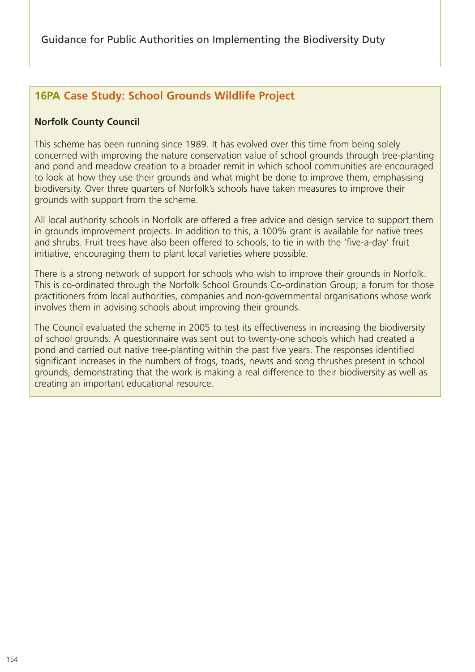# **16PA Case Study: School Grounds Wildlife Project**

#### **Norfolk County Council**

This scheme has been running since 1989. It has evolved over this time from being solely concerned with improving the nature conservation value of school grounds through tree-planting and pond and meadow creation to a broader remit in which school communities are encouraged to look at how they use their grounds and what might be done to improve them, emphasising biodiversity. Over three quarters of Norfolk's schools have taken measures to improve their grounds with support from the scheme.

All local authority schools in Norfolk are offered a free advice and design service to support them in grounds improvement projects. In addition to this, a 100% grant is available for native trees and shrubs. Fruit trees have also been offered to schools, to tie in with the 'five-a-day' fruit initiative, encouraging them to plant local varieties where possible.

There is a strong network of support for schools who wish to improve their grounds in Norfolk. This is co-ordinated through the Norfolk School Grounds Co-ordination Group; a forum for those practitioners from local authorities, companies and non-governmental organisations whose work involves them in advising schools about improving their grounds.

The Council evaluated the scheme in 2005 to test its effectiveness in increasing the biodiversity of school grounds. A questionnaire was sent out to twenty-one schools which had created a pond and carried out native tree-planting within the past five years. The responses identified significant increases in the numbers of frogs, toads, newts and song thrushes present in school grounds, demonstrating that the work is making a real difference to their biodiversity as well as creating an important educational resource.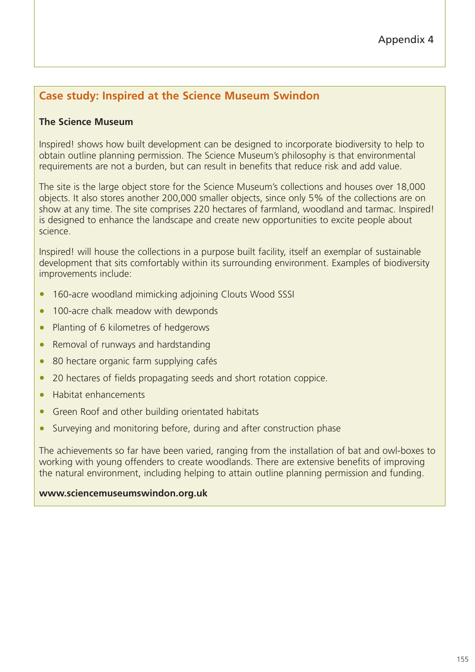## Appendix 4

## **Case study: Inspired at the Science Museum Swindon**

#### **The Science Museum**

Inspired! shows how built development can be designed to incorporate biodiversity to help to obtain outline planning permission. The Science Museum's philosophy is that environmental requirements are not a burden, but can result in benefits that reduce risk and add value.

The site is the large object store for the Science Museum's collections and houses over 18,000 objects. It also stores another 200,000 smaller objects, since only 5% of the collections are on show at any time. The site comprises 220 hectares of farmland, woodland and tarmac. Inspired! is designed to enhance the landscape and create new opportunities to excite people about science.

Inspired! will house the collections in a purpose built facility, itself an exemplar of sustainable development that sits comfortably within its surrounding environment. Examples of biodiversity improvements include:

- 160-acre woodland mimicking adjoining Clouts Wood SSSI
- 100-acre chalk meadow with dewponds
- Planting of 6 kilometres of hedgerows
- Removal of runways and hardstanding
- 80 hectare organic farm supplying cafés
- 20 hectares of fields propagating seeds and short rotation coppice.
- Habitat enhancements
- Green Roof and other building orientated habitats
- Surveying and monitoring before, during and after construction phase

The achievements so far have been varied, ranging from the installation of bat and owl-boxes to working with young offenders to create woodlands. There are extensive benefits of improving the natural environment, including helping to attain outline planning permission and funding.

#### **www.sciencemuseumswindon.org.uk**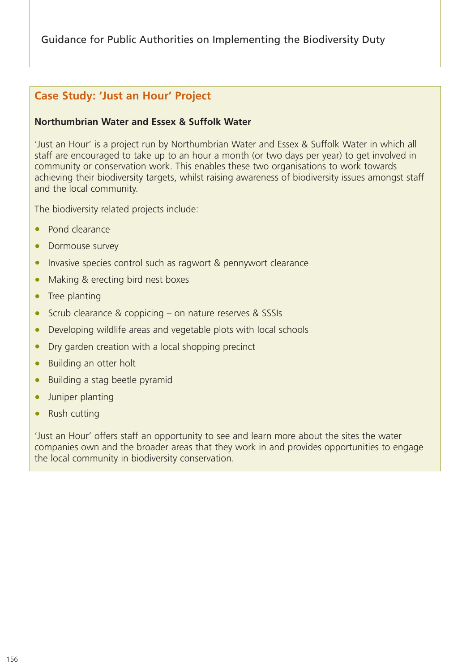## **Case Study: 'Just an Hour' Project**

#### **Northumbrian Water and Essex & Suffolk Water**

'Just an Hour' is a project run by Northumbrian Water and Essex & Suffolk Water in which all staff are encouraged to take up to an hour a month (or two days per year) to get involved in community or conservation work. This enables these two organisations to work towards achieving their biodiversity targets, whilst raising awareness of biodiversity issues amongst staff and the local community.

The biodiversity related projects include:

- Pond clearance
- Dormouse survey
- Invasive species control such as ragwort & pennywort clearance
- Making & erecting bird nest boxes
- Tree planting
- Scrub clearance & coppicing on nature reserves & SSSIs
- Developing wildlife areas and vegetable plots with local schools
- Dry garden creation with a local shopping precinct
- Building an otter holt
- Building a stag beetle pyramid
- Juniper planting
- Rush cutting

'Just an Hour' offers staff an opportunity to see and learn more about the sites the water companies own and the broader areas that they work in and provides opportunities to engage the local community in biodiversity conservation.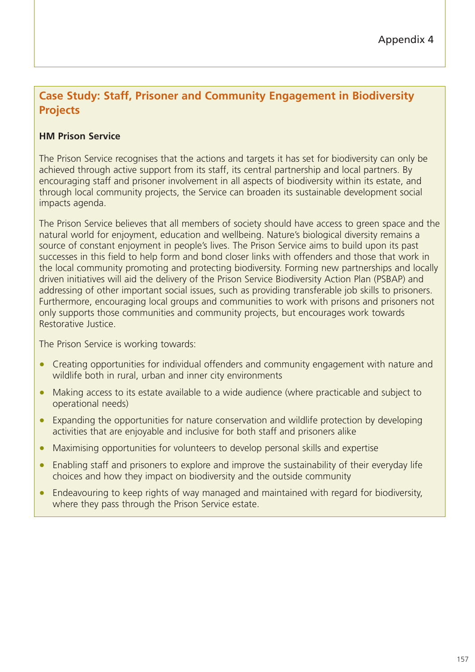# **Case Study: Staff, Prisoner and Community Engagement in Biodiversity Projects**

## **HM Prison Service**

The Prison Service recognises that the actions and targets it has set for biodiversity can only be achieved through active support from its staff, its central partnership and local partners. By encouraging staff and prisoner involvement in all aspects of biodiversity within its estate, and through local community projects, the Service can broaden its sustainable development social impacts agenda.

The Prison Service believes that all members of society should have access to green space and the natural world for enjoyment, education and wellbeing. Nature's biological diversity remains a source of constant enjoyment in people's lives. The Prison Service aims to build upon its past successes in this field to help form and bond closer links with offenders and those that work in the local community promoting and protecting biodiversity. Forming new partnerships and locally driven initiatives will aid the delivery of the Prison Service Biodiversity Action Plan (PSBAP) and addressing of other important social issues, such as providing transferable job skills to prisoners. Furthermore, encouraging local groups and communities to work with prisons and prisoners not only supports those communities and community projects, but encourages work towards Restorative Justice.

The Prison Service is working towards:

- Creating opportunities for individual offenders and community engagement with nature and wildlife both in rural, urban and inner city environments
- Making access to its estate available to a wide audience (where practicable and subject to operational needs)
- Expanding the opportunities for nature conservation and wildlife protection by developing activities that are enjoyable and inclusive for both staff and prisoners alike
- Maximising opportunities for volunteers to develop personal skills and expertise
- Enabling staff and prisoners to explore and improve the sustainability of their everyday life choices and how they impact on biodiversity and the outside community
- Endeavouring to keep rights of way managed and maintained with regard for biodiversity, where they pass through the Prison Service estate.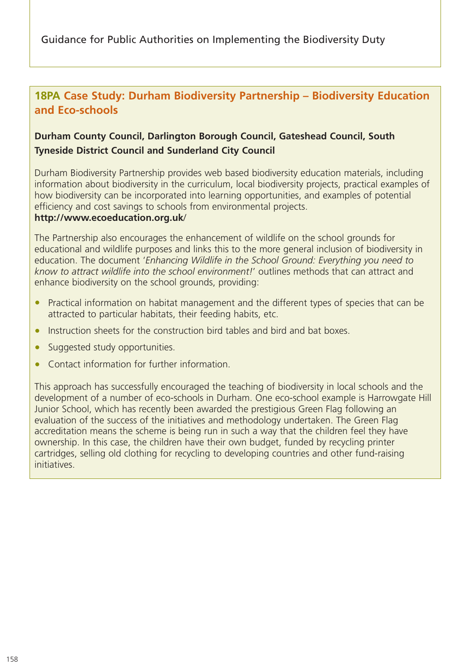# **18PA Case Study: Durham Biodiversity Partnership – Biodiversity Education and Eco-schools**

## **Durham County Council, Darlington Borough Council, Gateshead Council, South Tyneside District Council and Sunderland City Council**

Durham Biodiversity Partnership provides web based biodiversity education materials, including information about biodiversity in the curriculum, local biodiversity projects, practical examples of how biodiversity can be incorporated into learning opportunities, and examples of potential efficiency and cost savings to schools from environmental projects.

#### **http://www.ecoeducation.org.uk**/

The Partnership also encourages the enhancement of wildlife on the school grounds for educational and wildlife purposes and links this to the more general inclusion of biodiversity in education. The document '*Enhancing Wildlife in the School Ground: Everything you need to know to attract wildlife into the school environment!*' outlines methods that can attract and enhance biodiversity on the school grounds, providing:

- Practical information on habitat management and the different types of species that can be attracted to particular habitats, their feeding habits, etc.
- Instruction sheets for the construction bird tables and bird and bat boxes.
- Suggested study opportunities.
- Contact information for further information.

This approach has successfully encouraged the teaching of biodiversity in local schools and the development of a number of eco-schools in Durham. One eco-school example is Harrowgate Hill Junior School, which has recently been awarded the prestigious Green Flag following an evaluation of the success of the initiatives and methodology undertaken. The Green Flag accreditation means the scheme is being run in such a way that the children feel they have ownership. In this case, the children have their own budget, funded by recycling printer cartridges, selling old clothing for recycling to developing countries and other fund-raising initiatives.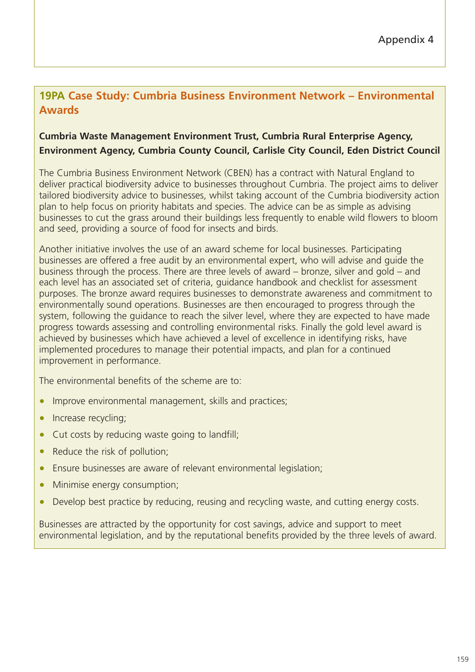# **19PA Case Study: Cumbria Business Environment Network – Environmental Awards**

## **Cumbria Waste Management Environment Trust, Cumbria Rural Enterprise Agency, Environment Agency, Cumbria County Council, Carlisle City Council, Eden District Council**

The Cumbria Business Environment Network (CBEN) has a contract with Natural England to deliver practical biodiversity advice to businesses throughout Cumbria. The project aims to deliver tailored biodiversity advice to businesses, whilst taking account of the Cumbria biodiversity action plan to help focus on priority habitats and species. The advice can be as simple as advising businesses to cut the grass around their buildings less frequently to enable wild flowers to bloom and seed, providing a source of food for insects and birds.

Another initiative involves the use of an award scheme for local businesses. Participating businesses are offered a free audit by an environmental expert, who will advise and guide the business through the process. There are three levels of award – bronze, silver and gold – and each level has an associated set of criteria, guidance handbook and checklist for assessment purposes. The bronze award requires businesses to demonstrate awareness and commitment to environmentally sound operations. Businesses are then encouraged to progress through the system, following the guidance to reach the silver level, where they are expected to have made progress towards assessing and controlling environmental risks. Finally the gold level award is achieved by businesses which have achieved a level of excellence in identifying risks, have implemented procedures to manage their potential impacts, and plan for a continued improvement in performance.

The environmental benefits of the scheme are to:

- Improve environmental management, skills and practices;
- Increase recycling;
- Cut costs by reducing waste going to landfill;
- Reduce the risk of pollution;
- Ensure businesses are aware of relevant environmental legislation;
- Minimise energy consumption;
- Develop best practice by reducing, reusing and recycling waste, and cutting energy costs.

Businesses are attracted by the opportunity for cost savings, advice and support to meet environmental legislation, and by the reputational benefits provided by the three levels of award.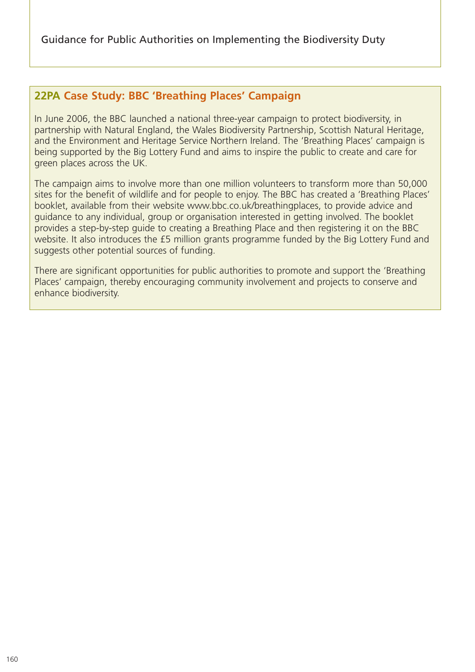## **22PA Case Study: BBC 'Breathing Places' Campaign**

In June 2006, the BBC launched a national three-year campaign to protect biodiversity, in partnership with Natural England, the Wales Biodiversity Partnership, Scottish Natural Heritage, and the Environment and Heritage Service Northern Ireland. The 'Breathing Places' campaign is being supported by the Big Lottery Fund and aims to inspire the public to create and care for green places across the UK.

The campaign aims to involve more than one million volunteers to transform more than 50,000 sites for the benefit of wildlife and for people to enjoy. The BBC has created a 'Breathing Places' booklet, available from their website www.bbc.co.uk/breathingplaces, to provide advice and guidance to any individual, group or organisation interested in getting involved. The booklet provides a step-by-step guide to creating a Breathing Place and then registering it on the BBC website. It also introduces the £5 million grants programme funded by the Big Lottery Fund and suggests other potential sources of funding.

There are significant opportunities for public authorities to promote and support the 'Breathing Places' campaign, thereby encouraging community involvement and projects to conserve and enhance biodiversity.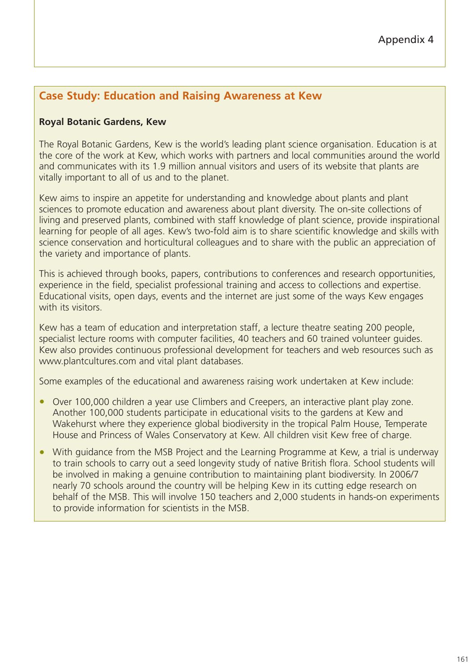# **Case Study: Education and Raising Awareness at Kew**

#### **Royal Botanic Gardens, Kew**

The Royal Botanic Gardens, Kew is the world's leading plant science organisation. Education is at the core of the work at Kew, which works with partners and local communities around the world and communicates with its 1.9 million annual visitors and users of its website that plants are vitally important to all of us and to the planet.

Kew aims to inspire an appetite for understanding and knowledge about plants and plant sciences to promote education and awareness about plant diversity. The on-site collections of living and preserved plants, combined with staff knowledge of plant science, provide inspirational learning for people of all ages. Kew's two-fold aim is to share scientific knowledge and skills with science conservation and horticultural colleagues and to share with the public an appreciation of the variety and importance of plants.

This is achieved through books, papers, contributions to conferences and research opportunities, experience in the field, specialist professional training and access to collections and expertise. Educational visits, open days, events and the internet are just some of the ways Kew engages with its visitors

Kew has a team of education and interpretation staff, a lecture theatre seating 200 people, specialist lecture rooms with computer facilities, 40 teachers and 60 trained volunteer guides. Kew also provides continuous professional development for teachers and web resources such as www.plantcultures.com and vital plant databases.

Some examples of the educational and awareness raising work undertaken at Kew include:

- Over 100,000 children a year use Climbers and Creepers, an interactive plant play zone. Another 100,000 students participate in educational visits to the gardens at Kew and Wakehurst where they experience global biodiversity in the tropical Palm House, Temperate House and Princess of Wales Conservatory at Kew. All children visit Kew free of charge.
- With quidance from the MSB Project and the Learning Programme at Kew, a trial is underway to train schools to carry out a seed longevity study of native British flora. School students will be involved in making a genuine contribution to maintaining plant biodiversity. In 2006/7 nearly 70 schools around the country will be helping Kew in its cutting edge research on behalf of the MSB. This will involve 150 teachers and 2,000 students in hands-on experiments to provide information for scientists in the MSB.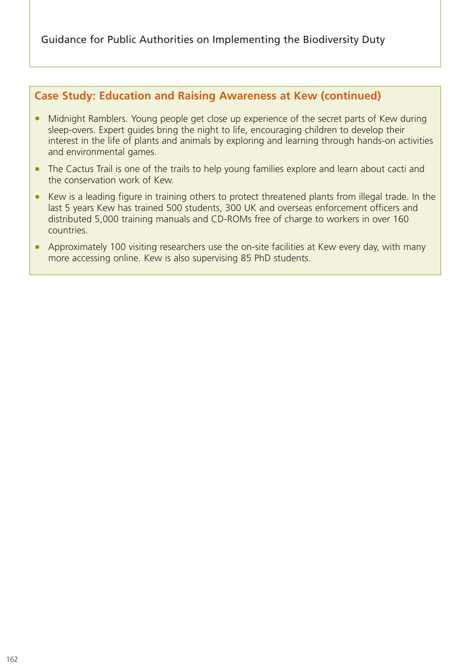## **Case Study: Education and Raising Awareness at Kew (continued)**

- Midnight Ramblers. Young people get close up experience of the secret parts of Kew during sleep-overs. Expert guides bring the night to life, encouraging children to develop their interest in the life of plants and animals by exploring and learning through hands-on activities and environmental games.
- The Cactus Trail is one of the trails to help young families explore and learn about cacti and the conservation work of Kew.
- Kew is a leading figure in training others to protect threatened plants from illegal trade. In the last 5 years Kew has trained 500 students, 300 UK and overseas enforcement officers and distributed 5,000 training manuals and CD-ROMs free of charge to workers in over 160 countries.
- Approximately 100 visiting researchers use the on-site facilities at Kew every day, with many more accessing online. Kew is also supervising 85 PhD students.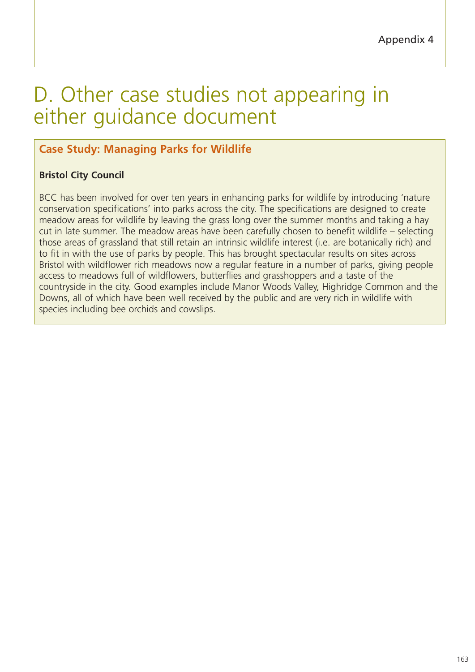# D. Other case studies not appearing in either guidance document

# **Case Study: Managing Parks for Wildlife**

## **Bristol City Council**

BCC has been involved for over ten years in enhancing parks for wildlife by introducing 'nature conservation specifications' into parks across the city. The specifications are designed to create meadow areas for wildlife by leaving the grass long over the summer months and taking a hay cut in late summer. The meadow areas have been carefully chosen to benefit wildlife – selecting those areas of grassland that still retain an intrinsic wildlife interest (i.e. are botanically rich) and to fit in with the use of parks by people. This has brought spectacular results on sites across Bristol with wildflower rich meadows now a regular feature in a number of parks, giving people access to meadows full of wildflowers, butterflies and grasshoppers and a taste of the countryside in the city. Good examples include Manor Woods Valley, Highridge Common and the Downs, all of which have been well received by the public and are very rich in wildlife with species including bee orchids and cowslips.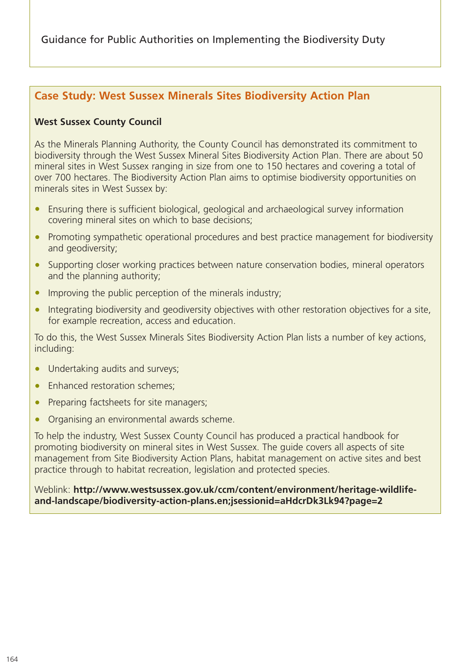## **Case Study: West Sussex Minerals Sites Biodiversity Action Plan**

#### **West Sussex County Council**

As the Minerals Planning Authority, the County Council has demonstrated its commitment to biodiversity through the West Sussex Mineral Sites Biodiversity Action Plan. There are about 50 mineral sites in West Sussex ranging in size from one to 150 hectares and covering a total of over 700 hectares. The Biodiversity Action Plan aims to optimise biodiversity opportunities on minerals sites in West Sussex by:

- Ensuring there is sufficient biological, geological and archaeological survey information covering mineral sites on which to base decisions;
- Promoting sympathetic operational procedures and best practice management for biodiversity and geodiversity;
- Supporting closer working practices between nature conservation bodies, mineral operators and the planning authority;
- Improving the public perception of the minerals industry;
- Integrating biodiversity and geodiversity objectives with other restoration objectives for a site, for example recreation, access and education.

To do this, the West Sussex Minerals Sites Biodiversity Action Plan lists a number of key actions, including:

- Undertaking audits and surveys;
- Enhanced restoration schemes;
- Preparing factsheets for site managers;
- Organising an environmental awards scheme.

To help the industry, West Sussex County Council has produced a practical handbook for promoting biodiversity on mineral sites in West Sussex. The guide covers all aspects of site management from Site Biodiversity Action Plans, habitat management on active sites and best practice through to habitat recreation, legislation and protected species.

Weblink: **http://www.westsussex.gov.uk/ccm/content/environment/heritage-wildlifeand-landscape/biodiversity-action-plans.en;jsessionid=aHdcrDk3Lk94?page=2**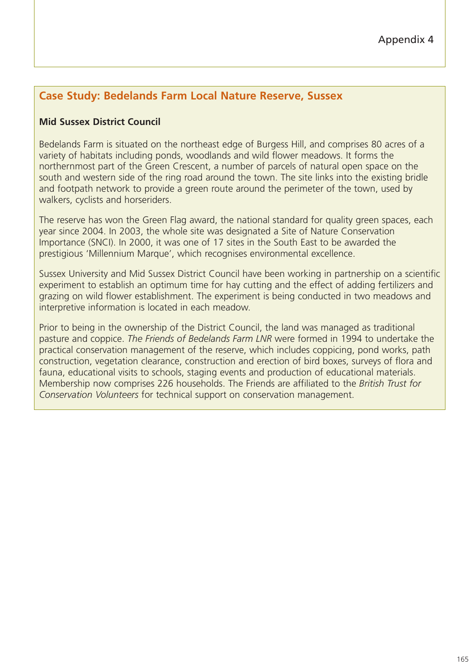# **Case Study: Bedelands Farm Local Nature Reserve, Sussex**

#### **Mid Sussex District Council**

Bedelands Farm is situated on the northeast edge of Burgess Hill, and comprises 80 acres of a variety of habitats including ponds, woodlands and wild flower meadows. It forms the northernmost part of the Green Crescent, a number of parcels of natural open space on the south and western side of the ring road around the town. The site links into the existing bridle and footpath network to provide a green route around the perimeter of the town, used by walkers, cyclists and horseriders.

The reserve has won the Green Flag award, the national standard for quality green spaces, each year since 2004. In 2003, the whole site was designated a Site of Nature Conservation Importance (SNCI). In 2000, it was one of 17 sites in the South East to be awarded the prestigious 'Millennium Marque', which recognises environmental excellence.

Sussex University and Mid Sussex District Council have been working in partnership on a scientific experiment to establish an optimum time for hay cutting and the effect of adding fertilizers and grazing on wild flower establishment. The experiment is being conducted in two meadows and interpretive information is located in each meadow.

Prior to being in the ownership of the District Council, the land was managed as traditional pasture and coppice. *The Friends of Bedelands Farm LNR* were formed in 1994 to undertake the practical conservation management of the reserve, which includes coppicing, pond works, path construction, vegetation clearance, construction and erection of bird boxes, surveys of flora and fauna, educational visits to schools, staging events and production of educational materials. Membership now comprises 226 households. The Friends are affiliated to the *British Trust for Conservation Volunteers* for technical support on conservation management.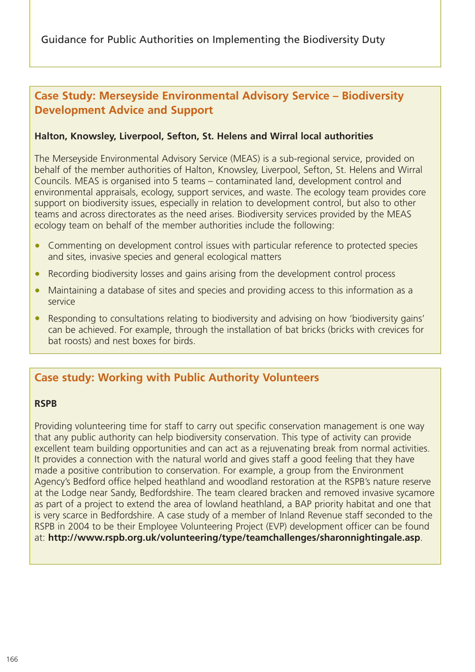## **Case Study: Merseyside Environmental Advisory Service – Biodiversity Development Advice and Support**

#### **Halton, Knowsley, Liverpool, Sefton, St. Helens and Wirral local authorities**

The Merseyside Environmental Advisory Service (MEAS) is a sub-regional service, provided on behalf of the member authorities of Halton, Knowsley, Liverpool, Sefton, St. Helens and Wirral Councils. MEAS is organised into 5 teams – contaminated land, development control and environmental appraisals, ecology, support services, and waste. The ecology team provides core support on biodiversity issues, especially in relation to development control, but also to other teams and across directorates as the need arises. Biodiversity services provided by the MEAS ecology team on behalf of the member authorities include the following:

- Commenting on development control issues with particular reference to protected species and sites, invasive species and general ecological matters
- Recording biodiversity losses and gains arising from the development control process
- Maintaining a database of sites and species and providing access to this information as a service
- Responding to consultations relating to biodiversity and advising on how 'biodiversity gains' can be achieved. For example, through the installation of bat bricks (bricks with crevices for bat roosts) and nest boxes for birds.

## **Case study: Working with Public Authority Volunteers**

#### **RSPB**

Providing volunteering time for staff to carry out specific conservation management is one way that any public authority can help biodiversity conservation. This type of activity can provide excellent team building opportunities and can act as a rejuvenating break from normal activities. It provides a connection with the natural world and gives staff a good feeling that they have made a positive contribution to conservation. For example, a group from the Environment Agency's Bedford office helped heathland and woodland restoration at the RSPB's nature reserve at the Lodge near Sandy, Bedfordshire. The team cleared bracken and removed invasive sycamore as part of a project to extend the area of lowland heathland, a BAP priority habitat and one that is very scarce in Bedfordshire. A case study of a member of Inland Revenue staff seconded to the RSPB in 2004 to be their Employee Volunteering Project (EVP) development officer can be found at: **http://www.rspb.org.uk/volunteering/type/teamchallenges/sharonnightingale.asp**.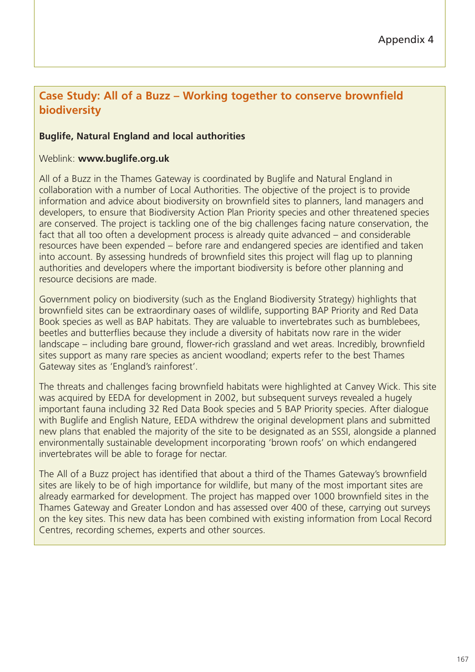## **Case Study: All of a Buzz – Working together to conserve brownfield biodiversity**

#### **Buglife, Natural England and local authorities**

#### Weblink: **www.buglife.org.uk**

All of a Buzz in the Thames Gateway is coordinated by Buglife and Natural England in collaboration with a number of Local Authorities. The objective of the project is to provide information and advice about biodiversity on brownfield sites to planners, land managers and developers, to ensure that Biodiversity Action Plan Priority species and other threatened species are conserved. The project is tackling one of the big challenges facing nature conservation, the fact that all too often a development process is already quite advanced – and considerable resources have been expended – before rare and endangered species are identified and taken into account. By assessing hundreds of brownfield sites this project will flag up to planning authorities and developers where the important biodiversity is before other planning and resource decisions are made.

Government policy on biodiversity (such as the England Biodiversity Strategy) highlights that brownfield sites can be extraordinary oases of wildlife, supporting BAP Priority and Red Data Book species as well as BAP habitats. They are valuable to invertebrates such as bumblebees, beetles and butterflies because they include a diversity of habitats now rare in the wider landscape – including bare ground, flower-rich grassland and wet areas. Incredibly, brownfield sites support as many rare species as ancient woodland; experts refer to the best Thames Gateway sites as 'England's rainforest'.

The threats and challenges facing brownfield habitats were highlighted at Canvey Wick. This site was acquired by EEDA for development in 2002, but subsequent surveys revealed a hugely important fauna including 32 Red Data Book species and 5 BAP Priority species. After dialogue with Buglife and English Nature, EEDA withdrew the original development plans and submitted new plans that enabled the majority of the site to be designated as an SSSI, alongside a planned environmentally sustainable development incorporating 'brown roofs' on which endangered invertebrates will be able to forage for nectar.

The All of a Buzz project has identified that about a third of the Thames Gateway's brownfield sites are likely to be of high importance for wildlife, but many of the most important sites are already earmarked for development. The project has mapped over 1000 brownfield sites in the Thames Gateway and Greater London and has assessed over 400 of these, carrying out surveys on the key sites. This new data has been combined with existing information from Local Record Centres, recording schemes, experts and other sources.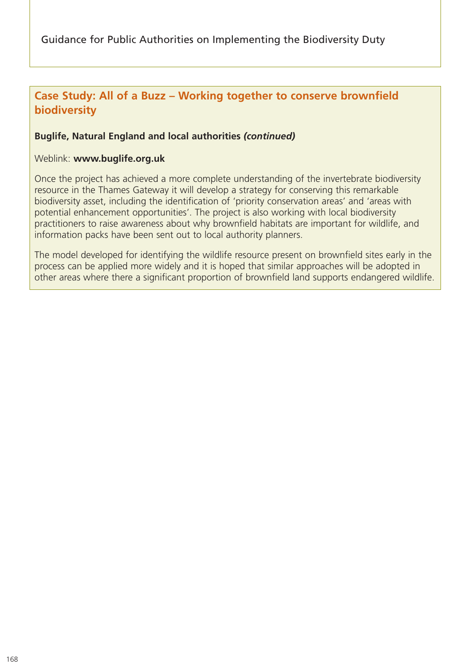# **Case Study: All of a Buzz – Working together to conserve brownfield biodiversity**

#### **Buglife, Natural England and local authorities** *(continued)*

#### Weblink: **www.buglife.org.uk**

Once the project has achieved a more complete understanding of the invertebrate biodiversity resource in the Thames Gateway it will develop a strategy for conserving this remarkable biodiversity asset, including the identification of 'priority conservation areas' and 'areas with potential enhancement opportunities'. The project is also working with local biodiversity practitioners to raise awareness about why brownfield habitats are important for wildlife, and information packs have been sent out to local authority planners.

The model developed for identifying the wildlife resource present on brownfield sites early in the process can be applied more widely and it is hoped that similar approaches will be adopted in other areas where there a significant proportion of brownfield land supports endangered wildlife.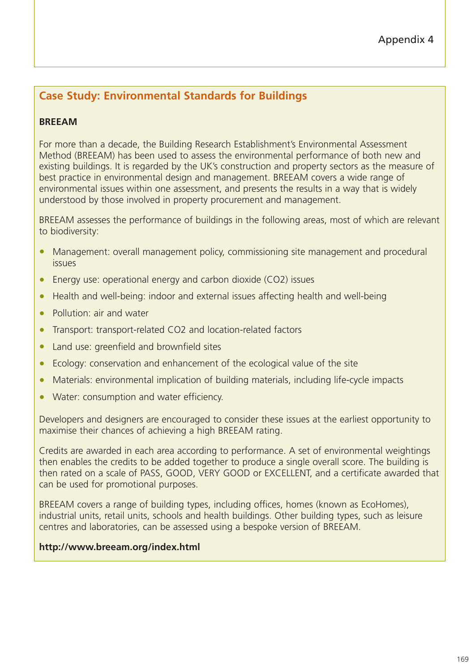# **Case Study: Environmental Standards for Buildings**

## **BREEAM**

For more than a decade, the Building Research Establishment's Environmental Assessment Method (BREEAM) has been used to assess the environmental performance of both new and existing buildings. It is regarded by the UK's construction and property sectors as the measure of best practice in environmental design and management. BREEAM covers a wide range of environmental issues within one assessment, and presents the results in a way that is widely understood by those involved in property procurement and management.

BREEAM assesses the performance of buildings in the following areas, most of which are relevant to biodiversity:

- Management: overall management policy, commissioning site management and procedural issues
- Energy use: operational energy and carbon dioxide (CO2) issues
- Health and well-being: indoor and external issues affecting health and well-being
- Pollution: air and water
- Transport: transport-related CO2 and location-related factors
- Land use: greenfield and brownfield sites
- Ecology: conservation and enhancement of the ecological value of the site
- Materials: environmental implication of building materials, including life-cycle impacts
- Water: consumption and water efficiency.

Developers and designers are encouraged to consider these issues at the earliest opportunity to maximise their chances of achieving a high BREEAM rating.

Credits are awarded in each area according to performance. A set of environmental weightings then enables the credits to be added together to produce a single overall score. The building is then rated on a scale of PASS, GOOD, VERY GOOD or EXCELLENT, and a certificate awarded that can be used for promotional purposes.

BREEAM covers a range of building types, including offices, homes (known as EcoHomes), industrial units, retail units, schools and health buildings. Other building types, such as leisure centres and laboratories, can be assessed using a bespoke version of BREEAM.

#### **http://www.breeam.org/index.html**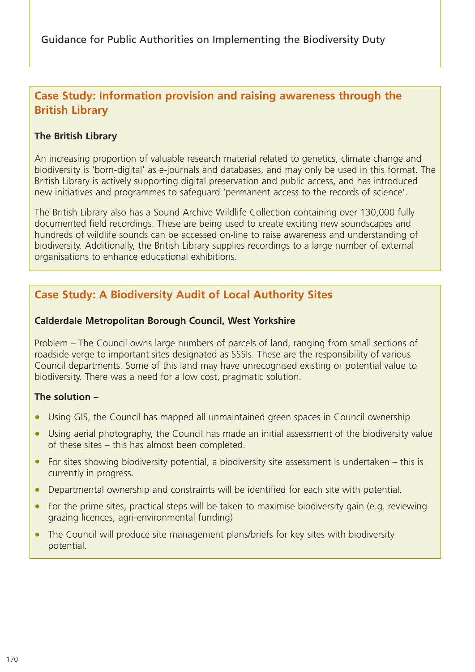# **Case Study: Information provision and raising awareness through the British Library**

#### **The British Library**

An increasing proportion of valuable research material related to genetics, climate change and biodiversity is 'born-digital' as e-journals and databases, and may only be used in this format. The British Library is actively supporting digital preservation and public access, and has introduced new initiatives and programmes to safeguard 'permanent access to the records of science'.

The British Library also has a Sound Archive Wildlife Collection containing over 130,000 fully documented field recordings. These are being used to create exciting new soundscapes and hundreds of wildlife sounds can be accessed on-line to raise awareness and understanding of biodiversity. Additionally, the British Library supplies recordings to a large number of external organisations to enhance educational exhibitions.

# **Case Study: A Biodiversity Audit of Local Authority Sites**

#### **Calderdale Metropolitan Borough Council, West Yorkshire**

Problem – The Council owns large numbers of parcels of land, ranging from small sections of roadside verge to important sites designated as SSSIs. These are the responsibility of various Council departments. Some of this land may have unrecognised existing or potential value to biodiversity. There was a need for a low cost, pragmatic solution.

#### **The solution –**

- Using GIS, the Council has mapped all unmaintained green spaces in Council ownership
- Using aerial photography, the Council has made an initial assessment of the biodiversity value of these sites – this has almost been completed.
- For sites showing biodiversity potential, a biodiversity site assessment is undertaken this is currently in progress.
- Departmental ownership and constraints will be identified for each site with potential.
- For the prime sites, practical steps will be taken to maximise biodiversity gain (e.g. reviewing grazing licences, agri-environmental funding)
- The Council will produce site management plans/briefs for key sites with biodiversity potential.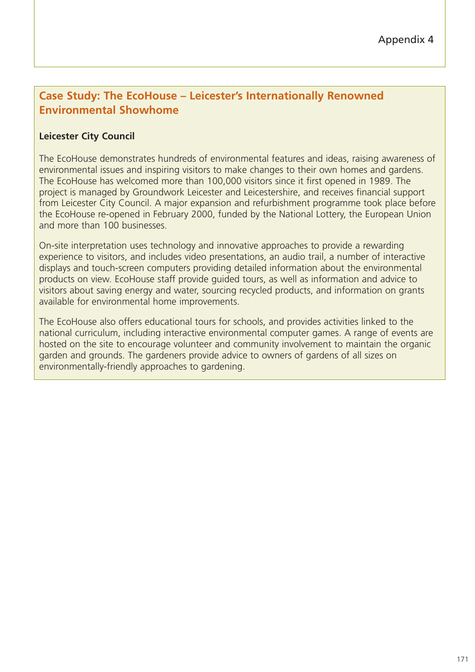# **Case Study: The EcoHouse – Leicester's Internationally Renowned Environmental Showhome**

#### **Leicester City Council**

The EcoHouse demonstrates hundreds of environmental features and ideas, raising awareness of environmental issues and inspiring visitors to make changes to their own homes and gardens. The EcoHouse has welcomed more than 100,000 visitors since it first opened in 1989. The project is managed by Groundwork Leicester and Leicestershire, and receives financial support from Leicester City Council. A major expansion and refurbishment programme took place before the EcoHouse re-opened in February 2000, funded by the National Lottery, the European Union and more than 100 businesses.

On-site interpretation uses technology and innovative approaches to provide a rewarding experience to visitors, and includes video presentations, an audio trail, a number of interactive displays and touch-screen computers providing detailed information about the environmental products on view. EcoHouse staff provide guided tours, as well as information and advice to visitors about saving energy and water, sourcing recycled products, and information on grants available for environmental home improvements.

The EcoHouse also offers educational tours for schools, and provides activities linked to the national curriculum, including interactive environmental computer games. A range of events are hosted on the site to encourage volunteer and community involvement to maintain the organic garden and grounds. The gardeners provide advice to owners of gardens of all sizes on environmentally-friendly approaches to gardening.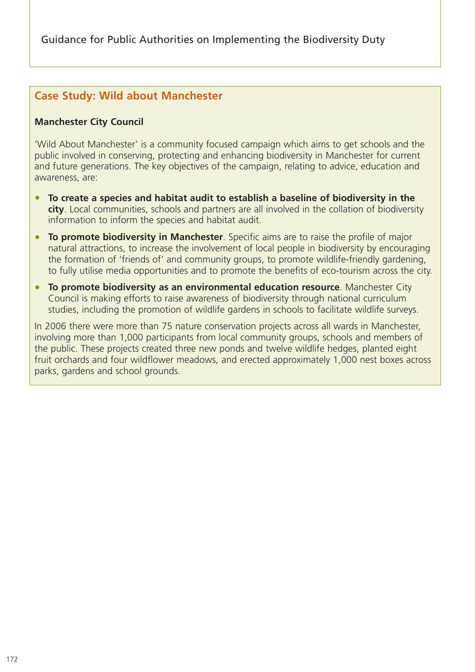## **Case Study: Wild about Manchester**

#### **Manchester City Council**

'Wild About Manchester' is a community focused campaign which aims to get schools and the public involved in conserving, protecting and enhancing biodiversity in Manchester for current and future generations. The key objectives of the campaign, relating to advice, education and awareness, are:

- **To create a species and habitat audit to establish a baseline of biodiversity in the city**. Local communities, schools and partners are all involved in the collation of biodiversity information to inform the species and habitat audit.
- **To promote biodiversity in Manchester**. Specific aims are to raise the profile of major natural attractions, to increase the involvement of local people in biodiversity by encouraging the formation of 'friends of' and community groups, to promote wildlife-friendly gardening, to fully utilise media opportunities and to promote the benefits of eco-tourism across the city.
- **To promote biodiversity as an environmental education resource**. Manchester City Council is making efforts to raise awareness of biodiversity through national curriculum studies, including the promotion of wildlife gardens in schools to facilitate wildlife surveys.

In 2006 there were more than 75 nature conservation projects across all wards in Manchester, involving more than 1,000 participants from local community groups, schools and members of the public. These projects created three new ponds and twelve wildlife hedges, planted eight fruit orchards and four wildflower meadows, and erected approximately 1,000 nest boxes across parks, gardens and school grounds.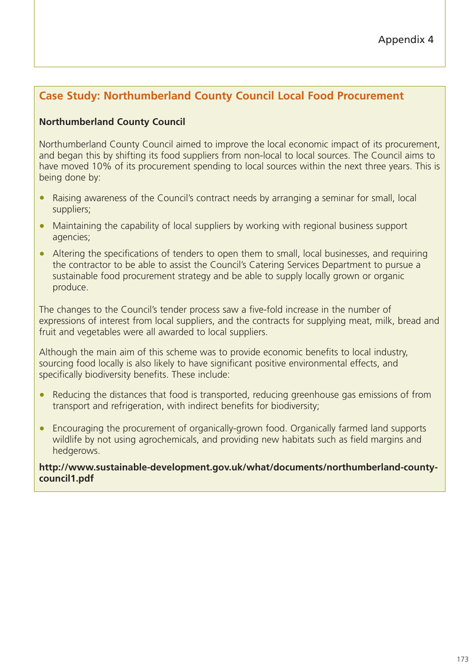# **Case Study: Northumberland County Council Local Food Procurement**

#### **Northumberland County Council**

Northumberland County Council aimed to improve the local economic impact of its procurement, and began this by shifting its food suppliers from non-local to local sources. The Council aims to have moved 10% of its procurement spending to local sources within the next three years. This is being done by:

- Raising awareness of the Council's contract needs by arranging a seminar for small, local suppliers;
- Maintaining the capability of local suppliers by working with regional business support agencies;
- Altering the specifications of tenders to open them to small, local businesses, and requiring the contractor to be able to assist the Council's Catering Services Department to pursue a sustainable food procurement strategy and be able to supply locally grown or organic produce.

The changes to the Council's tender process saw a five-fold increase in the number of expressions of interest from local suppliers, and the contracts for supplying meat, milk, bread and fruit and vegetables were all awarded to local suppliers.

Although the main aim of this scheme was to provide economic benefits to local industry, sourcing food locally is also likely to have significant positive environmental effects, and specifically biodiversity benefits. These include:

- Reducing the distances that food is transported, reducing greenhouse gas emissions of from transport and refrigeration, with indirect benefits for biodiversity;
- Encouraging the procurement of organically-grown food. Organically farmed land supports wildlife by not using agrochemicals, and providing new habitats such as field margins and hedgerows.

**http://www.sustainable-development.gov.uk/what/documents/northumberland-countycouncil1.pdf**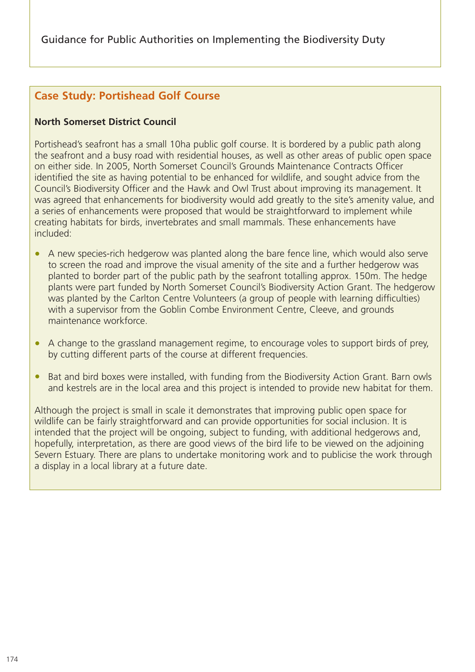# **Case Study: Portishead Golf Course**

#### **North Somerset District Council**

Portishead's seafront has a small 10ha public golf course. It is bordered by a public path along the seafront and a busy road with residential houses, as well as other areas of public open space on either side. In 2005, North Somerset Council's Grounds Maintenance Contracts Officer identified the site as having potential to be enhanced for wildlife, and sought advice from the Council's Biodiversity Officer and the Hawk and Owl Trust about improving its management. It was agreed that enhancements for biodiversity would add greatly to the site's amenity value, and a series of enhancements were proposed that would be straightforward to implement while creating habitats for birds, invertebrates and small mammals. These enhancements have included:

- A new species-rich hedgerow was planted along the bare fence line, which would also serve to screen the road and improve the visual amenity of the site and a further hedgerow was planted to border part of the public path by the seafront totalling approx. 150m. The hedge plants were part funded by North Somerset Council's Biodiversity Action Grant. The hedgerow was planted by the Carlton Centre Volunteers (a group of people with learning difficulties) with a supervisor from the Goblin Combe Environment Centre, Cleeve, and grounds maintenance workforce.
- A change to the grassland management regime, to encourage voles to support birds of prey, by cutting different parts of the course at different frequencies.
- Bat and bird boxes were installed, with funding from the Biodiversity Action Grant. Barn owls and kestrels are in the local area and this project is intended to provide new habitat for them.

Although the project is small in scale it demonstrates that improving public open space for wildlife can be fairly straightforward and can provide opportunities for social inclusion. It is intended that the project will be ongoing, subject to funding, with additional hedgerows and, hopefully, interpretation, as there are good views of the bird life to be viewed on the adjoining Severn Estuary. There are plans to undertake monitoring work and to publicise the work through a display in a local library at a future date.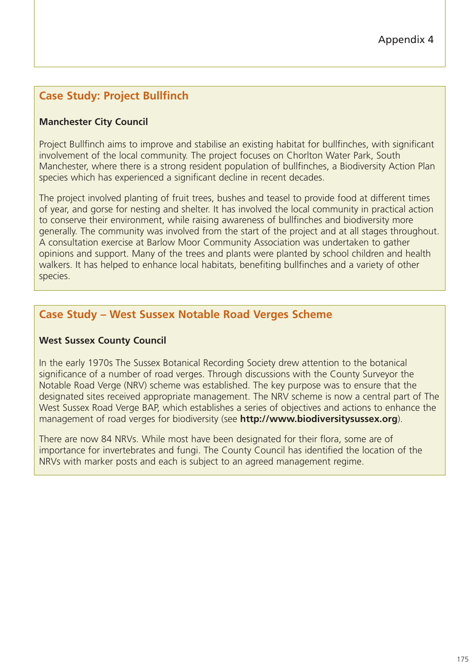# **Case Study: Project Bullfinch**

## **Manchester City Council**

Project Bullfinch aims to improve and stabilise an existing habitat for bullfinches, with significant involvement of the local community. The project focuses on Chorlton Water Park, South Manchester, where there is a strong resident population of bullfinches, a Biodiversity Action Plan species which has experienced a significant decline in recent decades.

The project involved planting of fruit trees, bushes and teasel to provide food at different times of year, and gorse for nesting and shelter. It has involved the local community in practical action to conserve their environment, while raising awareness of bullfinches and biodiversity more generally. The community was involved from the start of the project and at all stages throughout. A consultation exercise at Barlow Moor Community Association was undertaken to gather opinions and support. Many of the trees and plants were planted by school children and health walkers. It has helped to enhance local habitats, benefiting bullfinches and a variety of other species.

# **Case Study – West Sussex Notable Road Verges Scheme**

#### **West Sussex County Council**

In the early 1970s The Sussex Botanical Recording Society drew attention to the botanical significance of a number of road verges. Through discussions with the County Surveyor the Notable Road Verge (NRV) scheme was established. The key purpose was to ensure that the designated sites received appropriate management. The NRV scheme is now a central part of The West Sussex Road Verge BAP, which establishes a series of objectives and actions to enhance the management of road verges for biodiversity (see **http://www.biodiversitysussex.org**).

There are now 84 NRVs. While most have been designated for their flora, some are of importance for invertebrates and fungi. The County Council has identified the location of the NRVs with marker posts and each is subject to an agreed management regime.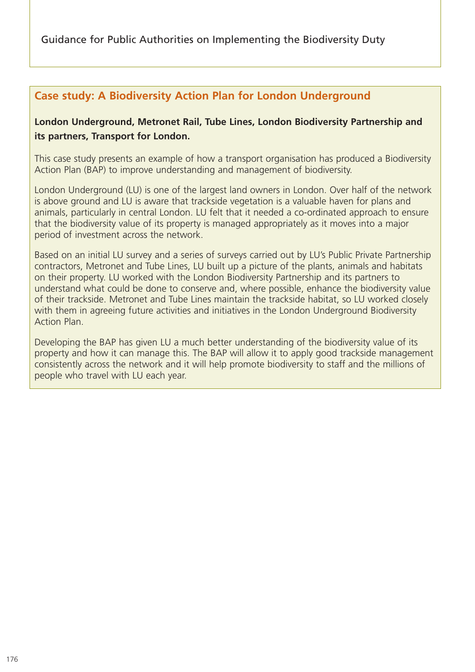# **Case study: A Biodiversity Action Plan for London Underground**

## **London Underground, Metronet Rail, Tube Lines, London Biodiversity Partnership and its partners, Transport for London.**

This case study presents an example of how a transport organisation has produced a Biodiversity Action Plan (BAP) to improve understanding and management of biodiversity.

London Underground (LU) is one of the largest land owners in London. Over half of the network is above ground and LU is aware that trackside vegetation is a valuable haven for plans and animals, particularly in central London. LU felt that it needed a co-ordinated approach to ensure that the biodiversity value of its property is managed appropriately as it moves into a major period of investment across the network.

Based on an initial LU survey and a series of surveys carried out by LU's Public Private Partnership contractors, Metronet and Tube Lines, LU built up a picture of the plants, animals and habitats on their property. LU worked with the London Biodiversity Partnership and its partners to understand what could be done to conserve and, where possible, enhance the biodiversity value of their trackside. Metronet and Tube Lines maintain the trackside habitat, so LU worked closely with them in agreeing future activities and initiatives in the London Underground Biodiversity Action Plan.

Developing the BAP has given LU a much better understanding of the biodiversity value of its property and how it can manage this. The BAP will allow it to apply good trackside management consistently across the network and it will help promote biodiversity to staff and the millions of people who travel with LU each year.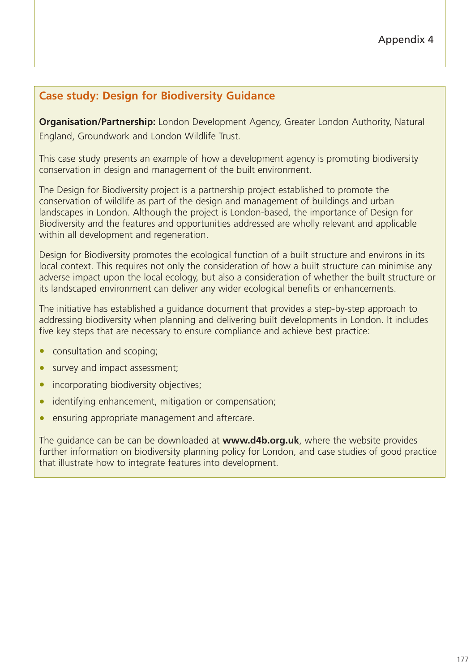# **Case study: Design for Biodiversity Guidance**

**Organisation/Partnership:** London Development Agency, Greater London Authority, Natural England, Groundwork and London Wildlife Trust.

This case study presents an example of how a development agency is promoting biodiversity conservation in design and management of the built environment.

The Design for Biodiversity project is a partnership project established to promote the conservation of wildlife as part of the design and management of buildings and urban landscapes in London. Although the project is London-based, the importance of Design for Biodiversity and the features and opportunities addressed are wholly relevant and applicable within all development and regeneration.

Design for Biodiversity promotes the ecological function of a built structure and environs in its local context. This requires not only the consideration of how a built structure can minimise any adverse impact upon the local ecology, but also a consideration of whether the built structure or its landscaped environment can deliver any wider ecological benefits or enhancements.

The initiative has established a guidance document that provides a step-by-step approach to addressing biodiversity when planning and delivering built developments in London. It includes five key steps that are necessary to ensure compliance and achieve best practice:

- consultation and scoping;
- survey and impact assessment;
- incorporating biodiversity objectives;
- identifying enhancement, mitigation or compensation;
- ensuring appropriate management and aftercare.

The guidance can be can be downloaded at **www.d4b.org.uk**, where the website provides further information on biodiversity planning policy for London, and case studies of good practice that illustrate how to integrate features into development.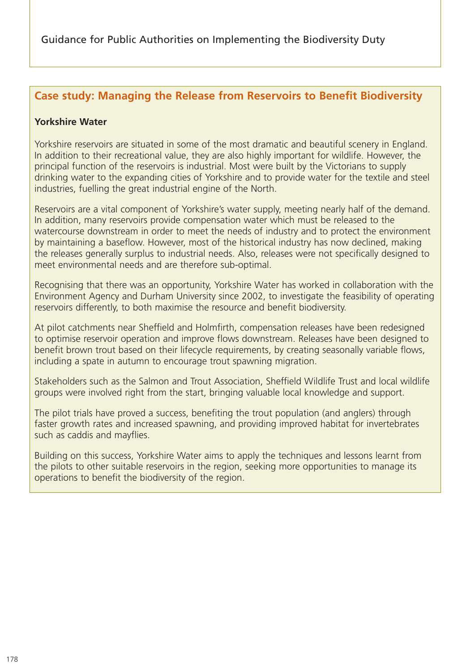## **Case study: Managing the Release from Reservoirs to Benefit Biodiversity**

## **Yorkshire Water**

Yorkshire reservoirs are situated in some of the most dramatic and beautiful scenery in England. In addition to their recreational value, they are also highly important for wildlife. However, the principal function of the reservoirs is industrial. Most were built by the Victorians to supply drinking water to the expanding cities of Yorkshire and to provide water for the textile and steel industries, fuelling the great industrial engine of the North.

Reservoirs are a vital component of Yorkshire's water supply, meeting nearly half of the demand. In addition, many reservoirs provide compensation water which must be released to the watercourse downstream in order to meet the needs of industry and to protect the environment by maintaining a baseflow. However, most of the historical industry has now declined, making the releases generally surplus to industrial needs. Also, releases were not specifically designed to meet environmental needs and are therefore sub-optimal.

Recognising that there was an opportunity, Yorkshire Water has worked in collaboration with the Environment Agency and Durham University since 2002, to investigate the feasibility of operating reservoirs differently, to both maximise the resource and benefit biodiversity.

At pilot catchments near Sheffield and Holmfirth, compensation releases have been redesigned to optimise reservoir operation and improve flows downstream. Releases have been designed to benefit brown trout based on their lifecycle requirements, by creating seasonally variable flows, including a spate in autumn to encourage trout spawning migration.

Stakeholders such as the Salmon and Trout Association, Sheffield Wildlife Trust and local wildlife groups were involved right from the start, bringing valuable local knowledge and support.

The pilot trials have proved a success, benefiting the trout population (and anglers) through faster growth rates and increased spawning, and providing improved habitat for invertebrates such as caddis and mayflies.

Building on this success, Yorkshire Water aims to apply the techniques and lessons learnt from the pilots to other suitable reservoirs in the region, seeking more opportunities to manage its operations to benefit the biodiversity of the region.